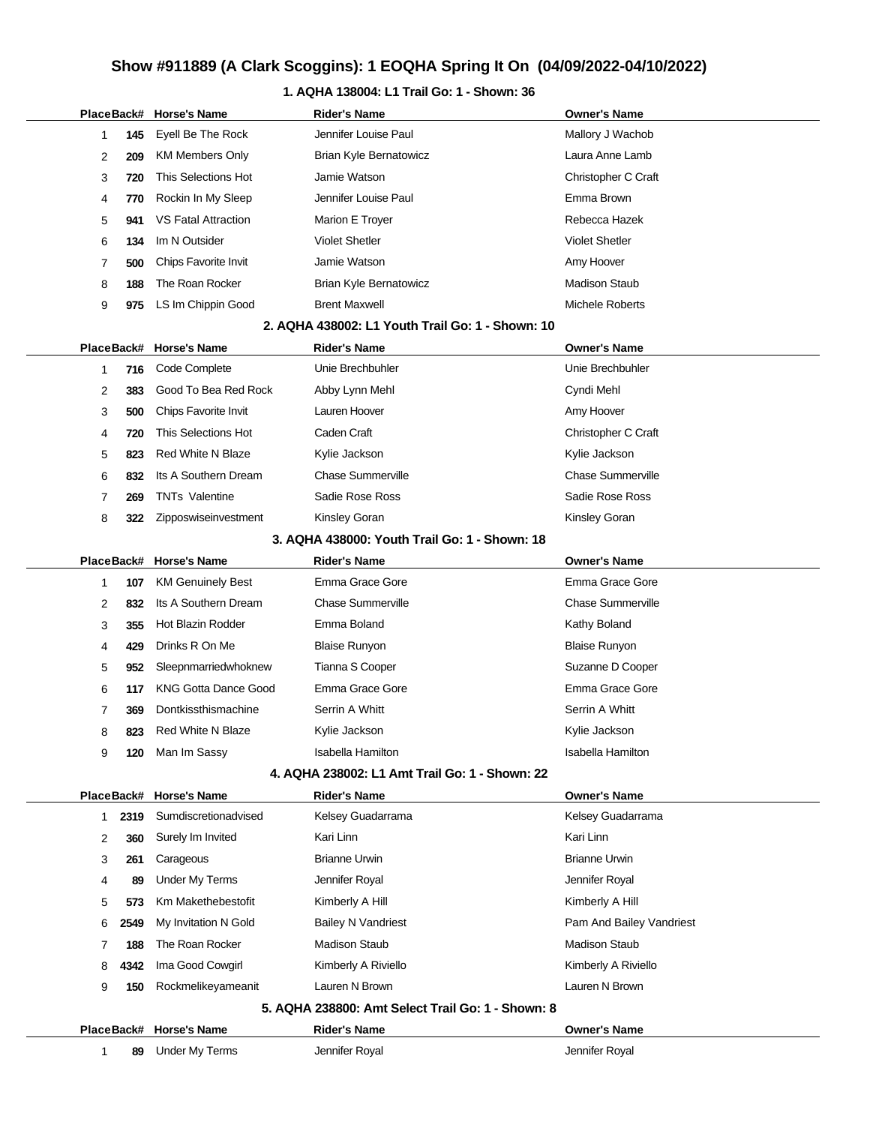### **1. AQHA 138004: L1 Trail Go: 1 - Shown: 36**

|    |            | PlaceBack# Horse's Name                          | <b>Rider's Name</b>                               | <b>Owner's Name</b>                   |
|----|------------|--------------------------------------------------|---------------------------------------------------|---------------------------------------|
| 1  | 145        | Eyell Be The Rock                                | Jennifer Louise Paul                              | Mallory J Wachob                      |
| 2  | 209        | <b>KM Members Only</b>                           | Brian Kyle Bernatowicz                            | Laura Anne Lamb                       |
| 3  | 720        | This Selections Hot                              | Jamie Watson                                      | Christopher C Craft                   |
| 4  | 770        | Rockin In My Sleep                               | Jennifer Louise Paul                              | Emma Brown                            |
| 5  | 941        | <b>VS Fatal Attraction</b>                       | Marion E Troyer                                   | Rebecca Hazek                         |
| 6  | 134        | Im N Outsider                                    | <b>Violet Shetler</b>                             | <b>Violet Shetler</b>                 |
| 7  | 500        | Chips Favorite Invit                             | Jamie Watson                                      | Amy Hoover                            |
| 8  | 188        | The Roan Rocker                                  | <b>Brian Kyle Bernatowicz</b>                     | <b>Madison Staub</b>                  |
| 9  | 975        | LS Im Chippin Good                               | <b>Brent Maxwell</b>                              | Michele Roberts                       |
|    |            |                                                  | 2. AQHA 438002: L1 Youth Trail Go: 1 - Shown: 10  |                                       |
|    | PlaceBack# | <b>Horse's Name</b>                              | <b>Rider's Name</b>                               | <b>Owner's Name</b>                   |
| 1  | 716        | Code Complete                                    | Unie Brechbuhler                                  | Unie Brechbuhler                      |
| 2  | 383        | Good To Bea Red Rock                             | Abby Lynn Mehl                                    | Cyndi Mehl                            |
| 3  | 500        | Chips Favorite Invit                             | Lauren Hoover                                     | Amy Hoover                            |
| 4  | 720        | This Selections Hot                              | Caden Craft                                       | Christopher C Craft                   |
| 5  | 823        | Red White N Blaze                                | Kylie Jackson                                     | Kylie Jackson                         |
| 6  | 832        | Its A Southern Dream                             | <b>Chase Summerville</b>                          | <b>Chase Summerville</b>              |
| 7  | 269        | <b>TNTs Valentine</b>                            | Sadie Rose Ross                                   | Sadie Rose Ross                       |
| 8  | 322        | Zipposwiseinvestment                             | Kinsley Goran                                     | Kinsley Goran                         |
|    |            |                                                  | 3. AQHA 438000: Youth Trail Go: 1 - Shown: 18     |                                       |
|    | PlaceBack# | <b>Horse's Name</b>                              | <b>Rider's Name</b>                               | <b>Owner's Name</b>                   |
| 1  | 107        | <b>KM Genuinely Best</b>                         | Emma Grace Gore                                   | Emma Grace Gore                       |
| 2  | 832        | Its A Southern Dream                             | <b>Chase Summerville</b>                          | <b>Chase Summerville</b>              |
| 3  | 355        | <b>Hot Blazin Rodder</b>                         | Emma Boland                                       | Kathy Boland                          |
| 4  | 429        | Drinks R On Me                                   | <b>Blaise Runyon</b>                              | <b>Blaise Runyon</b>                  |
| 5  | 952        | Sleepnmarriedwhoknew                             | Tianna S Cooper                                   | Suzanne D Cooper                      |
| 6  | 117        | <b>KNG Gotta Dance Good</b>                      | Emma Grace Gore                                   | Emma Grace Gore                       |
| 7  | 369        | Dontkissthismachine                              | Serrin A Whitt                                    | Serrin A Whitt                        |
| 8  | 823        | <b>Red White N Blaze</b>                         | Kylie Jackson                                     | Kylie Jackson                         |
| 9  | 120        | Man Im Sassy                                     | <b>Isabella Hamilton</b>                          | <b>Isabella Hamilton</b>              |
|    |            |                                                  | 4. AQHA 238002: L1 Amt Trail Go: 1 - Shown: 22    |                                       |
|    | PlaceBack# | <b>Horse's Name</b>                              | <b>Rider's Name</b>                               | <b>Owner's Name</b>                   |
| 1. | 2319       | Sumdiscretionadvised                             | Kelsey Guadarrama                                 | Kelsey Guadarrama                     |
| 2  | 360        | Surely Im Invited                                | Kari Linn                                         | Kari Linn                             |
| 3  | 261        | Carageous                                        | <b>Brianne Urwin</b>                              | <b>Brianne Urwin</b>                  |
| 4  | 89         | <b>Under My Terms</b>                            | Jennifer Royal                                    | Jennifer Royal                        |
|    |            | Km Makethebestofit                               | Kimberly A Hill                                   | Kimberly A Hill                       |
| 5  | 573        |                                                  |                                                   |                                       |
| 6  | 2549       | My Invitation N Gold                             | <b>Bailey N Vandriest</b>                         | Pam And Bailey Vandriest              |
| 7  | 188        | The Roan Rocker                                  | <b>Madison Staub</b>                              | <b>Madison Staub</b>                  |
| 8  | 4342       | Ima Good Cowgirl                                 | Kimberly A Riviello                               | Kimberly A Riviello                   |
| 9  | 150        | Rockmelikeyameanit                               | Lauren N Brown                                    | Lauren N Brown                        |
|    |            |                                                  | 5. AQHA 238800: Amt Select Trail Go: 1 - Shown: 8 |                                       |
|    |            | PlaceBack# Horse's Name<br><b>Under My Terms</b> | <b>Rider's Name</b><br>Jennifer Royal             | <b>Owner's Name</b><br>Jennifer Royal |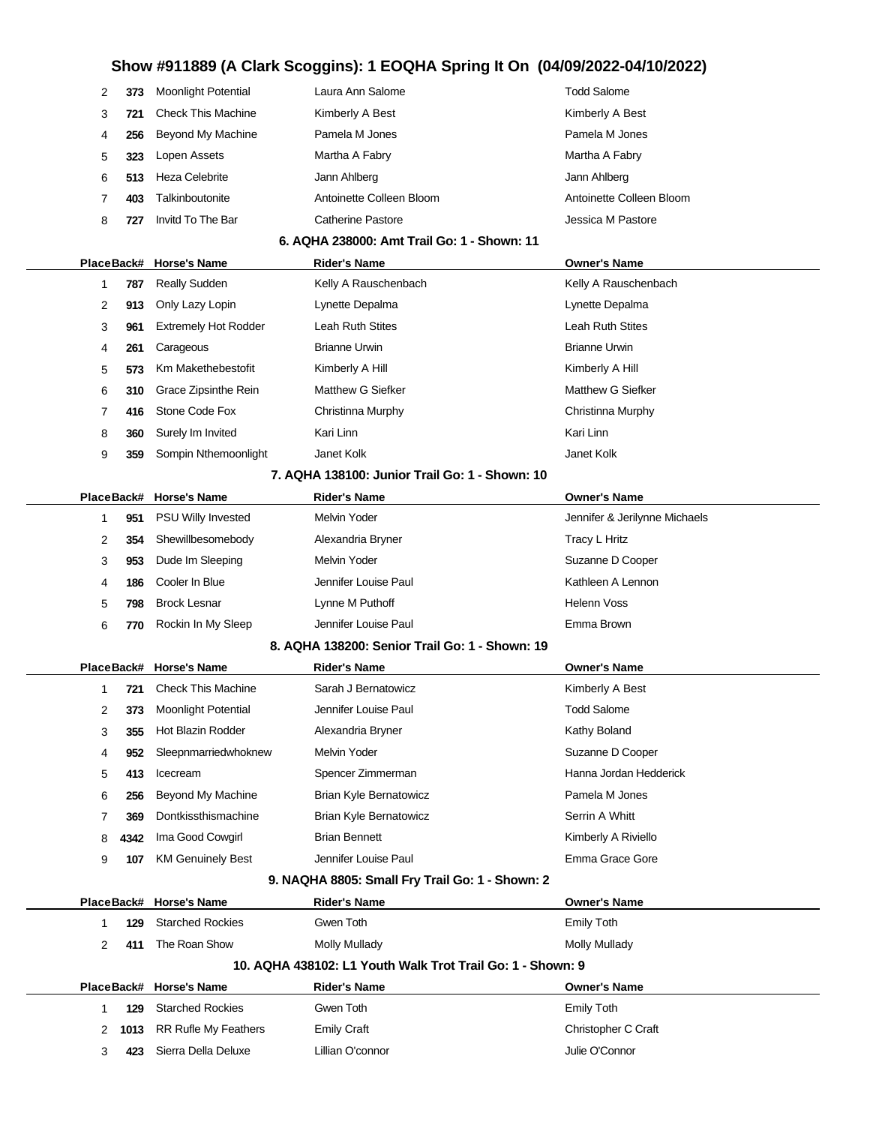|   | 373 | <b>Moonlight Potential</b> | Laura Ann Salome         | Todd Salome              |
|---|-----|----------------------------|--------------------------|--------------------------|
|   | 721 | <b>Check This Machine</b>  | Kimberly A Best          | Kimberly A Best          |
|   | 256 | Beyond My Machine          | Pamela M Jones           | Pamela M Jones           |
| 5 | 323 | Lopen Assets               | Martha A Fabry           | Martha A Fabry           |
| 6 | 513 | Heza Celebrite             | Jann Ahlberg             | Jann Ahlberg             |
|   | 403 | Talkinboutonite            | Antoinette Colleen Bloom | Antoinette Colleen Bloom |
| 8 | 727 | Invitd To The Bar          | Catherine Pastore        | Jessica M Pastore        |
|   |     |                            |                          |                          |

### **6. AQHA 238000: Amt Trail Go: 1 - Shown: 11**

|   |     | PlaceBack# Horse's Name                 | <b>Rider's Name</b>  | <b>Owner's Name</b>  |
|---|-----|-----------------------------------------|----------------------|----------------------|
|   | 787 | <b>Really Sudden</b>                    | Kelly A Rauschenbach | Kelly A Rauschenbach |
| 2 | 913 | Only Lazy Lopin                         | Lynette Depalma      | Lynette Depalma      |
| 3 | 961 | <b>Extremely Hot Rodder</b>             | Leah Ruth Stites     | Leah Ruth Stites     |
| 4 | 261 | Carageous                               | <b>Brianne Urwin</b> | <b>Brianne Urwin</b> |
| 5 | 573 | Km Makethebestofit                      | Kimberly A Hill      | Kimberly A Hill      |
| 6 | 310 | Grace Zipsinthe Rein                    | Matthew G Siefker    | Matthew G Siefker    |
| 7 | 416 | Stone Code Fox                          | Christinna Murphy    | Christinna Murphy    |
| 8 | 360 | Surely Im Invited                       | Kari Linn            | Kari Linn            |
| 9 | 359 | Sompin Nthemoonlight                    | Janet Kolk           | Janet Kolk           |
|   |     | 7. IAU I I ANA I I I TUAT I ALL I I I I |                      |                      |

#### **7. AQHA 138100: Junior Trail Go: 1 - Shown: 10**

|   |     | PlaceBack# Horse's Name   | <b>Rider's Name</b>  | <b>Owner's Name</b>           |  |
|---|-----|---------------------------|----------------------|-------------------------------|--|
|   | 951 | <b>PSU Willy Invested</b> | Melvin Yoder         | Jennifer & Jerilynne Michaels |  |
| 2 | 354 | Shewillbesomebody         | Alexandria Bryner    | <b>Tracy L Hritz</b>          |  |
| 3 | 953 | Dude Im Sleeping          | Melvin Yoder         | Suzanne D Cooper              |  |
| 4 | 186 | Cooler In Blue            | Jennifer Louise Paul | Kathleen A Lennon             |  |
| 5 | 798 | <b>Brock Lesnar</b>       | Lynne M Puthoff      | Helenn Voss                   |  |
| 6 | 770 | Rockin In My Sleep        | Jennifer Louise Paul | Emma Brown                    |  |
|   |     |                           |                      |                               |  |

#### **8. AQHA 138200: Senior Trail Go: 1 - Shown: 19**

|   |      | PlaceBack# Horse's Name    | <b>Rider's Name</b>           | <b>Owner's Name</b>    |  |
|---|------|----------------------------|-------------------------------|------------------------|--|
|   | 721  | <b>Check This Machine</b>  | Sarah J Bernatowicz           | Kimberly A Best        |  |
| 2 | 373  | <b>Moonlight Potential</b> | Jennifer Louise Paul          | <b>Todd Salome</b>     |  |
| 3 | 355  | Hot Blazin Rodder          | Alexandria Bryner             | Kathy Boland           |  |
| 4 | 952  | Sleepnmarriedwhoknew       | Melvin Yoder                  | Suzanne D Cooper       |  |
| 5 | 413  | Icecream                   | Spencer Zimmerman             | Hanna Jordan Hedderick |  |
| 6 | 256  | Beyond My Machine          | <b>Brian Kyle Bernatowicz</b> | Pamela M Jones         |  |
|   | 369  | Dontkissthismachine        | Brian Kyle Bernatowicz        | Serrin A Whitt         |  |
| 8 | 4342 | Ima Good Cowgirl           | <b>Brian Bennett</b>          | Kimberly A Riviello    |  |
| 9 | 107  | <b>KM Genuinely Best</b>   | Jennifer Louise Paul          | Emma Grace Gore        |  |

### **9. NAQHA 8805: Small Fry Trail Go: 1 - Shown: 2**

|                                                            |     | PlaceBack# Horse's Name   | <b>Rider's Name</b> | <b>Owner's Name</b> |  |  |
|------------------------------------------------------------|-----|---------------------------|---------------------|---------------------|--|--|
|                                                            | 129 | <b>Starched Rockies</b>   | Gwen Toth           | Emily Toth          |  |  |
| 2                                                          | 411 | The Roan Show             | Molly Mullady       | Molly Mullady       |  |  |
| 10. AQHA 438102: L1 Youth Walk Trot Trail Go: 1 - Shown: 9 |     |                           |                     |                     |  |  |
|                                                            |     | PlaceBack# Horse's Name   | <b>Rider's Name</b> | <b>Owner's Name</b> |  |  |
|                                                            | 129 | <b>Starched Rockies</b>   | Gwen Toth           | Emily Toth          |  |  |
| 2                                                          |     | 1013 RR Rufle My Feathers | <b>Emily Craft</b>  | Christopher C Craft |  |  |
|                                                            |     |                           |                     |                     |  |  |
| 3                                                          | 423 | Sierra Della Deluxe       | Lillian O'connor    | Julie O'Connor      |  |  |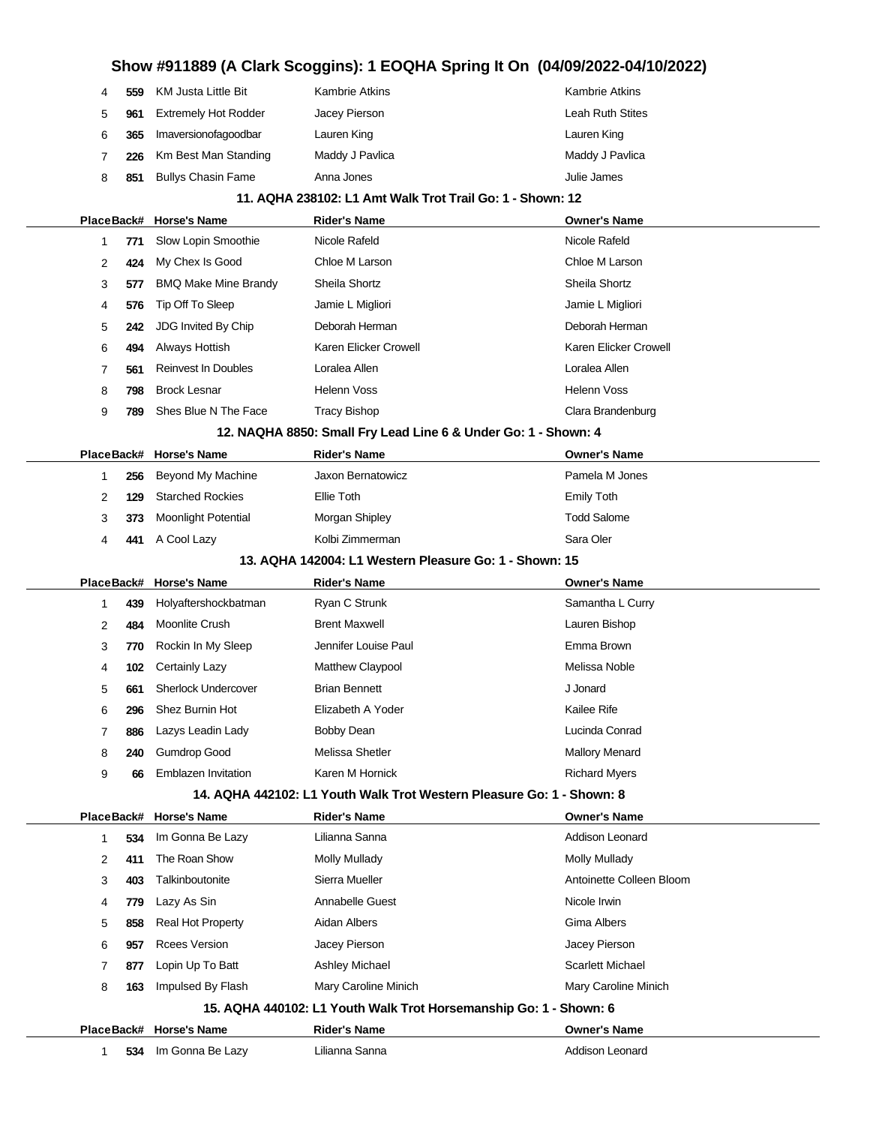# **Show #911889 (A Clark Scoggins): 1 EOQHA Spring It On (04/09/2022-04/10/2022) 559** KM Justa Little Bit Kambrie Atkins Kambrie Atkins Kambrie Atkins **961** Extremely Hot Rodder Jacey Pierson Leah Ruth Stites

 **365** Imaversionofagoodbar Lauren King Lauren King **226** Km Best Man Standing Maddy J Pavlica Maddy J Pavlica Maddy J Pavlica **851** Bullys Chasin Fame Anna Jones Anna Jones Anna Joulie James

### **11. AQHA 238102: L1 Amt Walk Trot Trail Go: 1 - Shown: 12**

|            |                                                        | PlaceBack# Horse's Name     | <b>Rider's Name</b>                                                   | Owner's Name             |
|------------|--------------------------------------------------------|-----------------------------|-----------------------------------------------------------------------|--------------------------|
| 1          | 771                                                    | Slow Lopin Smoothie         | Nicole Rafeld                                                         | Nicole Rafeld            |
| 2          | 424                                                    | My Chex Is Good             | Chloe M Larson                                                        | Chloe M Larson           |
| 3          | 577                                                    | <b>BMQ Make Mine Brandy</b> | Sheila Shortz                                                         | Sheila Shortz            |
| 4          | 576                                                    | Tip Off To Sleep            | Jamie L Migliori                                                      | Jamie L Migliori         |
| 5          | 242                                                    | JDG Invited By Chip         | Deborah Herman                                                        | Deborah Herman           |
| 6          | 494                                                    | Always Hottish              | Karen Elicker Crowell                                                 | Karen Elicker Crowell    |
| 7          | 561                                                    | <b>Reinvest In Doubles</b>  | Loralea Allen                                                         | Loralea Allen            |
| 8          | 798                                                    | <b>Brock Lesnar</b>         | <b>Helenn Voss</b>                                                    | <b>Helenn Voss</b>       |
| 9          | 789                                                    | Shes Blue N The Face        | <b>Tracy Bishop</b>                                                   | Clara Brandenburg        |
|            |                                                        |                             | 12. NAQHA 8850: Small Fry Lead Line 6 & Under Go: 1 - Shown: 4        |                          |
|            |                                                        | PlaceBack# Horse's Name     | <b>Rider's Name</b>                                                   | <b>Owner's Name</b>      |
| 1          | 256                                                    | Beyond My Machine           | Jaxon Bernatowicz                                                     | Pamela M Jones           |
| 2          | 129                                                    | <b>Starched Rockies</b>     | Ellie Toth                                                            | <b>Emily Toth</b>        |
| 3          | 373                                                    | <b>Moonlight Potential</b>  | Morgan Shipley                                                        | <b>Todd Salome</b>       |
| 4          | 441                                                    | A Cool Lazy                 | Kolbi Zimmerman                                                       | Sara Oler                |
|            | 13. AQHA 142004: L1 Western Pleasure Go: 1 - Shown: 15 |                             |                                                                       |                          |
| PlaceBack# |                                                        | <b>Horse's Name</b>         | <b>Rider's Name</b>                                                   | <b>Owner's Name</b>      |
| 1          | 439                                                    | Holyaftershockbatman        | Ryan C Strunk                                                         | Samantha L Curry         |
| 2          | 484                                                    | Moonlite Crush              | <b>Brent Maxwell</b>                                                  | Lauren Bishop            |
| 3          | 770                                                    | Rockin In My Sleep          | Jennifer Louise Paul                                                  | Emma Brown               |
| 4          | 102                                                    | <b>Certainly Lazy</b>       | Matthew Claypool                                                      | Melissa Noble            |
| 5          | 661                                                    | <b>Sherlock Undercover</b>  | <b>Brian Bennett</b>                                                  | J Jonard                 |
| 6          | 296                                                    | Shez Burnin Hot             | Elizabeth A Yoder                                                     | Kailee Rife              |
| 7          | 886                                                    | Lazys Leadin Lady           | Bobby Dean                                                            | Lucinda Conrad           |
| 8          | 240                                                    | <b>Gumdrop Good</b>         | Melissa Shetler                                                       | <b>Mallory Menard</b>    |
| 9          | 66                                                     | Emblazen Invitation         | Karen M Hornick                                                       | <b>Richard Myers</b>     |
|            |                                                        |                             | 14. AQHA 442102: L1 Youth Walk Trot Western Pleasure Go: 1 - Shown: 8 |                          |
|            |                                                        | PlaceBack# Horse's Name     | <b>Rider's Name</b>                                                   | <b>Owner's Name</b>      |
| 1.         |                                                        | 534 Im Gonna Be Lazy        | Lilianna Sanna                                                        | Addison Leonard          |
| 2          | 411                                                    | The Roan Show               | <b>Molly Mullady</b>                                                  | Molly Mullady            |
| 3          | 403                                                    | Talkinboutonite             | Sierra Mueller                                                        | Antoinette Colleen Bloom |
| 4          | 779                                                    | Lazy As Sin                 | Annabelle Guest                                                       | Nicole Irwin             |
| 5          | 858                                                    | Real Hot Property           | Aidan Albers                                                          | Gima Albers              |
| 6          | 957                                                    | <b>Rcees Version</b>        | Jacey Pierson                                                         | Jacey Pierson            |
| 7          | 877                                                    | Lopin Up To Batt            | Ashley Michael                                                        | <b>Scarlett Michael</b>  |
| 8          | 163                                                    | Impulsed By Flash           | Mary Caroline Minich                                                  | Mary Caroline Minich     |
|            |                                                        |                             | 15. AQHA 440102: L1 Youth Walk Trot Horsemanship Go: 1 - Shown: 6     |                          |
|            |                                                        | PlaceBack# Horse's Name     | <b>Rider's Name</b>                                                   | Owner's Name             |
| 1          | 534                                                    | Im Gonna Be Lazy            | Lilianna Sanna                                                        | Addison Leonard          |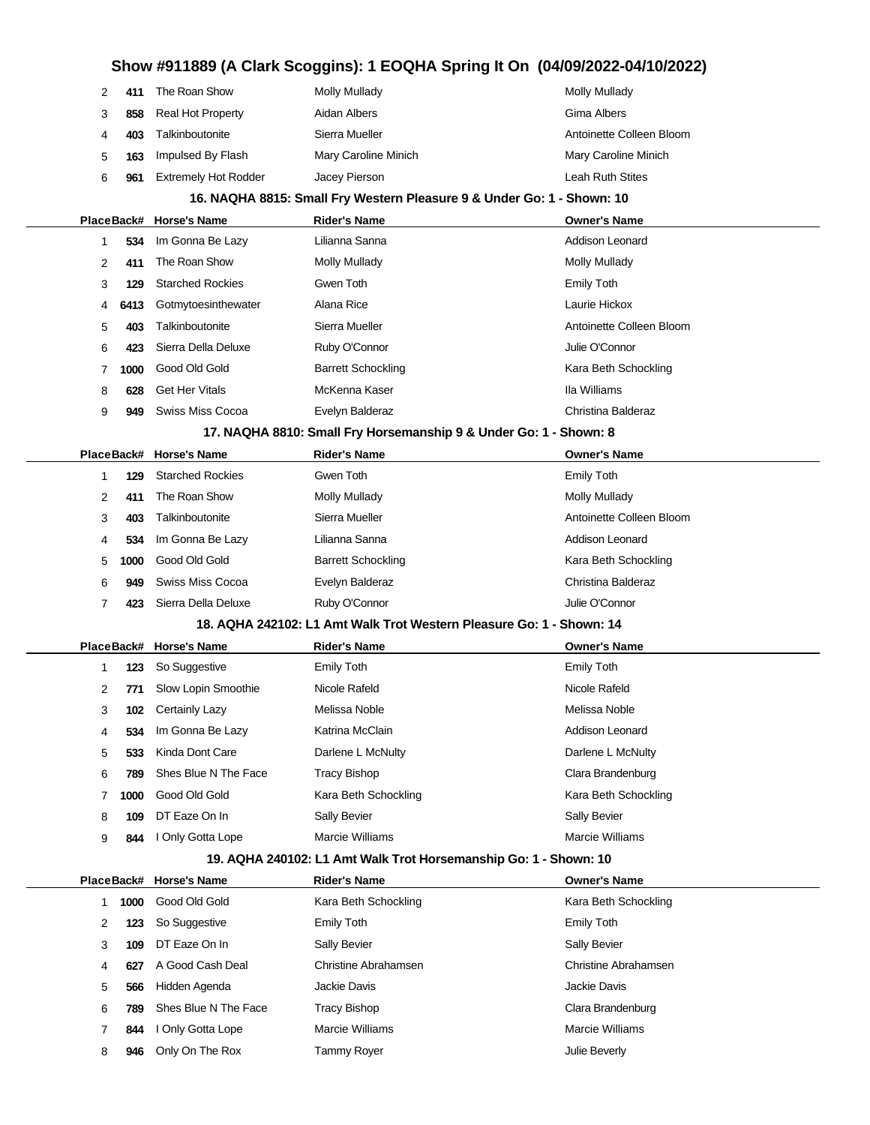| 2            | 411  | The Roan Show               | <b>Molly Mullady</b>                                                   | <b>Molly Mullady</b>        |
|--------------|------|-----------------------------|------------------------------------------------------------------------|-----------------------------|
| 3            | 858  | <b>Real Hot Property</b>    | Aidan Albers                                                           | Gima Albers                 |
| 4            | 403  | Talkinboutonite             | Sierra Mueller                                                         | Antoinette Colleen Bloom    |
| 5            | 163  | Impulsed By Flash           | Mary Caroline Minich                                                   | Mary Caroline Minich        |
| 6            | 961  | <b>Extremely Hot Rodder</b> | Jacey Pierson                                                          | Leah Ruth Stites            |
|              |      |                             | 16. NAQHA 8815: Small Fry Western Pleasure 9 & Under Go: 1 - Shown: 10 |                             |
|              |      | PlaceBack# Horse's Name     | <b>Rider's Name</b>                                                    | <b>Owner's Name</b>         |
| 1            | 534  | Im Gonna Be Lazy            | Lilianna Sanna                                                         | Addison Leonard             |
| 2            | 411  | The Roan Show               | <b>Molly Mullady</b>                                                   | <b>Molly Mullady</b>        |
| 3            | 129  | <b>Starched Rockies</b>     | Gwen Toth                                                              | <b>Emily Toth</b>           |
| 4            | 6413 | Gotmytoesinthewater         | Alana Rice                                                             | Laurie Hickox               |
| 5            | 403  | Talkinboutonite             | Sierra Mueller                                                         | Antoinette Colleen Bloom    |
| 6            | 423  | Sierra Della Deluxe         | Ruby O'Connor                                                          | Julie O'Connor              |
| 7            | 1000 | Good Old Gold               | <b>Barrett Schockling</b>                                              | Kara Beth Schockling        |
| 8            | 628  | <b>Get Her Vitals</b>       | McKenna Kaser                                                          | Ila Williams                |
| 9            | 949  | Swiss Miss Cocoa            | Evelyn Balderaz                                                        | Christina Balderaz          |
|              |      |                             | 17. NAQHA 8810: Small Fry Horsemanship 9 & Under Go: 1 - Shown: 8      |                             |
|              |      | PlaceBack# Horse's Name     | <b>Rider's Name</b>                                                    | <b>Owner's Name</b>         |
| 1            | 129  | <b>Starched Rockies</b>     | Gwen Toth                                                              | <b>Emily Toth</b>           |
| 2            | 411  | The Roan Show               | <b>Molly Mullady</b>                                                   | <b>Molly Mullady</b>        |
| 3            | 403  | Talkinboutonite             | Sierra Mueller                                                         | Antoinette Colleen Bloom    |
| 4            | 534  | Im Gonna Be Lazy            | Lilianna Sanna                                                         | <b>Addison Leonard</b>      |
| 5            | 1000 | Good Old Gold               | <b>Barrett Schockling</b>                                              | Kara Beth Schockling        |
| 6            | 949  | Swiss Miss Cocoa            | Evelyn Balderaz                                                        | Christina Balderaz          |
| 7            | 423  | Sierra Della Deluxe         | Ruby O'Connor                                                          | Julie O'Connor              |
|              |      |                             | 18. AQHA 242102: L1 Amt Walk Trot Western Pleasure Go: 1 - Shown: 14   |                             |
|              |      | PlaceBack# Horse's Name     | <b>Rider's Name</b>                                                    | <b>Owner's Name</b>         |
| 1            | 123  | So Suggestive               | <b>Emily Toth</b>                                                      | <b>Emily Toth</b>           |
| 2            | 771  | Slow Lopin Smoothie         | Nicole Rafeld                                                          | Nicole Rafeld               |
| 3            | 102  | <b>Certainly Lazy</b>       | Melissa Noble                                                          | Melissa Noble               |
| 4            | 534  | Im Gonna Be Lazy            | Katrina McClain                                                        | Addison Leonard             |
| 5            | 533  | Kinda Dont Care             | Darlene L McNulty                                                      | Darlene L McNulty           |
| 6            | 789  | Shes Blue N The Face        | <b>Tracy Bishop</b>                                                    | Clara Brandenburg           |
| 7            | 1000 | Good Old Gold               | Kara Beth Schockling                                                   | Kara Beth Schockling        |
| 8            | 109  | DT Eaze On In               | Sally Bevier                                                           | Sally Bevier                |
| 9            | 844  | I Only Gotta Lope           | Marcie Williams                                                        | Marcie Williams             |
|              |      |                             | 19. AQHA 240102: L1 Amt Walk Trot Horsemanship Go: 1 - Shown: 10       |                             |
|              |      | PlaceBack# Horse's Name     | <b>Rider's Name</b>                                                    | <b>Owner's Name</b>         |
| $\mathbf{1}$ | 1000 | Good Old Gold               | Kara Beth Schockling                                                   | Kara Beth Schockling        |
| 2            | 123  | So Suggestive               | <b>Emily Toth</b>                                                      | Emily Toth                  |
| 3            | 109  | DT Eaze On In               | Sally Bevier                                                           | Sally Bevier                |
| 4            | 627  | A Good Cash Deal            | Christine Abrahamsen                                                   | <b>Christine Abrahamsen</b> |
| 5            | 566  | Hidden Agenda               | Jackie Davis                                                           | Jackie Davis                |
| 6            | 789  | Shes Blue N The Face        | <b>Tracy Bishop</b>                                                    | Clara Brandenburg           |
| 7            | 844  | I Only Gotta Lope           | Marcie Williams                                                        | Marcie Williams             |
| 8            | 946  | Only On The Rox             | Tammy Royer                                                            | Julie Beverly               |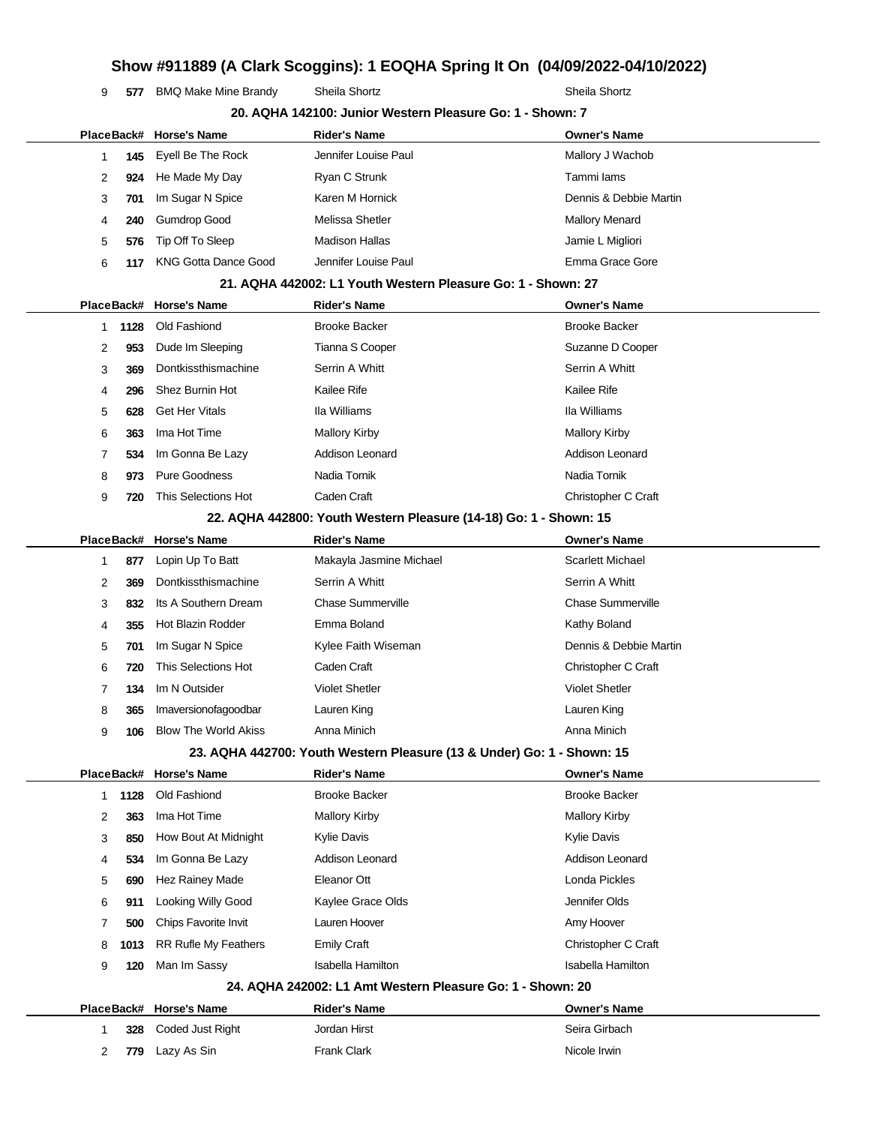**577** BMQ Make Mine Brandy Sheila Shortz Sheila Shortz Sheila Shortz

|              |      |                                                                        | 20. AQHA 142100: Junior Western Pleasure Go: 1 - Shown: 7         |                          |
|--------------|------|------------------------------------------------------------------------|-------------------------------------------------------------------|--------------------------|
|              |      | PlaceBack# Horse's Name                                                | <b>Rider's Name</b>                                               | <b>Owner's Name</b>      |
| $\mathbf{1}$ | 145  | Eyell Be The Rock                                                      | Jennifer Louise Paul                                              | Mallory J Wachob         |
| 2            | 924  | He Made My Day                                                         | Ryan C Strunk                                                     | Tammi lams               |
| 3            | 701  | Im Sugar N Spice                                                       | Karen M Hornick                                                   | Dennis & Debbie Martin   |
| 4            | 240  | <b>Gumdrop Good</b>                                                    | Melissa Shetler                                                   | <b>Mallory Menard</b>    |
| 5            | 576  | Tip Off To Sleep                                                       | <b>Madison Hallas</b>                                             | Jamie L Migliori         |
| 6            | 117  | <b>KNG Gotta Dance Good</b>                                            | Jennifer Louise Paul                                              | Emma Grace Gore          |
|              |      |                                                                        | 21. AQHA 442002: L1 Youth Western Pleasure Go: 1 - Shown: 27      |                          |
| PlaceBack#   |      | <b>Horse's Name</b>                                                    | <b>Rider's Name</b>                                               | <b>Owner's Name</b>      |
| 1            | 1128 | Old Fashiond                                                           | <b>Brooke Backer</b>                                              | <b>Brooke Backer</b>     |
| 2            | 953  | Dude Im Sleeping                                                       | Tianna S Cooper                                                   | Suzanne D Cooper         |
| 3            | 369  | Dontkissthismachine                                                    | Serrin A Whitt                                                    | Serrin A Whitt           |
| 4            | 296  | Shez Burnin Hot                                                        | Kailee Rife                                                       | Kailee Rife              |
| 5            | 628  | <b>Get Her Vitals</b>                                                  | Ila Williams                                                      | Ila Williams             |
| 6            | 363  | Ima Hot Time                                                           | <b>Mallory Kirby</b>                                              | <b>Mallory Kirby</b>     |
| 7            | 534  | Im Gonna Be Lazy                                                       | <b>Addison Leonard</b>                                            | <b>Addison Leonard</b>   |
| 8            | 973  | <b>Pure Goodness</b>                                                   | Nadia Tornik                                                      | Nadia Tornik             |
| 9            | 720  | This Selections Hot                                                    | Caden Craft                                                       | Christopher C Craft      |
|              |      |                                                                        | 22. AQHA 442800: Youth Western Pleasure (14-18) Go: 1 - Shown: 15 |                          |
| PlaceBack#   |      | <b>Horse's Name</b>                                                    | <b>Rider's Name</b>                                               | <b>Owner's Name</b>      |
| $\mathbf{1}$ | 877  | Lopin Up To Batt                                                       | Makayla Jasmine Michael                                           | <b>Scarlett Michael</b>  |
| 2            | 369  | Dontkissthismachine                                                    | Serrin A Whitt                                                    | Serrin A Whitt           |
| 3            | 832  | Its A Southern Dream                                                   | <b>Chase Summerville</b>                                          | <b>Chase Summerville</b> |
| 4            | 355  | Hot Blazin Rodder                                                      | Emma Boland                                                       | Kathy Boland             |
| 5            | 701  | Im Sugar N Spice                                                       | Kylee Faith Wiseman                                               | Dennis & Debbie Martin   |
| 6            | 720  | This Selections Hot                                                    | Caden Craft                                                       | Christopher C Craft      |
| 7            | 134  | Im N Outsider                                                          | <b>Violet Shetler</b>                                             | <b>Violet Shetler</b>    |
| 8            | 365  | Imaversionofagoodbar                                                   | Lauren King                                                       | Lauren King              |
| 9            | 106  | <b>Blow The World Akiss</b>                                            | Anna Minich                                                       | Anna Minich              |
|              |      | 23. AQHA 442700: Youth Western Pleasure (13 & Under) Go: 1 - Shown: 15 |                                                                   |                          |
|              |      | PlaceBack# Horse's Name                                                | <b>Rider's Name</b>                                               | <b>Owner's Name</b>      |
| 1            | 1128 | Old Fashiond                                                           | <b>Brooke Backer</b>                                              | <b>Brooke Backer</b>     |
| 2            | 363  | Ima Hot Time                                                           | <b>Mallory Kirby</b>                                              | <b>Mallory Kirby</b>     |
| 3            | 850  | How Bout At Midnight                                                   | <b>Kylie Davis</b>                                                | Kylie Davis              |
| 4            | 534  | Im Gonna Be Lazy                                                       | Addison Leonard                                                   | Addison Leonard          |
| 5            | 690  | Hez Rainey Made                                                        | Eleanor Ott                                                       | Londa Pickles            |
| 6            | 911  | Looking Willy Good                                                     | Kaylee Grace Olds                                                 | Jennifer Olds            |
| 7            | 500  | Chips Favorite Invit                                                   | Lauren Hoover                                                     | Amy Hoover               |
| 8            | 1013 | RR Rufle My Feathers                                                   | <b>Emily Craft</b>                                                | Christopher C Craft      |
| 9            | 120  | Man Im Sassy                                                           | <b>Isabella Hamilton</b>                                          | <b>Isabella Hamilton</b> |
|              |      |                                                                        | 24. AQHA 242002: L1 Amt Western Pleasure Go: 1 - Shown: 20        |                          |
| PlaceBack#   |      | <b>Horse's Name</b>                                                    | <b>Rider's Name</b>                                               | <b>Owner's Name</b>      |
| 1            | 328  | Coded Just Right                                                       | Jordan Hirst                                                      | Seira Girbach            |
| 2            | 779  | Lazy As Sin                                                            | <b>Frank Clark</b>                                                | Nicole Irwin             |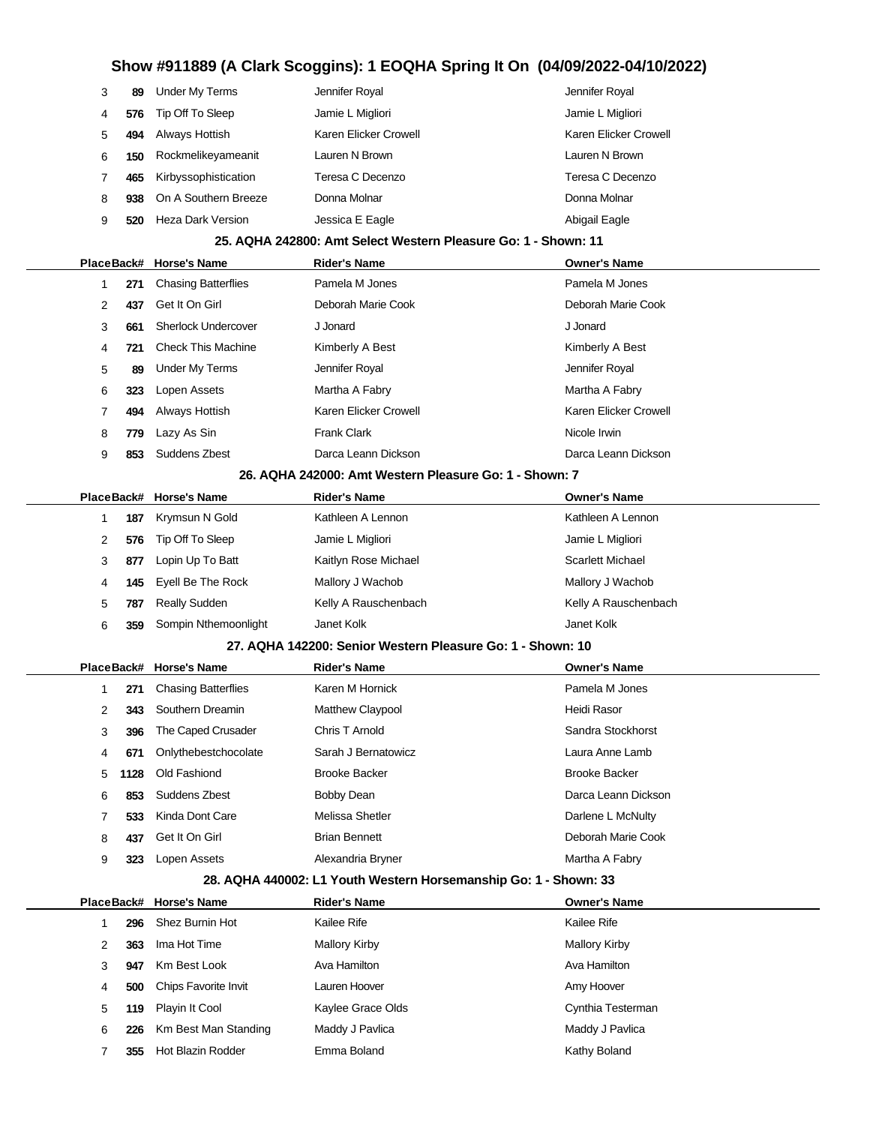| 3 | 89  | Under My Terms       | Jennifer Royal        | Jennifer Royal        |
|---|-----|----------------------|-----------------------|-----------------------|
| 4 | 576 | Tip Off To Sleep     | Jamie L Migliori      | Jamie L Migliori      |
| 5 | 494 | Always Hottish       | Karen Elicker Crowell | Karen Elicker Crowell |
| 6 | 150 | Rockmelikeyameanit   | Lauren N Brown        | Lauren N Brown        |
|   | 465 | Kirbyssophistication | Teresa C Decenzo      | Teresa C Decenzo      |
| 8 | 938 | On A Southern Breeze | Donna Molnar          | Donna Molnar          |
| 9 | 520 | Heza Dark Version    | Jessica E Eagle       | Abigail Eagle         |

### **25. AQHA 242800: Amt Select Western Pleasure Go: 1 - Shown: 11**

|   |     | PlaceBack# Horse's Name    | <b>Rider's Name</b>   | <b>Owner's Name</b>   |
|---|-----|----------------------------|-----------------------|-----------------------|
|   | 271 | <b>Chasing Batterflies</b> | Pamela M Jones        | Pamela M Jones        |
| 2 | 437 | Get It On Girl             | Deborah Marie Cook    | Deborah Marie Cook    |
| 3 | 661 | <b>Sherlock Undercover</b> | J Jonard              | J Jonard              |
| 4 | 721 | <b>Check This Machine</b>  | Kimberly A Best       | Kimberly A Best       |
| 5 | 89  | Under My Terms             | Jennifer Royal        | Jennifer Royal        |
| 6 | 323 | Lopen Assets               | Martha A Fabry        | Martha A Fabry        |
|   | 494 | Always Hottish             | Karen Elicker Crowell | Karen Elicker Crowell |
| 8 | 779 | Lazy As Sin                | <b>Frank Clark</b>    | Nicole Irwin          |
| 9 | 853 | Suddens Zbest              | Darca Leann Dickson   | Darca Leann Dickson   |
|   |     | __ _____ _____ _ _ ___ _ _ |                       |                       |

#### **26. AQHA 242000: Amt Western Pleasure Go: 1 - Shown: 7**

|   |     | PlaceBack# Horse's Name | <b>Rider's Name</b>  | <b>Owner's Name</b>     |
|---|-----|-------------------------|----------------------|-------------------------|
|   | 187 | Krymsun N Gold          | Kathleen A Lennon    | Kathleen A Lennon       |
|   | 576 | Tip Off To Sleep        | Jamie L Migliori     | Jamie L Migliori        |
| 3 | 877 | Lopin Up To Batt        | Kaitlyn Rose Michael | <b>Scarlett Michael</b> |
| 4 | 145 | Eyell Be The Rock       | Mallory J Wachob     | Mallory J Wachob        |
| 5 | 787 | <b>Really Sudden</b>    | Kelly A Rauschenbach | Kelly A Rauschenbach    |
| 6 | 359 | Sompin Nthemoonlight    | Janet Kolk           | Janet Kolk              |

#### **27. AQHA 142200: Senior Western Pleasure Go: 1 - Shown: 10**

|   |      | PlaceBack# Horse's Name    | <b>Rider's Name</b>     | <b>Owner's Name</b>  |
|---|------|----------------------------|-------------------------|----------------------|
|   | 271  | <b>Chasing Batterflies</b> | Karen M Hornick         | Pamela M Jones       |
| 2 | 343  | Southern Dreamin           | <b>Matthew Claypool</b> | Heidi Rasor          |
| 3 | 396  | The Caped Crusader         | Chris T Arnold          | Sandra Stockhorst    |
| 4 | 671  | Onlythebestchocolate       | Sarah J Bernatowicz     | Laura Anne Lamb      |
| 5 | 1128 | Old Fashiond               | <b>Brooke Backer</b>    | <b>Brooke Backer</b> |
| 6 | 853  | Suddens Zbest              | Bobby Dean              | Darca Leann Dickson  |
|   | 533  | Kinda Dont Care            | Melissa Shetler         | Darlene L McNulty    |
| 8 | 437  | Get It On Girl             | <b>Brian Bennett</b>    | Deborah Marie Cook   |
| 9 | 323  | Lopen Assets               | Alexandria Bryner       | Martha A Fabry       |

### **28. AQHA 440002: L1 Youth Western Horsemanship Go: 1 - Shown: 33**

|   |     | PlaceBack# Horse's Name  | <b>Rider's Name</b> | <b>Owner's Name</b>  |  |
|---|-----|--------------------------|---------------------|----------------------|--|
|   | 296 | Shez Burnin Hot          | Kailee Rife         | Kailee Rife          |  |
| 2 | 363 | Ima Hot Time             | Mallory Kirby       | <b>Mallory Kirby</b> |  |
| 3 | 947 | Km Best Look             | Ava Hamilton        | Ava Hamilton         |  |
| 4 | 500 | Chips Favorite Invit     | Lauren Hoover       | Amy Hoover           |  |
| 5 | 119 | Playin It Cool           | Kaylee Grace Olds   | Cynthia Testerman    |  |
| 6 | 226 | Km Best Man Standing     | Maddy J Pavlica     | Maddy J Pavlica      |  |
|   | 355 | <b>Hot Blazin Rodder</b> | Emma Boland         | Kathy Boland         |  |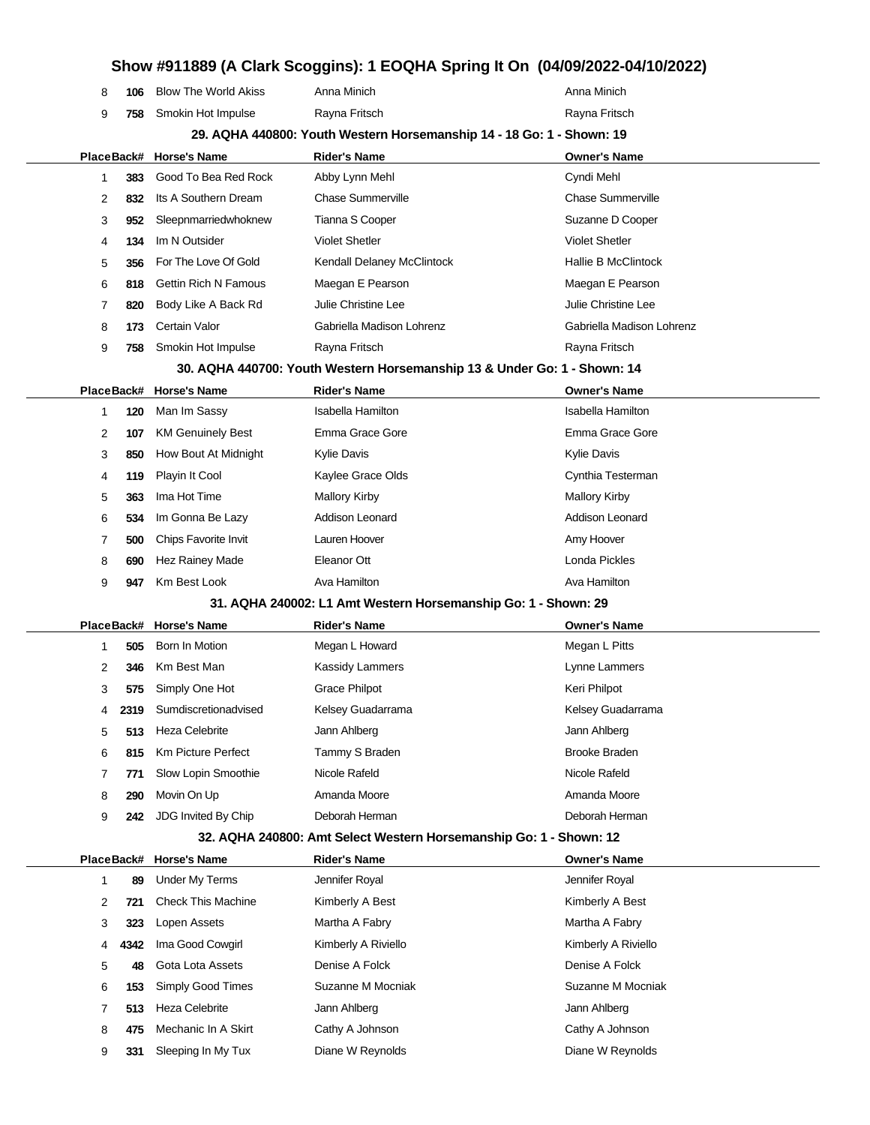| Show #911889 (A Clark Scoggins): 1 EOQHA Spring It On (04/09/2022-04/10/2022) |            |                             |                                                                          |                           |  |  |
|-------------------------------------------------------------------------------|------------|-----------------------------|--------------------------------------------------------------------------|---------------------------|--|--|
| 8                                                                             | 106        | <b>Blow The World Akiss</b> | Anna Minich                                                              | Anna Minich               |  |  |
| 9                                                                             | 758        | Smokin Hot Impulse          | Rayna Fritsch                                                            | Rayna Fritsch             |  |  |
|                                                                               |            |                             | 29. AQHA 440800: Youth Western Horsemanship 14 - 18 Go: 1 - Shown: 19    |                           |  |  |
|                                                                               | PlaceBack# | <b>Horse's Name</b>         | <b>Rider's Name</b>                                                      | <b>Owner's Name</b>       |  |  |
| 1                                                                             | 383        | Good To Bea Red Rock        | Abby Lynn Mehl                                                           | Cyndi Mehl                |  |  |
| 2                                                                             | 832        | Its A Southern Dream        | <b>Chase Summerville</b>                                                 | <b>Chase Summerville</b>  |  |  |
| 3                                                                             | 952        | Sleepnmarriedwhoknew        | Tianna S Cooper                                                          | Suzanne D Cooper          |  |  |
| 4                                                                             | 134        | Im N Outsider               | <b>Violet Shetler</b>                                                    | <b>Violet Shetler</b>     |  |  |
| 5                                                                             | 356        | For The Love Of Gold        | Kendall Delaney McClintock                                               | Hallie B McClintock       |  |  |
| 6                                                                             | 818        | <b>Gettin Rich N Famous</b> | Maegan E Pearson                                                         | Maegan E Pearson          |  |  |
| 7                                                                             | 820        | Body Like A Back Rd         | Julie Christine Lee                                                      | Julie Christine Lee       |  |  |
| 8                                                                             | 173        | Certain Valor               | Gabriella Madison Lohrenz                                                | Gabriella Madison Lohrenz |  |  |
| 9                                                                             | 758        | Smokin Hot Impulse          | Rayna Fritsch                                                            | Rayna Fritsch             |  |  |
|                                                                               |            |                             | 30. AQHA 440700: Youth Western Horsemanship 13 & Under Go: 1 - Shown: 14 |                           |  |  |
| PlaceBack#                                                                    |            | <b>Horse's Name</b>         | <b>Rider's Name</b>                                                      | <b>Owner's Name</b>       |  |  |
| 1                                                                             | 120        | Man Im Sassy                | <b>Isabella Hamilton</b>                                                 | <b>Isabella Hamilton</b>  |  |  |
| 2                                                                             | 107        | <b>KM Genuinely Best</b>    | Emma Grace Gore                                                          | Emma Grace Gore           |  |  |
| 3                                                                             | 850        | How Bout At Midnight        | Kylie Davis                                                              | Kylie Davis               |  |  |
| 4                                                                             | 119        | Playin It Cool              | Kaylee Grace Olds                                                        | Cynthia Testerman         |  |  |
| 5                                                                             | 363        | Ima Hot Time                | <b>Mallory Kirby</b>                                                     | <b>Mallory Kirby</b>      |  |  |
| 6                                                                             | 534        | Im Gonna Be Lazy            | Addison Leonard                                                          | Addison Leonard           |  |  |
| 7                                                                             | 500        | Chips Favorite Invit        | Lauren Hoover                                                            | Amy Hoover                |  |  |
| 8                                                                             | 690        | Hez Rainey Made             | Eleanor Ott                                                              | Londa Pickles             |  |  |
| 9                                                                             | 947        | Km Best Look                | Ava Hamilton                                                             | Ava Hamilton              |  |  |
|                                                                               |            |                             | 31. AQHA 240002: L1 Amt Western Horsemanship Go: 1 - Shown: 29           |                           |  |  |
|                                                                               | PlaceBack# | <b>Horse's Name</b>         | <b>Rider's Name</b>                                                      | <b>Owner's Name</b>       |  |  |
| 1                                                                             | 505        | Born In Motion              | Megan L Howard                                                           | Megan L Pitts             |  |  |
| 2                                                                             | 346        | Km Best Man                 | <b>Kassidy Lammers</b>                                                   | Lynne Lammers             |  |  |
| 3                                                                             | 575        | Simply One Hot              | <b>Grace Philpot</b>                                                     | Keri Philpot              |  |  |
| 4                                                                             | 2319       | Sumdiscretionadvised        | Kelsey Guadarrama                                                        | Kelsey Guadarrama         |  |  |
| 5                                                                             | 513        | <b>Heza Celebrite</b>       | Jann Ahlberg                                                             | Jann Ahlberg              |  |  |
| 6                                                                             | 815        | <b>Km Picture Perfect</b>   | Tammy S Braden                                                           | <b>Brooke Braden</b>      |  |  |
| 7                                                                             | 771        | Slow Lopin Smoothie         | Nicole Rafeld                                                            | Nicole Rafeld             |  |  |
| 8                                                                             | 290        | Movin On Up                 | Amanda Moore                                                             | Amanda Moore              |  |  |
| 9                                                                             | 242        | JDG Invited By Chip         | Deborah Herman                                                           | Deborah Herman            |  |  |
|                                                                               |            |                             | 32. AQHA 240800: Amt Select Western Horsemanship Go: 1 - Shown: 12       |                           |  |  |
|                                                                               | PlaceBack# | Horse's Name                | <b>Rider's Name</b>                                                      | <b>Owner's Name</b>       |  |  |
| 1                                                                             | 89         | <b>Under My Terms</b>       | Jennifer Royal                                                           | Jennifer Royal            |  |  |
| 2                                                                             | 721        | <b>Check This Machine</b>   | Kimberly A Best                                                          | Kimberly A Best           |  |  |
| 3                                                                             | 323        | Lopen Assets                | Martha A Fabry                                                           | Martha A Fabry            |  |  |

**4342** Ima Good Cowgirl Kimberly A Riviello Kimberly A Riviello **48** Gota Lota Assets Denise A Folck Denise A Folck **153** Simply Good Times Suzanne M Mocniak Suzanne M Mocniak Suzanne M Mocniak **513** Heza Celebrite **Jann Ahlberg** Jann Ahlberg Jann Ahlberg **475** Mechanic In A Skirt Cathy A Johnson Cathy A Johnson Cathy A Johnson **331** Sleeping In My Tux Diane W Reynolds Diane W Reynolds Diane W Reynolds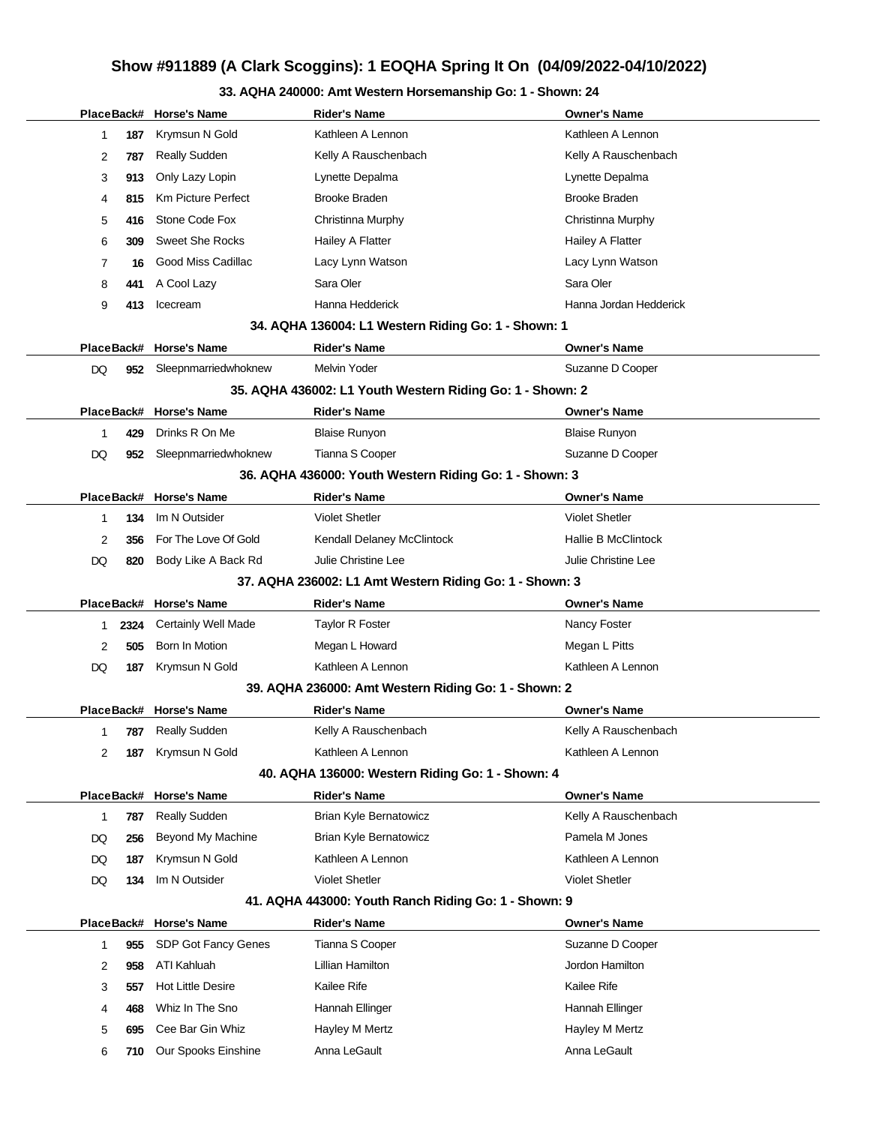### **33. AQHA 240000: Amt Western Horsemanship Go: 1 - Shown: 24**

|            |      | PlaceBack# Horse's Name    | <b>Rider's Name</b>                                       | <b>Owner's Name</b>        |
|------------|------|----------------------------|-----------------------------------------------------------|----------------------------|
| 1          | 187  | Krymsun N Gold             | Kathleen A Lennon                                         | Kathleen A Lennon          |
| 2          | 787  | <b>Really Sudden</b>       | Kelly A Rauschenbach                                      | Kelly A Rauschenbach       |
| 3          | 913  | Only Lazy Lopin            | Lynette Depalma                                           | Lynette Depalma            |
| 4          | 815  | <b>Km Picture Perfect</b>  | <b>Brooke Braden</b>                                      | <b>Brooke Braden</b>       |
| 5          | 416  | Stone Code Fox             | Christinna Murphy                                         | Christinna Murphy          |
| 6          | 309  | <b>Sweet She Rocks</b>     | Hailey A Flatter                                          | Hailey A Flatter           |
| 7          | 16   | Good Miss Cadillac         | Lacy Lynn Watson                                          | Lacy Lynn Watson           |
| 8          | 441  | A Cool Lazy                | Sara Oler                                                 | Sara Oler                  |
| 9          | 413  | Icecream                   | Hanna Hedderick                                           | Hanna Jordan Hedderick     |
|            |      |                            | 34. AQHA 136004: L1 Western Riding Go: 1 - Shown: 1       |                            |
| PlaceBack# |      | <b>Horse's Name</b>        | <b>Rider's Name</b>                                       | <b>Owner's Name</b>        |
| DQ         | 952  | Sleepnmarriedwhoknew       | <b>Melvin Yoder</b>                                       | Suzanne D Cooper           |
|            |      |                            | 35. AQHA 436002: L1 Youth Western Riding Go: 1 - Shown: 2 |                            |
| PlaceBack# |      | <b>Horse's Name</b>        | <b>Rider's Name</b>                                       | <b>Owner's Name</b>        |
| 1          | 429  | Drinks R On Me             | <b>Blaise Runyon</b>                                      | <b>Blaise Runyon</b>       |
| DQ         | 952  | Sleepnmarriedwhoknew       | Tianna S Cooper                                           | Suzanne D Cooper           |
|            |      |                            | 36. AQHA 436000: Youth Western Riding Go: 1 - Shown: 3    |                            |
| PlaceBack# |      | <b>Horse's Name</b>        | <b>Rider's Name</b>                                       | <b>Owner's Name</b>        |
| 1          | 134  | Im N Outsider              | <b>Violet Shetler</b>                                     | <b>Violet Shetler</b>      |
| 2          | 356  | For The Love Of Gold       | Kendall Delaney McClintock                                | <b>Hallie B McClintock</b> |
| DQ         | 820  | Body Like A Back Rd        | Julie Christine Lee                                       | Julie Christine Lee        |
|            |      |                            | 37. AQHA 236002: L1 Amt Western Riding Go: 1 - Shown: 3   |                            |
| PlaceBack# |      | Horse's Name               | <b>Rider's Name</b>                                       | <b>Owner's Name</b>        |
| 1          | 2324 | <b>Certainly Well Made</b> | <b>Taylor R Foster</b>                                    | Nancy Foster               |
| 2          | 505  | Born In Motion             | Megan L Howard                                            | Megan L Pitts              |
| DQ         | 187  | Krymsun N Gold             | Kathleen A Lennon                                         | Kathleen A Lennon          |
|            |      |                            | 39. AQHA 236000: Amt Western Riding Go: 1 - Shown: 2      |                            |
|            |      | PlaceBack# Horse's Name    | Rider's Name                                              | <b>Owner's Name</b>        |
| 1          | 787  | Really Sudden              | Kelly A Rauschenbach                                      | Kelly A Rauschenbach       |
| 2          | 187  | Krymsun N Gold             | Kathleen A Lennon                                         | Kathleen A Lennon          |
|            |      |                            | 40. AQHA 136000: Western Riding Go: 1 - Shown: 4          |                            |
| PlaceBack# |      | <b>Horse's Name</b>        | <b>Rider's Name</b>                                       | <b>Owner's Name</b>        |
| 1          | 787  | <b>Really Sudden</b>       | Brian Kyle Bernatowicz                                    | Kelly A Rauschenbach       |
| DQ         | 256  | Beyond My Machine          | Brian Kyle Bernatowicz                                    | Pamela M Jones             |
| DQ         | 187  | Krymsun N Gold             | Kathleen A Lennon                                         | Kathleen A Lennon          |
| DQ         | 134  | Im N Outsider              | <b>Violet Shetler</b>                                     | <b>Violet Shetler</b>      |
|            |      |                            | 41. AQHA 443000: Youth Ranch Riding Go: 1 - Shown: 9      |                            |
| PlaceBack# |      | <b>Horse's Name</b>        | <b>Rider's Name</b>                                       | <b>Owner's Name</b>        |
| 1          | 955  | SDP Got Fancy Genes        | Tianna S Cooper                                           | Suzanne D Cooper           |
| 2          | 958  | ATI Kahluah                | Lillian Hamilton                                          | Jordon Hamilton            |
| 3          | 557  | <b>Hot Little Desire</b>   | Kailee Rife                                               | Kailee Rife                |
| 4          | 468  | Whiz In The Sno            | Hannah Ellinger                                           | Hannah Ellinger            |
| 5          | 695  | Cee Bar Gin Whiz           | Hayley M Mertz                                            | Hayley M Mertz             |
| 6          | 710  | Our Spooks Einshine        | Anna LeGault                                              | Anna LeGault               |
|            |      |                            |                                                           |                            |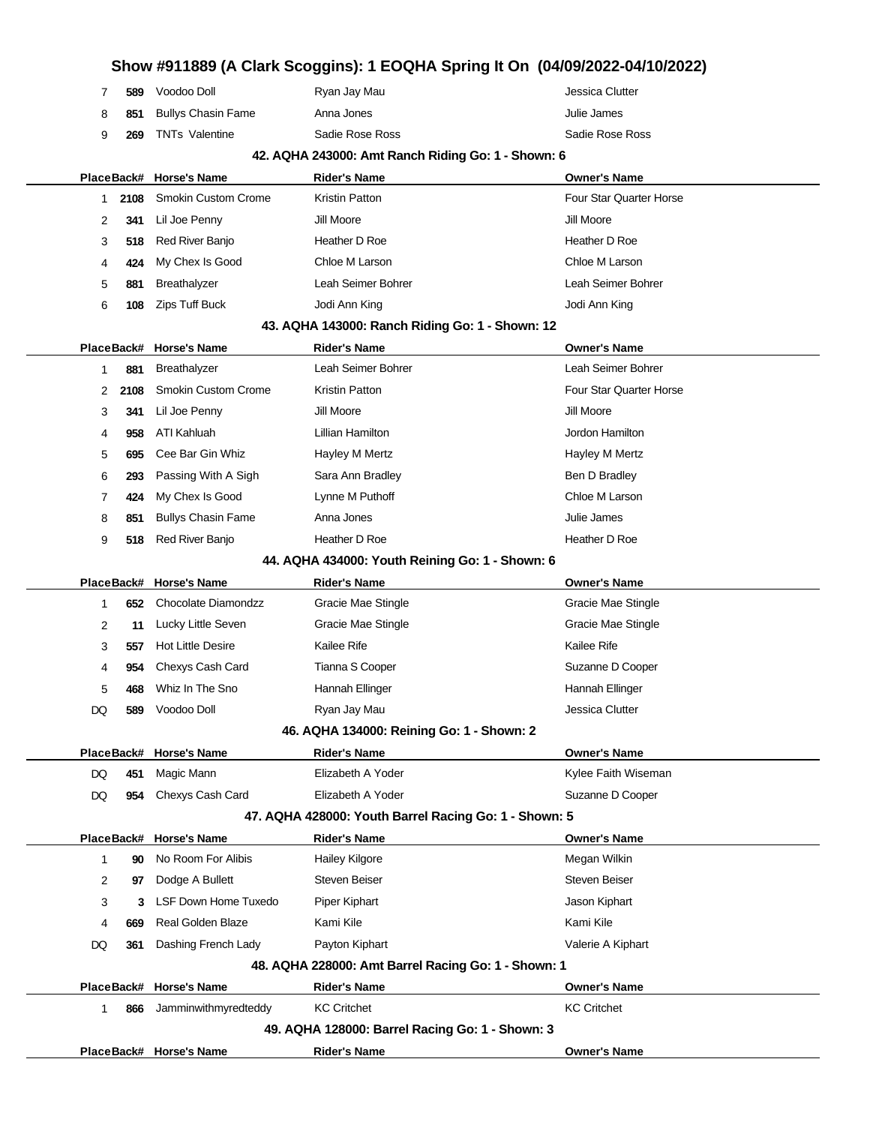### **Show #911889 (A Clark Scoggins): 1 EOQHA Spring It On (04/09/2022-04/10/2022)** 7 **589** Voodoo Doll Ryan Jay Mau Jessica Clutter 8 851 Bullys Chasin Fame Anna Jones **Anna Hortes Anna Jones** Julie James 9 **269** TNTs Valentine Sadie Rose Ross Sadie Rose Ross **42. AQHA 243000: Amt Ranch Riding Go: 1 - Shown: 6 PlaceBack# Horse's Name Rider's Name Owner's Name** 1 **2108** Smokin Custom Crome Kristin Patton **Four Star Quarter Horse** Four Star Quarter Horse 2 **341** Lil Joe Penny Jill Moore Jill Moore Jill Moore 3 **518** Red River Banjo **Heather D Roe Heather D Roe** Heather D Roe 4 **424** My Chex Is Good Chloe M Larson Chloe M Larson 5 **881** Breathalyzer Leah Seimer Bohrer Leah Seimer Bohrer 6 **108** Zips Tuff Buck Jodi Ann King Jodi Ann King **43. AQHA 143000: Ranch Riding Go: 1 - Shown: 12 PlaceBack# Horse's Name Rider's Name Owner's Name** 1 **881** Breathalyzer Leah Seimer Bohrer Leah Seimer Bohrer 2 **2108** Smokin Custom Crome Kristin Patton Four Star Guarter Horse Four Star Quarter Horse 3 **341** Lil Joe Penny **Jill Moore** Jill Moore Jill Moore Jill Moore 4 **958** ATI Kahluah Lillian Hamilton Jordon Hamilton 5 **695** Cee Bar Gin Whiz **Hayley M Mertz Hayley M Mertz** Hayley M Mertz 6 **293** Passing With A Sigh Sara Ann Bradley Sara Ann Bradley Ben D Bradley 7 **424** My Chex Is Good Lynne M Puthoff Chloe M Larson 8 851 Bullys Chasin Fame Anna Jones Anna Hans Anna Jones Anna Jones Anna Jones Anna Jones Anna Jones Anna Jones Anna Jones Anna Jones Anna Jones Anna Jones Anna Jones Anna Jones Anna Jones Anna Jones Anna Jones Anna Jones 9 **518** Red River Banjo **Heather D Roe Heather D Roe Heather D Roe Heather D Roe 44. AQHA 434000: Youth Reining Go: 1 - Shown: 6 PlaceBack# Horse's Name Rider's Name Owner's Name** 1 **652** Chocolate Diamondzz **Gracie Mae Stingle Gracie Mae Stingle** Gracie Mae Stingle 2 **11** Lucky Little Seven Gracie Mae Stingle Gracie Mae Stingle Gracie Mae Stingle 3 **557** Hot Little Desire **Kailee Rife** Kailee Rife **Kailee Rife** Kailee Rife Kailee Rife **Kailee Rife** 4 **954** Chexys Cash Card Tianna S Cooper Suzanne D Cooper Suzanne D Cooper 5 **468** Whiz In The Sno **Hannah Ellinger** Hannah Ellinger Hannah Ellinger DQ **589** Voodoo Doll Ryan Jay Mau Jessica Clutter **46. AQHA 134000: Reining Go: 1 - Shown: 2 PlaceBack# Horse's Name Rider's Name Owner's Name** DQ 451 Magic Mann **Elizabeth A Yoder** Magic Mann **Elizabeth A Yoder** Magic Mann **Kylee Faith Wiseman** DQ 954 Chexys Cash Card Elizabeth A Yoder **Suzanne D Cooper** Suzanne D Cooper **47. AQHA 428000: Youth Barrel Racing Go: 1 - Shown: 5 PlaceBack# Horse's Name Rider's Name Owner's Name** 1 **90** No Room For Alibis **Hailey Kilgore** Megan Wilkin Megan Wilkin 2 **97** Dodge A Bullett Steven Beiser Steven Beiser Steven Beiser 3 **3** LSF Down Home Tuxedo Piper Kiphart **Propert Accord Piper Accord Piper Accord Accord Accord Piper Kiphart** 4 **669** Real Golden Blaze Kami Kile Kami Kile Kami Kile DQ 361 Dashing French Lady Payton Kiphart **Payton Accomplement Container A Container** Valerie A Kiphart **48. AQHA 228000: Amt Barrel Racing Go: 1 - Shown: 1 PlaceBack# Horse's Name Rider's Name Owner's Name** 1 **866** Jamminwithmyredteddy KC Critchet KC Critchet KC Critchet KC Critchet **49. AQHA 128000: Barrel Racing Go: 1 - Shown: 3 PlaceBack# Horse's Name Rider's Name Owner's Name**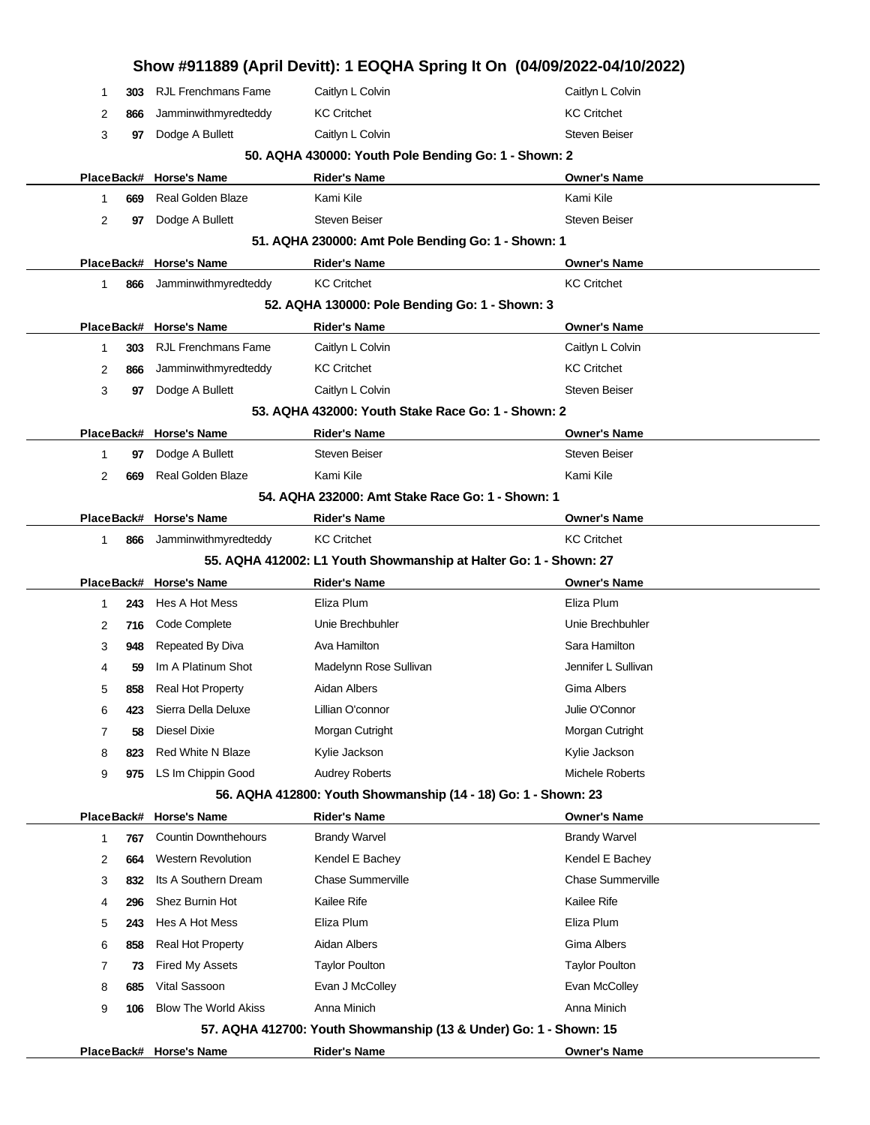| 303<br>1 | Show #911889 (April Devitt): 1 EOQHA Spring It On (04/09/2022-04/10/2022)<br><b>RJL Frenchmans Fame</b> | Caitlyn L Colvin                                                  | Caitlyn L Colvin         |  |
|----------|---------------------------------------------------------------------------------------------------------|-------------------------------------------------------------------|--------------------------|--|
| 2<br>866 | Jamminwithmyredteddy                                                                                    | <b>KC Critchet</b>                                                | <b>KC Critchet</b>       |  |
| 3<br>97  | Dodge A Bullett                                                                                         | Caitlyn L Colvin                                                  | <b>Steven Beiser</b>     |  |
|          |                                                                                                         | 50. AQHA 430000: Youth Pole Bending Go: 1 - Shown: 2              |                          |  |
|          | PlaceBack# Horse's Name                                                                                 | <b>Rider's Name</b>                                               | <b>Owner's Name</b>      |  |
| 1<br>669 | <b>Real Golden Blaze</b>                                                                                | Kami Kile                                                         | Kami Kile                |  |
| 2<br>97  | Dodge A Bullett                                                                                         | <b>Steven Beiser</b>                                              | <b>Steven Beiser</b>     |  |
|          |                                                                                                         | 51. AQHA 230000: Amt Pole Bending Go: 1 - Shown: 1                |                          |  |
|          | PlaceBack# Horse's Name                                                                                 | <b>Rider's Name</b>                                               | <b>Owner's Name</b>      |  |
| 1<br>866 | Jamminwithmyredteddy                                                                                    | <b>KC Critchet</b>                                                | <b>KC Critchet</b>       |  |
|          |                                                                                                         | 52. AQHA 130000: Pole Bending Go: 1 - Shown: 3                    |                          |  |
|          | PlaceBack# Horse's Name                                                                                 | <b>Rider's Name</b>                                               | <b>Owner's Name</b>      |  |
| 303<br>1 | <b>RJL Frenchmans Fame</b>                                                                              | Caitlyn L Colvin                                                  | Caitlyn L Colvin         |  |
| 2<br>866 | Jamminwithmyredteddy                                                                                    | <b>KC Critchet</b>                                                | <b>KC Critchet</b>       |  |
| 3<br>97  | Dodge A Bullett                                                                                         | Caitlyn L Colvin                                                  | <b>Steven Beiser</b>     |  |
|          |                                                                                                         | 53. AQHA 432000: Youth Stake Race Go: 1 - Shown: 2                |                          |  |
|          | PlaceBack# Horse's Name                                                                                 | <b>Rider's Name</b>                                               | <b>Owner's Name</b>      |  |
| 1<br>97  | Dodge A Bullett                                                                                         | <b>Steven Beiser</b>                                              | <b>Steven Beiser</b>     |  |
| 2<br>669 | <b>Real Golden Blaze</b>                                                                                | Kami Kile                                                         | Kami Kile                |  |
|          |                                                                                                         | 54. AQHA 232000: Amt Stake Race Go: 1 - Shown: 1                  |                          |  |
|          | PlaceBack# Horse's Name                                                                                 | <b>Rider's Name</b>                                               | <b>Owner's Name</b>      |  |
| 1<br>866 | Jamminwithmyredteddy                                                                                    | <b>KC Critchet</b>                                                | <b>KC Critchet</b>       |  |
|          |                                                                                                         | 55. AQHA 412002: L1 Youth Showmanship at Halter Go: 1 - Shown: 27 |                          |  |
|          | PlaceBack# Horse's Name                                                                                 | <b>Rider's Name</b>                                               | <b>Owner's Name</b>      |  |
| 243<br>1 | Hes A Hot Mess                                                                                          | Eliza Plum                                                        | Eliza Plum               |  |
| 2<br>716 | Code Complete                                                                                           | Unie Brechbuhler                                                  | Unie Brechbuhler         |  |
| 3<br>948 | Repeated By Diva                                                                                        | Ava Hamilton                                                      | Sara Hamilton            |  |
| 59<br>4  | Im A Platinum Shot                                                                                      | Madelynn Rose Sullivan                                            | Jennifer L Sullivan      |  |
| 5<br>858 | <b>Real Hot Property</b>                                                                                | Aidan Albers                                                      | Gima Albers              |  |
| 423<br>6 | Sierra Della Deluxe                                                                                     | Lillian O'connor                                                  | Julie O'Connor           |  |
| 58<br>7  | Diesel Dixie                                                                                            | Morgan Cutright                                                   | Morgan Cutright          |  |
| 8<br>823 | <b>Red White N Blaze</b>                                                                                | Kylie Jackson                                                     | Kylie Jackson            |  |
|          | LS Im Chippin Good                                                                                      | <b>Audrey Roberts</b>                                             |                          |  |
| 9<br>975 |                                                                                                         |                                                                   | Michele Roberts          |  |
|          |                                                                                                         | 56. AQHA 412800: Youth Showmanship (14 - 18) Go: 1 - Shown: 23    |                          |  |
|          | PlaceBack# Horse's Name                                                                                 | <b>Rider's Name</b>                                               | <b>Owner's Name</b>      |  |
| 767<br>1 | <b>Countin Downthehours</b>                                                                             | <b>Brandy Warvel</b>                                              | <b>Brandy Warvel</b>     |  |
| 2<br>664 | <b>Western Revolution</b>                                                                               | Kendel E Bachey                                                   | Kendel E Bachey          |  |
| 3<br>832 | Its A Southern Dream                                                                                    | <b>Chase Summerville</b>                                          | <b>Chase Summerville</b> |  |
| 296<br>4 | Shez Burnin Hot                                                                                         | Kailee Rife                                                       | Kailee Rife              |  |
| 5<br>243 | Hes A Hot Mess                                                                                          | Eliza Plum                                                        | Eliza Plum               |  |
| 6<br>858 | <b>Real Hot Property</b>                                                                                | Aidan Albers                                                      | Gima Albers              |  |
| 7<br>73  | <b>Fired My Assets</b>                                                                                  | <b>Taylor Poulton</b>                                             | <b>Taylor Poulton</b>    |  |
| 8<br>685 | Vital Sassoon                                                                                           | Evan J McColley                                                   | Evan McColley            |  |
| 9<br>106 | <b>Blow The World Akiss</b>                                                                             | Anna Minich                                                       | Anna Minich              |  |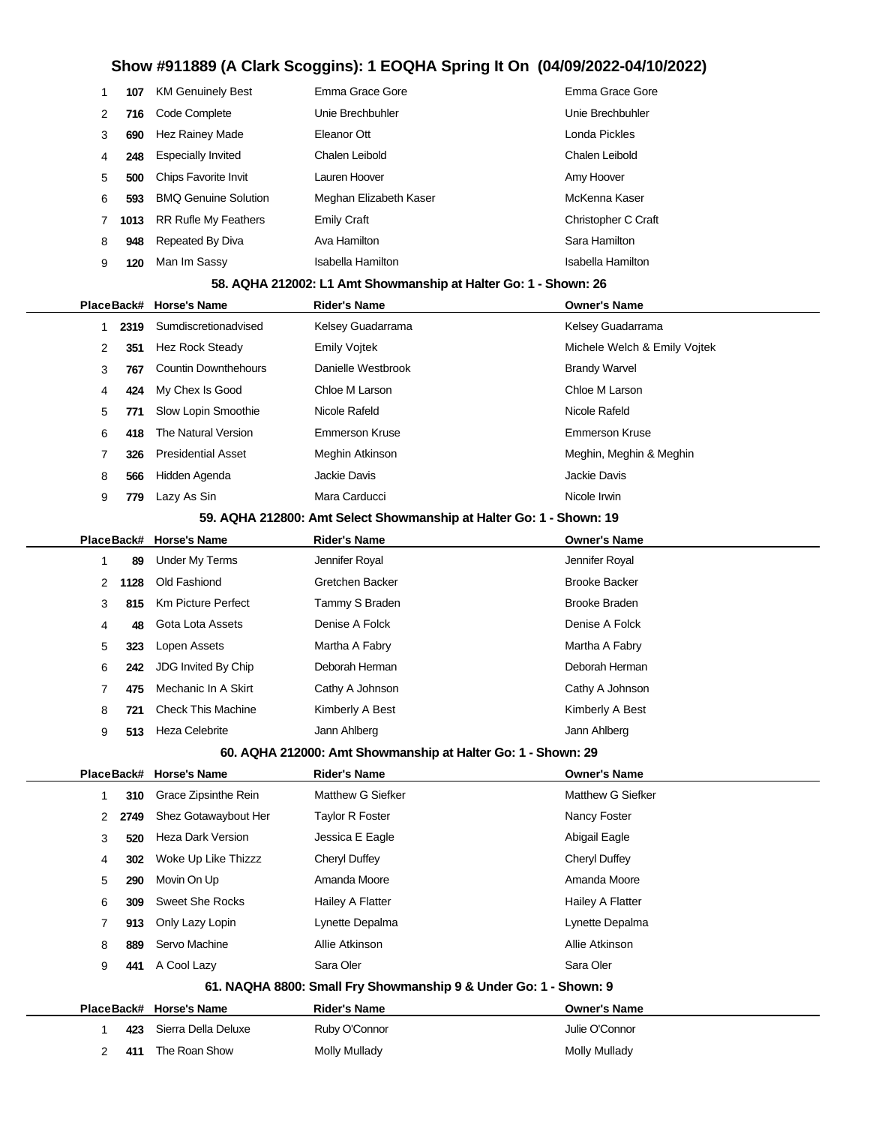|               | 107  | <b>KM Genuinely Best</b>    | Emma Grace Gore        | Emma Grace Gore     |
|---------------|------|-----------------------------|------------------------|---------------------|
| $\mathcal{P}$ | 716  | Code Complete               | Unie Brechbuhler       | Unie Brechbuhler    |
| 3             | 690  | <b>Hez Rainey Made</b>      | Eleanor Ott            | Londa Pickles       |
| 4             | 248  | <b>Especially Invited</b>   | Chalen Leibold         | Chalen Leibold      |
| 5             | 500  | Chips Favorite Invit        | Lauren Hoover          | Amy Hoover          |
| 6             | 593  | <b>BMO Genuine Solution</b> | Meghan Elizabeth Kaser | McKenna Kaser       |
|               | 1013 | <b>RR Rufle My Feathers</b> | <b>Emily Craft</b>     | Christopher C Craft |
| 8             | 948  | Repeated By Diva            | Ava Hamilton           | Sara Hamilton       |
| 9             | 120  | Man Im Sassy                | Isabella Hamilton      | Isabella Hamilton   |
|               |      |                             |                        |                     |

### **58. AQHA 212002: L1 Amt Showmanship at Halter Go: 1 - Shown: 26**

|   |      | PlaceBack# Horse's Name     | <b>Rider's Name</b>   | <b>Owner's Name</b>          |
|---|------|-----------------------------|-----------------------|------------------------------|
|   | 2319 | Sumdiscretionadvised        | Kelsey Guadarrama     | Kelsey Guadarrama            |
| 2 | 351  | Hez Rock Steady             | <b>Emily Voitek</b>   | Michele Welch & Emily Voitek |
| 3 | 767  | <b>Countin Downthehours</b> | Danielle Westbrook    | <b>Brandy Warvel</b>         |
| 4 | 424  | My Chex Is Good             | Chloe M Larson        | Chloe M Larson               |
| 5 | 771  | Slow Lopin Smoothie         | Nicole Rafeld         | Nicole Rafeld                |
| 6 | 418  | The Natural Version         | <b>Emmerson Kruse</b> | <b>Emmerson Kruse</b>        |
|   | 326  | <b>Presidential Asset</b>   | Meghin Atkinson       | Meghin, Meghin & Meghin      |
| 8 | 566  | Hidden Agenda               | Jackie Davis          | Jackie Davis                 |
| 9 | 779  | Lazy As Sin                 | Mara Carducci         | Nicole Irwin                 |
|   |      |                             |                       |                              |

### **59. AQHA 212800: Amt Select Showmanship at Halter Go: 1 - Shown: 19**

|   |      | PlaceBack# Horse's Name   | <b>Rider's Name</b> | <b>Owner's Name</b>  |
|---|------|---------------------------|---------------------|----------------------|
|   | 89   | Under My Terms            | Jennifer Royal      | Jennifer Royal       |
| 2 | 1128 | Old Fashiond              | Gretchen Backer     | <b>Brooke Backer</b> |
| 3 | 815  | <b>Km Picture Perfect</b> | Tammy S Braden      | <b>Brooke Braden</b> |
| 4 | 48   | Gota Lota Assets          | Denise A Folck      | Denise A Folck       |
| 5 | 323  | Lopen Assets              | Martha A Fabry      | Martha A Fabry       |
| 6 | 242  | JDG Invited By Chip       | Deborah Herman      | Deborah Herman       |
|   | 475  | Mechanic In A Skirt       | Cathy A Johnson     | Cathy A Johnson      |
| 8 | 721  | <b>Check This Machine</b> | Kimberly A Best     | Kimberly A Best      |
| 9 | 513  | <b>Heza Celebrite</b>     | Jann Ahlberg        | Jann Ahlberg         |
|   |      |                           |                     |                      |

### **60. AQHA 212000: Amt Showmanship at Halter Go: 1 - Shown: 29**

|                |      | PlaceBack# Horse's Name  | <b>Rider's Name</b>                                              | <b>Owner's Name</b> |
|----------------|------|--------------------------|------------------------------------------------------------------|---------------------|
| 1              | 310  | Grace Zipsinthe Rein     | Matthew G Siefker                                                | Matthew G Siefker   |
| $\mathbf{2}$   | 2749 | Shez Gotawaybout Her     | Taylor R Foster                                                  | Nancy Foster        |
| 3              | 520  | <b>Heza Dark Version</b> | Jessica E Eagle                                                  | Abigail Eagle       |
| 4              | 302  | Woke Up Like Thizzz      | Cheryl Duffey                                                    | Cheryl Duffey       |
| 5              | 290  | Movin On Up              | Amanda Moore                                                     | Amanda Moore        |
| 6              | 309  | Sweet She Rocks          | Hailey A Flatter                                                 | Hailey A Flatter    |
| 7              | 913  | Only Lazy Lopin          | Lynette Depalma                                                  | Lynette Depalma     |
| 8              | 889  | Servo Machine            | Allie Atkinson                                                   | Allie Atkinson      |
| 9              | 441  | A Cool Lazy              | Sara Oler                                                        | Sara Oler           |
|                |      |                          | 61. NAQHA 8800: Small Fry Showmanship 9 & Under Go: 1 - Shown: 9 |                     |
|                |      | PlaceBack# Horse's Name  | <b>Rider's Name</b>                                              | <b>Owner's Name</b> |
| 1              | 423  | Sierra Della Deluxe      | Ruby O'Connor                                                    | Julie O'Connor      |
| $\overline{2}$ | 411  | The Roan Show            | Molly Mullady                                                    | Molly Mullady       |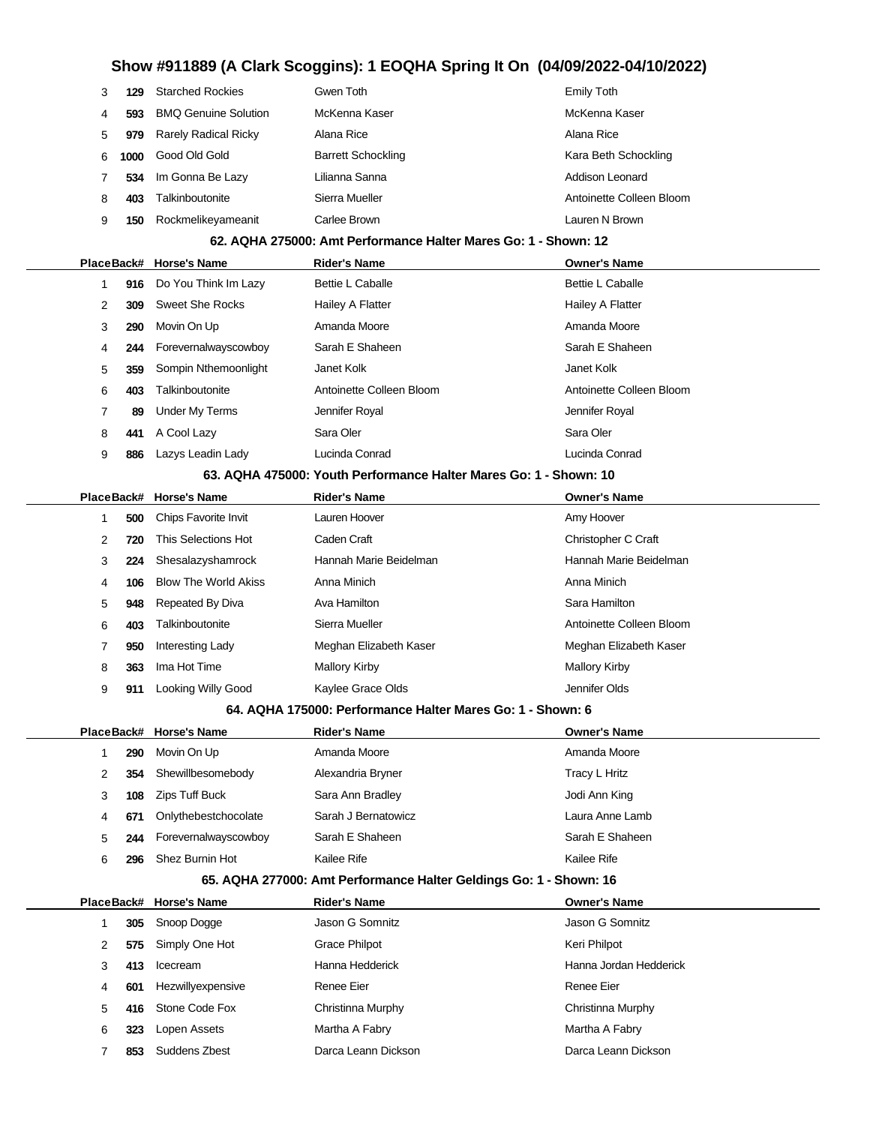| 3 | 129  | <b>Starched Rockies</b>     | Gwen Toth                 | Emily Toth               |
|---|------|-----------------------------|---------------------------|--------------------------|
| 4 | 593  | <b>BMO Genuine Solution</b> | McKenna Kaser             | McKenna Kaser            |
| 5 | 979  | <b>Rarely Radical Ricky</b> | Alana Rice                | Alana Rice               |
| 6 | 1000 | Good Old Gold               | <b>Barrett Schockling</b> | Kara Beth Schockling     |
|   | 534  | Im Gonna Be Lazy            | Lilianna Sanna            | Addison Leonard          |
| 8 | 403  | Talkinboutonite             | Sierra Mueller            | Antoinette Colleen Bloom |
| 9 | 150  | Rockmelikeyameanit          | Carlee Brown              | Lauren N Brown           |

### **62. AQHA 275000: Amt Performance Halter Mares Go: 1 - Shown: 12**

|  |   |     | PlaceBack# Horse's Name | <b>Rider's Name</b>                                                   | <b>Owner's Name</b>      |
|--|---|-----|-------------------------|-----------------------------------------------------------------------|--------------------------|
|  |   | 916 | Do You Think Im Lazy    | <b>Bettie L Caballe</b>                                               | <b>Bettie L Caballe</b>  |
|  | 2 | 309 | Sweet She Rocks         | Hailey A Flatter                                                      | Hailey A Flatter         |
|  | 3 | 290 | Movin On Up             | Amanda Moore                                                          | Amanda Moore             |
|  | 4 | 244 | Forevernalwayscowboy    | Sarah E Shaheen                                                       | Sarah E Shaheen          |
|  | 5 | 359 | Sompin Nthemoonlight    | Janet Kolk                                                            | Janet Kolk               |
|  | 6 | 403 | Talkinboutonite         | Antoinette Colleen Bloom                                              | Antoinette Colleen Bloom |
|  |   | 89  | Under My Terms          | Jennifer Royal                                                        | Jennifer Royal           |
|  | 8 | 441 | A Cool Lazy             | Sara Oler                                                             | Sara Oler                |
|  | 9 | 886 | Lazys Leadin Lady       | Lucinda Conrad                                                        | Lucinda Conrad           |
|  |   |     |                         | CO. A QUA AZEODO, Varilla Darfarmanae Halter Marco Oar 4 - Charros 40 |                          |

#### **63. AQHA 475000: Youth Performance Halter Mares Go: 1 - Shown: 10**

|   |     | PlaceBack# Horse's Name     | <b>Rider's Name</b>    | <b>Owner's Name</b>      |
|---|-----|-----------------------------|------------------------|--------------------------|
|   | 500 | <b>Chips Favorite Invit</b> | Lauren Hoover          | Amy Hoover               |
| 2 | 720 | This Selections Hot         | Caden Craft            | Christopher C Craft      |
| 3 | 224 | Shesalazyshamrock           | Hannah Marie Beidelman | Hannah Marie Beidelman   |
| 4 | 106 | <b>Blow The World Akiss</b> | Anna Minich            | Anna Minich              |
| 5 | 948 | Repeated By Diva            | Ava Hamilton           | Sara Hamilton            |
| 6 | 403 | Talkinboutonite             | Sierra Mueller         | Antoinette Colleen Bloom |
|   | 950 | Interesting Lady            | Meghan Elizabeth Kaser | Meghan Elizabeth Kaser   |
| 8 | 363 | Ima Hot Time                | Mallory Kirby          | Mallory Kirby            |
| 9 | 911 | Looking Willy Good          | Kaylee Grace Olds      | Jennifer Olds            |
|   |     |                             |                        |                          |

### **64. AQHA 175000: Performance Halter Mares Go: 1 - Shown: 6**

|   |     | PlaceBack# Horse's Name | <b>Rider's Name</b> | <b>Owner's Name</b> |
|---|-----|-------------------------|---------------------|---------------------|
|   | 290 | Movin On Up             | Amanda Moore        | Amanda Moore        |
| 2 | 354 | Shewillbesomebody       | Alexandria Bryner   | Tracy L Hritz       |
| 3 | 108 | Zips Tuff Buck          | Sara Ann Bradley    | Jodi Ann King       |
| 4 | 671 | Onlythebestchocolate    | Sarah J Bernatowicz | Laura Anne Lamb     |
| 5 | 244 | Forevernalwayscowboy    | Sarah E Shaheen     | Sarah E Shaheen     |
| 6 | 296 | Shez Burnin Hot         | Kailee Rife         | Kailee Rife         |

### **65. AQHA 277000: Amt Performance Halter Geldings Go: 1 - Shown: 16**

|   |     | PlaceBack# Horse's Name | <b>Rider's Name</b> | <b>Owner's Name</b>    |
|---|-----|-------------------------|---------------------|------------------------|
|   | 305 | Snoop Dogge             | Jason G Somnitz     | Jason G Somnitz        |
| 2 | 575 | Simply One Hot          | Grace Philpot       | Keri Philpot           |
| 3 | 413 | Icecream                | Hanna Hedderick     | Hanna Jordan Hedderick |
| 4 | 601 | Hezwillyexpensive       | Renee Eier          | Renee Eier             |
| 5 | 416 | Stone Code Fox          | Christinna Murphy   | Christinna Murphy      |
| 6 | 323 | Lopen Assets            | Martha A Fabry      | Martha A Fabry         |
|   | 853 | Suddens Zbest           | Darca Leann Dickson | Darca Leann Dickson    |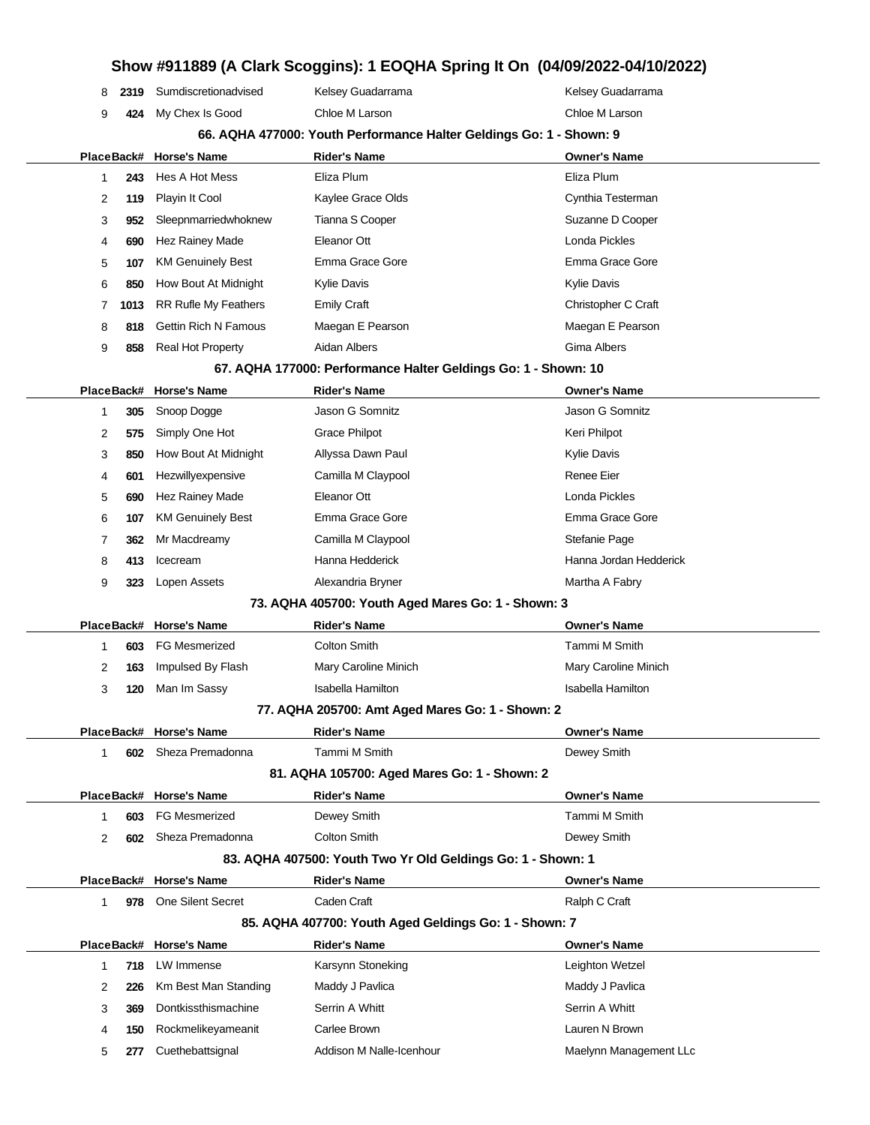### **Show #911889 (A Clark Scoggins): 1 EOQHA Spring It On (04/09/2022-04/10/2022) 2319** Sumdiscretionadvised Kelsey Guadarrama Kelsey Guadarrama Kelsey Guadarrama **424** My Chex Is Good Chloe M Larson Chloe M Larson **66. AQHA 477000: Youth Performance Halter Geldings Go: 1 - Shown: 9 PlaceBack# Horse's Name Rider's Name Owner's Name 243** Hes A Hot Mess Eliza Plum Eliza Plum **119** Playin It Cool **Cynthia Testerman** Kaylee Grace Olds Cynthia Testerman **952** Sleepnmarriedwhoknew Tianna S Cooper Suzanne D Cooper **690** Hez Rainey Made **Eleanor Ott Eleanor Ott Eleanor Ott Eleanor Ott Eleanor Ott Eleanor Ott Eleanor Ott Eleanor Ott Eleanor Ott Eleanor Ott Eleanor Ott Eleanor Ott Eleanor Ott Eleanor Ott E 107** KM Genuinely Best **Emma Grace Gore** Emma Grace Gore Emma Grace Gore **850** How Bout At Midnight Kylie Davis Kylie Davis **1013** RR Rufle My Feathers Emily Craft Christopher C Craft Christopher C Craft **818** Gettin Rich N Famous Maegan E Pearson Maegan E Pearson **858** Real Hot Property **Aidan Albers And Albers Gima Albers 67. AQHA 177000: Performance Halter Geldings Go: 1 - Shown: 10 PlaceBack# Horse's Name Rider's Name Owner's Name 305** Snoop Dogge Jason G Somnitz Jason G Somnitz **575** Simply One Hot Grace Philpot **Crace Filled** Contact Contact Crace Review Keri Philpot 3 850 How Bout At Midnight Allyssa Dawn Paul **Allyssa Dawn Paul Allyssa Dawn Paul** Kylie Davis **601** Hezwillyexpensive Camilla M Claypool **Camilla M** Claypool Renee Eier **690** Hez Rainey Made **Eleanor Ott Eleanor Ott Eleanor Ott Londa Pickles 107** KM Genuinely Best Emma Grace Gore Emma Grace Gore **362** Mr Macdreamy **Camilla M Claypool** Stefanie Page **413** Icecream **Hanna Hedderick** Hanna Hedderick Hanna Jordan Hedderick **323** Lopen Assets **Alexandria Bryner** Martha A Fabry **73. AQHA 405700: Youth Aged Mares Go: 1 - Shown: 3 PlaceBack# Horse's Name Rider's Name Owner's Name 603** FG Mesmerized Colton Smith Tammi M Smith **163** Impulsed By Flash Mary Caroline Minich Mary Caroline Minich **120** Man Im Sassy **Isabella Hamilton** Isabella Hamilton Isabella Hamilton **77. AQHA 205700: Amt Aged Mares Go: 1 - Shown: 2 PlaceBack# Horse's Name Rider's Name Owner's Name 602** Sheza Premadonna Tammi M Smith Dewey Smith **81. AQHA 105700: Aged Mares Go: 1 - Shown: 2 PlaceBack# Horse's Name Rider's Name Owner's Name 603** FG Mesmerized **Dewey Smith Dewey Smith** Communication Communication M Smith **602** Sheza Premadonna Colton Smith Colton Smith Dewey Smith **83. AQHA 407500: Youth Two Yr Old Geldings Go: 1 - Shown: 1 PlaceBack# Horse's Name Rider's Name Owner's Name 978** One Silent Secret Caden Craft Canadas Canadas Canadas Canadas Ralph C Craft **85. AQHA 407700: Youth Aged Geldings Go: 1 - Shown: 7 PlaceBack# Horse's Name Rider's Name Owner's Name 718** LW Immense **Ration Contains A Karsynn Stoneking Leighton Wetzel** Leighton Wetzel **226** Km Best Man Standing Maddy J Pavlica Manus Maddy J Pavlica **369** Dontkissthismachine Serrin A Whitt Serrin A Whitt Serrin A Whitt **150** Rockmelikeyameanit Carlee Brown Lauren N Brown **277** Cuethebattsignal **Addison M Nalle-Icenhour** Manus Maelynn Management LLc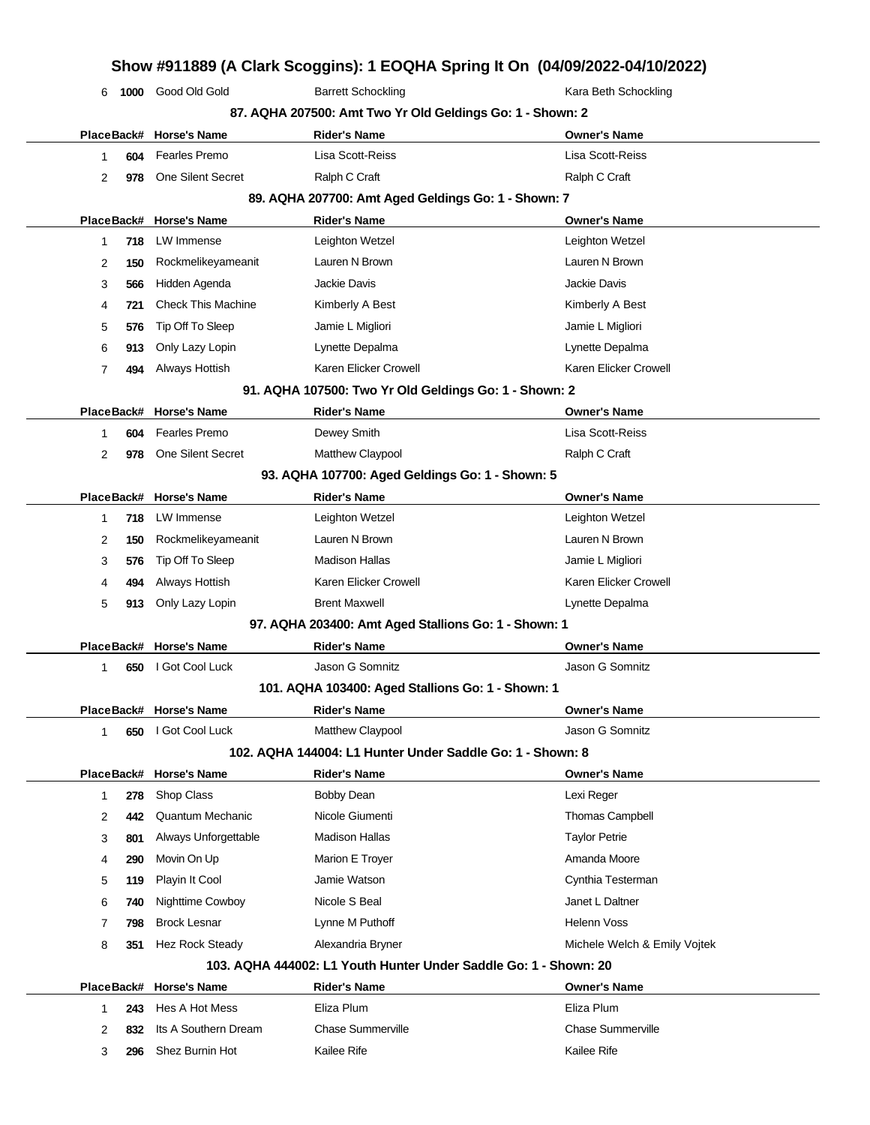|              |            |                           |                                                           | Show #911889 (A Clark Scoggins): 1 EOQHA Spring It On (04/09/2022-04/10/2022) |
|--------------|------------|---------------------------|-----------------------------------------------------------|-------------------------------------------------------------------------------|
| 6            | 1000       | Good Old Gold             | <b>Barrett Schockling</b>                                 | Kara Beth Schockling                                                          |
|              |            |                           | 87. AQHA 207500: Amt Two Yr Old Geldings Go: 1 - Shown: 2 |                                                                               |
|              |            | PlaceBack# Horse's Name   | <b>Rider's Name</b>                                       | <b>Owner's Name</b>                                                           |
| 1            | 604        | <b>Fearles Premo</b>      | Lisa Scott-Reiss                                          | Lisa Scott-Reiss                                                              |
| 2            | 978        | One Silent Secret         | Ralph C Craft                                             | Ralph C Craft                                                                 |
|              |            |                           | 89. AQHA 207700: Amt Aged Geldings Go: 1 - Shown: 7       |                                                                               |
|              |            | PlaceBack# Horse's Name   | <b>Rider's Name</b>                                       | <b>Owner's Name</b>                                                           |
| 1            | 718        | LW Immense                | Leighton Wetzel                                           | Leighton Wetzel                                                               |
| 2            | 150        | Rockmelikeyameanit        | Lauren N Brown                                            | Lauren N Brown                                                                |
| 3            | 566        | Hidden Agenda             | <b>Jackie Davis</b>                                       | Jackie Davis                                                                  |
| 4            | 721        | <b>Check This Machine</b> | Kimberly A Best                                           | Kimberly A Best                                                               |
| 5            | 576        | Tip Off To Sleep          | Jamie L Migliori                                          | Jamie L Migliori                                                              |
| 6            | 913        | Only Lazy Lopin           | Lynette Depalma                                           | Lynette Depalma                                                               |
| 7            | 494        | Always Hottish            | Karen Elicker Crowell                                     | Karen Elicker Crowell                                                         |
|              |            |                           | 91. AQHA 107500: Two Yr Old Geldings Go: 1 - Shown: 2     |                                                                               |
|              |            | PlaceBack# Horse's Name   | <b>Rider's Name</b>                                       | <b>Owner's Name</b>                                                           |
| 1            | 604        | <b>Fearles Premo</b>      | Dewey Smith                                               | Lisa Scott-Reiss                                                              |
| 2            | 978        | One Silent Secret         | Matthew Claypool                                          | Ralph C Craft                                                                 |
|              |            |                           | 93. AQHA 107700: Aged Geldings Go: 1 - Shown: 5           |                                                                               |
|              | PlaceBack# | <b>Horse's Name</b>       | <b>Rider's Name</b>                                       | <b>Owner's Name</b>                                                           |
| 1            | 718        | LW Immense                | Leighton Wetzel                                           | Leighton Wetzel                                                               |
| 2            | 150        | Rockmelikeyameanit        | Lauren N Brown                                            | Lauren N Brown                                                                |
| 3            | 576        | Tip Off To Sleep          | <b>Madison Hallas</b>                                     | Jamie L Migliori                                                              |
| 4            | 494        | Always Hottish            | Karen Elicker Crowell                                     | Karen Elicker Crowell                                                         |
| 5            | 913        | Only Lazy Lopin           | <b>Brent Maxwell</b>                                      | Lynette Depalma                                                               |
|              |            |                           | 97. AQHA 203400: Amt Aged Stallions Go: 1 - Shown: 1      |                                                                               |
|              |            | PlaceBack# Horse's Name   | Rider's Name                                              | <b>Owner's Name</b>                                                           |
| 1            | 650        | I Got Cool Luck           | Jason G Somnitz                                           | Jason G Somnitz                                                               |
|              |            |                           | 101. AQHA 103400: Aged Stallions Go: 1 - Shown: 1         |                                                                               |
|              |            | PlaceBack# Horse's Name   | Rider's Name                                              | <b>Owner's Name</b>                                                           |
| $\mathbf{1}$ | 650        | I Got Cool Luck           | Matthew Claypool                                          | Jason G Somnitz                                                               |
|              |            |                           | 102. AQHA 144004: L1 Hunter Under Saddle Go: 1 - Shown: 8 |                                                                               |
|              |            | PlaceBack# Horse's Name   | <b>Rider's Name</b>                                       | <b>Owner's Name</b>                                                           |
| 1            | 278        | Shop Class                | Bobby Dean                                                | Lexi Reger                                                                    |
| 2            | 442        | <b>Quantum Mechanic</b>   | Nicole Giumenti                                           | <b>Thomas Campbell</b>                                                        |
| 3            | 801        | Always Unforgettable      | <b>Madison Hallas</b>                                     | <b>Taylor Petrie</b>                                                          |
|              |            | Movin On Up               | Marion E Troyer                                           | Amanda Moore                                                                  |
| 4            | 290        |                           |                                                           |                                                                               |
| 5            | 119        | Playin It Cool            | Jamie Watson                                              | Cynthia Testerman                                                             |

**351** Hez Rock Steady **Alexandria Bryner** Michele Welch & Emily Vojtek **103. AQHA 444002: L1 Youth Hunter Under Saddle Go: 1 - Shown: 20**

**798** Brock Lesnar **Lynne M Puthoff Helenn Voss** 

|     | PlaceBack# Horse's Name | Rider's Name      | <b>Owner's Name</b>      |
|-----|-------------------------|-------------------|--------------------------|
| 243 | Hes A Hot Mess          | Eliza Plum        | Eliza Plum               |
| 832 | Its A Southern Dream    | Chase Summerville | <b>Chase Summerville</b> |
| 296 | Shez Burnin Hot         | Kailee Rife       | Kailee Rife              |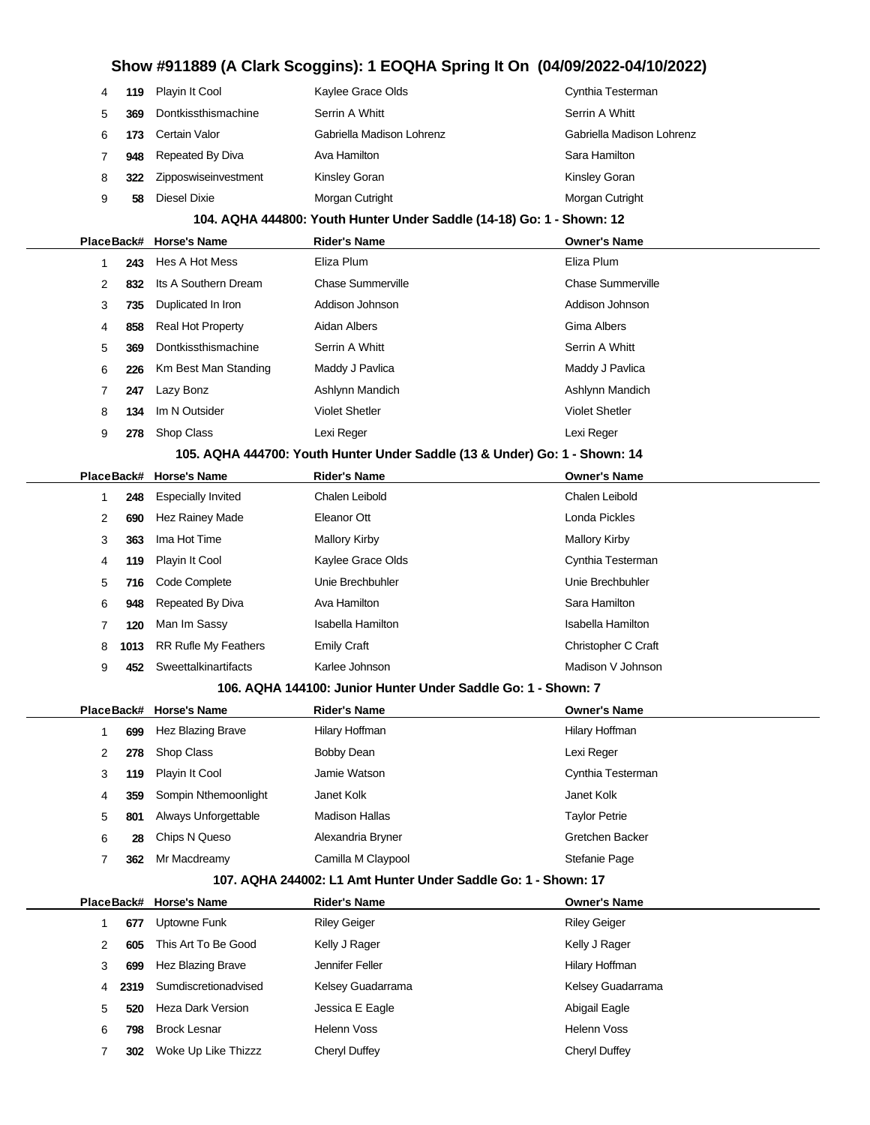| 4          | 119  | Playin It Cool              | Kaylee Grace Olds                                                          | Cynthia Testerman         |
|------------|------|-----------------------------|----------------------------------------------------------------------------|---------------------------|
| 5          | 369  | Dontkissthismachine         | Serrin A Whitt                                                             | Serrin A Whitt            |
| 6          | 173  | Certain Valor               | Gabriella Madison Lohrenz                                                  | Gabriella Madison Lohrenz |
| 7          | 948  | Repeated By Diva            | Ava Hamilton                                                               | Sara Hamilton             |
| 8          | 322  | Zipposwiseinvestment        | Kinsley Goran                                                              | Kinsley Goran             |
| 9          | 58   | Diesel Dixie                | Morgan Cutright                                                            | Morgan Cutright           |
|            |      |                             | 104. AQHA 444800: Youth Hunter Under Saddle (14-18) Go: 1 - Shown: 12      |                           |
| PlaceBack# |      | <b>Horse's Name</b>         | <b>Rider's Name</b>                                                        | Owner's Name              |
| 1          | 243  | Hes A Hot Mess              | Eliza Plum                                                                 | Eliza Plum                |
| 2          | 832  | Its A Southern Dream        | <b>Chase Summerville</b>                                                   | <b>Chase Summerville</b>  |
| 3          | 735  | Duplicated In Iron          | Addison Johnson                                                            | Addison Johnson           |
| 4          | 858  | <b>Real Hot Property</b>    | Aidan Albers                                                               | Gima Albers               |
| 5          | 369  | Dontkissthismachine         | Serrin A Whitt                                                             | Serrin A Whitt            |
| 6          | 226  | Km Best Man Standing        | Maddy J Pavlica                                                            | Maddy J Pavlica           |
| 7          | 247  | Lazy Bonz                   | Ashlynn Mandich                                                            | Ashlynn Mandich           |
| 8          | 134  | Im N Outsider               | <b>Violet Shetler</b>                                                      | <b>Violet Shetler</b>     |
| 9          | 278  | Shop Class                  | Lexi Reger                                                                 | Lexi Reger                |
|            |      |                             | 105. AQHA 444700: Youth Hunter Under Saddle (13 & Under) Go: 1 - Shown: 14 |                           |
| PlaceBack# |      | <b>Horse's Name</b>         | <b>Rider's Name</b>                                                        | <b>Owner's Name</b>       |
| 1          | 248  | <b>Especially Invited</b>   | Chalen Leibold                                                             | Chalen Leibold            |
| 2          | 690  | Hez Rainey Made             | Eleanor Ott                                                                | Londa Pickles             |
| 3          | 363  | Ima Hot Time                | <b>Mallory Kirby</b>                                                       | Mallory Kirby             |
| 4          | 119  | Playin It Cool              | Kaylee Grace Olds                                                          | Cynthia Testerman         |
| 5          | 716  | Code Complete               | Unie Brechbuhler                                                           | Unie Brechbuhler          |
| 6          | 948  | Repeated By Diva            | Ava Hamilton                                                               | Sara Hamilton             |
| 7          | 120  | Man Im Sassy                | Isabella Hamilton                                                          | <b>Isabella Hamilton</b>  |
| 8          | 1013 | <b>RR Rufle My Feathers</b> | Emily Craft                                                                | Christopher C Craft       |
| 9          | 452  | Sweettalkinartifacts        | Karlee Johnson                                                             | Madison V Johnson         |
|            |      |                             | 106. AQHA 144100: Junior Hunter Under Saddle Go: 1 - Shown: 7              |                           |
|            |      | PlaceBack# Horse's Name     | <b>Rider's Name</b>                                                        | Owner's Name              |
| 1          | 699  | Hez Blazing Brave           | Hilary Hoffman                                                             | Hilary Hoffman            |
| 2          | 278  | Shop Class                  | Bobby Dean                                                                 | Lexi Reger                |
| 3          | 119  | Playin It Cool              | Jamie Watson                                                               | Cynthia Testerman         |
| 4          | 359  | Sompin Nthemoonlight        | Janet Kolk                                                                 | Janet Kolk                |
| 5          | 801  | Always Unforgettable        | <b>Madison Hallas</b>                                                      | <b>Taylor Petrie</b>      |
| 6          | 28   | Chips N Queso               | Alexandria Bryner                                                          | Gretchen Backer           |
| 7          | 362  | Mr Macdreamy                | Camilla M Claypool                                                         | Stefanie Page             |
|            |      |                             | 107. AQHA 244002: L1 Amt Hunter Under Saddle Go: 1 - Shown: 17             |                           |
| PlaceBack# |      | <b>Horse's Name</b>         | <b>Rider's Name</b>                                                        | <b>Owner's Name</b>       |
| 1          | 677  | Uptowne Funk                | <b>Riley Geiger</b>                                                        | <b>Riley Geiger</b>       |
| 2          | 605  | This Art To Be Good         | Kelly J Rager                                                              | Kelly J Rager             |
| 3          | 699  | Hez Blazing Brave           | Jennifer Feller                                                            | Hilary Hoffman            |
| 4          | 2319 | Sumdiscretionadvised        | Kelsey Guadarrama                                                          | Kelsey Guadarrama         |
| 5          | 520  | Heza Dark Version           | Jessica E Eagle                                                            | Abigail Eagle             |
| 6          | 798  | <b>Brock Lesnar</b>         | <b>Helenn Voss</b>                                                         | Helenn Voss               |
| 7          | 302  | Woke Up Like Thizzz         | Cheryl Duffey                                                              | Cheryl Duffey             |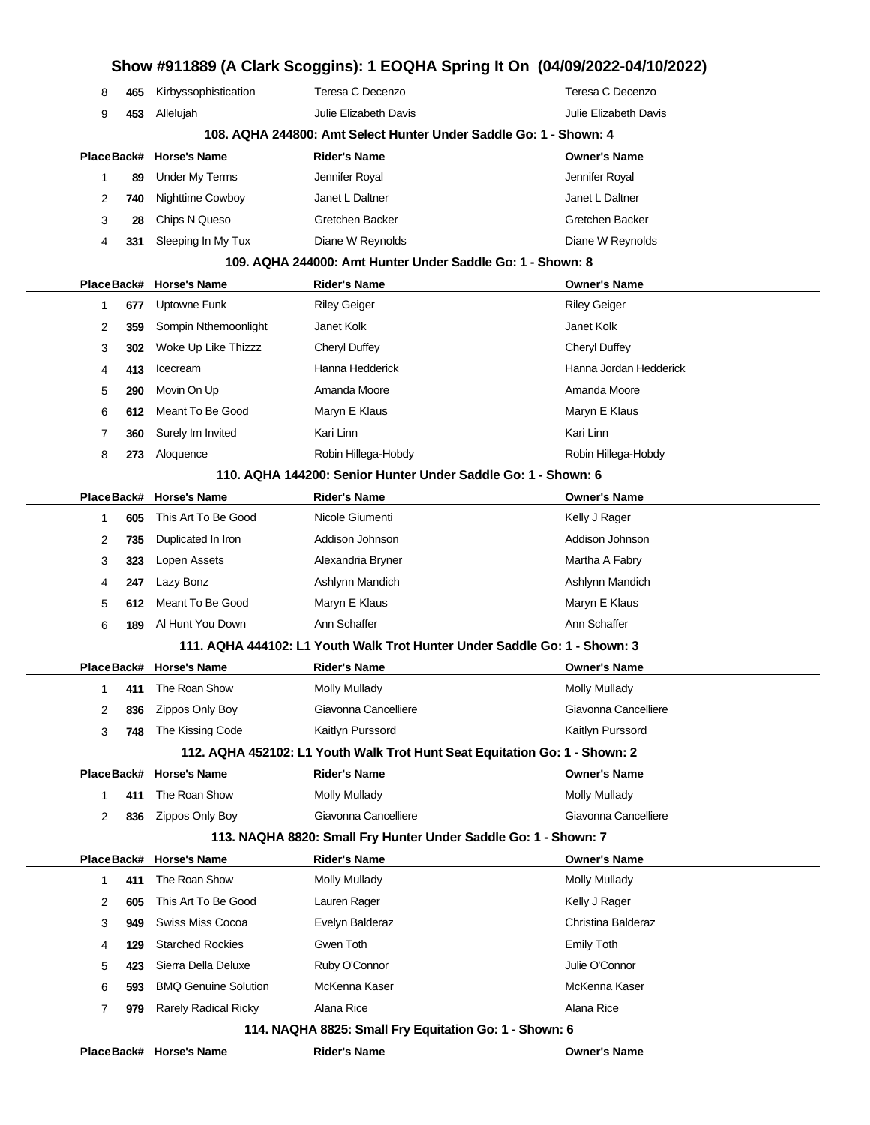|            |            |                                          |                                                        | Show #911889 (A Clark Scoggins): 1 EOQHA Spring It On (04/09/2022-04/10/2022) |
|------------|------------|------------------------------------------|--------------------------------------------------------|-------------------------------------------------------------------------------|
| 8          | 465        | Kirbyssophistication                     | Teresa C Decenzo                                       | Teresa C Decenzo                                                              |
| 9          | 453        | Allelujah                                | Julie Elizabeth Davis                                  | Julie Elizabeth Davis                                                         |
|            |            |                                          |                                                        | 108. AQHA 244800: Amt Select Hunter Under Saddle Go: 1 - Shown: 4             |
| PlaceBack# |            | <b>Horse's Name</b>                      | <b>Rider's Name</b>                                    | <b>Owner's Name</b>                                                           |
| 1          | 89         | <b>Under My Terms</b>                    | Jennifer Royal                                         | Jennifer Royal                                                                |
| 2          | 740        | Nighttime Cowboy                         | Janet L Daltner                                        | Janet L Daltner                                                               |
| 3          | 28         | Chips N Queso                            | Gretchen Backer                                        | Gretchen Backer                                                               |
| 4          | 331        | Sleeping In My Tux                       | Diane W Reynolds                                       | Diane W Reynolds                                                              |
|            |            |                                          |                                                        | 109. AQHA 244000: Amt Hunter Under Saddle Go: 1 - Shown: 8                    |
| PlaceBack# |            | <b>Horse's Name</b>                      | Rider's Name                                           | <b>Owner's Name</b>                                                           |
| 1          | 677        | Uptowne Funk                             | <b>Riley Geiger</b>                                    | <b>Riley Geiger</b>                                                           |
| 2          | 359        | Sompin Nthemoonlight                     | Janet Kolk                                             | Janet Kolk                                                                    |
| 3          | 302        | Woke Up Like Thizzz                      | Cheryl Duffey                                          | Cheryl Duffey                                                                 |
| 4          | 413        | Icecream                                 | Hanna Hedderick                                        | Hanna Jordan Hedderick                                                        |
| 5          | 290        | Movin On Up                              | Amanda Moore                                           | Amanda Moore                                                                  |
| 6          | 612        | Meant To Be Good                         | Maryn E Klaus                                          | Maryn E Klaus                                                                 |
| 7          | 360        | Surely Im Invited                        | Kari Linn                                              | Kari Linn                                                                     |
| 8          | 273        | Aloquence                                | Robin Hillega-Hobdy                                    | Robin Hillega-Hobdy                                                           |
|            |            |                                          |                                                        | 110. AQHA 144200: Senior Hunter Under Saddle Go: 1 - Shown: 6                 |
| PlaceBack# |            | <b>Horse's Name</b>                      | <b>Rider's Name</b>                                    | <b>Owner's Name</b>                                                           |
| 1          | 605        | This Art To Be Good                      | Nicole Giumenti                                        | Kelly J Rager                                                                 |
| 2          | 735        | Duplicated In Iron                       | Addison Johnson                                        | Addison Johnson                                                               |
| 3          | 323        | Lopen Assets                             | Alexandria Bryner                                      | Martha A Fabry                                                                |
| 4          | 247        | Lazy Bonz                                | Ashlynn Mandich                                        | Ashlynn Mandich                                                               |
| 5          | 612        | Meant To Be Good                         | Maryn E Klaus                                          | Maryn E Klaus                                                                 |
| 6          | 189        | Al Hunt You Down                         | Ann Schaffer                                           | Ann Schaffer                                                                  |
|            |            |                                          |                                                        | 111. AQHA 444102: L1 Youth Walk Trot Hunter Under Saddle Go: 1 - Shown: 3     |
|            |            | PlaceBack# Horse's Name                  | Rider's Name                                           | <b>Owner's Name</b>                                                           |
| 1          |            | 411 The Roan Show                        | Molly Mullady                                          | Molly Mullady                                                                 |
| 2          | 836        | Zippos Only Boy                          | Giavonna Cancelliere                                   | Giavonna Cancelliere                                                          |
| 3          | 748        | The Kissing Code                         | Kaitlyn Purssord                                       | Kaitlyn Purssord                                                              |
|            |            |                                          |                                                        | 112. AQHA 452102: L1 Youth Walk Trot Hunt Seat Equitation Go: 1 - Shown: 2    |
|            |            | PlaceBack# Horse's Name                  | <b>Rider's Name</b>                                    | <b>Owner's Name</b>                                                           |
| 1          | 411        | The Roan Show                            | <b>Molly Mullady</b>                                   | <b>Molly Mullady</b>                                                          |
| 2          | 836        | Zippos Only Boy                          | Giavonna Cancelliere                                   | Giavonna Cancelliere                                                          |
|            |            |                                          |                                                        | 113. NAQHA 8820: Small Fry Hunter Under Saddle Go: 1 - Shown: 7               |
| 1          | 411        | PlaceBack# Horse's Name<br>The Roan Show | <b>Rider's Name</b><br><b>Molly Mullady</b>            | <b>Owner's Name</b><br>Molly Mullady                                          |
|            |            | This Art To Be Good                      |                                                        |                                                                               |
| 2          | 605<br>949 | Swiss Miss Cocoa                         | Lauren Rager<br>Evelyn Balderaz                        | Kelly J Rager<br>Christina Balderaz                                           |
| 3<br>4     | 129        | <b>Starched Rockies</b>                  | Gwen Toth                                              | <b>Emily Toth</b>                                                             |
|            | 423        | Sierra Della Deluxe                      | Ruby O'Connor                                          | Julie O'Connor                                                                |
| 5          |            | <b>BMQ Genuine Solution</b>              | McKenna Kaser                                          | McKenna Kaser                                                                 |
| 6<br>7     | 593        | <b>Rarely Radical Ricky</b>              | Alana Rice                                             | Alana Rice                                                                    |
|            | 979        |                                          | 114. NAQHA 8825: Small Fry Equitation Go: 1 - Shown: 6 |                                                                               |
|            |            | PlaceBack# Horse's Name                  | Rider's Name                                           | <b>Owner's Name</b>                                                           |
|            |            |                                          |                                                        |                                                                               |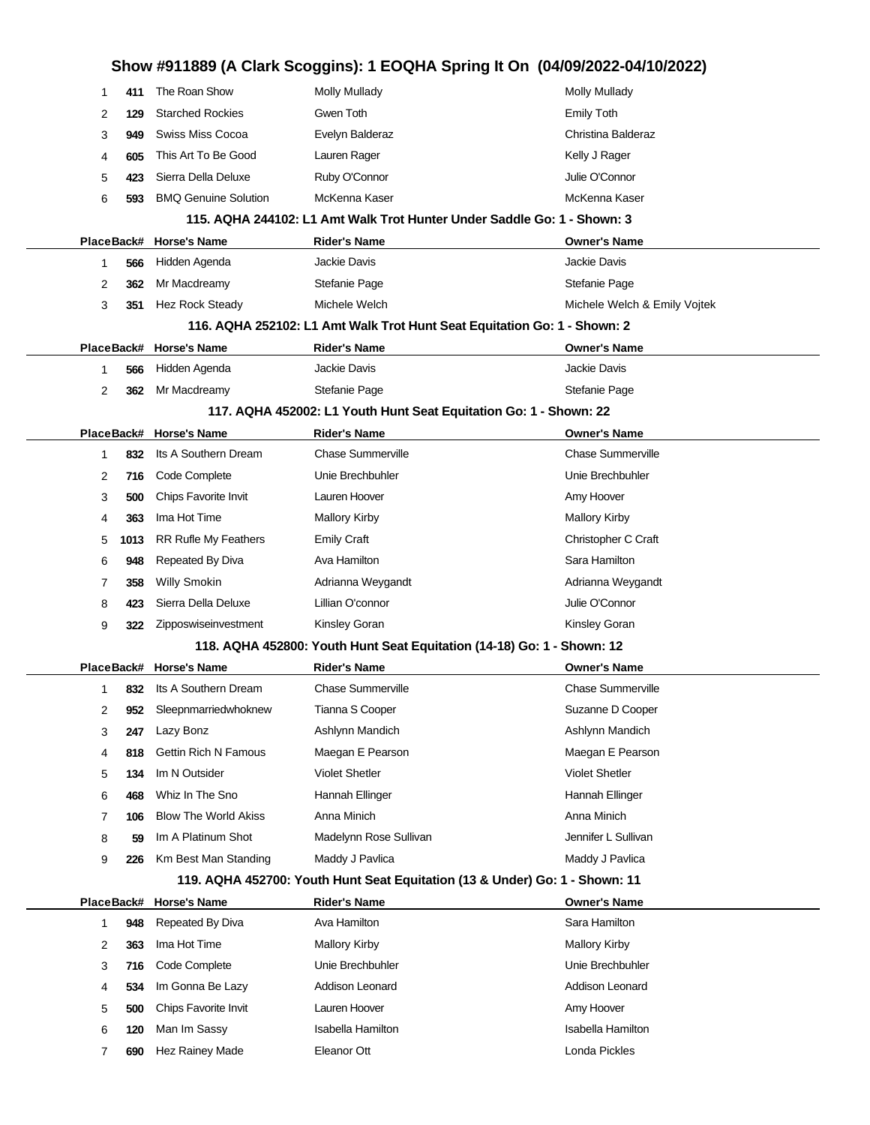|            |      |                             | Show #911889 (A Clark Scoggins): 1 EOQHA Spring It On (04/09/2022-04/10/2022) |                              |
|------------|------|-----------------------------|-------------------------------------------------------------------------------|------------------------------|
| 1          | 411  | The Roan Show               | <b>Molly Mullady</b>                                                          | Molly Mullady                |
| 2          | 129  | <b>Starched Rockies</b>     | Gwen Toth                                                                     | <b>Emily Toth</b>            |
| 3          | 949  | Swiss Miss Cocoa            | Evelyn Balderaz                                                               | Christina Balderaz           |
| 4          | 605  | This Art To Be Good         | Lauren Rager                                                                  | Kelly J Rager                |
| 5          | 423  | Sierra Della Deluxe         | Ruby O'Connor                                                                 | Julie O'Connor               |
| 6          | 593  | <b>BMQ Genuine Solution</b> | McKenna Kaser                                                                 | McKenna Kaser                |
|            |      |                             | 115. AQHA 244102: L1 Amt Walk Trot Hunter Under Saddle Go: 1 - Shown: 3       |                              |
| PlaceBack# |      | <b>Horse's Name</b>         | <b>Rider's Name</b>                                                           | <b>Owner's Name</b>          |
| 1          | 566  | Hidden Agenda               | <b>Jackie Davis</b>                                                           | Jackie Davis                 |
| 2          | 362  | Mr Macdreamy                | Stefanie Page                                                                 | Stefanie Page                |
| 3          | 351  | Hez Rock Steady             | Michele Welch                                                                 | Michele Welch & Emily Vojtek |
|            |      |                             | 116. AQHA 252102: L1 Amt Walk Trot Hunt Seat Equitation Go: 1 - Shown: 2      |                              |
|            |      | PlaceBack# Horse's Name     | <b>Rider's Name</b>                                                           | <b>Owner's Name</b>          |
| 1          | 566  | Hidden Agenda               | Jackie Davis                                                                  | Jackie Davis                 |
| 2          | 362  | Mr Macdreamy                | Stefanie Page                                                                 | Stefanie Page                |
|            |      |                             | 117. AQHA 452002: L1 Youth Hunt Seat Equitation Go: 1 - Shown: 22             |                              |
|            |      | PlaceBack# Horse's Name     | <b>Rider's Name</b>                                                           | <b>Owner's Name</b>          |
| 1          | 832  | Its A Southern Dream        | <b>Chase Summerville</b>                                                      | <b>Chase Summerville</b>     |
| 2          | 716  | Code Complete               | Unie Brechbuhler                                                              | Unie Brechbuhler             |
| 3          | 500  | Chips Favorite Invit        | Lauren Hoover                                                                 | Amy Hoover                   |
| 4          | 363  | Ima Hot Time                | <b>Mallory Kirby</b>                                                          | <b>Mallory Kirby</b>         |
| 5          | 1013 | RR Rufle My Feathers        | Emily Craft                                                                   | Christopher C Craft          |
| 6          | 948  | Repeated By Diva            | Ava Hamilton                                                                  | Sara Hamilton                |
| 7          | 358  | <b>Willy Smokin</b>         | Adrianna Weygandt                                                             | Adrianna Weygandt            |
| 8          | 423  | Sierra Della Deluxe         | Lillian O'connor                                                              | Julie O'Connor               |
| 9          | 322  | Zipposwiseinvestment        | Kinsley Goran                                                                 | <b>Kinsley Goran</b>         |
|            |      |                             | 118. AQHA 452800: Youth Hunt Seat Equitation (14-18) Go: 1 - Shown: 12        |                              |
|            |      | PlaceBack# Horse's Name     | <b>Rider's Name</b>                                                           | <b>Owner's Name</b>          |
| 1          | 832  | Its A Southern Dream        | <b>Chase Summerville</b>                                                      | <b>Chase Summerville</b>     |
| 2          | 952  | Sleepnmarriedwhoknew        | Tianna S Cooper                                                               | Suzanne D Cooper             |
| 3          | 247  | Lazy Bonz                   | Ashlynn Mandich                                                               | Ashlynn Mandich              |
| 4          | 818  | <b>Gettin Rich N Famous</b> | Maegan E Pearson                                                              | Maegan E Pearson             |
| 5          | 134  | Im N Outsider               | <b>Violet Shetler</b>                                                         | <b>Violet Shetler</b>        |
| 6          | 468  | Whiz In The Sno             | Hannah Ellinger                                                               | Hannah Ellinger              |
| 7          | 106  | <b>Blow The World Akiss</b> | Anna Minich                                                                   | Anna Minich                  |
| 8          | 59   | Im A Platinum Shot          | Madelynn Rose Sullivan                                                        | Jennifer L Sullivan          |
| 9          | 226  | Km Best Man Standing        | Maddy J Pavlica                                                               | Maddy J Pavlica              |
|            |      |                             | 119. AQHA 452700: Youth Hunt Seat Equitation (13 & Under) Go: 1 - Shown: 11   |                              |
| PlaceBack# |      | <b>Horse's Name</b>         | <b>Rider's Name</b>                                                           | <b>Owner's Name</b>          |
| 1          | 948  | Repeated By Diva            | Ava Hamilton                                                                  | Sara Hamilton                |
| 2          | 363  | Ima Hot Time                | <b>Mallory Kirby</b>                                                          | <b>Mallory Kirby</b>         |
| 3          | 716  | Code Complete               | Unie Brechbuhler                                                              | Unie Brechbuhler             |
| 4          | 534  | Im Gonna Be Lazy            | Addison Leonard                                                               | Addison Leonard              |
| 5          | 500  | Chips Favorite Invit        | Lauren Hoover                                                                 | Amy Hoover                   |
| 6          | 120  | Man Im Sassy                | <b>Isabella Hamilton</b>                                                      | <b>Isabella Hamilton</b>     |
| 7          | 690  | Hez Rainey Made             | Eleanor Ott                                                                   | Londa Pickles                |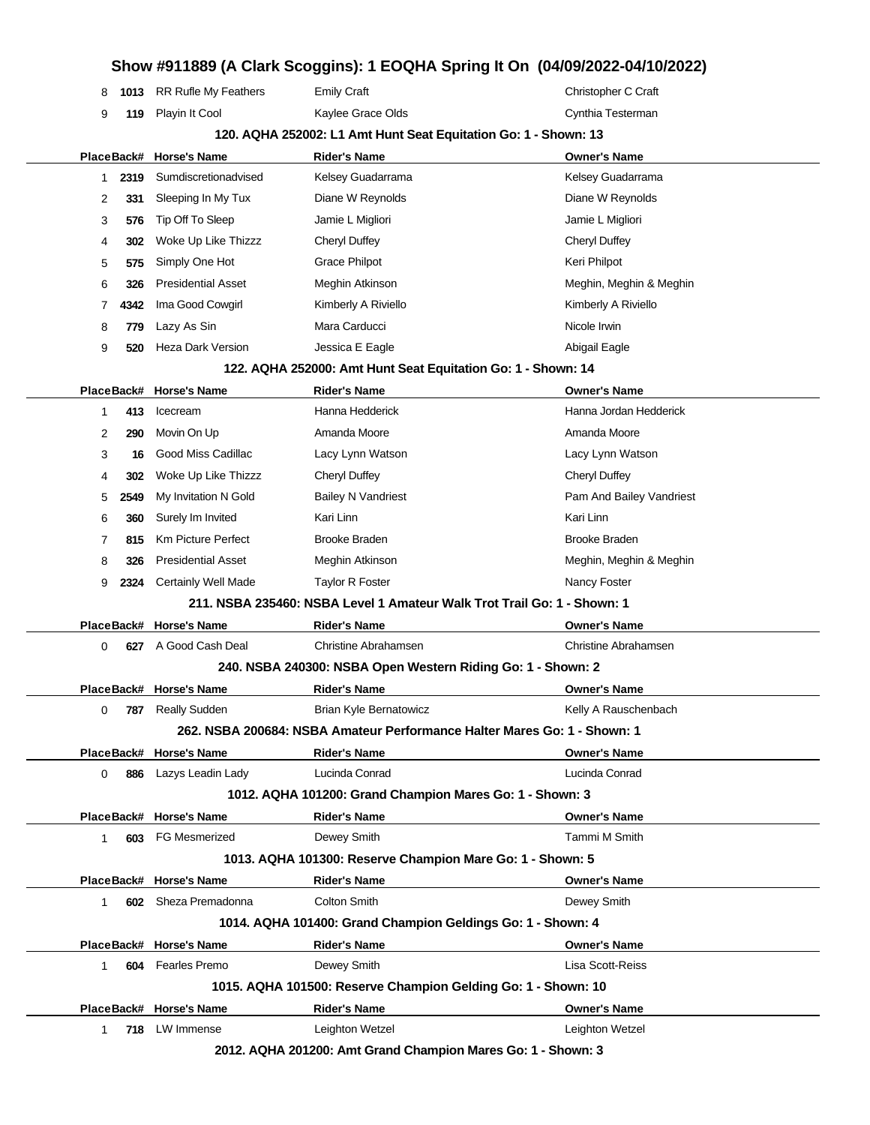|              |      |                           |                                                                          | Show #911889 (A Clark Scoggins): 1 EOQHA Spring It On (04/09/2022-04/10/2022) |
|--------------|------|---------------------------|--------------------------------------------------------------------------|-------------------------------------------------------------------------------|
| 8            | 1013 | RR Rufle My Feathers      | <b>Emily Craft</b>                                                       | Christopher C Craft                                                           |
| 9            | 119  | Playin It Cool            | Kaylee Grace Olds                                                        | Cynthia Testerman                                                             |
|              |      |                           | 120. AQHA 252002: L1 Amt Hunt Seat Equitation Go: 1 - Shown: 13          |                                                                               |
|              |      | PlaceBack# Horse's Name   | <b>Rider's Name</b>                                                      | <b>Owner's Name</b>                                                           |
| 1            | 2319 | Sumdiscretionadvised      | Kelsey Guadarrama                                                        | Kelsey Guadarrama                                                             |
| 2            | 331  | Sleeping In My Tux        | Diane W Reynolds                                                         | Diane W Reynolds                                                              |
| 3            | 576  | Tip Off To Sleep          | Jamie L Migliori                                                         | Jamie L Migliori                                                              |
| 4            | 302  | Woke Up Like Thizzz       | <b>Cheryl Duffey</b>                                                     | <b>Cheryl Duffey</b>                                                          |
| 5            | 575  | Simply One Hot            | Grace Philpot                                                            | Keri Philpot                                                                  |
| 6            | 326  | <b>Presidential Asset</b> | Meghin Atkinson                                                          | Meghin, Meghin & Meghin                                                       |
| 7            | 4342 | Ima Good Cowgirl          | Kimberly A Riviello                                                      | Kimberly A Riviello                                                           |
| 8            | 779  | Lazy As Sin               | Mara Carducci                                                            | Nicole Irwin                                                                  |
| 9            | 520  | Heza Dark Version         | Jessica E Eagle                                                          | Abigail Eagle                                                                 |
|              |      |                           | 122. AQHA 252000: Amt Hunt Seat Equitation Go: 1 - Shown: 14             |                                                                               |
|              |      | PlaceBack# Horse's Name   | <b>Rider's Name</b>                                                      | <b>Owner's Name</b>                                                           |
| 1            | 413  | Icecream                  | Hanna Hedderick                                                          | Hanna Jordan Hedderick                                                        |
| 2            | 290  | Movin On Up               | Amanda Moore                                                             | Amanda Moore                                                                  |
| 3            | 16   | Good Miss Cadillac        | Lacy Lynn Watson                                                         | Lacy Lynn Watson                                                              |
| 4            | 302  | Woke Up Like Thizzz       | <b>Cheryl Duffey</b>                                                     | <b>Cheryl Duffey</b>                                                          |
| 5            | 2549 | My Invitation N Gold      | <b>Bailey N Vandriest</b>                                                | Pam And Bailey Vandriest                                                      |
| 6            | 360  | Surely Im Invited         | Kari Linn                                                                | Kari Linn                                                                     |
| 7            | 815  | Km Picture Perfect        | <b>Brooke Braden</b>                                                     | <b>Brooke Braden</b>                                                          |
| 8            | 326  | <b>Presidential Asset</b> | Meghin Atkinson                                                          | Meghin, Meghin & Meghin                                                       |
| 9            | 2324 | Certainly Well Made       | <b>Taylor R Foster</b>                                                   | Nancy Foster                                                                  |
|              |      |                           | 211. NSBA 235460: NSBA Level 1 Amateur Walk Trot Trail Go: 1 - Shown: 1  |                                                                               |
|              |      | PlaceBack# Horse's Name   | <b>Rider's Name</b>                                                      | <b>Owner's Name</b>                                                           |
| 0            | 627  | A Good Cash Deal          | Christine Abrahamsen                                                     | Christine Abrahamsen                                                          |
|              |      |                           | 240. NSBA 240300: NSBA Open Western Riding Go: 1 - Shown: 2              |                                                                               |
|              |      | PlaceBack# Horse's Name   | <b>Rider's Name</b>                                                      | <b>Owner's Name</b>                                                           |
| 0            | 787  | <b>Really Sudden</b>      | <b>Brian Kyle Bernatowicz</b>                                            | Kelly A Rauschenbach                                                          |
|              |      |                           | 262. NSBA 200684: NSBA Amateur Performance Halter Mares Go: 1 - Shown: 1 |                                                                               |
|              |      | PlaceBack# Horse's Name   | <b>Rider's Name</b>                                                      | <b>Owner's Name</b>                                                           |
| 0            | 886  | Lazys Leadin Lady         | Lucinda Conrad                                                           | Lucinda Conrad                                                                |
|              |      |                           | 1012. AQHA 101200: Grand Champion Mares Go: 1 - Shown: 3                 |                                                                               |
|              |      | PlaceBack# Horse's Name   | <b>Rider's Name</b>                                                      | <b>Owner's Name</b>                                                           |
| $\mathbf{1}$ | 603  | <b>FG Mesmerized</b>      | Dewey Smith                                                              | Tammi M Smith                                                                 |
|              |      |                           | 1013. AQHA 101300: Reserve Champion Mare Go: 1 - Shown: 5                |                                                                               |
|              |      | PlaceBack# Horse's Name   | <b>Rider's Name</b>                                                      | <b>Owner's Name</b>                                                           |
| 1            |      | 602 Sheza Premadonna      | <b>Colton Smith</b>                                                      | Dewey Smith                                                                   |
|              |      |                           | 1014. AQHA 101400: Grand Champion Geldings Go: 1 - Shown: 4              |                                                                               |
|              |      | PlaceBack# Horse's Name   | <b>Rider's Name</b>                                                      | <b>Owner's Name</b>                                                           |
| $\mathbf{1}$ | 604  | <b>Fearles Premo</b>      | Dewey Smith                                                              | Lisa Scott-Reiss                                                              |
|              |      |                           | 1015. AQHA 101500: Reserve Champion Gelding Go: 1 - Shown: 10            |                                                                               |
|              |      | PlaceBack# Horse's Name   | <b>Rider's Name</b>                                                      | <b>Owner's Name</b>                                                           |
| 1            |      | 718 LW Immense            | Leighton Wetzel                                                          | Leighton Wetzel                                                               |
|              |      |                           |                                                                          |                                                                               |

**2012. AQHA 201200: Amt Grand Champion Mares Go: 1 - Shown: 3**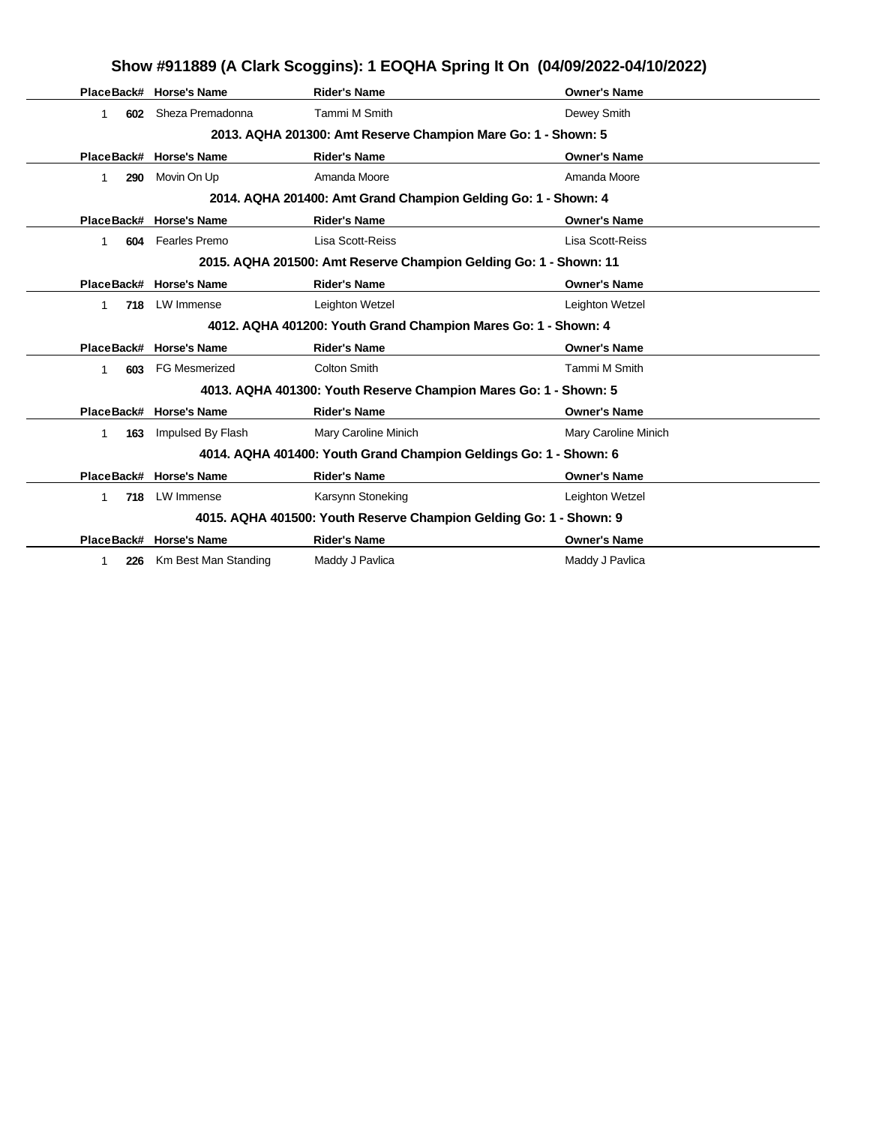|           | Show #911889 (A Clark Scoggins): 1 EOQHA Spring It On (04/09/2022-04/10/2022) |                                                                    |                      |  |  |
|-----------|-------------------------------------------------------------------------------|--------------------------------------------------------------------|----------------------|--|--|
|           | PlaceBack# Horse's Name                                                       | <b>Rider's Name</b>                                                | <b>Owner's Name</b>  |  |  |
| 602<br>1  | Sheza Premadonna                                                              | Tammi M Smith                                                      | Dewey Smith          |  |  |
|           |                                                                               | 2013. AQHA 201300: Amt Reserve Champion Mare Go: 1 - Shown: 5      |                      |  |  |
|           | PlaceBack# Horse's Name                                                       | <b>Rider's Name</b>                                                | <b>Owner's Name</b>  |  |  |
| 290<br>1. | Movin On Up                                                                   | Amanda Moore                                                       | Amanda Moore         |  |  |
|           |                                                                               | 2014. AQHA 201400: Amt Grand Champion Gelding Go: 1 - Shown: 4     |                      |  |  |
|           | PlaceBack# Horse's Name                                                       | <b>Rider's Name</b>                                                | <b>Owner's Name</b>  |  |  |
| 604       | Fearles Premo                                                                 | Lisa Scott-Reiss                                                   | Lisa Scott-Reiss     |  |  |
|           |                                                                               | 2015. AQHA 201500: Amt Reserve Champion Gelding Go: 1 - Shown: 11  |                      |  |  |
|           | PlaceBack# Horse's Name                                                       | <b>Rider's Name</b>                                                | <b>Owner's Name</b>  |  |  |
| 1<br>718  | LW Immense                                                                    | Leighton Wetzel                                                    | Leighton Wetzel      |  |  |
|           |                                                                               | 4012. AQHA 401200: Youth Grand Champion Mares Go: 1 - Shown: 4     |                      |  |  |
|           | PlaceBack# Horse's Name                                                       | <b>Rider's Name</b>                                                | <b>Owner's Name</b>  |  |  |
| 603<br>1  | <b>FG Mesmerized</b>                                                          | <b>Colton Smith</b>                                                | Tammi M Smith        |  |  |
|           |                                                                               | 4013. AQHA 401300: Youth Reserve Champion Mares Go: 1 - Shown: 5   |                      |  |  |
|           | PlaceBack# Horse's Name                                                       | <b>Rider's Name</b>                                                | <b>Owner's Name</b>  |  |  |
| 1<br>163  | Impulsed By Flash                                                             | Mary Caroline Minich                                               | Mary Caroline Minich |  |  |
|           |                                                                               | 4014. AQHA 401400: Youth Grand Champion Geldings Go: 1 - Shown: 6  |                      |  |  |
|           | PlaceBack# Horse's Name                                                       | <b>Rider's Name</b>                                                | <b>Owner's Name</b>  |  |  |
| 718<br>1. | LW Immense                                                                    | Karsynn Stoneking                                                  | Leighton Wetzel      |  |  |
|           |                                                                               | 4015. AQHA 401500: Youth Reserve Champion Gelding Go: 1 - Shown: 9 |                      |  |  |
|           | PlaceBack# Horse's Name                                                       | <b>Rider's Name</b>                                                | <b>Owner's Name</b>  |  |  |
| 226<br>1  | Km Best Man Standing                                                          | Maddy J Pavlica                                                    | Maddy J Pavlica      |  |  |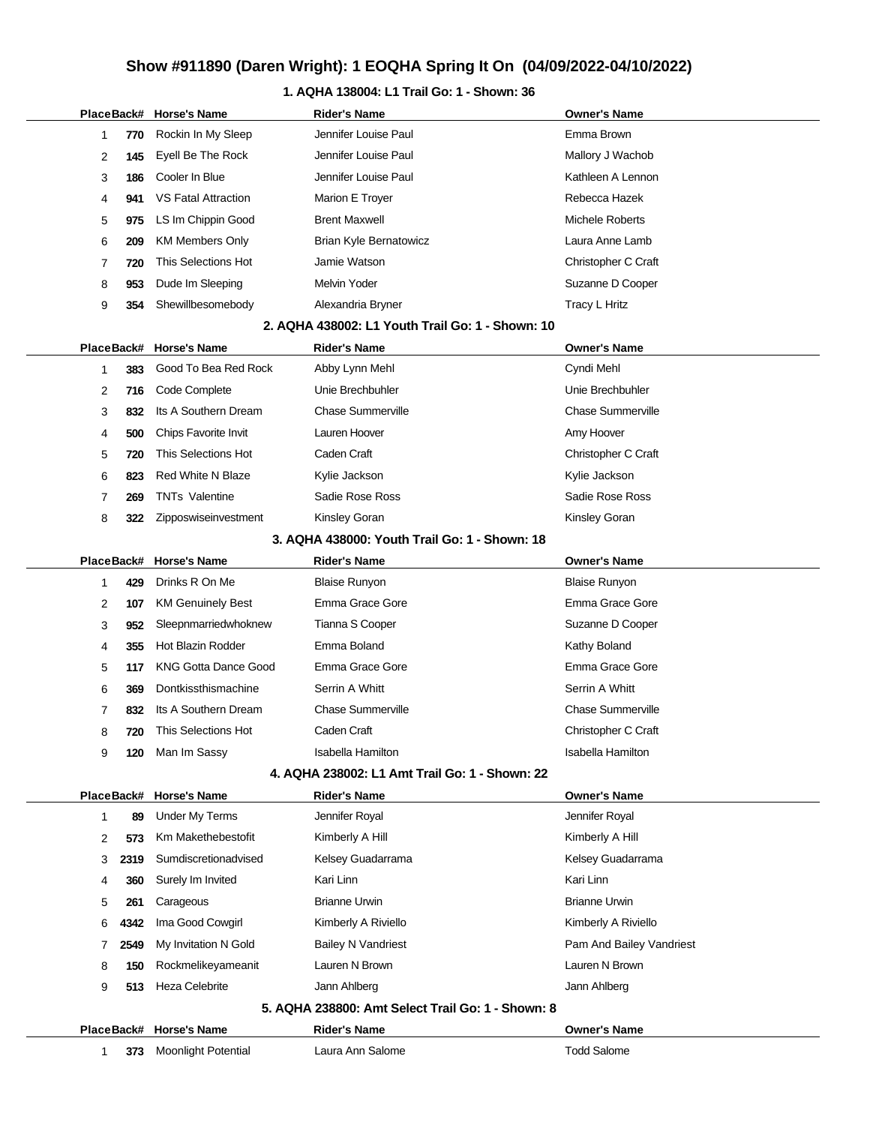### **1. AQHA 138004: L1 Trail Go: 1 - Shown: 36**

|  |   |            | PlaceBack# Horse's Name     | <b>Rider's Name</b>                               | <b>Owner's Name</b>      |
|--|---|------------|-----------------------------|---------------------------------------------------|--------------------------|
|  | 1 | 770        | Rockin In My Sleep          | Jennifer Louise Paul                              | Emma Brown               |
|  | 2 | 145        | Eyell Be The Rock           | Jennifer Louise Paul                              | Mallory J Wachob         |
|  | 3 | 186        | Cooler In Blue              | Jennifer Louise Paul                              | Kathleen A Lennon        |
|  | 4 | 941        | <b>VS Fatal Attraction</b>  | Marion E Troyer                                   | Rebecca Hazek            |
|  | 5 | 975        | LS Im Chippin Good          | <b>Brent Maxwell</b>                              | <b>Michele Roberts</b>   |
|  | 6 | 209        | <b>KM Members Only</b>      | Brian Kyle Bernatowicz                            | Laura Anne Lamb          |
|  | 7 | 720        | This Selections Hot         | Jamie Watson                                      | Christopher C Craft      |
|  | 8 | 953        | Dude Im Sleeping            | <b>Melvin Yoder</b>                               | Suzanne D Cooper         |
|  | 9 | 354        | Shewillbesomebody           | Alexandria Bryner                                 | Tracy L Hritz            |
|  |   |            |                             | 2. AQHA 438002: L1 Youth Trail Go: 1 - Shown: 10  |                          |
|  |   | PlaceBack# | <b>Horse's Name</b>         | <b>Rider's Name</b>                               | <b>Owner's Name</b>      |
|  | 1 | 383        | Good To Bea Red Rock        | Abby Lynn Mehl                                    | Cyndi Mehl               |
|  | 2 | 716        | Code Complete               | Unie Brechbuhler                                  | Unie Brechbuhler         |
|  | 3 | 832        | Its A Southern Dream        | <b>Chase Summerville</b>                          | <b>Chase Summerville</b> |
|  | 4 | 500        | Chips Favorite Invit        | Lauren Hoover                                     | Amy Hoover               |
|  | 5 | 720        | This Selections Hot         | Caden Craft                                       | Christopher C Craft      |
|  | 6 | 823        | <b>Red White N Blaze</b>    | Kylie Jackson                                     | Kylie Jackson            |
|  | 7 | 269        | <b>TNTs Valentine</b>       | Sadie Rose Ross                                   | Sadie Rose Ross          |
|  | 8 | 322        | Zipposwiseinvestment        | Kinsley Goran                                     | <b>Kinsley Goran</b>     |
|  |   |            |                             | 3. AQHA 438000: Youth Trail Go: 1 - Shown: 18     |                          |
|  |   | PlaceBack# | <b>Horse's Name</b>         | Rider's Name                                      | <b>Owner's Name</b>      |
|  | 1 | 429        | Drinks R On Me              | <b>Blaise Runyon</b>                              | <b>Blaise Runyon</b>     |
|  | 2 | 107        | <b>KM Genuinely Best</b>    | Emma Grace Gore                                   | Emma Grace Gore          |
|  | 3 | 952        | Sleepnmarriedwhoknew        | Tianna S Cooper                                   | Suzanne D Cooper         |
|  | 4 | 355        | <b>Hot Blazin Rodder</b>    | Emma Boland                                       | Kathy Boland             |
|  | 5 | 117        | <b>KNG Gotta Dance Good</b> | Emma Grace Gore                                   | Emma Grace Gore          |
|  | 6 | 369        | Dontkissthismachine         | Serrin A Whitt                                    | Serrin A Whitt           |
|  | 7 | 832        | Its A Southern Dream        | <b>Chase Summerville</b>                          | <b>Chase Summerville</b> |
|  | 8 | 720        | This Selections Hot         | Caden Craft                                       | Christopher C Craft      |
|  | 9 | 120        | Man Im Sassy                | Isabella Hamilton                                 | <b>Isabella Hamilton</b> |
|  |   |            |                             | 4. AQHA 238002: L1 Amt Trail Go: 1 - Shown: 22    |                          |
|  |   | PlaceBack# | <b>Horse's Name</b>         | <b>Rider's Name</b>                               | <b>Owner's Name</b>      |
|  | 1 | 89         | Under My Terms              | Jennifer Royal                                    | Jennifer Royal           |
|  | 2 | 573        | Km Makethebestofit          | Kimberly A Hill                                   | Kimberly A Hill          |
|  | 3 | 2319       | Sumdiscretionadvised        | Kelsey Guadarrama                                 | Kelsey Guadarrama        |
|  | 4 | 360        | Surely Im Invited           | Kari Linn                                         | Kari Linn                |
|  | 5 | 261        | Carageous                   | <b>Brianne Urwin</b>                              | <b>Brianne Urwin</b>     |
|  | 6 | 4342       | Ima Good Cowgirl            | Kimberly A Riviello                               | Kimberly A Riviello      |
|  | 7 | 2549       | My Invitation N Gold        | <b>Bailey N Vandriest</b>                         | Pam And Bailey Vandriest |
|  | 8 | 150        | Rockmelikeyameanit          | Lauren N Brown                                    | Lauren N Brown           |
|  | 9 | 513        | <b>Heza Celebrite</b>       | Jann Ahlberg                                      | Jann Ahlberg             |
|  |   |            |                             | 5. AQHA 238800: Amt Select Trail Go: 1 - Shown: 8 |                          |
|  |   | PlaceBack# | <b>Horse's Name</b>         | <b>Rider's Name</b>                               | <b>Owner's Name</b>      |
|  | 1 | 373        | <b>Moonlight Potential</b>  | Laura Ann Salome                                  | <b>Todd Salome</b>       |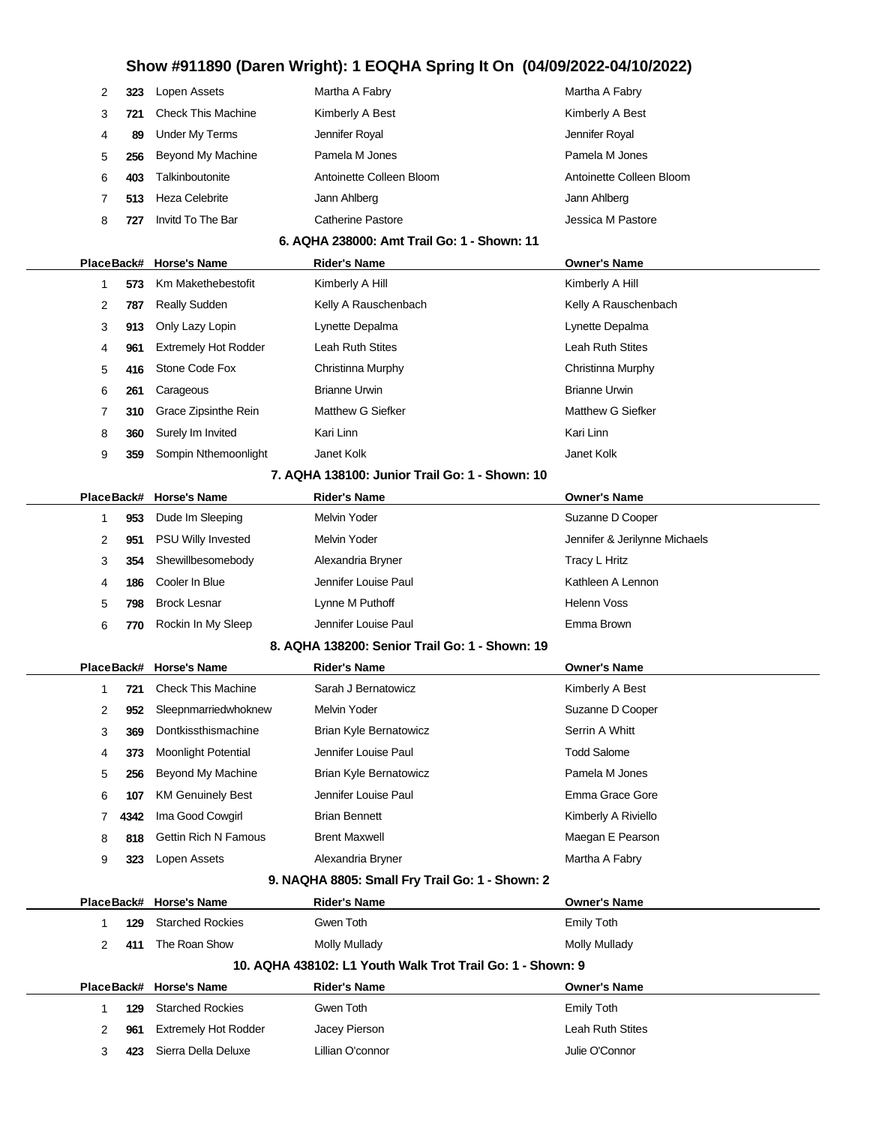| 323 | Lopen Assets              | Martha A Fabry           | Martha A Fabry           |
|-----|---------------------------|--------------------------|--------------------------|
|     | <b>Check This Machine</b> | Kimberly A Best          | Kimberly A Best          |
| 89  | <b>Under My Terms</b>     | Jennifer Royal           | Jennifer Royal           |
| 256 | Beyond My Machine         | Pamela M Jones           | Pamela M Jones           |
| 403 | Talkinboutonite           | Antoinette Colleen Bloom | Antoinette Colleen Bloom |
| 513 | Heza Celebrite            | Jann Ahlberg             | Jann Ahlberg             |
| 727 | Invitd To The Bar         | Catherine Pastore        | Jessica M Pastore        |
|     |                           |                          |                          |

### **6. AQHA 238000: Amt Trail Go: 1 - Shown: 11**

|                                                     |     | PlaceBack# Horse's Name     | <b>Rider's Name</b>  | <b>Owner's Name</b>  |  |  |
|-----------------------------------------------------|-----|-----------------------------|----------------------|----------------------|--|--|
|                                                     | 573 | Km Makethebestofit          | Kimberly A Hill      | Kimberly A Hill      |  |  |
| 2                                                   | 787 | <b>Really Sudden</b>        | Kelly A Rauschenbach | Kelly A Rauschenbach |  |  |
| 3                                                   | 913 | Only Lazy Lopin             | Lynette Depalma      | Lynette Depalma      |  |  |
| 4                                                   | 961 | <b>Extremely Hot Rodder</b> | Leah Ruth Stites     | Leah Ruth Stites     |  |  |
| 5                                                   | 416 | Stone Code Fox              | Christinna Murphy    | Christinna Murphy    |  |  |
| 6                                                   | 261 | Carageous                   | <b>Brianne Urwin</b> | <b>Brianne Urwin</b> |  |  |
|                                                     | 310 | Grace Zipsinthe Rein        | Matthew G Siefker    | Matthew G Siefker    |  |  |
| 8                                                   | 360 | Surely Im Invited           | Kari Linn            | Kari Linn            |  |  |
| 9                                                   | 359 | Sompin Nthemoonlight        | Janet Kolk           | Janet Kolk           |  |  |
| <b>7 AOUA 420400.</b> Junier Troil Co. 4 Chourn, 40 |     |                             |                      |                      |  |  |

#### **7. AQHA 138100: Junior Trail Go: 1 - Shown: 10**

|    |     | PlaceBack# Horse's Name   | <b>Rider's Name</b>  | <b>Owner's Name</b>           |
|----|-----|---------------------------|----------------------|-------------------------------|
|    | 953 | Dude Im Sleeping          | Melvin Yoder         | Suzanne D Cooper              |
| 2  | 951 | <b>PSU Willy Invested</b> | Melvin Yoder         | Jennifer & Jerilynne Michaels |
| 3  | 354 | Shewillbesomebody         | Alexandria Bryner    | Tracy L Hritz                 |
| 4  | 186 | Cooler In Blue            | Jennifer Louise Paul | Kathleen A Lennon             |
| 5. | 798 | <b>Brock Lesnar</b>       | Lynne M Puthoff      | Helenn Voss                   |
| 6  | 770 | Rockin In My Sleep        | Jennifer Louise Paul | Emma Brown                    |
|    |     |                           |                      |                               |

#### **8. AQHA 138200: Senior Trail Go: 1 - Shown: 19**

|   |      | PlaceBack# Horse's Name     | <b>Rider's Name</b>           | <b>Owner's Name</b> |
|---|------|-----------------------------|-------------------------------|---------------------|
|   | 721  | <b>Check This Machine</b>   | Sarah J Bernatowicz           | Kimberly A Best     |
| 2 | 952  | Sleepnmarriedwhoknew        | Melvin Yoder                  | Suzanne D Cooper    |
| 3 | 369  | Dontkissthismachine         | Brian Kyle Bernatowicz        | Serrin A Whitt      |
| 4 | 373  | <b>Moonlight Potential</b>  | Jennifer Louise Paul          | <b>Todd Salome</b>  |
| 5 | 256  | Beyond My Machine           | <b>Brian Kyle Bernatowicz</b> | Pamela M Jones      |
| 6 | 107  | <b>KM Genuinely Best</b>    | Jennifer Louise Paul          | Emma Grace Gore     |
|   | 4342 | Ima Good Cowgirl            | <b>Brian Bennett</b>          | Kimberly A Riviello |
| 8 | 818  | <b>Gettin Rich N Famous</b> | <b>Brent Maxwell</b>          | Maegan E Pearson    |
| 9 | 323  | Lopen Assets                | Alexandria Bryner             | Martha A Fabry      |

### **9. NAQHA 8805: Small Fry Trail Go: 1 - Shown: 2**

|                                                            |     | PlaceBack# Horse's Name     | <b>Rider's Name</b> | <b>Owner's Name</b> |  |  |  |
|------------------------------------------------------------|-----|-----------------------------|---------------------|---------------------|--|--|--|
|                                                            | 129 | <b>Starched Rockies</b>     | Gwen Toth           | Emily Toth          |  |  |  |
| 2                                                          | 411 | The Roan Show               | Molly Mullady       | Molly Mullady       |  |  |  |
| 10. AQHA 438102: L1 Youth Walk Trot Trail Go: 1 - Shown: 9 |     |                             |                     |                     |  |  |  |
|                                                            |     | PlaceBack# Horse's Name     | <b>Rider's Name</b> | <b>Owner's Name</b> |  |  |  |
|                                                            | 129 | <b>Starched Rockies</b>     | Gwen Toth           | Emily Toth          |  |  |  |
| 2                                                          | 961 | <b>Extremely Hot Rodder</b> | Jacey Pierson       | Leah Ruth Stites    |  |  |  |
| 3                                                          | 423 | Sierra Della Deluxe         | Lillian O'connor    | Julie O'Connor      |  |  |  |
|                                                            |     |                             |                     |                     |  |  |  |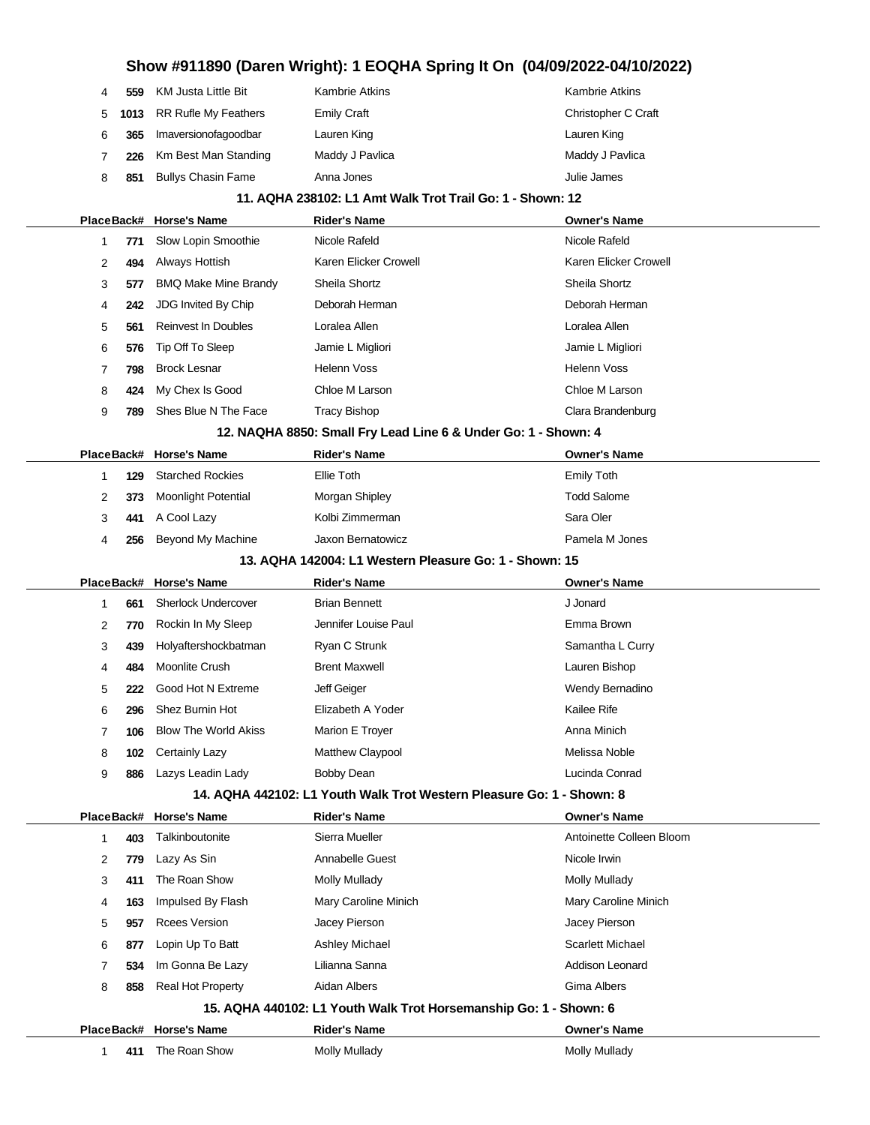| 4          | 559  | KM Justa Little Bit         | Kambrie Atkins                                                        | <b>Kambrie Atkins</b>    |
|------------|------|-----------------------------|-----------------------------------------------------------------------|--------------------------|
| 5          | 1013 | RR Rufle My Feathers        | <b>Emily Craft</b>                                                    | Christopher C Craft      |
| 6          | 365  | Imaversionofagoodbar        | Lauren King                                                           | Lauren King              |
| 7          | 226  | Km Best Man Standing        | Maddy J Pavlica                                                       | Maddy J Pavlica          |
| 8          | 851  | <b>Bullys Chasin Fame</b>   | Anna Jones                                                            | Julie James              |
|            |      |                             | 11. AQHA 238102: L1 Amt Walk Trot Trail Go: 1 - Shown: 12             |                          |
|            |      | PlaceBack# Horse's Name     | <b>Rider's Name</b>                                                   | <b>Owner's Name</b>      |
| 1          | 771  | Slow Lopin Smoothie         | Nicole Rafeld                                                         | Nicole Rafeld            |
| 2          | 494  | Always Hottish              | Karen Elicker Crowell                                                 | Karen Elicker Crowell    |
| 3          | 577  | <b>BMQ Make Mine Brandy</b> | Sheila Shortz                                                         | Sheila Shortz            |
| 4          | 242  | <b>JDG Invited By Chip</b>  | Deborah Herman                                                        | Deborah Herman           |
| 5          | 561  | <b>Reinvest In Doubles</b>  | Loralea Allen                                                         | Loralea Allen            |
| 6          | 576  | Tip Off To Sleep            | Jamie L Migliori                                                      | Jamie L Migliori         |
| 7          | 798  | <b>Brock Lesnar</b>         | <b>Helenn Voss</b>                                                    | Helenn Voss              |
| 8          | 424  | My Chex Is Good             | Chloe M Larson                                                        | Chloe M Larson           |
| 9          | 789  | Shes Blue N The Face        | <b>Tracy Bishop</b>                                                   | Clara Brandenburg        |
|            |      |                             | 12. NAQHA 8850: Small Fry Lead Line 6 & Under Go: 1 - Shown: 4        |                          |
| PlaceBack# |      | <b>Horse's Name</b>         | <b>Rider's Name</b>                                                   | <b>Owner's Name</b>      |
| 1          | 129  | <b>Starched Rockies</b>     | <b>Ellie Toth</b>                                                     | <b>Emily Toth</b>        |
| 2          | 373  | <b>Moonlight Potential</b>  | Morgan Shipley                                                        | <b>Todd Salome</b>       |
| 3          | 441  | A Cool Lazy                 | Kolbi Zimmerman                                                       | Sara Oler                |
| 4          | 256  | Beyond My Machine           | Jaxon Bernatowicz                                                     | Pamela M Jones           |
|            |      |                             | 13. AQHA 142004: L1 Western Pleasure Go: 1 - Shown: 15                |                          |
|            |      | <b>Horse's Name</b>         |                                                                       |                          |
| PlaceBack# |      |                             | Rider's Name                                                          | <b>Owner's Name</b>      |
| 1          | 661  | <b>Sherlock Undercover</b>  | <b>Brian Bennett</b>                                                  | J Jonard                 |
| 2          | 770  | Rockin In My Sleep          | Jennifer Louise Paul                                                  | Emma Brown               |
| 3          | 439  | Holyaftershockbatman        | Ryan C Strunk                                                         | Samantha L Curry         |
| 4          | 484  | Moonlite Crush              | <b>Brent Maxwell</b>                                                  | Lauren Bishop            |
| 5          | 222  | Good Hot N Extreme          | Jeff Geiger                                                           | Wendy Bernadino          |
| 6          | 296  | Shez Burnin Hot             | Elizabeth A Yoder                                                     | Kailee Rife              |
| 7          | 106  | <b>Blow The World Akiss</b> | Marion E Troyer                                                       | Anna Minich              |
| 8          | 102  | Certainly Lazy              | Matthew Claypool                                                      | Melissa Noble            |
| 9          | 886  | Lazys Leadin Lady           | <b>Bobby Dean</b>                                                     | Lucinda Conrad           |
|            |      |                             | 14. AQHA 442102: L1 Youth Walk Trot Western Pleasure Go: 1 - Shown: 8 |                          |
| PlaceBack# |      | <b>Horse's Name</b>         | <b>Rider's Name</b>                                                   | <b>Owner's Name</b>      |
| 1          | 403  | Talkinboutonite             | Sierra Mueller                                                        | Antoinette Colleen Bloom |
| 2          | 779  | Lazy As Sin                 | Annabelle Guest                                                       | Nicole Irwin             |
| 3          | 411  | The Roan Show               | <b>Molly Mullady</b>                                                  | Molly Mullady            |
| 4          | 163  | Impulsed By Flash           | Mary Caroline Minich                                                  | Mary Caroline Minich     |
| 5          | 957  | <b>Rcees Version</b>        | Jacey Pierson                                                         | Jacey Pierson            |
| 6          | 877  | Lopin Up To Batt            | Ashley Michael                                                        | <b>Scarlett Michael</b>  |
| 7          | 534  | Im Gonna Be Lazy            | Lilianna Sanna                                                        | <b>Addison Leonard</b>   |
| 8          | 858  | Real Hot Property           | Aidan Albers                                                          | Gima Albers              |
|            |      |                             | 15. AQHA 440102: L1 Youth Walk Trot Horsemanship Go: 1 - Shown: 6     |                          |
| PlaceBack# |      | <b>Horse's Name</b>         | <b>Rider's Name</b>                                                   | <b>Owner's Name</b>      |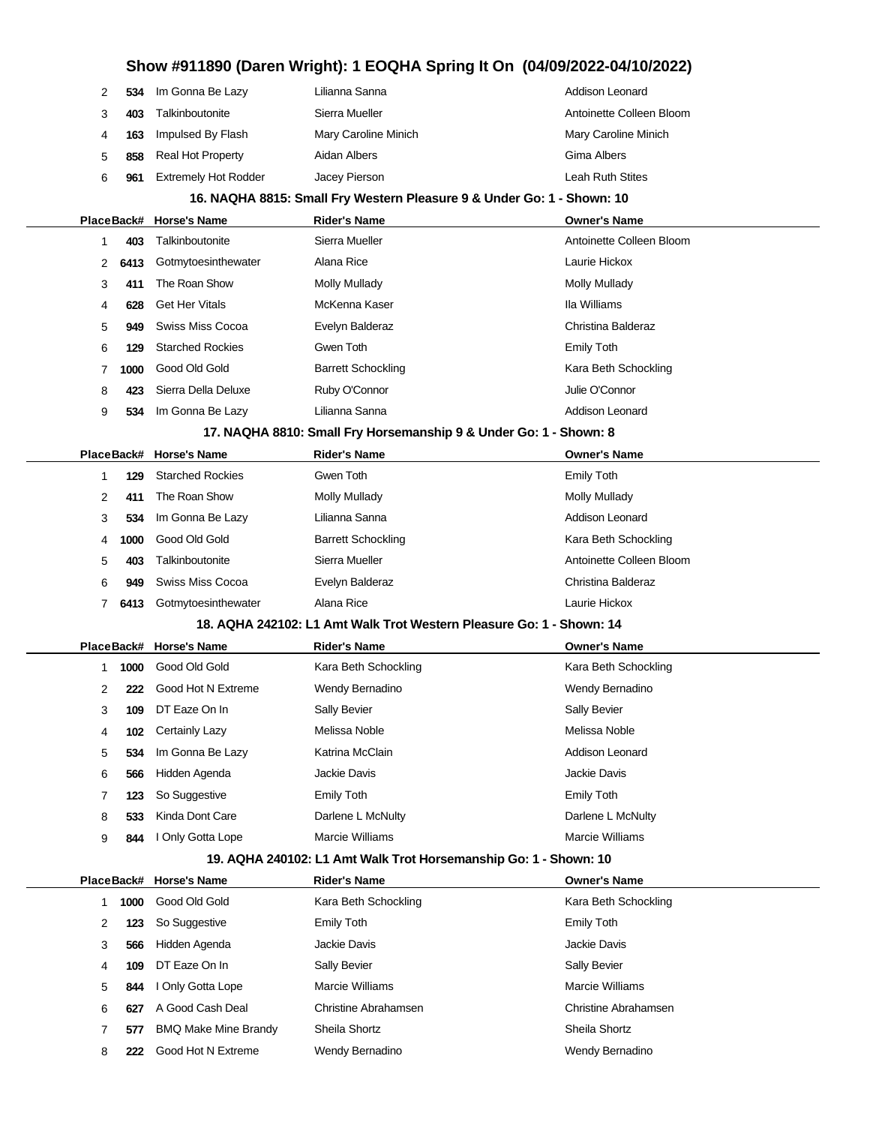| 2 | 534        | Im Gonna Be Lazy            | Lilianna Sanna                                                         | <b>Addison Leonard</b>   |
|---|------------|-----------------------------|------------------------------------------------------------------------|--------------------------|
| 3 | 403        | Talkinboutonite             | Sierra Mueller                                                         | Antoinette Colleen Bloom |
| 4 | 163        | Impulsed By Flash           | Mary Caroline Minich                                                   | Mary Caroline Minich     |
| 5 | 858        | <b>Real Hot Property</b>    | Aidan Albers                                                           | Gima Albers              |
| 6 | 961        | <b>Extremely Hot Rodder</b> | Jacey Pierson                                                          | Leah Ruth Stites         |
|   |            |                             | 16. NAQHA 8815: Small Fry Western Pleasure 9 & Under Go: 1 - Shown: 10 |                          |
|   | PlaceBack# | <b>Horse's Name</b>         | Rider's Name                                                           | <b>Owner's Name</b>      |
| 1 | 403        | Talkinboutonite             | Sierra Mueller                                                         | Antoinette Colleen Bloom |
| 2 | 6413       | Gotmytoesinthewater         | Alana Rice                                                             | Laurie Hickox            |
| 3 | 411        | The Roan Show               | <b>Molly Mullady</b>                                                   | <b>Molly Mullady</b>     |
| 4 | 628        | <b>Get Her Vitals</b>       | McKenna Kaser                                                          | Ila Williams             |
| 5 | 949        | Swiss Miss Cocoa            | Evelyn Balderaz                                                        | Christina Balderaz       |
| 6 | 129        | <b>Starched Rockies</b>     | Gwen Toth                                                              | <b>Emily Toth</b>        |
| 7 | 1000       | Good Old Gold               | <b>Barrett Schockling</b>                                              | Kara Beth Schockling     |
| 8 | 423        | Sierra Della Deluxe         | Ruby O'Connor                                                          | Julie O'Connor           |
| 9 | 534        | Im Gonna Be Lazy            | Lilianna Sanna                                                         | <b>Addison Leonard</b>   |
|   |            |                             | 17. NAQHA 8810: Small Fry Horsemanship 9 & Under Go: 1 - Shown: 8      |                          |
|   | PlaceBack# | <b>Horse's Name</b>         | Rider's Name                                                           | <b>Owner's Name</b>      |
| 1 | 129        | <b>Starched Rockies</b>     | Gwen Toth                                                              | <b>Emily Toth</b>        |
| 2 | 411        | The Roan Show               | Molly Mullady                                                          | Molly Mullady            |
| 3 | 534        | Im Gonna Be Lazy            | Lilianna Sanna                                                         | <b>Addison Leonard</b>   |
| 4 | 1000       | Good Old Gold               | <b>Barrett Schockling</b>                                              | Kara Beth Schockling     |
| 5 | 403        | Talkinboutonite             | Sierra Mueller                                                         | Antoinette Colleen Bloom |
| 6 | 949        | Swiss Miss Cocoa            | Evelyn Balderaz                                                        | Christina Balderaz       |
| 7 | 6413       | Gotmytoesinthewater         | Alana Rice                                                             | Laurie Hickox            |
|   |            |                             | 18. AQHA 242102: L1 Amt Walk Trot Western Pleasure Go: 1 - Shown: 14   |                          |
|   |            | PlaceBack# Horse's Name     | <b>Rider's Name</b>                                                    | <b>Owner's Name</b>      |
| 1 | 1000       | Good Old Gold               | Kara Beth Schockling                                                   | Kara Beth Schockling     |
| 2 | 222        | Good Hot N Extreme          | Wendy Bernadino                                                        | Wendy Bernadino          |
| 3 | 109        | DT Eaze On In               | <b>Sally Bevier</b>                                                    | Sally Bevier             |
| 4 | 102        | Certainly Lazy              | Melissa Noble                                                          | Melissa Noble            |
| 5 | 534        | Im Gonna Be Lazy            | Katrina McClain                                                        | Addison Leonard          |
| 6 | 566        | Hidden Agenda               | Jackie Davis                                                           | Jackie Davis             |
| 7 | 123        | So Suggestive               | <b>Emily Toth</b>                                                      | <b>Emily Toth</b>        |
| 8 | 533        | Kinda Dont Care             | Darlene L McNulty                                                      | Darlene L McNulty        |
| 9 | 844        | I Only Gotta Lope           | Marcie Williams                                                        | <b>Marcie Williams</b>   |
|   |            |                             | 19. AQHA 240102: L1 Amt Walk Trot Horsemanship Go: 1 - Shown: 10       |                          |
|   | PlaceBack# | <b>Horse's Name</b>         | <b>Rider's Name</b>                                                    | <b>Owner's Name</b>      |
| 1 | 1000       | Good Old Gold               | Kara Beth Schockling                                                   | Kara Beth Schockling     |
| 2 | 123        | So Suggestive               | <b>Emily Toth</b>                                                      | <b>Emily Toth</b>        |
| 3 | 566        | Hidden Agenda               | Jackie Davis                                                           | Jackie Davis             |
| 4 | 109        | DT Eaze On In               | <b>Sally Bevier</b>                                                    | <b>Sally Bevier</b>      |
| 5 | 844        | I Only Gotta Lope           | Marcie Williams                                                        | <b>Marcie Williams</b>   |
| 6 | 627        | A Good Cash Deal            | Christine Abrahamsen                                                   | Christine Abrahamsen     |
| 7 | 577        | <b>BMQ Make Mine Brandy</b> | Sheila Shortz                                                          | Sheila Shortz            |
|   |            | Good Hot N Extreme          | Wendy Bernadino                                                        | Wendy Bernadino          |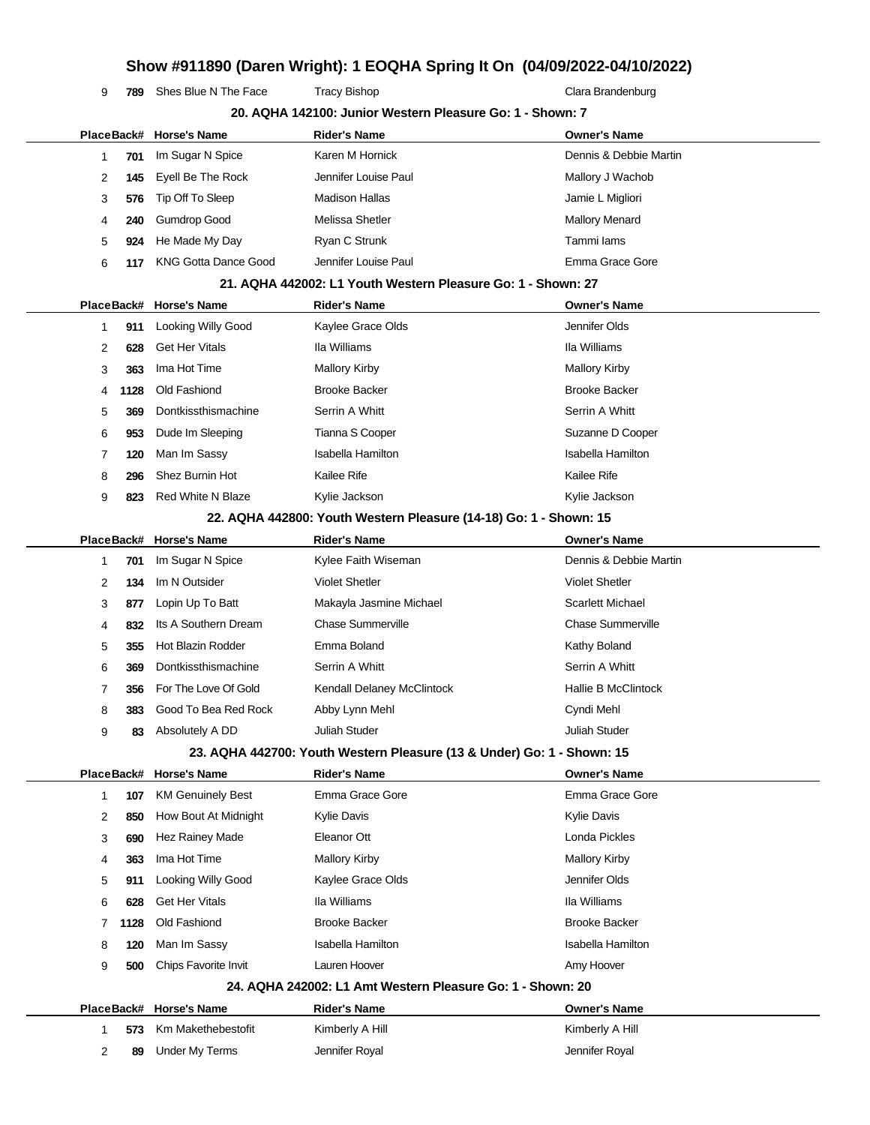```
9 789 Shes Blue N The Face Tracy Bishop Tracter Clara Brandenburg
```

|              |            | PlaceBack# Horse's Name     | <b>Rider's Name</b>                                                    | <b>Owner's Name</b>        |
|--------------|------------|-----------------------------|------------------------------------------------------------------------|----------------------------|
| -1           | 701        | Im Sugar N Spice            | Karen M Hornick                                                        | Dennis & Debbie Martin     |
| 2            | 145        | Eyell Be The Rock           | Jennifer Louise Paul                                                   | Mallory J Wachob           |
| 3            | 576        | Tip Off To Sleep            | <b>Madison Hallas</b>                                                  | Jamie L Migliori           |
| 4            | 240        | <b>Gumdrop Good</b>         | Melissa Shetler                                                        | <b>Mallory Menard</b>      |
| 5            | 924        | He Made My Day              | Ryan C Strunk                                                          | Tammi lams                 |
| 6            | 117        | <b>KNG Gotta Dance Good</b> | Jennifer Louise Paul                                                   | Emma Grace Gore            |
|              |            |                             | 21. AQHA 442002: L1 Youth Western Pleasure Go: 1 - Shown: 27           |                            |
|              |            | PlaceBack# Horse's Name     | <b>Rider's Name</b>                                                    | <b>Owner's Name</b>        |
| 1            | 911        | Looking Willy Good          | Kaylee Grace Olds                                                      | Jennifer Olds              |
| 2            | 628        | <b>Get Her Vitals</b>       | Ila Williams                                                           | Ila Williams               |
| 3            | 363        | Ima Hot Time                | <b>Mallory Kirby</b>                                                   | <b>Mallory Kirby</b>       |
| 4            | 1128       | Old Fashiond                | <b>Brooke Backer</b>                                                   | <b>Brooke Backer</b>       |
| 5            | 369        | Dontkissthismachine         | Serrin A Whitt                                                         | Serrin A Whitt             |
| 6            | 953        | Dude Im Sleeping            | Tianna S Cooper                                                        | Suzanne D Cooper           |
| 7            | 120        | Man Im Sassy                | <b>Isabella Hamilton</b>                                               | <b>Isabella Hamilton</b>   |
| 8            | 296        | Shez Burnin Hot             | Kailee Rife                                                            | <b>Kailee Rife</b>         |
| 9            | 823        | <b>Red White N Blaze</b>    | Kylie Jackson                                                          | Kylie Jackson              |
|              |            |                             | 22. AQHA 442800: Youth Western Pleasure (14-18) Go: 1 - Shown: 15      |                            |
|              | PlaceBack# | Horse's Name                | <b>Rider's Name</b>                                                    | <b>Owner's Name</b>        |
| -1           | 701        | Im Sugar N Spice            | Kylee Faith Wiseman                                                    | Dennis & Debbie Martin     |
| 2            | 134        | Im N Outsider               | <b>Violet Shetler</b>                                                  | <b>Violet Shetler</b>      |
| 3            | 877        | Lopin Up To Batt            | Makayla Jasmine Michael                                                | <b>Scarlett Michael</b>    |
| 4            | 832        | Its A Southern Dream        | <b>Chase Summerville</b>                                               | <b>Chase Summerville</b>   |
| 5            | 355        | <b>Hot Blazin Rodder</b>    | Emma Boland                                                            | Kathy Boland               |
| 6            | 369        | Dontkissthismachine         | Serrin A Whitt                                                         | Serrin A Whitt             |
| 7            | 356        | For The Love Of Gold        | Kendall Delaney McClintock                                             | <b>Hallie B McClintock</b> |
| 8            | 383        | Good To Bea Red Rock        | Abby Lynn Mehl                                                         | Cyndi Mehl                 |
| 9            | 83         | Absolutely A DD             | Juliah Studer                                                          | <b>Juliah Studer</b>       |
|              |            |                             | 23. AQHA 442700: Youth Western Pleasure (13 & Under) Go: 1 - Shown: 15 |                            |
|              |            | PlaceBack# Horse's Name     | <b>Rider's Name</b>                                                    | <b>Owner's Name</b>        |
| $\mathbf{1}$ | 107        | <b>KM Genuinely Best</b>    | Emma Grace Gore                                                        | Emma Grace Gore            |
| 2            | 850        | How Bout At Midnight        | <b>Kylie Davis</b>                                                     | Kylie Davis                |
| 3            | 690        | Hez Rainey Made             | Eleanor Ott                                                            | Londa Pickles              |
| 4            | 363        | Ima Hot Time                | <b>Mallory Kirby</b>                                                   | <b>Mallory Kirby</b>       |
| 5            | 911        | Looking Willy Good          | Kaylee Grace Olds                                                      | Jennifer Olds              |
| 6            | 628        | <b>Get Her Vitals</b>       | Ila Williams                                                           | Ila Williams               |
| 7            | 1128       | Old Fashiond                | <b>Brooke Backer</b>                                                   | <b>Brooke Backer</b>       |
| 8            | 120        | Man Im Sassy                | <b>Isabella Hamilton</b>                                               | <b>Isabella Hamilton</b>   |
| 9            | 500        | Chips Favorite Invit        | Lauren Hoover                                                          | Amy Hoover                 |
|              |            |                             | 24. AQHA 242002: L1 Amt Western Pleasure Go: 1 - Shown: 20             |                            |
|              |            | PlaceBack# Horse's Name     | <b>Rider's Name</b>                                                    | <b>Owner's Name</b>        |
| 1            | 573        | Km Makethebestofit          | Kimberly A Hill                                                        | Kimberly A Hill            |
|              |            | <b>Under My Terms</b>       | Jennifer Royal                                                         | Jennifer Royal             |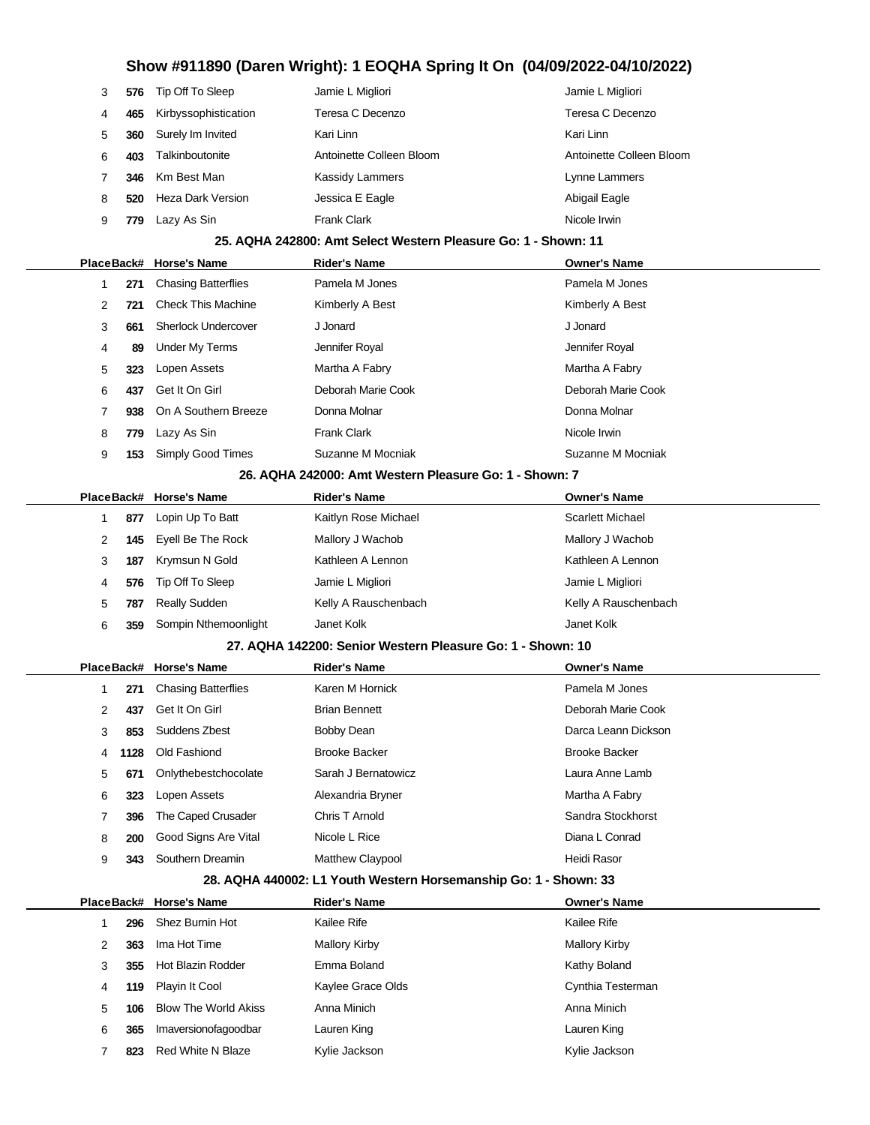| 3 |     | 576 Tip Off To Sleep | Jamie L Migliori         | Jamie L Migliori         |
|---|-----|----------------------|--------------------------|--------------------------|
| 4 | 465 | Kirbyssophistication | Teresa C Decenzo         | Teresa C Decenzo         |
| 5 | 360 | Surely Im Invited    | Kari Linn                | Kari Linn                |
| 6 | 403 | Talkinboutonite      | Antoinette Colleen Bloom | Antoinette Colleen Bloom |
|   | 346 | Km Best Man          | Kassidy Lammers          | Lynne Lammers            |
| 8 | 520 | Heza Dark Version    | Jessica E Eagle          | Abigail Eagle            |
| 9 | 779 | Lazy As Sin          | <b>Frank Clark</b>       | Nicole Irwin             |

### **25. AQHA 242800: Amt Select Western Pleasure Go: 1 - Shown: 11**

|   |     | PlaceBack# Horse's Name    | <b>Rider's Name</b> | <b>Owner's Name</b> |
|---|-----|----------------------------|---------------------|---------------------|
|   | 271 | <b>Chasing Batterflies</b> | Pamela M Jones      | Pamela M Jones      |
| 2 | 721 | <b>Check This Machine</b>  | Kimberly A Best     | Kimberly A Best     |
| 3 | 661 | Sherlock Undercover        | J Jonard            | J Jonard            |
| 4 | 89  | Under My Terms             | Jennifer Royal      | Jennifer Royal      |
| 5 | 323 | Lopen Assets               | Martha A Fabry      | Martha A Fabry      |
| 6 | 437 | Get It On Girl             | Deborah Marie Cook  | Deborah Marie Cook  |
|   |     | 938 On A Southern Breeze   | Donna Molnar        | Donna Molnar        |
| 8 | 779 | Lazy As Sin                | <b>Frank Clark</b>  | Nicole Irwin        |
| 9 | 153 | Simply Good Times          | Suzanne M Mocniak   | Suzanne M Mocniak   |
|   |     |                            |                     |                     |

#### **26. AQHA 242000: Amt Western Pleasure Go: 1 - Shown: 7**

|   |     | PlaceBack# Horse's Name | <b>Rider's Name</b>  | <b>Owner's Name</b>     |
|---|-----|-------------------------|----------------------|-------------------------|
|   | 877 | Lopin Up To Batt        | Kaitlyn Rose Michael | <b>Scarlett Michael</b> |
| 2 |     | 145 Eyell Be The Rock   | Mallory J Wachob     | Mallory J Wachob        |
| 3 | 187 | Krymsun N Gold          | Kathleen A Lennon    | Kathleen A Lennon       |
| 4 |     | 576 Tip Off To Sleep    | Jamie L Migliori     | Jamie L Migliori        |
| 5 | 787 | <b>Really Sudden</b>    | Kelly A Rauschenbach | Kelly A Rauschenbach    |
| 6 | 359 | Sompin Nthemoonlight    | Janet Kolk           | Janet Kolk              |

#### **27. AQHA 142200: Senior Western Pleasure Go: 1 - Shown: 10**

|   |      | PlaceBack# Horse's Name    | <b>Rider's Name</b>     | <b>Owner's Name</b>  |
|---|------|----------------------------|-------------------------|----------------------|
|   | 271  | <b>Chasing Batterflies</b> | Karen M Hornick         | Pamela M Jones       |
| 2 | 437  | Get It On Girl             | <b>Brian Bennett</b>    | Deborah Marie Cook   |
| 3 | 853  | Suddens Zbest              | <b>Bobby Dean</b>       | Darca Leann Dickson  |
| 4 | 1128 | Old Fashiond               | <b>Brooke Backer</b>    | <b>Brooke Backer</b> |
| 5 | 671  | Onlythebestchocolate       | Sarah J Bernatowicz     | Laura Anne Lamb      |
| 6 | 323  | Lopen Assets               | Alexandria Bryner       | Martha A Fabry       |
|   | 396  | The Caped Crusader         | Chris T Arnold          | Sandra Stockhorst    |
| 8 | 200  | Good Signs Are Vital       | Nicole L Rice           | Diana L Conrad       |
| 9 | 343  | Southern Dreamin           | <b>Matthew Claypool</b> | Heidi Rasor          |

### **28. AQHA 440002: L1 Youth Western Horsemanship Go: 1 - Shown: 33**

| PlaceBack# |     | <b>Horse's Name</b>         | <b>Rider's Name</b>  | <b>Owner's Name</b>  |  |
|------------|-----|-----------------------------|----------------------|----------------------|--|
|            | 296 | Shez Burnin Hot             | Kailee Rife          | Kailee Rife          |  |
| 2          | 363 | Ima Hot Time                | <b>Mallory Kirby</b> | <b>Mallory Kirby</b> |  |
| 3          | 355 | Hot Blazin Rodder           | Emma Boland          | Kathy Boland         |  |
| 4          | 119 | Playin It Cool              | Kaylee Grace Olds    | Cynthia Testerman    |  |
| 5          | 106 | <b>Blow The World Akiss</b> | Anna Minich          | Anna Minich          |  |
| 6          | 365 | Imaversionofagoodbar        | Lauren King          | Lauren King          |  |
|            | 823 | Red White N Blaze           | Kylie Jackson        | Kylie Jackson        |  |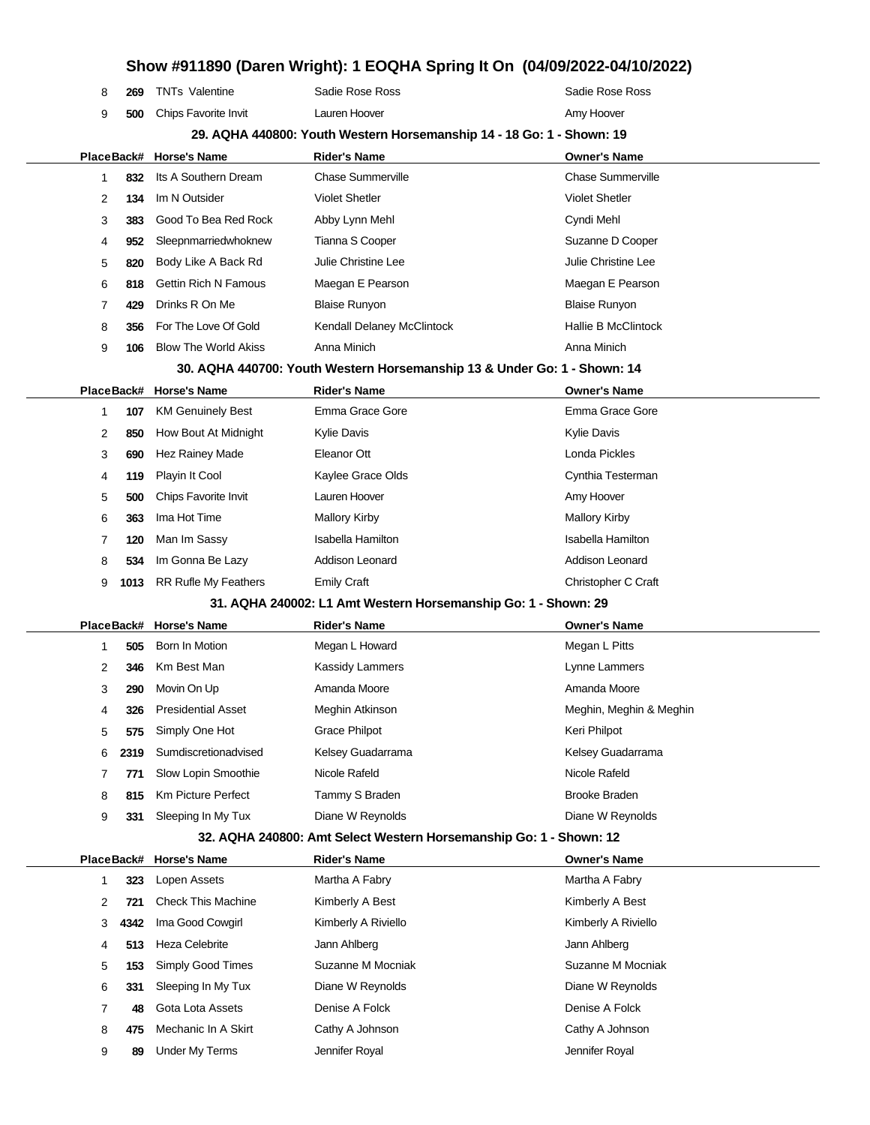|   |            |                             |                                                                          | Show #911890 (Daren Wright): 1 EOQHA Spring It On (04/09/2022-04/10/2022) |
|---|------------|-----------------------------|--------------------------------------------------------------------------|---------------------------------------------------------------------------|
| 8 | 269        | <b>TNTs Valentine</b>       | Sadie Rose Ross                                                          | Sadie Rose Ross                                                           |
| 9 | 500        | Chips Favorite Invit        | Lauren Hoover                                                            | Amy Hoover                                                                |
|   |            |                             | 29. AQHA 440800: Youth Western Horsemanship 14 - 18 Go: 1 - Shown: 19    |                                                                           |
|   | PlaceBack# | <b>Horse's Name</b>         | <b>Rider's Name</b>                                                      | <b>Owner's Name</b>                                                       |
| 1 | 832        | Its A Southern Dream        | <b>Chase Summerville</b>                                                 | <b>Chase Summerville</b>                                                  |
| 2 | 134        | Im N Outsider               | <b>Violet Shetler</b>                                                    | <b>Violet Shetler</b>                                                     |
| 3 | 383        | Good To Bea Red Rock        | Abby Lynn Mehl                                                           | Cyndi Mehl                                                                |
| 4 | 952        | Sleepnmarriedwhoknew        | Tianna S Cooper                                                          | Suzanne D Cooper                                                          |
| 5 | 820        | Body Like A Back Rd         | Julie Christine Lee                                                      | Julie Christine Lee                                                       |
| 6 | 818        | <b>Gettin Rich N Famous</b> | Maegan E Pearson                                                         | Maegan E Pearson                                                          |
| 7 | 429        | Drinks R On Me              | <b>Blaise Runyon</b>                                                     | <b>Blaise Runyon</b>                                                      |
| 8 | 356        | For The Love Of Gold        | Kendall Delaney McClintock                                               | <b>Hallie B McClintock</b>                                                |
| 9 | 106        | <b>Blow The World Akiss</b> | Anna Minich                                                              | Anna Minich                                                               |
|   |            |                             | 30. AQHA 440700: Youth Western Horsemanship 13 & Under Go: 1 - Shown: 14 |                                                                           |
|   | PlaceBack# | <b>Horse's Name</b>         | <b>Rider's Name</b>                                                      | <b>Owner's Name</b>                                                       |
| 1 | 107        | <b>KM Genuinely Best</b>    | Emma Grace Gore                                                          | Emma Grace Gore                                                           |
| 2 | 850        | How Bout At Midnight        | <b>Kylie Davis</b>                                                       | <b>Kylie Davis</b>                                                        |
| 3 | 690        | Hez Rainey Made             | Eleanor Ott                                                              | Londa Pickles                                                             |
| 4 | 119        | Playin It Cool              | Kaylee Grace Olds                                                        | Cynthia Testerman                                                         |
| 5 | 500        | Chips Favorite Invit        | Lauren Hoover                                                            | Amy Hoover                                                                |
| 6 | 363        | Ima Hot Time                | <b>Mallory Kirby</b>                                                     | <b>Mallory Kirby</b>                                                      |
| 7 | 120        | Man Im Sassy                | <b>Isabella Hamilton</b>                                                 | <b>Isabella Hamilton</b>                                                  |
| 8 | 534        | Im Gonna Be Lazy            | Addison Leonard                                                          | <b>Addison Leonard</b>                                                    |
| 9 | 1013       | <b>RR Rufle My Feathers</b> | <b>Emily Craft</b>                                                       | Christopher C Craft                                                       |
|   |            |                             | 31. AQHA 240002: L1 Amt Western Horsemanship Go: 1 - Shown: 29           |                                                                           |
|   | PlaceBack# | <b>Horse's Name</b>         | <b>Rider's Name</b>                                                      | <b>Owner's Name</b>                                                       |
| 1 | 505        | Born In Motion              | Megan L Howard                                                           | Megan L Pitts                                                             |
| 2 | 346        | Km Best Man                 | <b>Kassidy Lammers</b>                                                   | Lynne Lammers                                                             |
| 3 | 290        | Movin On Up                 | Amanda Moore                                                             | Amanda Moore                                                              |
| 4 | 326        | <b>Presidential Asset</b>   | Meghin Atkinson                                                          | Meghin, Meghin & Meghin                                                   |
| 5 | 575        | Simply One Hot              | <b>Grace Philpot</b>                                                     | Keri Philpot                                                              |
| 6 | 2319       | Sumdiscretionadvised        | Kelsey Guadarrama                                                        | Kelsey Guadarrama                                                         |
| 7 | 771        | Slow Lopin Smoothie         | Nicole Rafeld                                                            | Nicole Rafeld                                                             |
| 8 | 815        | Km Picture Perfect          | Tammy S Braden                                                           | Brooke Braden                                                             |
| 9 | 331        | Sleeping In My Tux          | Diane W Reynolds                                                         | Diane W Reynolds                                                          |
|   |            |                             | 32. AQHA 240800: Amt Select Western Horsemanship Go: 1 - Shown: 12       |                                                                           |
|   | PlaceBack# | <b>Horse's Name</b>         | <b>Rider's Name</b>                                                      | <b>Owner's Name</b>                                                       |
| 1 | 323        | Lopen Assets                | Martha A Fabry                                                           | Martha A Fabry                                                            |
| 2 | 721        | <b>Check This Machine</b>   | Kimberly A Best                                                          | Kimberly A Best                                                           |
| 3 | 4342       | Ima Good Cowgirl            | Kimberly A Riviello                                                      | Kimberly A Riviello                                                       |
| 4 | 513        | <b>Heza Celebrite</b>       | Jann Ahlberg                                                             | Jann Ahlberg                                                              |
| 5 | 153        | Simply Good Times           | Suzanne M Mocniak                                                        | Suzanne M Mocniak                                                         |
| 6 | 331        | Sleeping In My Tux          | Diane W Reynolds                                                         | Diane W Reynolds                                                          |
| 7 | 48         | Gota Lota Assets            | Denise A Folck                                                           | Denise A Folck                                                            |
| 8 | 475        | Mechanic In A Skirt         | Cathy A Johnson                                                          | Cathy A Johnson                                                           |
| 9 | 89         | <b>Under My Terms</b>       | Jennifer Royal                                                           | Jennifer Royal                                                            |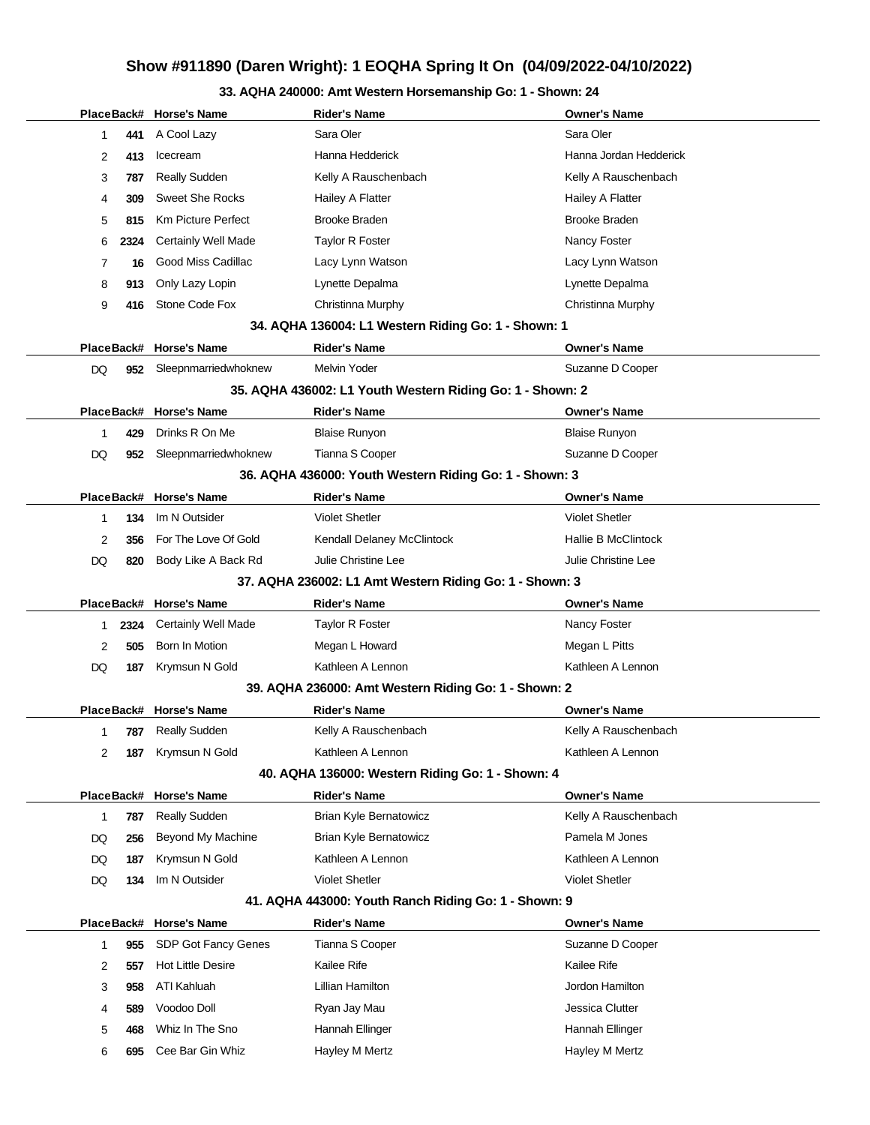### **33. AQHA 240000: Amt Western Horsemanship Go: 1 - Shown: 24**

|            |            | PlaceBack# Horse's Name   | <b>Rider's Name</b>                                       | <b>Owner's Name</b>        |
|------------|------------|---------------------------|-----------------------------------------------------------|----------------------------|
| 1          | 441        | A Cool Lazy               | Sara Oler                                                 | Sara Oler                  |
| 2          | 413        | Icecream                  | Hanna Hedderick                                           | Hanna Jordan Hedderick     |
| 3          | 787        | <b>Really Sudden</b>      | Kelly A Rauschenbach                                      | Kelly A Rauschenbach       |
| 4          | 309        | <b>Sweet She Rocks</b>    | Hailey A Flatter                                          | Hailey A Flatter           |
| 5          | 815        | <b>Km Picture Perfect</b> | <b>Brooke Braden</b>                                      | <b>Brooke Braden</b>       |
| 6          | 2324       | Certainly Well Made       | Taylor R Foster                                           | Nancy Foster               |
| 7          | 16         | Good Miss Cadillac        | Lacy Lynn Watson                                          | Lacy Lynn Watson           |
| 8          | 913        | Only Lazy Lopin           | Lynette Depalma                                           | Lynette Depalma            |
| 9          | 416        | Stone Code Fox            | Christinna Murphy                                         | Christinna Murphy          |
|            |            |                           | 34. AQHA 136004: L1 Western Riding Go: 1 - Shown: 1       |                            |
| PlaceBack# |            | <b>Horse's Name</b>       | Rider's Name                                              | <b>Owner's Name</b>        |
| DQ         | 952        | Sleepnmarriedwhoknew      | <b>Melvin Yoder</b>                                       | Suzanne D Cooper           |
|            |            |                           | 35. AQHA 436002: L1 Youth Western Riding Go: 1 - Shown: 2 |                            |
| PlaceBack# |            | <b>Horse's Name</b>       | <b>Rider's Name</b>                                       | <b>Owner's Name</b>        |
| 1          | 429        | Drinks R On Me            | <b>Blaise Runyon</b>                                      | <b>Blaise Runyon</b>       |
| DQ         | 952        | Sleepnmarriedwhoknew      | Tianna S Cooper                                           | Suzanne D Cooper           |
|            |            |                           | 36. AQHA 436000: Youth Western Riding Go: 1 - Shown: 3    |                            |
| PlaceBack# |            | <b>Horse's Name</b>       | <b>Rider's Name</b>                                       | <b>Owner's Name</b>        |
| 1          | 134        | Im N Outsider             | <b>Violet Shetler</b>                                     | <b>Violet Shetler</b>      |
| 2          | 356        | For The Love Of Gold      | Kendall Delaney McClintock                                | <b>Hallie B McClintock</b> |
| DQ         | 820        | Body Like A Back Rd       | Julie Christine Lee                                       | Julie Christine Lee        |
|            |            |                           | 37. AQHA 236002: L1 Amt Western Riding Go: 1 - Shown: 3   |                            |
| PlaceBack# |            | <b>Horse's Name</b>       | Rider's Name                                              | <b>Owner's Name</b>        |
| 1          | 2324       | Certainly Well Made       | Taylor R Foster                                           | Nancy Foster               |
| 2          | 505        | Born In Motion            | Megan L Howard                                            | Megan L Pitts              |
| DQ         | 187        | Krymsun N Gold            | Kathleen A Lennon                                         | Kathleen A Lennon          |
|            |            |                           | 39. AQHA 236000: Amt Western Riding Go: 1 - Shown: 2      |                            |
|            |            | PlaceBack# Horse's Name   | <b>Rider's Name</b>                                       | <b>Owner's Name</b>        |
| 1          | 787        | <b>Really Sudden</b>      | Kelly A Rauschenbach                                      | Kelly A Rauschenbach       |
| 2          | 187        | Krymsun N Gold            | Kathleen A Lennon                                         | Kathleen A Lennon          |
|            |            |                           | 40. AQHA 136000: Western Riding Go: 1 - Shown: 4          |                            |
|            | PlaceBack# | <b>Horse's Name</b>       | <b>Rider's Name</b>                                       | <b>Owner's Name</b>        |
| 1          | 787        | <b>Really Sudden</b>      | Brian Kyle Bernatowicz                                    | Kelly A Rauschenbach       |
| DQ         | 256        | Beyond My Machine         | Brian Kyle Bernatowicz                                    | Pamela M Jones             |
| DQ         | 187        | Krymsun N Gold            | Kathleen A Lennon                                         | Kathleen A Lennon          |
| DQ         | 134        | Im N Outsider             | <b>Violet Shetler</b>                                     | <b>Violet Shetler</b>      |
|            |            |                           | 41. AQHA 443000: Youth Ranch Riding Go: 1 - Shown: 9      |                            |
| PlaceBack# |            | <b>Horse's Name</b>       | <b>Rider's Name</b>                                       | <b>Owner's Name</b>        |
| 1          | 955        | SDP Got Fancy Genes       | Tianna S Cooper                                           | Suzanne D Cooper           |
| 2          | 557        | <b>Hot Little Desire</b>  | Kailee Rife                                               | Kailee Rife                |
| 3          | 958        | ATI Kahluah               | Lillian Hamilton                                          | Jordon Hamilton            |
| 4          | 589        | Voodoo Doll               | Ryan Jay Mau                                              | Jessica Clutter            |
| 5          | 468        | Whiz In The Sno           | Hannah Ellinger                                           | Hannah Ellinger            |
| 6          | 695        | Cee Bar Gin Whiz          | Hayley M Mertz                                            | Hayley M Mertz             |
|            |            |                           |                                                           |                            |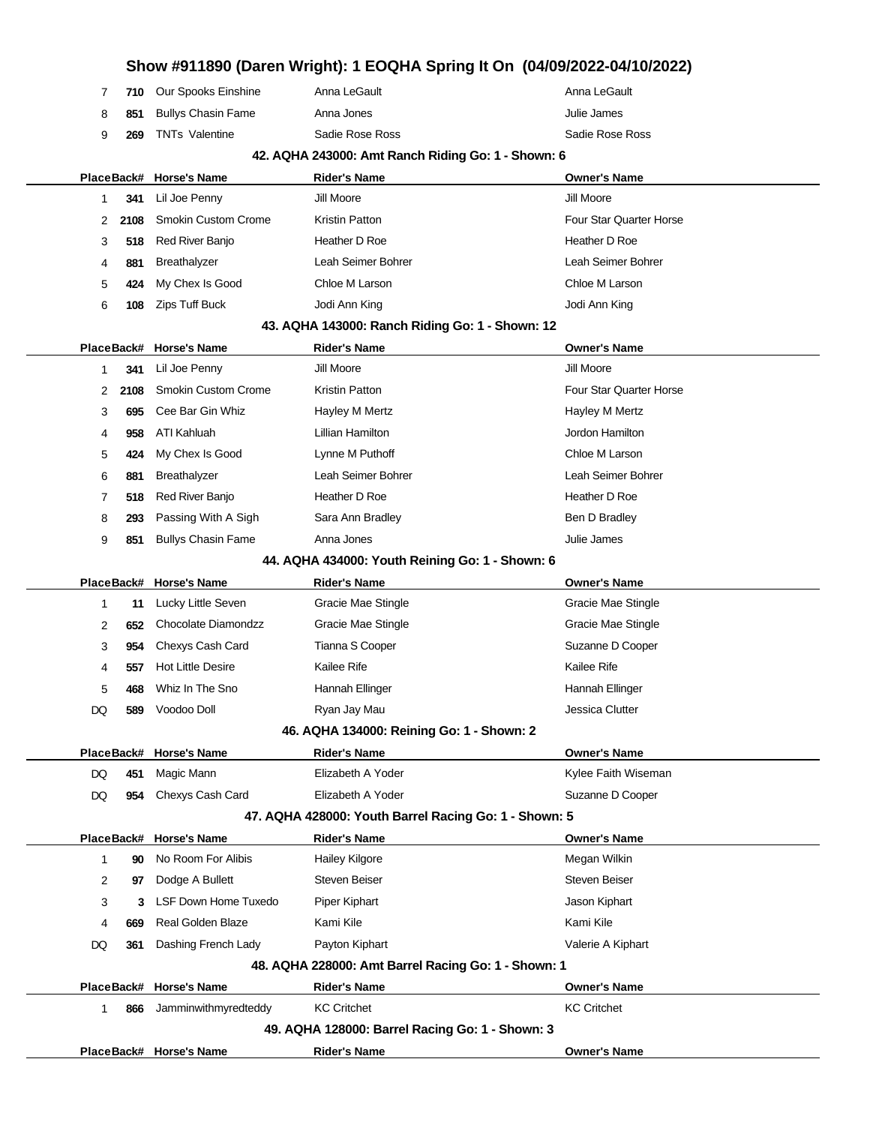|              |                   |                                             |                                                       | Show #911890 (Daren Wright): 1 EOQHA Spring It On (04/09/2022-04/10/2022) |
|--------------|-------------------|---------------------------------------------|-------------------------------------------------------|---------------------------------------------------------------------------|
| 7            | 710               | Our Spooks Einshine                         | Anna LeGault                                          | Anna LeGault                                                              |
| 8            | 851               | <b>Bullys Chasin Fame</b>                   | Anna Jones                                            | Julie James                                                               |
| 9            | 269               | <b>TNTs Valentine</b>                       | Sadie Rose Ross                                       | Sadie Rose Ross                                                           |
|              |                   |                                             | 42. AQHA 243000: Amt Ranch Riding Go: 1 - Shown: 6    |                                                                           |
|              | PlaceBack#        | <b>Horse's Name</b>                         | <b>Rider's Name</b>                                   | <b>Owner's Name</b>                                                       |
| 1            | 341               | Lil Joe Penny                               | Jill Moore                                            | Jill Moore                                                                |
| 2            | 2108              | <b>Smokin Custom Crome</b>                  | Kristin Patton                                        | Four Star Quarter Horse                                                   |
| 3            | 518               | Red River Banjo                             | Heather D Roe                                         | Heather D Roe                                                             |
| 4            | 881               | Breathalyzer                                | Leah Seimer Bohrer                                    | Leah Seimer Bohrer                                                        |
| 5            | 424               | My Chex Is Good                             | Chloe M Larson                                        | Chloe M Larson                                                            |
| 6            | 108               | Zips Tuff Buck                              | Jodi Ann King                                         | Jodi Ann King                                                             |
|              |                   |                                             | 43. AQHA 143000: Ranch Riding Go: 1 - Shown: 12       |                                                                           |
|              | PlaceBack#        | <b>Horse's Name</b>                         | <b>Rider's Name</b>                                   | <b>Owner's Name</b>                                                       |
| $\mathbf{1}$ | 341               | Lil Joe Penny                               | Jill Moore                                            | Jill Moore                                                                |
| 2            | 2108              | <b>Smokin Custom Crome</b>                  | Kristin Patton                                        | Four Star Quarter Horse                                                   |
| 3            | 695               | Cee Bar Gin Whiz                            | Hayley M Mertz                                        | Hayley M Mertz                                                            |
| 4            | 958               | ATI Kahluah                                 | Lillian Hamilton                                      | Jordon Hamilton                                                           |
| 5            | 424               | My Chex Is Good                             | Lynne M Puthoff                                       | Chloe M Larson                                                            |
| 6            | 881               | Breathalyzer                                | Leah Seimer Bohrer                                    | Leah Seimer Bohrer                                                        |
| 7            | 518               | Red River Banjo                             | Heather D Roe                                         | Heather D Roe                                                             |
| 8            | 293               | Passing With A Sigh                         | Sara Ann Bradley                                      | Ben D Bradley                                                             |
| 9            | 851               | <b>Bullys Chasin Fame</b>                   | Anna Jones                                            | Julie James                                                               |
|              |                   |                                             | 44. AQHA 434000: Youth Reining Go: 1 - Shown: 6       |                                                                           |
|              | PlaceBack#        | <b>Horse's Name</b>                         | <b>Rider's Name</b>                                   | <b>Owner's Name</b>                                                       |
| $\mathbf{1}$ | 11                | Lucky Little Seven                          | Gracie Mae Stingle                                    | Gracie Mae Stingle                                                        |
| 2            | 652               | Chocolate Diamondzz                         | Gracie Mae Stingle                                    | Gracie Mae Stingle                                                        |
| 3            | 954               | Chexys Cash Card                            | Tianna S Cooper                                       | Suzanne D Cooper                                                          |
| 4            | 557               | <b>Hot Little Desire</b>                    | Kailee Rife                                           | Kailee Rife                                                               |
| 5            | 468               | Whiz In The Sno                             | Hannah Ellinger                                       | Hannah Ellinger                                                           |
| DQ           | 589               | Voodoo Doll                                 | Ryan Jay Mau                                          | Jessica Clutter                                                           |
|              |                   |                                             | 46. AQHA 134000: Reining Go: 1 - Shown: 2             |                                                                           |
|              | PlaceBack#        | <b>Horse's Name</b>                         | <b>Rider's Name</b>                                   | <b>Owner's Name</b>                                                       |
| DQ           | 451               | Magic Mann                                  | Elizabeth A Yoder                                     | Kylee Faith Wiseman                                                       |
| DQ           | 954               | Chexys Cash Card                            | Elizabeth A Yoder                                     | Suzanne D Cooper                                                          |
|              |                   |                                             | 47. AQHA 428000: Youth Barrel Racing Go: 1 - Shown: 5 |                                                                           |
|              | PlaceBack#        | <b>Horse's Name</b>                         | <b>Rider's Name</b>                                   | <b>Owner's Name</b>                                                       |
| 1            | 90                | No Room For Alibis                          | Hailey Kilgore                                        | Megan Wilkin                                                              |
| 2            | 97                | Dodge A Bullett                             | <b>Steven Beiser</b>                                  | <b>Steven Beiser</b>                                                      |
| 3            | 3                 | <b>LSF Down Home Tuxedo</b>                 | Piper Kiphart                                         | Jason Kiphart                                                             |
| 4            | 669               | <b>Real Golden Blaze</b>                    | Kami Kile                                             | Kami Kile                                                                 |
| DQ           | 361               | Dashing French Lady                         | Payton Kiphart                                        | Valerie A Kiphart                                                         |
|              |                   |                                             | 48. AQHA 228000: Amt Barrel Racing Go: 1 - Shown: 1   |                                                                           |
| $\mathbf{1}$ | PlaceBack#<br>866 | <b>Horse's Name</b><br>Jamminwithmyredteddy | <b>Rider's Name</b><br><b>KC Critchet</b>             | <b>Owner's Name</b><br><b>KC Critchet</b>                                 |
|              |                   |                                             | 49. AQHA 128000: Barrel Racing Go: 1 - Shown: 3       |                                                                           |
|              |                   | PlaceBack# Horse's Name                     | <b>Rider's Name</b>                                   | <b>Owner's Name</b>                                                       |
|              |                   |                                             |                                                       |                                                                           |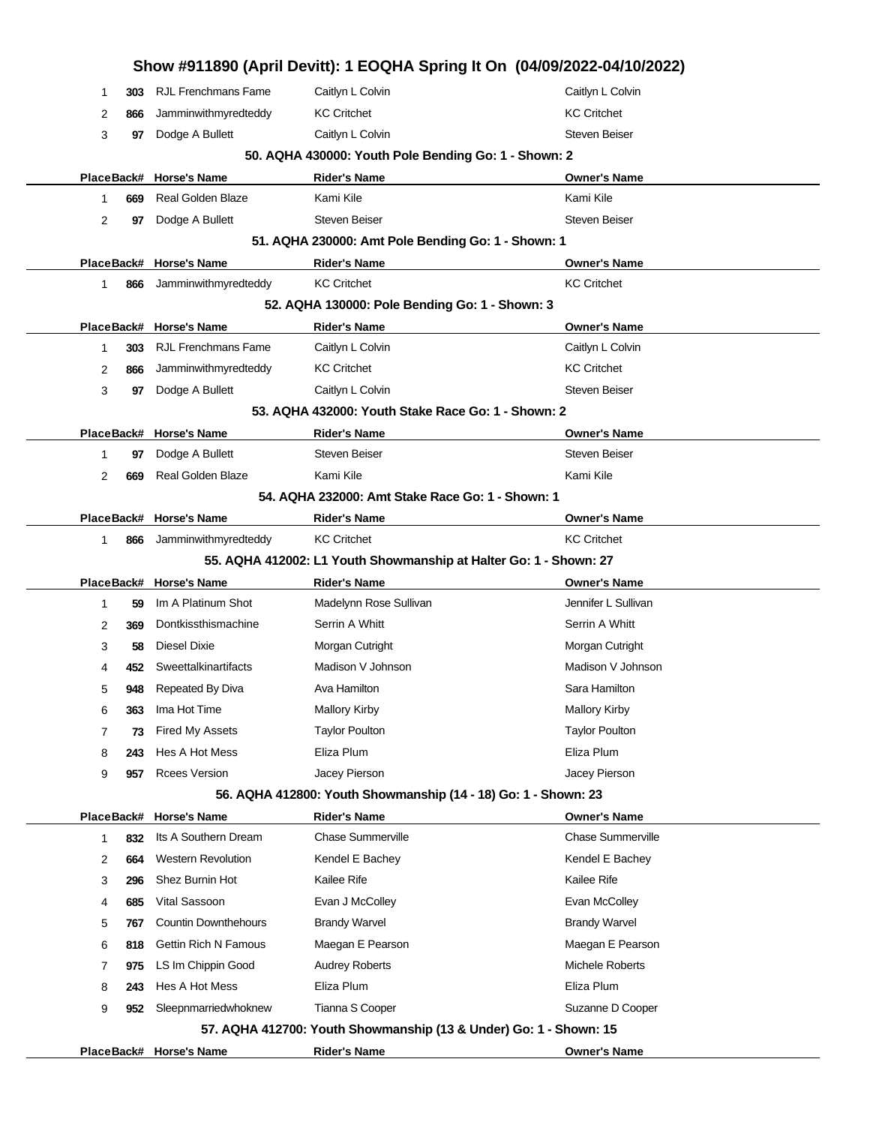|              |     |                             |                                                                   | Show #911890 (April Devitt): 1 EOQHA Spring It On (04/09/2022-04/10/2022) |
|--------------|-----|-----------------------------|-------------------------------------------------------------------|---------------------------------------------------------------------------|
| 1            | 303 | <b>RJL Frenchmans Fame</b>  | Caitlyn L Colvin                                                  | Caitlyn L Colvin                                                          |
| 2            | 866 | Jamminwithmyredteddy        | <b>KC Critchet</b>                                                | <b>KC Critchet</b>                                                        |
| 3            | 97  | Dodge A Bullett             | Caitlyn L Colvin                                                  | <b>Steven Beiser</b>                                                      |
|              |     |                             | 50. AQHA 430000: Youth Pole Bending Go: 1 - Shown: 2              |                                                                           |
|              |     | PlaceBack# Horse's Name     | <b>Rider's Name</b>                                               | <b>Owner's Name</b>                                                       |
| 1            | 669 | <b>Real Golden Blaze</b>    | Kami Kile                                                         | Kami Kile                                                                 |
| 2            | 97  | Dodge A Bullett             | <b>Steven Beiser</b>                                              | <b>Steven Beiser</b>                                                      |
|              |     |                             | 51. AQHA 230000: Amt Pole Bending Go: 1 - Shown: 1                |                                                                           |
|              |     | PlaceBack# Horse's Name     | <b>Rider's Name</b>                                               | <b>Owner's Name</b>                                                       |
| 1            | 866 | Jamminwithmyredteddy        | <b>KC Critchet</b>                                                | <b>KC Critchet</b>                                                        |
|              |     |                             | 52. AQHA 130000: Pole Bending Go: 1 - Shown: 3                    |                                                                           |
|              |     | PlaceBack# Horse's Name     | <b>Rider's Name</b>                                               | <b>Owner's Name</b>                                                       |
| 1            | 303 | <b>RJL Frenchmans Fame</b>  | Caitlyn L Colvin                                                  | Caitlyn L Colvin                                                          |
| 2            | 866 | Jamminwithmyredteddy        | <b>KC Critchet</b>                                                | <b>KC Critchet</b>                                                        |
| 3            | 97  | Dodge A Bullett             | Caitlyn L Colvin                                                  | <b>Steven Beiser</b>                                                      |
|              |     |                             | 53. AQHA 432000: Youth Stake Race Go: 1 - Shown: 2                |                                                                           |
|              |     | PlaceBack# Horse's Name     | <b>Rider's Name</b>                                               | <b>Owner's Name</b>                                                       |
| 1            | 97  | Dodge A Bullett             | <b>Steven Beiser</b>                                              | <b>Steven Beiser</b>                                                      |
| 2            | 669 | Real Golden Blaze           | Kami Kile                                                         | Kami Kile                                                                 |
|              |     |                             | 54. AQHA 232000: Amt Stake Race Go: 1 - Shown: 1                  |                                                                           |
|              |     | PlaceBack# Horse's Name     | <b>Rider's Name</b>                                               | <b>Owner's Name</b>                                                       |
| 1            | 866 | Jamminwithmyredteddy        | <b>KC Critchet</b>                                                | <b>KC Critchet</b>                                                        |
|              |     |                             | 55. AQHA 412002: L1 Youth Showmanship at Halter Go: 1 - Shown: 27 |                                                                           |
|              |     | PlaceBack# Horse's Name     | <b>Rider's Name</b>                                               | <b>Owner's Name</b>                                                       |
| 1            | 59  | Im A Platinum Shot          | Madelynn Rose Sullivan                                            | Jennifer L Sullivan                                                       |
| 2            | 369 | Dontkissthismachine         | Serrin A Whitt                                                    | Serrin A Whitt                                                            |
| 3            | 58  | Diesel Dixie                | Morgan Cutright                                                   | Morgan Cutright                                                           |
| 4            | 452 | Sweettalkinartifacts        | Madison V Johnson                                                 | Madison V Johnson                                                         |
| 5            | 948 | Repeated By Diva            | Ava Hamilton                                                      | Sara Hamilton                                                             |
| 6            | 363 | Ima Hot Time                | <b>Mallory Kirby</b>                                              | <b>Mallory Kirby</b>                                                      |
| 7            | 73  | Fired My Assets             | <b>Taylor Poulton</b>                                             | <b>Taylor Poulton</b>                                                     |
| 8            | 243 | Hes A Hot Mess              | Eliza Plum                                                        | Eliza Plum                                                                |
| 9            | 957 | <b>Rcees Version</b>        | Jacey Pierson                                                     | Jacey Pierson                                                             |
|              |     |                             | 56. AQHA 412800: Youth Showmanship (14 - 18) Go: 1 - Shown: 23    |                                                                           |
|              |     | PlaceBack# Horse's Name     | <b>Rider's Name</b>                                               | <b>Owner's Name</b>                                                       |
| $\mathbf{1}$ | 832 | Its A Southern Dream        | <b>Chase Summerville</b>                                          | <b>Chase Summerville</b>                                                  |
| 2            | 664 | <b>Western Revolution</b>   | Kendel E Bachey                                                   | Kendel E Bachey                                                           |
| 3            | 296 | Shez Burnin Hot             | Kailee Rife                                                       | Kailee Rife                                                               |
| 4            | 685 | Vital Sassoon               | Evan J McColley                                                   | Evan McColley                                                             |
| 5            | 767 | <b>Countin Downthehours</b> | <b>Brandy Warvel</b>                                              | <b>Brandy Warvel</b>                                                      |
| 6            | 818 | <b>Gettin Rich N Famous</b> | Maegan E Pearson                                                  | Maegan E Pearson                                                          |
| 7            | 975 | LS Im Chippin Good          | <b>Audrey Roberts</b>                                             | Michele Roberts                                                           |
| 8            | 243 | Hes A Hot Mess              | Eliza Plum                                                        | Eliza Plum                                                                |
| 9            | 952 | Sleepnmarriedwhoknew        | Tianna S Cooper                                                   | Suzanne D Cooper                                                          |
|              |     |                             | 57. AQHA 412700: Youth Showmanship (13 & Under) Go: 1 - Shown: 15 |                                                                           |
|              |     | PlaceBack# Horse's Name     | <b>Rider's Name</b>                                               | <b>Owner's Name</b>                                                       |
|              |     |                             |                                                                   |                                                                           |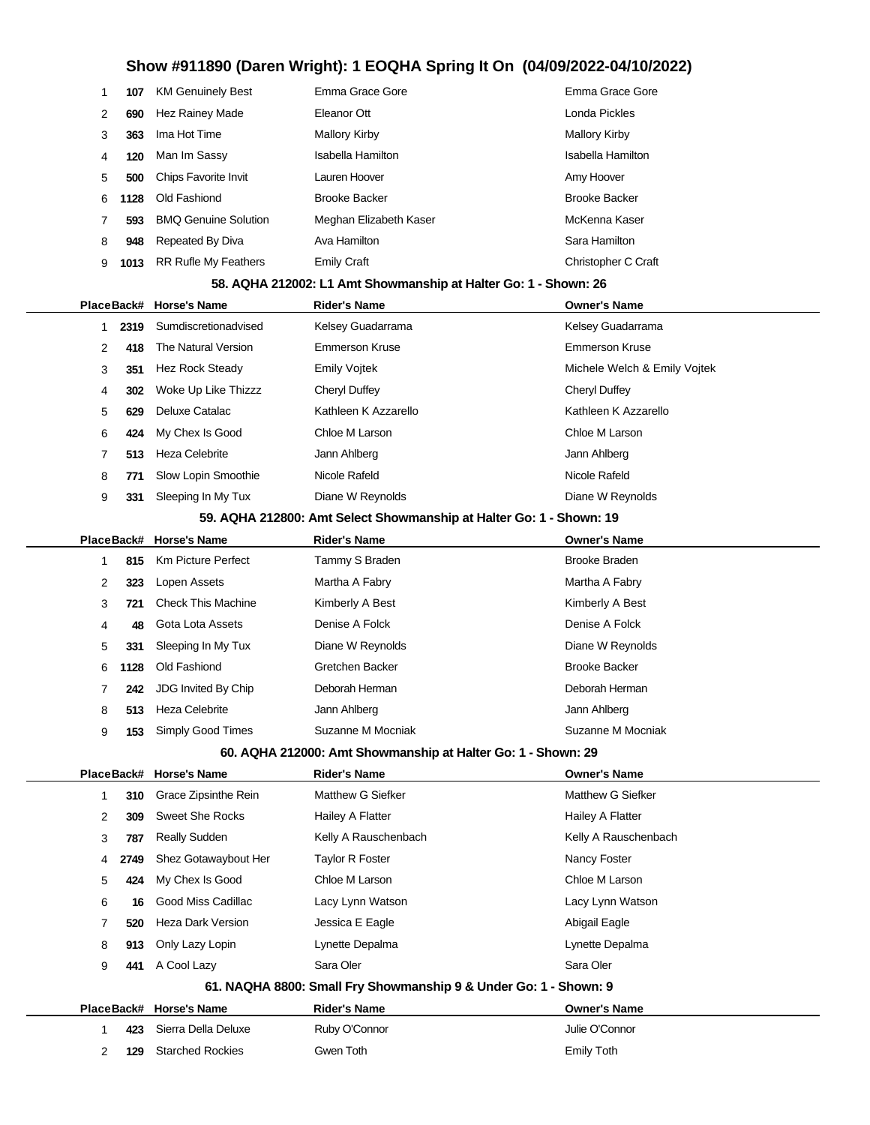|               | 107  | <b>KM Genuinely Best</b>    | Emma Grace Gore        | Emma Grace Gore      |
|---------------|------|-----------------------------|------------------------|----------------------|
| $\mathcal{P}$ | 690  | <b>Hez Rainey Made</b>      | Eleanor Ott            | Londa Pickles        |
| 3             | 363  | Ima Hot Time                | Mallory Kirby          | Mallory Kirby        |
| 4             | 120  | Man Im Sassy                | Isabella Hamilton      | Isabella Hamilton    |
| 5             | 500  | Chips Favorite Invit        | Lauren Hoover          | Amy Hoover           |
| 6             | 1128 | Old Fashiond                | <b>Brooke Backer</b>   | <b>Brooke Backer</b> |
|               | 593  | <b>BMQ Genuine Solution</b> | Meghan Elizabeth Kaser | McKenna Kaser        |
| 8             | 948  | Repeated By Diva            | Ava Hamilton           | Sara Hamilton        |
| 9             | 1013 | <b>RR Rufle My Feathers</b> | <b>Emily Craft</b>     | Christopher C Craft  |
|               |      |                             |                        |                      |

### **58. AQHA 212002: L1 Amt Showmanship at Halter Go: 1 - Shown: 26**

|   |      | PlaceBack# Horse's Name | <b>Rider's Name</b>   | <b>Owner's Name</b>          |
|---|------|-------------------------|-----------------------|------------------------------|
|   | 2319 | Sumdiscretionadvised    | Kelsey Guadarrama     | Kelsey Guadarrama            |
| 2 | 418  | The Natural Version     | <b>Emmerson Kruse</b> | <b>Emmerson Kruse</b>        |
| 3 | 351  | <b>Hez Rock Steady</b>  | <b>Emily Voitek</b>   | Michele Welch & Emily Voitek |
| 4 | 302  | Woke Up Like Thizzz     | Cheryl Duffey         | Cheryl Duffey                |
| 5 | 629  | Deluxe Catalac          | Kathleen K Azzarello  | Kathleen K Azzarello         |
| 6 | 424  | My Chex Is Good         | Chloe M Larson        | Chloe M Larson               |
|   | 513  | Heza Celebrite          | Jann Ahlberg          | Jann Ahlberg                 |
| 8 | 771  | Slow Lopin Smoothie     | Nicole Rafeld         | Nicole Rafeld                |
| 9 | 331  | Sleeping In My Tux      | Diane W Reynolds      | Diane W Reynolds             |
|   |      |                         |                       |                              |

### **59. AQHA 212800: Amt Select Showmanship at Halter Go: 1 - Shown: 19**

|   |      | PlaceBack# Horse's Name   | <b>Rider's Name</b> | <b>Owner's Name</b>  |
|---|------|---------------------------|---------------------|----------------------|
|   | 815  | Km Picture Perfect        | Tammy S Braden      | <b>Brooke Braden</b> |
| 2 | 323  | Lopen Assets              | Martha A Fabry      | Martha A Fabry       |
| 3 | 721  | <b>Check This Machine</b> | Kimberly A Best     | Kimberly A Best      |
| 4 | 48   | Gota Lota Assets          | Denise A Folck      | Denise A Folck       |
| 5 | 331  | Sleeping In My Tux        | Diane W Reynolds    | Diane W Reynolds     |
| 6 | 1128 | Old Fashiond              | Gretchen Backer     | <b>Brooke Backer</b> |
|   | 242  | JDG Invited By Chip       | Deborah Herman      | Deborah Herman       |
| 8 | 513  | Heza Celebrite            | Jann Ahlberg        | Jann Ahlberg         |
| 9 | 153  | Simply Good Times         | Suzanne M Mocniak   | Suzanne M Mocniak    |
|   |      |                           |                     |                      |

### **60. AQHA 212000: Amt Showmanship at Halter Go: 1 - Shown: 29**

|                                                                  |      | PlaceBack# Horse's Name | <b>Rider's Name</b>  | <b>Owner's Name</b>  |  |  |
|------------------------------------------------------------------|------|-------------------------|----------------------|----------------------|--|--|
| 1.                                                               | 310  | Grace Zipsinthe Rein    | Matthew G Siefker    | Matthew G Siefker    |  |  |
| 2                                                                | 309  | <b>Sweet She Rocks</b>  | Hailey A Flatter     | Hailey A Flatter     |  |  |
| 3                                                                | 787  | <b>Really Sudden</b>    | Kelly A Rauschenbach | Kelly A Rauschenbach |  |  |
| 4                                                                | 2749 | Shez Gotawaybout Her    | Taylor R Foster      | Nancy Foster         |  |  |
| 5                                                                | 424  | My Chex Is Good         | Chloe M Larson       | Chloe M Larson       |  |  |
| 6                                                                | 16   | Good Miss Cadillac      | Lacy Lynn Watson     | Lacy Lynn Watson     |  |  |
| 7                                                                | 520  | Heza Dark Version       | Jessica E Eagle      | Abigail Eagle        |  |  |
| 8                                                                | 913  | Only Lazy Lopin         | Lynette Depalma      | Lynette Depalma      |  |  |
| 9                                                                | 441  | A Cool Lazy             | Sara Oler            | Sara Oler            |  |  |
| 61. NAQHA 8800: Small Fry Showmanship 9 & Under Go: 1 - Shown: 9 |      |                         |                      |                      |  |  |
| PlaceBack#                                                       |      | <b>Horse's Name</b>     | <b>Rider's Name</b>  | <b>Owner's Name</b>  |  |  |
| 1.                                                               | 423  | Sierra Della Deluxe     | Ruby O'Connor        | Julie O'Connor       |  |  |
| 2                                                                | 129  | <b>Starched Rockies</b> | Gwen Toth            | Emily Toth           |  |  |
|                                                                  |      |                         |                      |                      |  |  |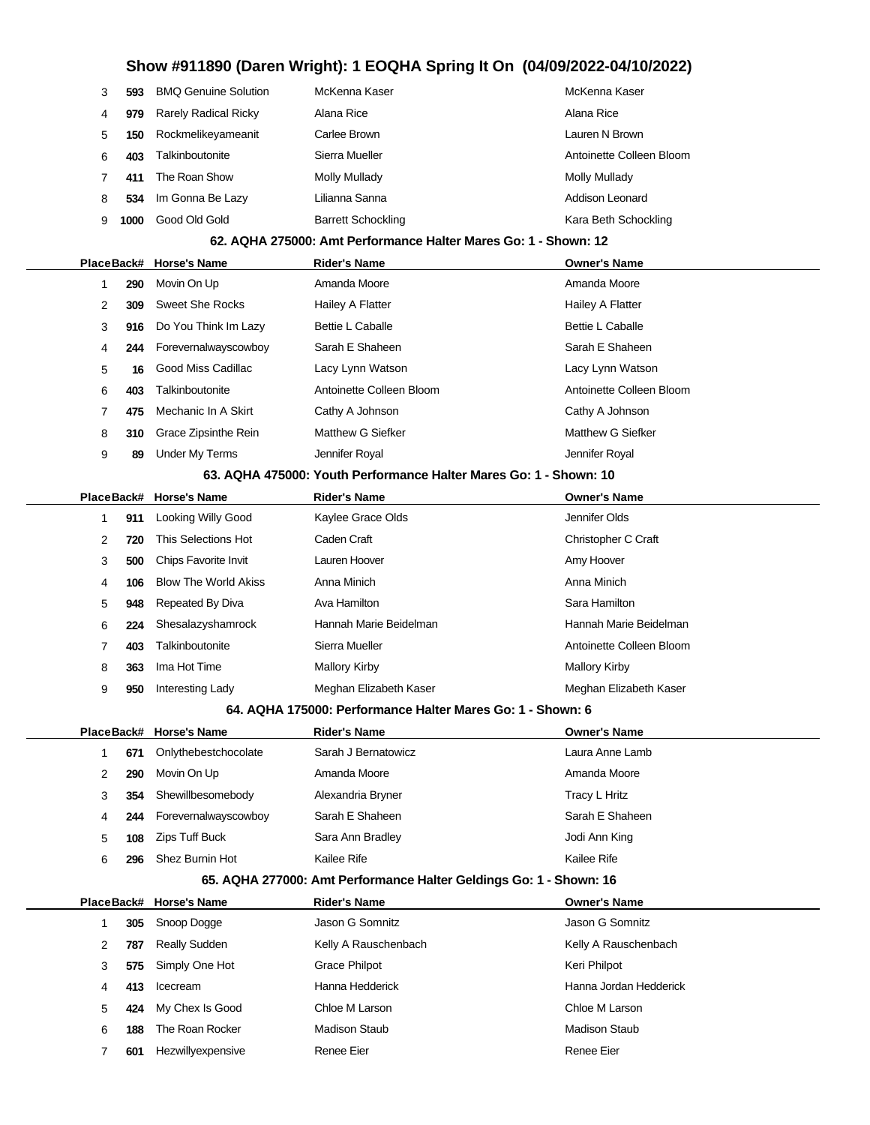| 3 | 593  | <b>BMQ Genuine Solution</b> | McKenna Kaser             | McKenna Kaser            |
|---|------|-----------------------------|---------------------------|--------------------------|
| 4 | 979  | <b>Rarely Radical Ricky</b> | Alana Rice                | Alana Rice               |
| 5 | 150  | Rockmelikeyameanit          | Carlee Brown              | Lauren N Brown           |
| 6 | 403  | Talkinboutonite             | Sierra Mueller            | Antoinette Colleen Bloom |
|   | 411  | The Roan Show               | Molly Mullady             | Molly Mullady            |
| 8 | 534  | Im Gonna Be Lazy            | Lilianna Sanna            | Addison Leonard          |
| 9 | 1000 | Good Old Gold               | <b>Barrett Schockling</b> | Kara Beth Schockling     |

### **62. AQHA 275000: Amt Performance Halter Mares Go: 1 - Shown: 12**

|                                                                   |     | PlaceBack# Horse's Name | <b>Rider's Name</b>      | <b>Owner's Name</b>      |  |  |
|-------------------------------------------------------------------|-----|-------------------------|--------------------------|--------------------------|--|--|
|                                                                   | 290 | Movin On Up             | Amanda Moore             | Amanda Moore             |  |  |
| 2                                                                 | 309 | Sweet She Rocks         | Hailey A Flatter         | Hailey A Flatter         |  |  |
| 3                                                                 | 916 | Do You Think Im Lazy    | <b>Bettie L Caballe</b>  | <b>Bettie L Caballe</b>  |  |  |
| 4                                                                 | 244 | Forevernalwayscowboy    | Sarah E Shaheen          | Sarah E Shaheen          |  |  |
| 5                                                                 | 16  | Good Miss Cadillac      | Lacy Lynn Watson         | Lacy Lynn Watson         |  |  |
| 6                                                                 | 403 | Talkinboutonite         | Antoinette Colleen Bloom | Antoinette Colleen Bloom |  |  |
|                                                                   | 475 | Mechanic In A Skirt     | Cathy A Johnson          | Cathy A Johnson          |  |  |
| 8                                                                 | 310 | Grace Zipsinthe Rein    | Matthew G Siefker        | Matthew G Siefker        |  |  |
| 9                                                                 | 89  | Under My Terms          | Jennifer Royal           | Jennifer Royal           |  |  |
| 63. AOHA 475000: Vouth Performance Halter Mares Co: 1 - Shown: 10 |     |                         |                          |                          |  |  |

#### **63. AQHA 475000: Youth Performance Halter Mares Go: 1 - Shown: 10**

|   |     | PlaceBack# Horse's Name     | <b>Rider's Name</b>    | <b>Owner's Name</b>      |
|---|-----|-----------------------------|------------------------|--------------------------|
| 1 | 911 | Looking Willy Good          | Kaylee Grace Olds      | Jennifer Olds            |
| 2 | 720 | This Selections Hot         | Caden Craft            | Christopher C Craft      |
| 3 | 500 | <b>Chips Favorite Invit</b> | Lauren Hoover          | Amy Hoover               |
| 4 | 106 | <b>Blow The World Akiss</b> | Anna Minich            | Anna Minich              |
| 5 | 948 | Repeated By Diva            | Ava Hamilton           | Sara Hamilton            |
| 6 | 224 | Shesalazyshamrock           | Hannah Marie Beidelman | Hannah Marie Beidelman   |
|   | 403 | Talkinboutonite             | Sierra Mueller         | Antoinette Colleen Bloom |
| 8 | 363 | Ima Hot Time                | Mallory Kirby          | Mallory Kirby            |
| 9 | 950 | Interesting Lady            | Meghan Elizabeth Kaser | Meghan Elizabeth Kaser   |

### **64. AQHA 175000: Performance Halter Mares Go: 1 - Shown: 6**

|          | PlaceBack# Horse's Name | <b>Rider's Name</b> | <b>Owner's Name</b> |
|----------|-------------------------|---------------------|---------------------|
| 671      | Onlythebestchocolate    | Sarah J Bernatowicz | Laura Anne Lamb     |
| 290<br>2 | Movin On Up             | Amanda Moore        | Amanda Moore        |
| 354<br>3 | Shewillbesomebody       | Alexandria Bryner   | Tracy L Hritz       |
| 244<br>4 | Forevernalwayscowboy    | Sarah E Shaheen     | Sarah E Shaheen     |
| 5<br>108 | Zips Tuff Buck          | Sara Ann Bradley    | Jodi Ann King       |
| 6<br>296 | Shez Burnin Hot         | Kailee Rife         | Kailee Rife         |

### **65. AQHA 277000: Amt Performance Halter Geldings Go: 1 - Shown: 16**

|   |     | PlaceBack# Horse's Name | <b>Rider's Name</b>  | <b>Owner's Name</b>    |
|---|-----|-------------------------|----------------------|------------------------|
|   | 305 | Snoop Dogge             | Jason G Somnitz      | Jason G Somnitz        |
| 2 | 787 | <b>Really Sudden</b>    | Kelly A Rauschenbach | Kelly A Rauschenbach   |
| 3 | 575 | Simply One Hot          | <b>Grace Philpot</b> | Keri Philpot           |
| 4 | 413 | Icecream                | Hanna Hedderick      | Hanna Jordan Hedderick |
| 5 | 424 | My Chex Is Good         | Chloe M Larson       | Chloe M Larson         |
| 6 | 188 | The Roan Rocker         | <b>Madison Staub</b> | <b>Madison Staub</b>   |
|   | 601 | Hezwillyexpensive       | Renee Eier           | Renee Eier             |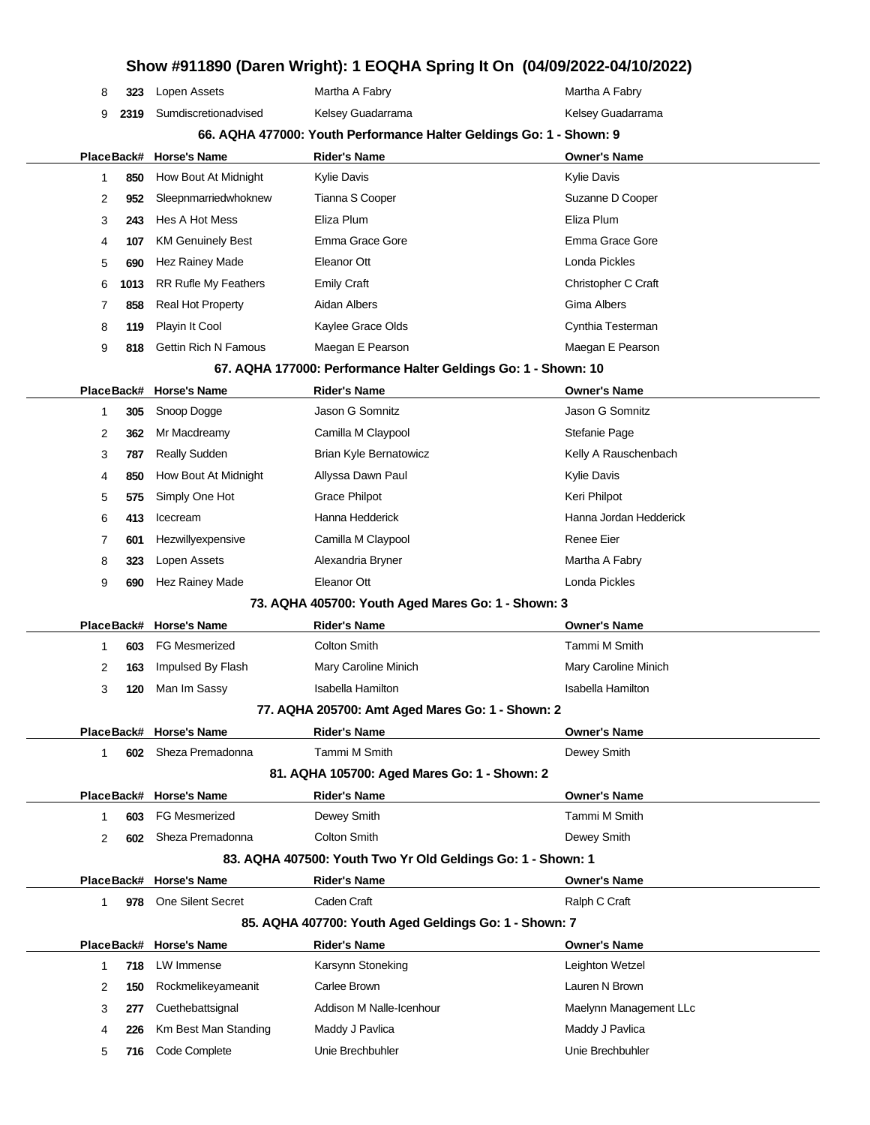|                                                                     |      |                             | aron mignyi i =o sim opinig it on to                           |                          |  |
|---------------------------------------------------------------------|------|-----------------------------|----------------------------------------------------------------|--------------------------|--|
| 8                                                                   | 323  | Lopen Assets                | Martha A Fabry                                                 | Martha A Fabry           |  |
| 9                                                                   | 2319 | Sumdiscretionadvised        | Kelsey Guadarrama                                              | Kelsey Guadarrama        |  |
| 66. AQHA 477000: Youth Performance Halter Geldings Go: 1 - Shown: 9 |      |                             |                                                                |                          |  |
| PlaceBack#                                                          |      | <b>Horse's Name</b>         | <b>Rider's Name</b>                                            | <b>Owner's Name</b>      |  |
| 1                                                                   | 850  | How Bout At Midnight        | <b>Kylie Davis</b>                                             | <b>Kylie Davis</b>       |  |
| 2                                                                   | 952  | Sleepnmarriedwhoknew        | Tianna S Cooper                                                | Suzanne D Cooper         |  |
| 3                                                                   | 243  | Hes A Hot Mess              | Eliza Plum                                                     | Eliza Plum               |  |
| 4                                                                   | 107  | <b>KM Genuinely Best</b>    | Emma Grace Gore                                                | Emma Grace Gore          |  |
| 5                                                                   | 690  | Hez Rainey Made             | Eleanor Ott                                                    | Londa Pickles            |  |
| 6                                                                   | 1013 | <b>RR Rufle My Feathers</b> | <b>Emily Craft</b>                                             | Christopher C Craft      |  |
| 7                                                                   | 858  | <b>Real Hot Property</b>    | Aidan Albers                                                   | Gima Albers              |  |
| 8                                                                   | 119  | Playin It Cool              | Kaylee Grace Olds                                              | Cynthia Testerman        |  |
| 9                                                                   | 818  | <b>Gettin Rich N Famous</b> | Maegan E Pearson                                               | Maegan E Pearson         |  |
|                                                                     |      |                             | 67. AQHA 177000: Performance Halter Geldings Go: 1 - Shown: 10 |                          |  |
|                                                                     |      | PlaceBack# Horse's Name     | <b>Rider's Name</b>                                            | <b>Owner's Name</b>      |  |
| 1                                                                   | 305  | Snoop Dogge                 | Jason G Somnitz                                                | Jason G Somnitz          |  |
| 2                                                                   | 362  | Mr Macdreamy                | Camilla M Claypool                                             | Stefanie Page            |  |
| 3                                                                   | 787  | <b>Really Sudden</b>        | Brian Kyle Bernatowicz                                         | Kelly A Rauschenbach     |  |
| 4                                                                   | 850  | How Bout At Midnight        | Allyssa Dawn Paul                                              | Kylie Davis              |  |
| 5                                                                   | 575  | Simply One Hot              | <b>Grace Philpot</b>                                           | Keri Philpot             |  |
| 6                                                                   | 413  | Icecream                    | Hanna Hedderick                                                | Hanna Jordan Hedderick   |  |
| 7                                                                   | 601  | Hezwillyexpensive           | Camilla M Claypool                                             | Renee Eier               |  |
| 8                                                                   | 323  | Lopen Assets                | Alexandria Bryner                                              | Martha A Fabry           |  |
| 9                                                                   | 690  | Hez Rainey Made             | Eleanor Ott                                                    | Londa Pickles            |  |
| 73. AQHA 405700: Youth Aged Mares Go: 1 - Shown: 3                  |      |                             |                                                                |                          |  |
| PlaceBack#                                                          |      | <b>Horse's Name</b>         | <b>Rider's Name</b>                                            | <b>Owner's Name</b>      |  |
| 1                                                                   | 603  | <b>FG Mesmerized</b>        | <b>Colton Smith</b>                                            | Tammi M Smith            |  |
| 2                                                                   | 163  | Impulsed By Flash           | Mary Caroline Minich                                           | Mary Caroline Minich     |  |
| 3                                                                   | 120  | Man Im Sassy                | <b>Isabella Hamilton</b>                                       | <b>Isabella Hamilton</b> |  |
|                                                                     |      |                             | 77. AQHA 205700: Amt Aged Mares Go: 1 - Shown: 2               |                          |  |
|                                                                     |      | PlaceBack# Horse's Name     | <b>Rider's Name</b>                                            | <b>Owner's Name</b>      |  |
| 1                                                                   | 602  | Sheza Premadonna            | Tammi M Smith                                                  | Dewey Smith              |  |
|                                                                     |      |                             | 81. AQHA 105700: Aged Mares Go: 1 - Shown: 2                   |                          |  |
|                                                                     |      | PlaceBack# Horse's Name     | <b>Rider's Name</b>                                            | <b>Owner's Name</b>      |  |
| 1                                                                   | 603  | <b>FG Mesmerized</b>        | Dewey Smith                                                    | Tammi M Smith            |  |
| 2                                                                   | 602  | Sheza Premadonna            | <b>Colton Smith</b>                                            | Dewey Smith              |  |
| 83. AQHA 407500: Youth Two Yr Old Geldings Go: 1 - Shown: 1         |      |                             |                                                                |                          |  |
|                                                                     |      | PlaceBack# Horse's Name     | <b>Rider's Name</b>                                            | <b>Owner's Name</b>      |  |
| 1                                                                   | 978  | <b>One Silent Secret</b>    | Caden Craft                                                    | Ralph C Craft            |  |
| 85. AQHA 407700: Youth Aged Geldings Go: 1 - Shown: 7               |      |                             |                                                                |                          |  |
|                                                                     |      | PlaceBack# Horse's Name     | <b>Rider's Name</b>                                            | <b>Owner's Name</b>      |  |
| 1                                                                   | 718  | LW Immense                  | Karsynn Stoneking                                              | Leighton Wetzel          |  |
| 2                                                                   | 150  | Rockmelikeyameanit          | Carlee Brown                                                   | Lauren N Brown           |  |
| 3                                                                   | 277  | Cuethebattsignal            | Addison M Nalle-Icenhour                                       | Maelynn Management LLc   |  |
| 4                                                                   | 226  | Km Best Man Standing        | Maddy J Pavlica                                                | Maddy J Pavlica          |  |
| 5                                                                   | 716  | Code Complete               | Unie Brechbuhler                                               | Unie Brechbuhler         |  |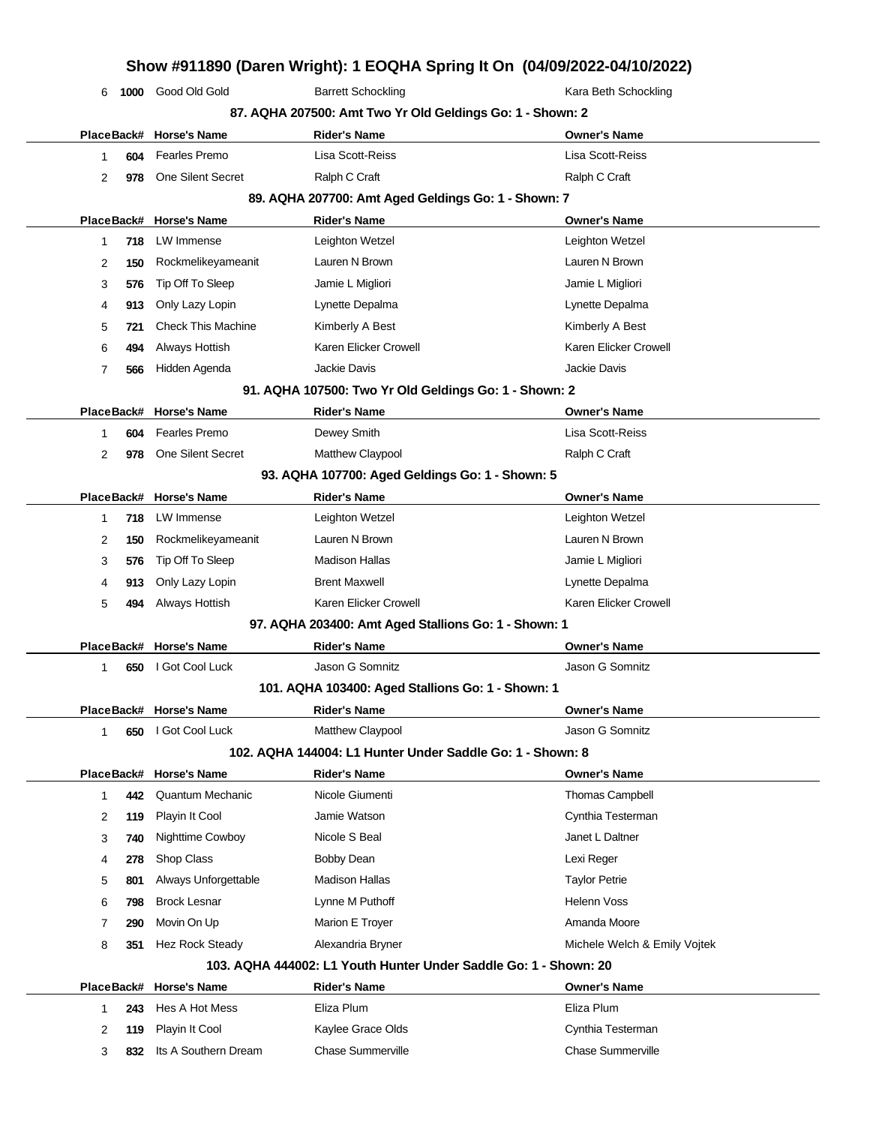|            |      |                           |                                                                  | Show #911890 (Daren Wright): 1 EOQHA Spring It On (04/09/2022-04/10/2022) |
|------------|------|---------------------------|------------------------------------------------------------------|---------------------------------------------------------------------------|
| 6          | 1000 | Good Old Gold             | <b>Barrett Schockling</b>                                        | Kara Beth Schockling                                                      |
|            |      |                           | 87. AQHA 207500: Amt Two Yr Old Geldings Go: 1 - Shown: 2        |                                                                           |
| PlaceBack# |      | <b>Horse's Name</b>       | <b>Rider's Name</b>                                              | <b>Owner's Name</b>                                                       |
| 1.         | 604  | <b>Fearles Premo</b>      | Lisa Scott-Reiss                                                 | Lisa Scott-Reiss                                                          |
| 2          | 978  | One Silent Secret         | Ralph C Craft                                                    | Ralph C Craft                                                             |
|            |      |                           | 89. AQHA 207700: Amt Aged Geldings Go: 1 - Shown: 7              |                                                                           |
| PlaceBack# |      | <b>Horse's Name</b>       | <b>Rider's Name</b>                                              | <b>Owner's Name</b>                                                       |
| 1.         | 718  | LW Immense                | Leighton Wetzel                                                  | Leighton Wetzel                                                           |
| 2          | 150  | Rockmelikeyameanit        | Lauren N Brown                                                   | Lauren N Brown                                                            |
| 3          | 576  | Tip Off To Sleep          | Jamie L Migliori                                                 | Jamie L Migliori                                                          |
| 4          | 913  | Only Lazy Lopin           | Lynette Depalma                                                  | Lynette Depalma                                                           |
| 5          | 721  | <b>Check This Machine</b> | Kimberly A Best                                                  | Kimberly A Best                                                           |
| 6          | 494  | Always Hottish            | Karen Elicker Crowell                                            | Karen Elicker Crowell                                                     |
| 7          | 566  | Hidden Agenda             | <b>Jackie Davis</b>                                              | Jackie Davis                                                              |
|            |      |                           | 91. AQHA 107500: Two Yr Old Geldings Go: 1 - Shown: 2            |                                                                           |
| PlaceBack# |      | <b>Horse's Name</b>       | <b>Rider's Name</b>                                              | <b>Owner's Name</b>                                                       |
| 1          | 604  | <b>Fearles Premo</b>      | Dewey Smith                                                      | Lisa Scott-Reiss                                                          |
| 2          | 978  | One Silent Secret         | Matthew Claypool                                                 | Ralph C Craft                                                             |
|            |      |                           | 93. AQHA 107700: Aged Geldings Go: 1 - Shown: 5                  |                                                                           |
| PlaceBack# |      | <b>Horse's Name</b>       | <b>Rider's Name</b>                                              | <b>Owner's Name</b>                                                       |
| 1          | 718  | LW Immense                | Leighton Wetzel                                                  | Leighton Wetzel                                                           |
| 2          | 150  | Rockmelikeyameanit        | Lauren N Brown                                                   | Lauren N Brown                                                            |
| 3          | 576  | Tip Off To Sleep          | <b>Madison Hallas</b>                                            | Jamie L Migliori                                                          |
| 4          | 913  | Only Lazy Lopin           | <b>Brent Maxwell</b>                                             | Lynette Depalma                                                           |
| 5          | 494  | Always Hottish            | Karen Elicker Crowell                                            | Karen Elicker Crowell                                                     |
|            |      |                           | 97. AQHA 203400: Amt Aged Stallions Go: 1 - Shown: 1             |                                                                           |
|            |      | PlaceBack# Horse's Name   | <b>Rider's Name</b>                                              | <b>Owner's Name</b>                                                       |
| 1          | 650  | I Got Cool Luck           | Jason G Somnitz                                                  | Jason G Somnitz                                                           |
|            |      |                           | 101. AQHA 103400: Aged Stallions Go: 1 - Shown: 1                |                                                                           |
|            |      | PlaceBack# Horse's Name   | <b>Rider's Name</b>                                              | <b>Owner's Name</b>                                                       |
| 1          | 650  | I Got Cool Luck           | Matthew Claypool                                                 | Jason G Somnitz                                                           |
|            |      |                           | 102. AQHA 144004: L1 Hunter Under Saddle Go: 1 - Shown: 8        |                                                                           |
| PlaceBack# |      | <b>Horse's Name</b>       | <b>Rider's Name</b>                                              | <b>Owner's Name</b>                                                       |
| 1          | 442  | <b>Quantum Mechanic</b>   | Nicole Giumenti                                                  | Thomas Campbell                                                           |
| 2          | 119  | Playin It Cool            | Jamie Watson                                                     | Cynthia Testerman                                                         |
| 3          | 740  | Nighttime Cowboy          | Nicole S Beal                                                    | Janet L Daltner                                                           |
| 4          | 278  | Shop Class                | <b>Bobby Dean</b>                                                | Lexi Reger                                                                |
| 5          | 801  | Always Unforgettable      | <b>Madison Hallas</b>                                            | <b>Taylor Petrie</b>                                                      |
| 6          | 798  | <b>Brock Lesnar</b>       | Lynne M Puthoff                                                  | Helenn Voss                                                               |
| 7          | 290  | Movin On Up               | Marion E Troyer                                                  | Amanda Moore                                                              |
| 8          | 351  | <b>Hez Rock Steady</b>    | Alexandria Bryner                                                | Michele Welch & Emily Vojtek                                              |
|            |      |                           | 103. AQHA 444002: L1 Youth Hunter Under Saddle Go: 1 - Shown: 20 |                                                                           |
| PlaceBack# |      | <b>Horse's Name</b>       | <b>Rider's Name</b>                                              | <b>Owner's Name</b>                                                       |
| 1          | 243  | Hes A Hot Mess            | Eliza Plum                                                       | Eliza Plum                                                                |
| 2          | 119  | Playin It Cool            | Kaylee Grace Olds                                                | Cynthia Testerman                                                         |

**832** Its A Southern Dream Chase Summerville Chase Summerville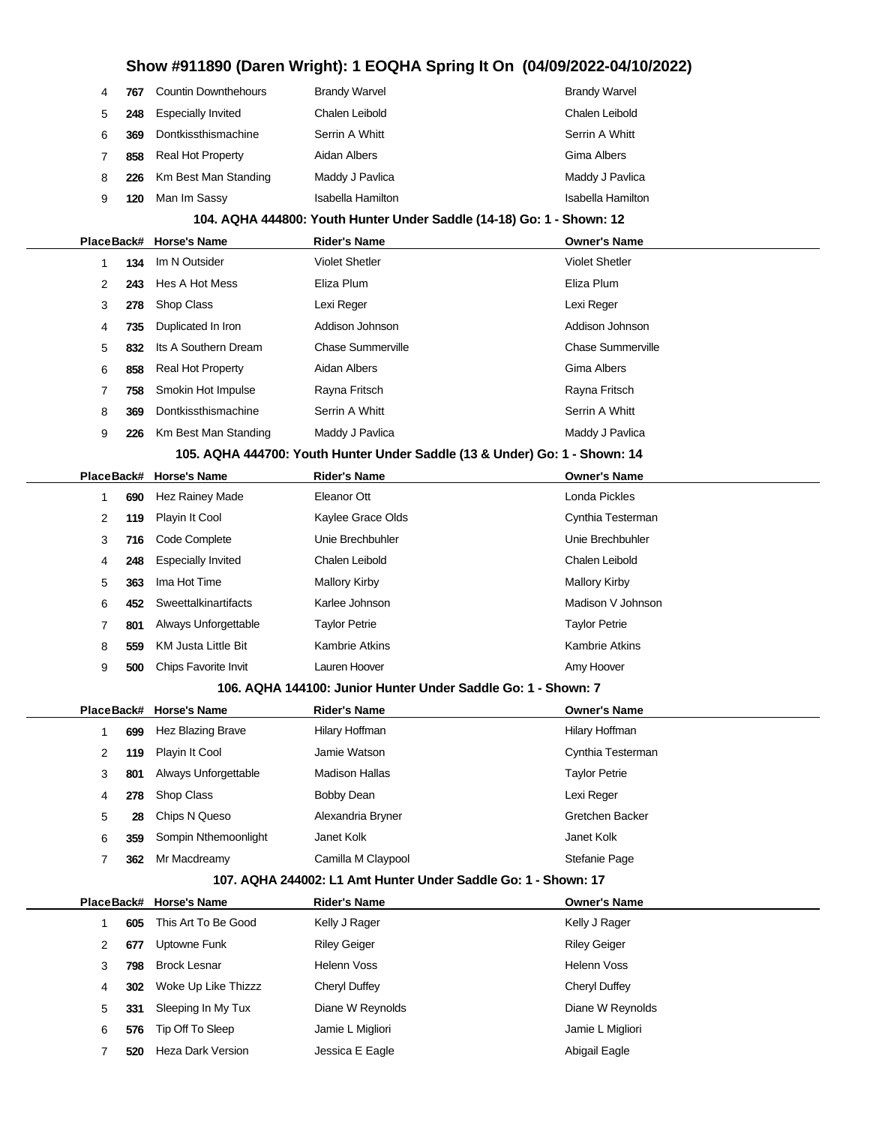| 4                                                              | 767 | <b>Countin Downthehours</b> | <b>Brandy Warvel</b>                                                       | <b>Brandy Warvel</b>     |  |  |
|----------------------------------------------------------------|-----|-----------------------------|----------------------------------------------------------------------------|--------------------------|--|--|
| 5                                                              | 248 | <b>Especially Invited</b>   | Chalen Leibold                                                             | Chalen Leibold           |  |  |
| 6                                                              | 369 | Dontkissthismachine         | Serrin A Whitt                                                             | Serrin A Whitt           |  |  |
| 7                                                              | 858 | <b>Real Hot Property</b>    | Aidan Albers                                                               | Gima Albers              |  |  |
| 8                                                              | 226 | Km Best Man Standing        | Maddy J Pavlica                                                            | Maddy J Pavlica          |  |  |
| 9                                                              | 120 | Man Im Sassy                | Isabella Hamilton                                                          | Isabella Hamilton        |  |  |
|                                                                |     |                             | 104. AQHA 444800: Youth Hunter Under Saddle (14-18) Go: 1 - Shown: 12      |                          |  |  |
|                                                                |     | PlaceBack# Horse's Name     | <b>Rider's Name</b>                                                        | <b>Owner's Name</b>      |  |  |
| 1                                                              | 134 | Im N Outsider               | <b>Violet Shetler</b>                                                      | <b>Violet Shetler</b>    |  |  |
| 2                                                              | 243 | Hes A Hot Mess              | Eliza Plum                                                                 | Eliza Plum               |  |  |
| 3                                                              | 278 | Shop Class                  | Lexi Reger                                                                 | Lexi Reger               |  |  |
| 4                                                              | 735 | Duplicated In Iron          | Addison Johnson                                                            | Addison Johnson          |  |  |
| 5                                                              | 832 | Its A Southern Dream        | <b>Chase Summerville</b>                                                   | <b>Chase Summerville</b> |  |  |
| 6                                                              | 858 | <b>Real Hot Property</b>    | Aidan Albers                                                               | <b>Gima Albers</b>       |  |  |
| 7                                                              | 758 | Smokin Hot Impulse          | Rayna Fritsch                                                              | Rayna Fritsch            |  |  |
| 8                                                              | 369 | Dontkissthismachine         | Serrin A Whitt                                                             | Serrin A Whitt           |  |  |
| 9                                                              | 226 | Km Best Man Standing        | Maddy J Pavlica                                                            | Maddy J Pavlica          |  |  |
|                                                                |     |                             | 105. AQHA 444700: Youth Hunter Under Saddle (13 & Under) Go: 1 - Shown: 14 |                          |  |  |
|                                                                |     | PlaceBack# Horse's Name     | <b>Rider's Name</b>                                                        | <b>Owner's Name</b>      |  |  |
| 1                                                              | 690 | Hez Rainey Made             | Eleanor Ott                                                                | Londa Pickles            |  |  |
| 2                                                              | 119 | Playin It Cool              | Kaylee Grace Olds                                                          | Cynthia Testerman        |  |  |
| 3                                                              | 716 | Code Complete               | Unie Brechbuhler                                                           | Unie Brechbuhler         |  |  |
| 4                                                              | 248 | <b>Especially Invited</b>   | Chalen Leibold                                                             | Chalen Leibold           |  |  |
| 5                                                              | 363 | Ima Hot Time                | <b>Mallory Kirby</b>                                                       | <b>Mallory Kirby</b>     |  |  |
| 6                                                              | 452 | Sweettalkinartifacts        | Karlee Johnson                                                             | Madison V Johnson        |  |  |
| 7                                                              | 801 | Always Unforgettable        | <b>Taylor Petrie</b>                                                       | <b>Taylor Petrie</b>     |  |  |
| 8                                                              | 559 | <b>KM Justa Little Bit</b>  | <b>Kambrie Atkins</b>                                                      | <b>Kambrie Atkins</b>    |  |  |
| 9                                                              | 500 | Chips Favorite Invit        | Lauren Hoover                                                              | Amy Hoover               |  |  |
| 106. AQHA 144100: Junior Hunter Under Saddle Go: 1 - Shown: 7  |     |                             |                                                                            |                          |  |  |
|                                                                |     | PlaceBack# Horse's Name     | Rider's Name                                                               | <b>Owner's Name</b>      |  |  |
| 1                                                              | 699 | Hez Blazing Brave           | Hilary Hoffman                                                             | Hilary Hoffman           |  |  |
| 2                                                              | 119 | Playin It Cool              | Jamie Watson                                                               | Cynthia Testerman        |  |  |
| 3                                                              | 801 | Always Unforgettable        | <b>Madison Hallas</b>                                                      | <b>Taylor Petrie</b>     |  |  |
| 4                                                              | 278 | Shop Class                  | <b>Bobby Dean</b>                                                          | Lexi Reger               |  |  |
| 5                                                              | 28  | Chips N Queso               | Alexandria Bryner                                                          | Gretchen Backer          |  |  |
| 6                                                              | 359 | Sompin Nthemoonlight        | Janet Kolk                                                                 | Janet Kolk               |  |  |
| $\overline{7}$                                                 | 362 | Mr Macdreamy                | Camilla M Claypool                                                         | Stefanie Page            |  |  |
| 107. AQHA 244002: L1 Amt Hunter Under Saddle Go: 1 - Shown: 17 |     |                             |                                                                            |                          |  |  |
|                                                                |     | PlaceBack# Horse's Name     | <b>Rider's Name</b>                                                        | <b>Owner's Name</b>      |  |  |
| 1                                                              | 605 | This Art To Be Good         | Kelly J Rager                                                              | Kelly J Rager            |  |  |
| 2                                                              | 677 | Uptowne Funk                | <b>Riley Geiger</b>                                                        | <b>Riley Geiger</b>      |  |  |
| 3                                                              | 798 | <b>Brock Lesnar</b>         | <b>Helenn Voss</b>                                                         | Helenn Voss              |  |  |
| 4                                                              | 302 | Woke Up Like Thizzz         | Cheryl Duffey                                                              | Cheryl Duffey            |  |  |
| 5                                                              | 331 | Sleeping In My Tux          | Diane W Reynolds                                                           | Diane W Reynolds         |  |  |
| 6                                                              | 576 | Tip Off To Sleep            | Jamie L Migliori                                                           | Jamie L Migliori         |  |  |

**520** Heza Dark Version **Jessica E Eagle Abigail Eagle** Abigail Eagle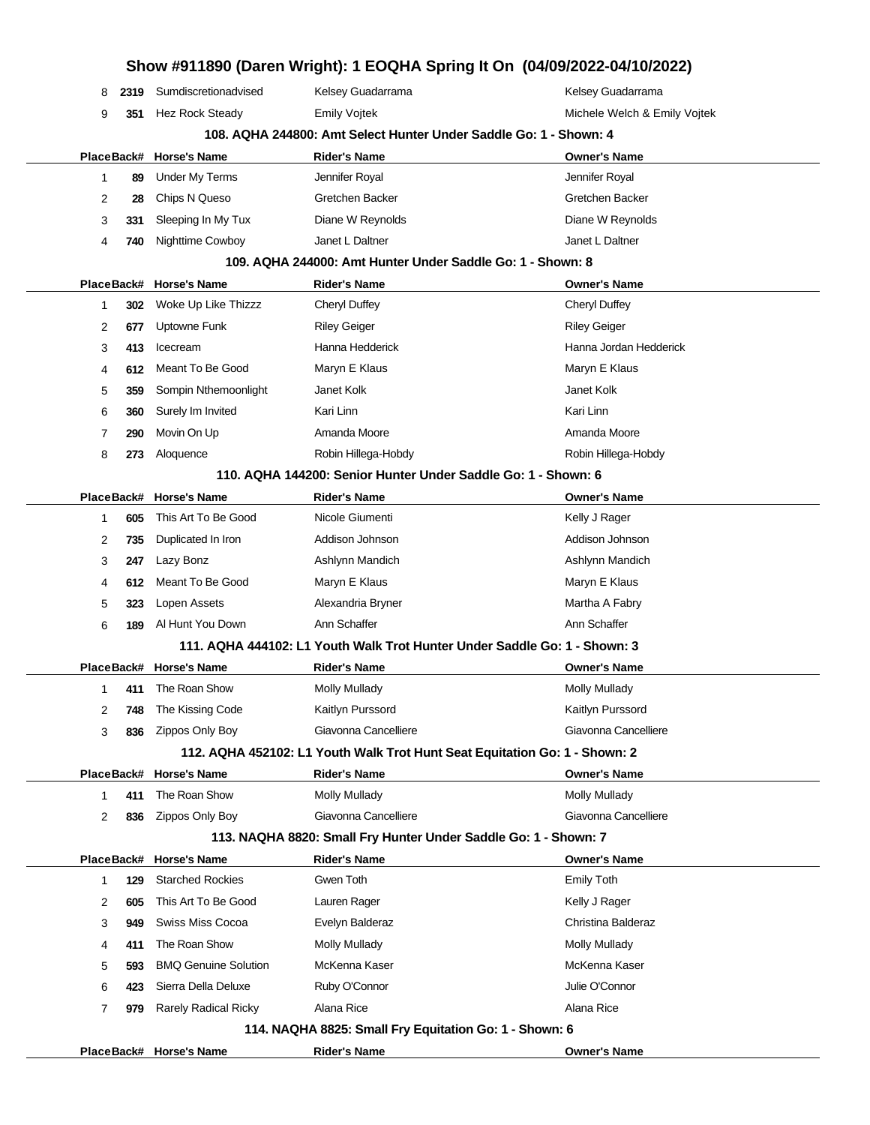| Show #911890 (Daren Wright): 1 EOQHA Spring It On (04/09/2022-04/10/2022)  |      |                             |                                                                           |                              |  |  |
|----------------------------------------------------------------------------|------|-----------------------------|---------------------------------------------------------------------------|------------------------------|--|--|
| 8                                                                          | 2319 | Sumdiscretionadvised        | Kelsey Guadarrama                                                         | Kelsey Guadarrama            |  |  |
| 9                                                                          | 351  | Hez Rock Steady             | <b>Emily Vojtek</b>                                                       | Michele Welch & Emily Vojtek |  |  |
|                                                                            |      |                             | 108. AQHA 244800: Amt Select Hunter Under Saddle Go: 1 - Shown: 4         |                              |  |  |
| PlaceBack#                                                                 |      | <b>Horse's Name</b>         | <b>Rider's Name</b>                                                       | <b>Owner's Name</b>          |  |  |
| 1                                                                          | 89   | <b>Under My Terms</b>       | Jennifer Royal                                                            | Jennifer Royal               |  |  |
| 2                                                                          | 28   | Chips N Queso               | Gretchen Backer                                                           | Gretchen Backer              |  |  |
| 3                                                                          | 331  | Sleeping In My Tux          | Diane W Reynolds                                                          | Diane W Reynolds             |  |  |
| 4                                                                          | 740  | Nighttime Cowboy            | Janet L Daltner                                                           | Janet L Daltner              |  |  |
| 109. AQHA 244000: Amt Hunter Under Saddle Go: 1 - Shown: 8                 |      |                             |                                                                           |                              |  |  |
| PlaceBack#                                                                 |      | <b>Horse's Name</b>         | <b>Rider's Name</b>                                                       | <b>Owner's Name</b>          |  |  |
| 1                                                                          | 302  | Woke Up Like Thizzz         | Cheryl Duffey                                                             | Cheryl Duffey                |  |  |
| 2                                                                          | 677  | Uptowne Funk                | <b>Riley Geiger</b>                                                       | <b>Riley Geiger</b>          |  |  |
| 3                                                                          | 413  | Icecream                    | Hanna Hedderick                                                           | Hanna Jordan Hedderick       |  |  |
| 4                                                                          | 612  | Meant To Be Good            | Maryn E Klaus                                                             | Maryn E Klaus                |  |  |
| 5                                                                          | 359  | Sompin Nthemoonlight        | Janet Kolk                                                                | Janet Kolk                   |  |  |
| 6                                                                          | 360  | Surely Im Invited           | Kari Linn                                                                 | Kari Linn                    |  |  |
| 7                                                                          | 290  | Movin On Up                 | Amanda Moore                                                              | Amanda Moore                 |  |  |
| 8                                                                          | 273  | Aloquence                   | Robin Hillega-Hobdy                                                       | Robin Hillega-Hobdy          |  |  |
|                                                                            |      |                             | 110. AQHA 144200: Senior Hunter Under Saddle Go: 1 - Shown: 6             |                              |  |  |
| PlaceBack#                                                                 |      | <b>Horse's Name</b>         | <b>Rider's Name</b>                                                       | <b>Owner's Name</b>          |  |  |
| 1                                                                          | 605  | This Art To Be Good         | Nicole Giumenti                                                           | Kelly J Rager                |  |  |
| 2                                                                          | 735  | Duplicated In Iron          | Addison Johnson                                                           | Addison Johnson              |  |  |
| 3                                                                          | 247  | Lazy Bonz                   | Ashlynn Mandich                                                           | Ashlynn Mandich              |  |  |
| 4                                                                          | 612  | Meant To Be Good            | Maryn E Klaus                                                             | Maryn E Klaus                |  |  |
| 5                                                                          | 323  | Lopen Assets                | Alexandria Bryner                                                         | Martha A Fabry               |  |  |
| 6                                                                          | 189  | Al Hunt You Down            | Ann Schaffer                                                              | Ann Schaffer                 |  |  |
|                                                                            |      |                             | 111. AQHA 444102: L1 Youth Walk Trot Hunter Under Saddle Go: 1 - Shown: 3 |                              |  |  |
| PlaceBack#                                                                 |      | <b>Horse's Name</b>         | Rider's Name                                                              | <b>Owner's Name</b>          |  |  |
| 1                                                                          | 411  | The Roan Show               | Molly Mullady                                                             | Molly Mullady                |  |  |
| 2                                                                          | 748  | The Kissing Code            | Kaitlyn Purssord                                                          | Kaitlyn Purssord             |  |  |
| 3                                                                          | 836  | Zippos Only Boy             | Giavonna Cancelliere                                                      | Giavonna Cancelliere         |  |  |
| 112. AQHA 452102: L1 Youth Walk Trot Hunt Seat Equitation Go: 1 - Shown: 2 |      |                             |                                                                           |                              |  |  |
| PlaceBack#                                                                 |      | <b>Horse's Name</b>         | <b>Rider's Name</b>                                                       | <b>Owner's Name</b>          |  |  |
| 1                                                                          | 411  | The Roan Show               | Molly Mullady                                                             | <b>Molly Mullady</b>         |  |  |
| 2                                                                          | 836  | Zippos Only Boy             | Giavonna Cancelliere                                                      | Giavonna Cancelliere         |  |  |
| 113. NAQHA 8820: Small Fry Hunter Under Saddle Go: 1 - Shown: 7            |      |                             |                                                                           |                              |  |  |
|                                                                            |      | PlaceBack# Horse's Name     | <b>Rider's Name</b>                                                       | <b>Owner's Name</b>          |  |  |
| 1                                                                          | 129  | <b>Starched Rockies</b>     | Gwen Toth                                                                 | <b>Emily Toth</b>            |  |  |
| 2                                                                          | 605  | This Art To Be Good         | Lauren Rager                                                              | Kelly J Rager                |  |  |
| 3                                                                          | 949  | Swiss Miss Cocoa            | Evelyn Balderaz                                                           | Christina Balderaz           |  |  |
| 4                                                                          | 411  | The Roan Show               | <b>Molly Mullady</b>                                                      | Molly Mullady                |  |  |
| 5                                                                          | 593  | <b>BMQ Genuine Solution</b> | McKenna Kaser                                                             | McKenna Kaser                |  |  |
| 6                                                                          | 423  | Sierra Della Deluxe         | Ruby O'Connor                                                             | Julie O'Connor               |  |  |
| 7                                                                          | 979  | <b>Rarely Radical Ricky</b> | Alana Rice                                                                | Alana Rice                   |  |  |
| 114. NAQHA 8825: Small Fry Equitation Go: 1 - Shown: 6                     |      |                             |                                                                           |                              |  |  |
|                                                                            |      | PlaceBack# Horse's Name     | <b>Rider's Name</b>                                                       | <b>Owner's Name</b>          |  |  |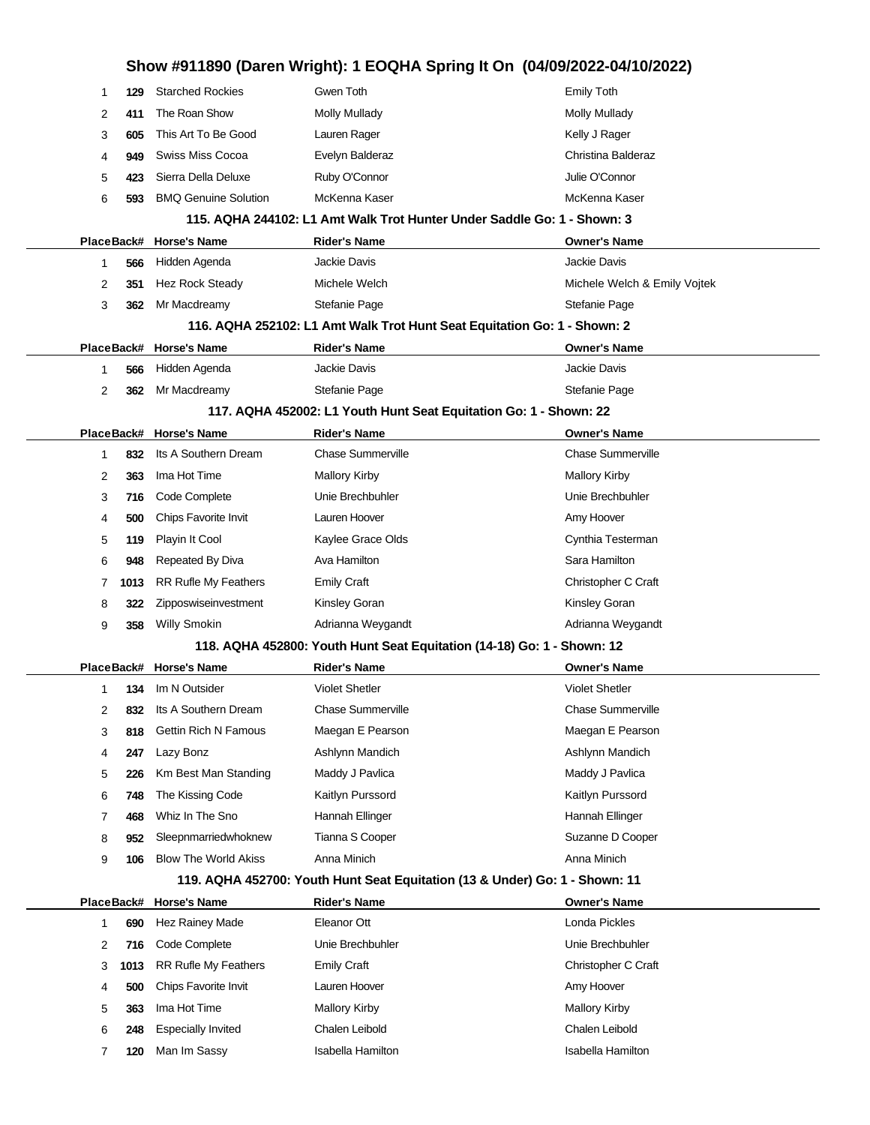|                                                                             |      | Show #911890 (Daren Wright): 1 EOQHA Spring It On (04/09/2022-04/10/2022) |                                                                          |                              |  |
|-----------------------------------------------------------------------------|------|---------------------------------------------------------------------------|--------------------------------------------------------------------------|------------------------------|--|
| -1                                                                          | 129  | <b>Starched Rockies</b>                                                   | Gwen Toth                                                                | <b>Emily Toth</b>            |  |
| 2                                                                           | 411  | The Roan Show                                                             | <b>Molly Mullady</b>                                                     | <b>Molly Mullady</b>         |  |
| 3                                                                           | 605  | This Art To Be Good                                                       | Lauren Rager                                                             | Kelly J Rager                |  |
| 4                                                                           | 949  | Swiss Miss Cocoa                                                          | Evelyn Balderaz                                                          | Christina Balderaz           |  |
| 5                                                                           | 423  | Sierra Della Deluxe                                                       | Ruby O'Connor                                                            | Julie O'Connor               |  |
| 6                                                                           | 593  | <b>BMQ Genuine Solution</b>                                               | McKenna Kaser                                                            | McKenna Kaser                |  |
|                                                                             |      |                                                                           | 115. AQHA 244102: L1 Amt Walk Trot Hunter Under Saddle Go: 1 - Shown: 3  |                              |  |
|                                                                             |      | PlaceBack# Horse's Name                                                   | <b>Rider's Name</b>                                                      | <b>Owner's Name</b>          |  |
| -1                                                                          | 566  | Hidden Agenda                                                             | Jackie Davis                                                             | Jackie Davis                 |  |
| 2                                                                           | 351  | Hez Rock Steady                                                           | Michele Welch                                                            | Michele Welch & Emily Vojtek |  |
| 3                                                                           | 362  | Mr Macdreamy                                                              | Stefanie Page                                                            | Stefanie Page                |  |
|                                                                             |      |                                                                           | 116. AQHA 252102: L1 Amt Walk Trot Hunt Seat Equitation Go: 1 - Shown: 2 |                              |  |
|                                                                             |      | PlaceBack# Horse's Name                                                   | <b>Rider's Name</b>                                                      | <b>Owner's Name</b>          |  |
| 1                                                                           | 566  | Hidden Agenda                                                             | Jackie Davis                                                             | Jackie Davis                 |  |
| 2                                                                           | 362  | Mr Macdreamy                                                              | Stefanie Page                                                            | Stefanie Page                |  |
|                                                                             |      |                                                                           | 117. AQHA 452002: L1 Youth Hunt Seat Equitation Go: 1 - Shown: 22        |                              |  |
|                                                                             |      | PlaceBack# Horse's Name                                                   | <b>Rider's Name</b>                                                      | <b>Owner's Name</b>          |  |
| 1                                                                           | 832  | Its A Southern Dream                                                      | <b>Chase Summerville</b>                                                 | <b>Chase Summerville</b>     |  |
| 2                                                                           | 363  | Ima Hot Time                                                              | <b>Mallory Kirby</b>                                                     | <b>Mallory Kirby</b>         |  |
| 3                                                                           | 716  | Code Complete                                                             | Unie Brechbuhler                                                         | Unie Brechbuhler             |  |
| 4                                                                           | 500  | Chips Favorite Invit                                                      | Lauren Hoover                                                            | Amy Hoover                   |  |
| 5                                                                           | 119  | Playin It Cool                                                            | Kaylee Grace Olds                                                        | Cynthia Testerman            |  |
| 6                                                                           | 948  | Repeated By Diva                                                          | Ava Hamilton                                                             | Sara Hamilton                |  |
| 7                                                                           | 1013 | <b>RR Rufle My Feathers</b>                                               | <b>Emily Craft</b>                                                       | Christopher C Craft          |  |
| 8                                                                           | 322  | Zipposwiseinvestment                                                      | Kinsley Goran                                                            | <b>Kinsley Goran</b>         |  |
| 9                                                                           | 358  | <b>Willy Smokin</b>                                                       | Adrianna Weygandt                                                        | Adrianna Weygandt            |  |
|                                                                             |      |                                                                           | 118. AQHA 452800: Youth Hunt Seat Equitation (14-18) Go: 1 - Shown: 12   |                              |  |
|                                                                             |      | PlaceBack# Horse's Name                                                   | <b>Rider's Name</b>                                                      | <b>Owner's Name</b>          |  |
| 1                                                                           |      | 134 Im N Outsider                                                         | Violet Shetler                                                           | <b>Violet Shetler</b>        |  |
| 2                                                                           | 832  | Its A Southern Dream                                                      | <b>Chase Summerville</b>                                                 | <b>Chase Summerville</b>     |  |
| 3                                                                           | 818  | <b>Gettin Rich N Famous</b>                                               | Maegan E Pearson                                                         | Maegan E Pearson             |  |
| 4                                                                           | 247  | Lazy Bonz                                                                 | Ashlynn Mandich                                                          | Ashlynn Mandich              |  |
| 5                                                                           | 226  | Km Best Man Standing                                                      | Maddy J Pavlica                                                          | Maddy J Pavlica              |  |
| 6                                                                           | 748  | The Kissing Code                                                          | Kaitlyn Purssord                                                         | Kaitlyn Purssord             |  |
| 7                                                                           | 468  | Whiz In The Sno                                                           | Hannah Ellinger                                                          | Hannah Ellinger              |  |
| 8                                                                           | 952  | Sleepnmarriedwhoknew                                                      | Tianna S Cooper                                                          | Suzanne D Cooper             |  |
| 9                                                                           | 106  | <b>Blow The World Akiss</b>                                               | Anna Minich                                                              | Anna Minich                  |  |
| 119. AQHA 452700: Youth Hunt Seat Equitation (13 & Under) Go: 1 - Shown: 11 |      |                                                                           |                                                                          |                              |  |
| PlaceBack#                                                                  |      | <b>Horse's Name</b>                                                       | <b>Rider's Name</b>                                                      | <b>Owner's Name</b>          |  |
| 1                                                                           | 690  | Hez Rainey Made                                                           | Eleanor Ott                                                              | Londa Pickles                |  |
| 2                                                                           | 716  | Code Complete                                                             | Unie Brechbuhler                                                         | Unie Brechbuhler             |  |
| 3                                                                           | 1013 | RR Rufle My Feathers                                                      | <b>Emily Craft</b>                                                       | Christopher C Craft          |  |
| 4                                                                           | 500  | Chips Favorite Invit                                                      | Lauren Hoover                                                            | Amy Hoover                   |  |
| 5                                                                           | 363  | Ima Hot Time                                                              | <b>Mallory Kirby</b>                                                     | <b>Mallory Kirby</b>         |  |
| 6                                                                           | 248  | <b>Especially Invited</b>                                                 | Chalen Leibold                                                           | Chalen Leibold               |  |
| 7                                                                           | 120  | Man Im Sassy                                                              | Isabella Hamilton                                                        | Isabella Hamilton            |  |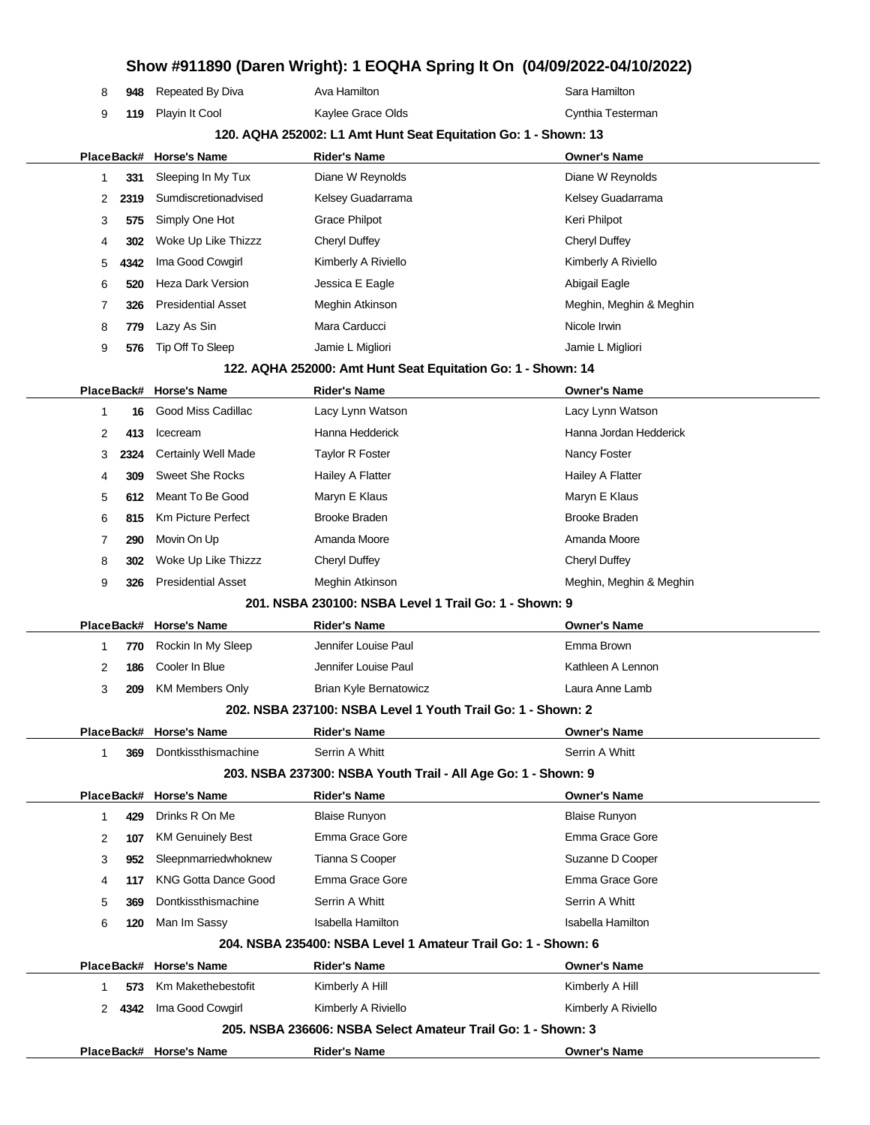#### **Show #911890 (Daren Wright): 1 EOQHA Spring It On (04/09/2022-04/10/2022)**

|   |        |                             |                                                                 | Show #911890 (Daren Wright): 1 EOQHA Spring It On (04/09/2022-04/10/2022) |
|---|--------|-----------------------------|-----------------------------------------------------------------|---------------------------------------------------------------------------|
| 8 | 948    | Repeated By Diva            | Ava Hamilton                                                    | Sara Hamilton                                                             |
| 9 | 119    | Playin It Cool              | Kaylee Grace Olds                                               | Cynthia Testerman                                                         |
|   |        |                             | 120. AQHA 252002: L1 Amt Hunt Seat Equitation Go: 1 - Shown: 13 |                                                                           |
|   |        | PlaceBack# Horse's Name     | <b>Rider's Name</b>                                             | <b>Owner's Name</b>                                                       |
| 1 | 331    | Sleeping In My Tux          | Diane W Reynolds                                                | Diane W Reynolds                                                          |
| 2 | 2319   | Sumdiscretionadvised        | Kelsey Guadarrama                                               | Kelsey Guadarrama                                                         |
| 3 | 575    | Simply One Hot              | Grace Philpot                                                   | Keri Philpot                                                              |
| 4 | 302    | Woke Up Like Thizzz         | <b>Cheryl Duffey</b>                                            | Cheryl Duffey                                                             |
| 5 | 4342   | Ima Good Cowgirl            | Kimberly A Riviello                                             | Kimberly A Riviello                                                       |
| 6 | 520    | Heza Dark Version           | Jessica E Eagle                                                 | Abigail Eagle                                                             |
| 7 | 326    | <b>Presidential Asset</b>   | Meghin Atkinson                                                 | Meghin, Meghin & Meghin                                                   |
| 8 | 779    | Lazy As Sin                 | Mara Carducci                                                   | Nicole Irwin                                                              |
| 9 | 576    | Tip Off To Sleep            | Jamie L Migliori                                                | Jamie L Migliori                                                          |
|   |        |                             | 122. AQHA 252000: Amt Hunt Seat Equitation Go: 1 - Shown: 14    |                                                                           |
|   |        | PlaceBack# Horse's Name     | <b>Rider's Name</b>                                             | <b>Owner's Name</b>                                                       |
| 1 | 16     | Good Miss Cadillac          | Lacy Lynn Watson                                                | Lacy Lynn Watson                                                          |
| 2 | 413    | Icecream                    | Hanna Hedderick                                                 | Hanna Jordan Hedderick                                                    |
| 3 | 2324   | <b>Certainly Well Made</b>  | <b>Taylor R Foster</b>                                          | Nancy Foster                                                              |
| 4 | 309    | <b>Sweet She Rocks</b>      | Hailey A Flatter                                                | Hailey A Flatter                                                          |
| 5 | 612    | Meant To Be Good            | Maryn E Klaus                                                   | Maryn E Klaus                                                             |
| 6 | 815    | <b>Km Picture Perfect</b>   | Brooke Braden                                                   | <b>Brooke Braden</b>                                                      |
| 7 | 290    | Movin On Up                 | Amanda Moore                                                    | Amanda Moore                                                              |
| 8 | 302    | Woke Up Like Thizzz         | <b>Cheryl Duffey</b>                                            | <b>Cheryl Duffey</b>                                                      |
| 9 | 326    | <b>Presidential Asset</b>   | Meghin Atkinson                                                 | Meghin, Meghin & Meghin                                                   |
|   |        |                             | 201, NSBA 230100: NSBA Level 1 Trail Go: 1 - Shown: 9           |                                                                           |
|   |        | PlaceBack# Horse's Name     | <b>Rider's Name</b>                                             | <b>Owner's Name</b>                                                       |
| 1 | 770    | Rockin In My Sleep          | Jennifer Louise Paul                                            | Emma Brown                                                                |
| 2 | 186    | Cooler In Blue              | Jennifer Louise Paul                                            | Kathleen A Lennon                                                         |
| 3 | 209    | <b>KM Members Only</b>      | <b>Brian Kyle Bernatowicz</b>                                   | Laura Anne Lamb                                                           |
|   |        |                             | 202, NSBA 237100: NSBA Level 1 Youth Trail Go: 1 - Shown: 2     |                                                                           |
|   |        | PlaceBack# Horse's Name     | <b>Rider's Name</b>                                             | <b>Owner's Name</b>                                                       |
| 1 | 369    | Dontkissthismachine         | Serrin A Whitt                                                  | Serrin A Whitt                                                            |
|   |        |                             | 203. NSBA 237300: NSBA Youth Trail - All Age Go: 1 - Shown: 9   |                                                                           |
|   |        | PlaceBack# Horse's Name     | <b>Rider's Name</b>                                             | <b>Owner's Name</b>                                                       |
| 1 | 429    | Drinks R On Me              | <b>Blaise Runyon</b>                                            | <b>Blaise Runyon</b>                                                      |
| 2 | 107    | <b>KM Genuinely Best</b>    | Emma Grace Gore                                                 | Emma Grace Gore                                                           |
| 3 | 952    | Sleepnmarriedwhoknew        | Tianna S Cooper                                                 | Suzanne D Cooper                                                          |
| 4 | 117    | <b>KNG Gotta Dance Good</b> | Emma Grace Gore                                                 | Emma Grace Gore                                                           |
| 5 | 369    | Dontkissthismachine         | Serrin A Whitt                                                  | Serrin A Whitt                                                            |
| 6 | 120    | Man Im Sassy                | <b>Isabella Hamilton</b>                                        | <b>Isabella Hamilton</b>                                                  |
|   |        |                             | 204, NSBA 235400: NSBA Level 1 Amateur Trail Go: 1 - Shown: 6   |                                                                           |
|   |        | PlaceBack# Horse's Name     | Rider's Name                                                    | <b>Owner's Name</b>                                                       |
| 1 | 573    | Km Makethebestofit          | Kimberly A Hill                                                 | Kimberly A Hill                                                           |
|   | 2 4342 | Ima Good Cowgirl            | Kimberly A Riviello                                             | Kimberly A Riviello                                                       |
|   |        |                             | 205, NSBA 236606: NSBA Select Amateur Trail Go: 1 - Shown: 3    |                                                                           |
|   |        | PlaceBack# Horse's Name     | Rider's Name                                                    | <b>Owner's Name</b>                                                       |
|   |        |                             |                                                                 |                                                                           |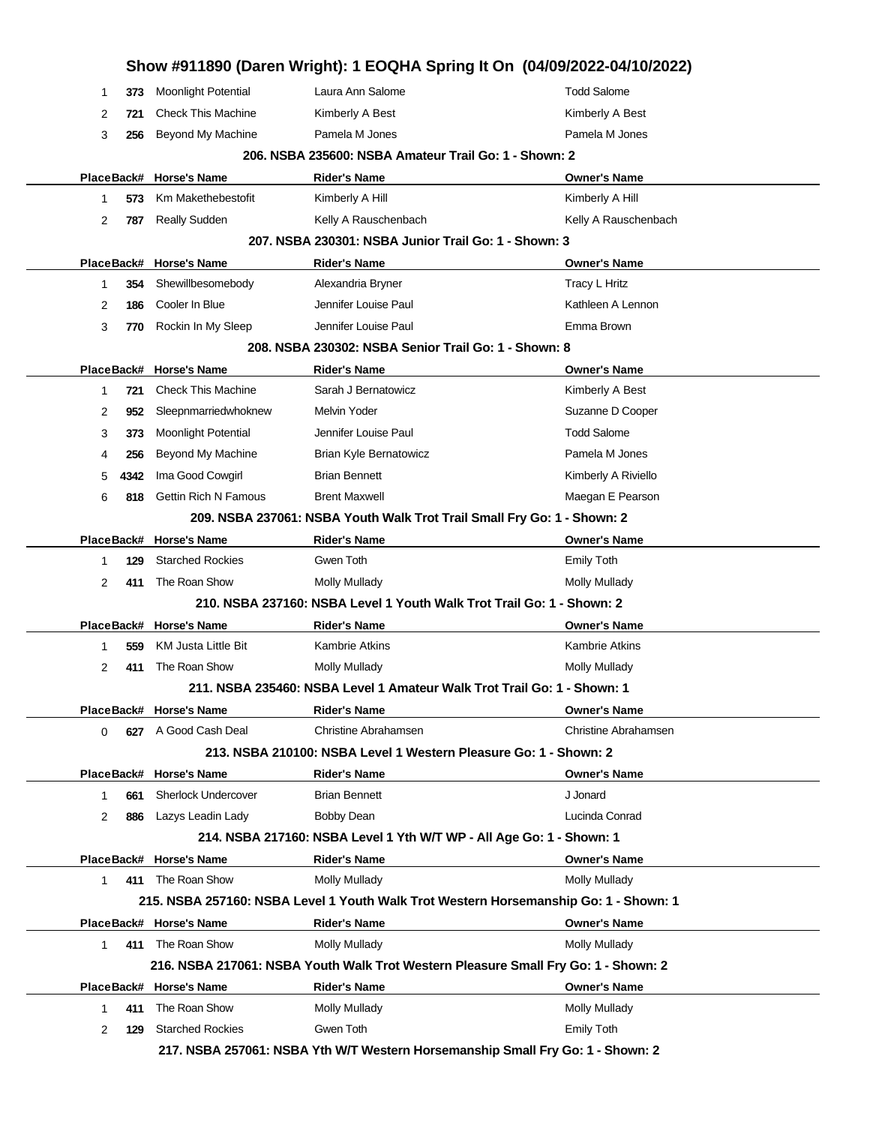|   |          |                             | Show #911890 (Daren Wright): 1 EOQHA Spring It On (04/09/2022-04/10/2022)            |                       |
|---|----------|-----------------------------|--------------------------------------------------------------------------------------|-----------------------|
| 1 | 373      | Moonlight Potential         | Laura Ann Salome                                                                     | <b>Todd Salome</b>    |
| 2 | 721      | <b>Check This Machine</b>   | Kimberly A Best                                                                      | Kimberly A Best       |
|   | 3<br>256 | Beyond My Machine           | Pamela M Jones                                                                       | Pamela M Jones        |
|   |          |                             | 206, NSBA 235600; NSBA Amateur Trail Go: 1 - Shown: 2                                |                       |
|   |          | PlaceBack# Horse's Name     | <b>Rider's Name</b>                                                                  | Owner's Name          |
|   | 1<br>573 | Km Makethebestofit          | Kimberly A Hill                                                                      | Kimberly A Hill       |
|   | 2<br>787 | <b>Really Sudden</b>        | Kelly A Rauschenbach                                                                 | Kelly A Rauschenbach  |
|   |          |                             | 207, NSBA 230301: NSBA Junior Trail Go: 1 - Shown: 3                                 |                       |
|   |          | PlaceBack# Horse's Name     | <b>Rider's Name</b>                                                                  | <b>Owner's Name</b>   |
|   | 354<br>1 | Shewillbesomebody           | Alexandria Bryner                                                                    | Tracy L Hritz         |
| 2 | 186      | Cooler In Blue              | Jennifer Louise Paul                                                                 | Kathleen A Lennon     |
|   | 3<br>770 | Rockin In My Sleep          | Jennifer Louise Paul                                                                 | Emma Brown            |
|   |          |                             | 208. NSBA 230302: NSBA Senior Trail Go: 1 - Shown: 8                                 |                       |
|   |          | PlaceBack# Horse's Name     | <b>Rider's Name</b>                                                                  | <b>Owner's Name</b>   |
| 1 | 721      | <b>Check This Machine</b>   | Sarah J Bernatowicz                                                                  | Kimberly A Best       |
| 2 | 952      | Sleepnmarriedwhoknew        | Melvin Yoder                                                                         | Suzanne D Cooper      |
|   | 3<br>373 | <b>Moonlight Potential</b>  | Jennifer Louise Paul                                                                 | <b>Todd Salome</b>    |
|   | 256<br>4 | Beyond My Machine           | Brian Kyle Bernatowicz                                                               | Pamela M Jones        |
| 5 | 4342     | Ima Good Cowgirl            | <b>Brian Bennett</b>                                                                 | Kimberly A Riviello   |
|   | 6<br>818 | <b>Gettin Rich N Famous</b> | <b>Brent Maxwell</b>                                                                 | Maegan E Pearson      |
|   |          |                             | 209. NSBA 237061: NSBA Youth Walk Trot Trail Small Fry Go: 1 - Shown: 2              |                       |
|   |          | PlaceBack# Horse's Name     | <b>Rider's Name</b>                                                                  | <b>Owner's Name</b>   |
| 1 | 129      | <b>Starched Rockies</b>     | Gwen Toth                                                                            | <b>Emily Toth</b>     |
|   | 2<br>411 | The Roan Show               | Molly Mullady                                                                        | <b>Molly Mullady</b>  |
|   |          |                             | 210. NSBA 237160: NSBA Level 1 Youth Walk Trot Trail Go: 1 - Shown: 2                |                       |
|   |          | PlaceBack# Horse's Name     | <b>Rider's Name</b>                                                                  | <b>Owner's Name</b>   |
| 1 | 559      | <b>KM Justa Little Bit</b>  | <b>Kambrie Atkins</b>                                                                | <b>Kambrie Atkins</b> |
| 2 | 411      | The Roan Show               | <b>Molly Mullady</b>                                                                 | Molly Mullady         |
|   |          |                             | 211. NSBA 235460: NSBA Level 1 Amateur Walk Trot Trail Go: 1 - Shown: 1              |                       |
|   |          | PlaceBack# Horse's Name     | <b>Rider's Name</b>                                                                  | <b>Owner's Name</b>   |
|   | 0        | 627 A Good Cash Deal        | <b>Christine Abrahamsen</b>                                                          | Christine Abrahamsen  |
|   |          |                             | 213. NSBA 210100: NSBA Level 1 Western Pleasure Go: 1 - Shown: 2                     |                       |
|   |          | PlaceBack# Horse's Name     | <b>Rider's Name</b>                                                                  | <b>Owner's Name</b>   |
|   | 661<br>1 | <b>Sherlock Undercover</b>  | <b>Brian Bennett</b>                                                                 | J Jonard              |
|   | 2<br>886 | Lazys Leadin Lady           | <b>Bobby Dean</b>                                                                    | Lucinda Conrad        |
|   |          |                             | 214. NSBA 217160: NSBA Level 1 Yth W/T WP - All Age Go: 1 - Shown: 1                 |                       |
|   |          | PlaceBack# Horse's Name     | <b>Rider's Name</b>                                                                  | <b>Owner's Name</b>   |
|   | 1        | 411 The Roan Show           | Molly Mullady                                                                        | <b>Molly Mullady</b>  |
|   |          |                             | 215. NSBA 257160: NSBA Level 1 Youth Walk Trot Western Horsemanship Go: 1 - Shown: 1 |                       |
|   |          | PlaceBack# Horse's Name     | <b>Rider's Name</b>                                                                  | <b>Owner's Name</b>   |
|   | 1.       | 411 The Roan Show           | Molly Mullady                                                                        | Molly Mullady         |
|   |          |                             | 216. NSBA 217061: NSBA Youth Walk Trot Western Pleasure Small Fry Go: 1 - Shown: 2   |                       |
|   |          | PlaceBack# Horse's Name     | <b>Rider's Name</b>                                                                  | <b>Owner's Name</b>   |
|   | 1        | 411 The Roan Show           | <b>Molly Mullady</b>                                                                 | <b>Molly Mullady</b>  |
|   | 2<br>129 | <b>Starched Rockies</b>     | Gwen Toth                                                                            | Emily Toth            |
|   |          |                             | 217. NSBA 257061: NSBA Yth W/T Western Horsemanship Small Fry Go: 1 - Shown: 2       |                       |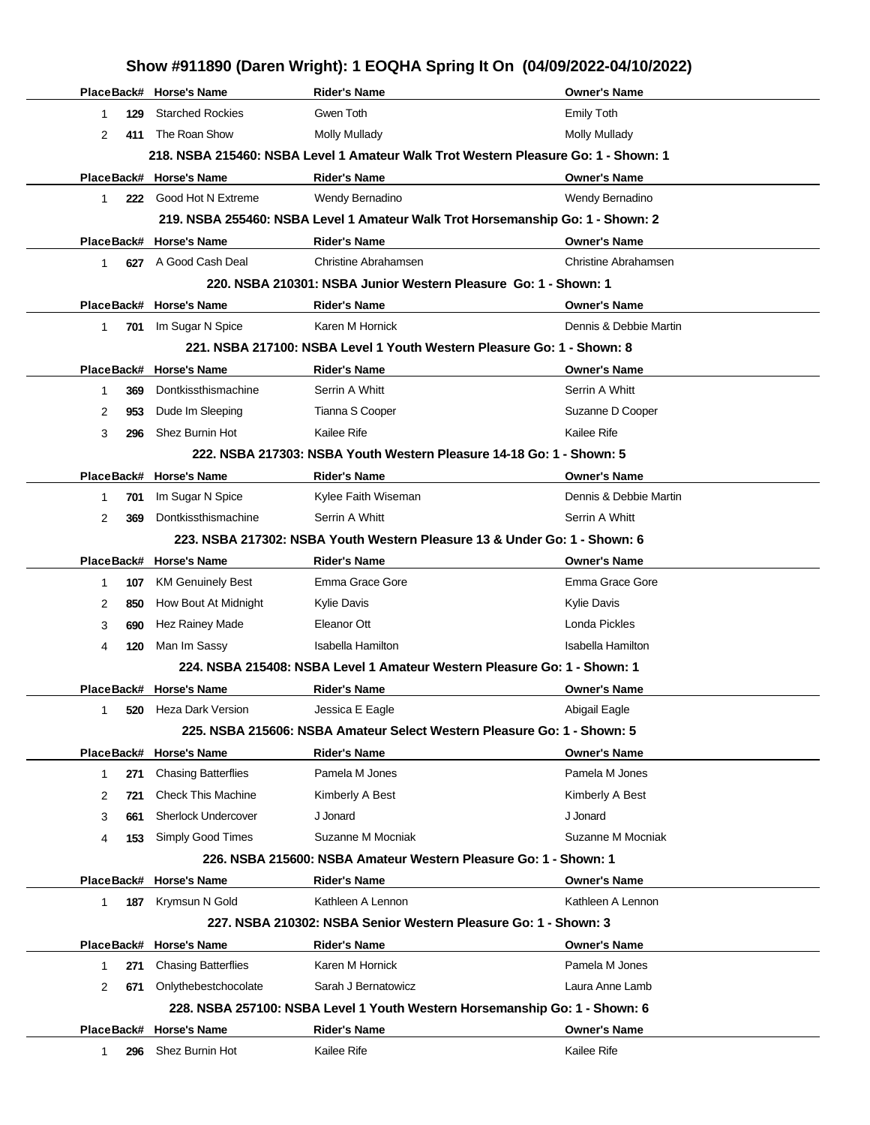| Show #911890 (Daren Wright): 1 EOQHA Spring It On (04/09/2022-04/10/2022) |            |                            |                                                                                    |                             |
|---------------------------------------------------------------------------|------------|----------------------------|------------------------------------------------------------------------------------|-----------------------------|
|                                                                           |            | PlaceBack# Horse's Name    | <b>Rider's Name</b>                                                                | <b>Owner's Name</b>         |
| $\mathbf 1$                                                               | 129        | <b>Starched Rockies</b>    | Gwen Toth                                                                          | <b>Emily Toth</b>           |
| 2                                                                         | 411        | The Roan Show              | <b>Molly Mullady</b>                                                               | Molly Mullady               |
|                                                                           |            |                            | 218. NSBA 215460: NSBA Level 1 Amateur Walk Trot Western Pleasure Go: 1 - Shown: 1 |                             |
|                                                                           |            | PlaceBack# Horse's Name    | <b>Rider's Name</b>                                                                | <b>Owner's Name</b>         |
| $\mathbf{1}$                                                              |            | 222 Good Hot N Extreme     | Wendy Bernadino                                                                    | Wendy Bernadino             |
|                                                                           |            |                            | 219. NSBA 255460: NSBA Level 1 Amateur Walk Trot Horsemanship Go: 1 - Shown: 2     |                             |
|                                                                           |            | PlaceBack# Horse's Name    | <b>Rider's Name</b>                                                                | <b>Owner's Name</b>         |
| 1                                                                         |            | 627 A Good Cash Deal       | Christine Abrahamsen                                                               | <b>Christine Abrahamsen</b> |
|                                                                           |            |                            | 220, NSBA 210301: NSBA Junior Western Pleasure Go: 1 - Shown: 1                    |                             |
|                                                                           |            | PlaceBack# Horse's Name    | <b>Rider's Name</b>                                                                | <b>Owner's Name</b>         |
| $\mathbf{1}$                                                              |            | 701 Im Sugar N Spice       | Karen M Hornick                                                                    | Dennis & Debbie Martin      |
|                                                                           |            |                            | 221, NSBA 217100: NSBA Level 1 Youth Western Pleasure Go: 1 - Shown: 8             |                             |
|                                                                           |            | PlaceBack# Horse's Name    | <b>Rider's Name</b>                                                                | <b>Owner's Name</b>         |
| 1                                                                         | 369        | Dontkissthismachine        | Serrin A Whitt                                                                     | Serrin A Whitt              |
| 2                                                                         | 953        | Dude Im Sleeping           | Tianna S Cooper                                                                    | Suzanne D Cooper            |
| 3                                                                         | 296        | Shez Burnin Hot            | Kailee Rife                                                                        | Kailee Rife                 |
|                                                                           |            |                            | 222, NSBA 217303: NSBA Youth Western Pleasure 14-18 Go: 1 - Shown: 5               |                             |
|                                                                           |            | PlaceBack# Horse's Name    | <b>Rider's Name</b>                                                                | <b>Owner's Name</b>         |
| 1                                                                         | 701        | Im Sugar N Spice           | Kylee Faith Wiseman                                                                | Dennis & Debbie Martin      |
| 2                                                                         | 369        | Dontkissthismachine        | Serrin A Whitt                                                                     | Serrin A Whitt              |
|                                                                           |            |                            | 223. NSBA 217302: NSBA Youth Western Pleasure 13 & Under Go: 1 - Shown: 6          |                             |
|                                                                           |            | PlaceBack# Horse's Name    | <b>Rider's Name</b>                                                                | <b>Owner's Name</b>         |
| $\mathbf{1}$                                                              | 107        | <b>KM Genuinely Best</b>   | Emma Grace Gore                                                                    | Emma Grace Gore             |
| 2                                                                         | 850        | How Bout At Midnight       | <b>Kylie Davis</b>                                                                 | Kylie Davis                 |
| 3                                                                         | 690        | <b>Hez Rainey Made</b>     | Eleanor Ott                                                                        | Londa Pickles               |
| 4                                                                         | 120        | Man Im Sassy               | <b>Isabella Hamilton</b>                                                           | Isabella Hamilton           |
|                                                                           |            |                            | 224, NSBA 215408; NSBA Level 1 Amateur Western Pleasure Go: 1 - Shown: 1           |                             |
|                                                                           |            | PlaceBack# Horse's Name    | Rider's Name                                                                       | <b>Owner's Name</b>         |
| 1.                                                                        | 520        | Heza Dark Version          | Jessica E Eagle                                                                    | Abigail Eagle               |
|                                                                           |            |                            | 225. NSBA 215606: NSBA Amateur Select Western Pleasure Go: 1 - Shown: 5            |                             |
|                                                                           | PlaceBack# | <b>Horse's Name</b>        | <b>Rider's Name</b>                                                                | <b>Owner's Name</b>         |
| 1                                                                         | 271        | <b>Chasing Batterflies</b> | Pamela M Jones                                                                     | Pamela M Jones              |
| 2                                                                         | 721        | <b>Check This Machine</b>  | Kimberly A Best                                                                    | Kimberly A Best             |
| 3                                                                         | 661        | <b>Sherlock Undercover</b> | J Jonard                                                                           | J Jonard                    |
| 4                                                                         | 153        | Simply Good Times          | Suzanne M Mocniak                                                                  | Suzanne M Mocniak           |
|                                                                           |            |                            | 226. NSBA 215600: NSBA Amateur Western Pleasure Go: 1 - Shown: 1                   |                             |
|                                                                           |            | PlaceBack# Horse's Name    | <b>Rider's Name</b>                                                                | <b>Owner's Name</b>         |
| 1                                                                         | 187        | Krymsun N Gold             | Kathleen A Lennon                                                                  | Kathleen A Lennon           |
|                                                                           |            |                            | 227, NSBA 210302: NSBA Senior Western Pleasure Go: 1 - Shown: 3                    |                             |
|                                                                           |            | PlaceBack# Horse's Name    | <b>Rider's Name</b>                                                                | <b>Owner's Name</b>         |
| $\mathbf{1}$                                                              | 271        | <b>Chasing Batterflies</b> | Karen M Hornick                                                                    | Pamela M Jones              |
| 2                                                                         | 671        | Onlythebestchocolate       | Sarah J Bernatowicz                                                                | Laura Anne Lamb             |
|                                                                           |            |                            | 228. NSBA 257100: NSBA Level 1 Youth Western Horsemanship Go: 1 - Shown: 6         |                             |
|                                                                           |            | PlaceBack# Horse's Name    | <b>Rider's Name</b>                                                                | <b>Owner's Name</b>         |
| 1                                                                         | 296        | Shez Burnin Hot            | Kailee Rife                                                                        | Kailee Rife                 |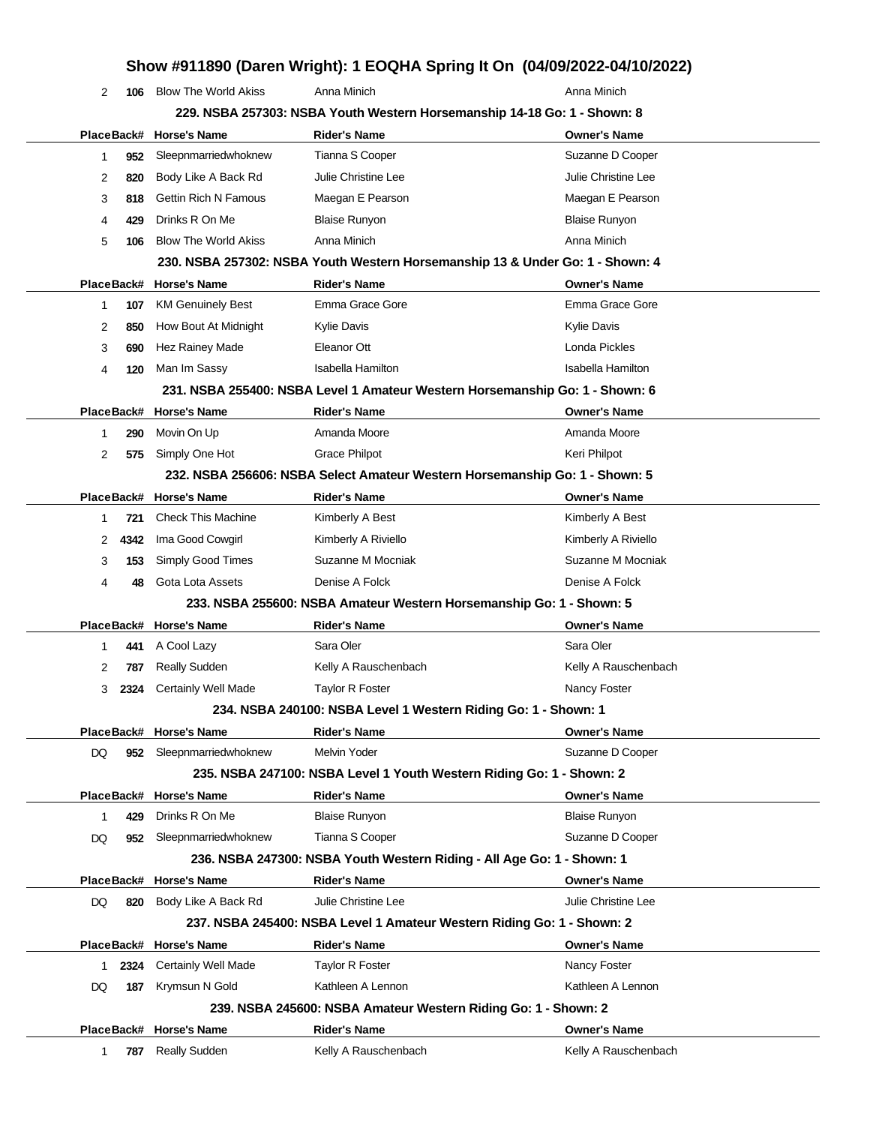# **Show #911890 (Daren Wright): 1 EOQHA Spring It On (04/09/2022-04/10/2022)**

|    | 2<br>106                                                                 | <b>Blow The World Akiss</b> | Anna Minich                                                                   | Anna Minich          |  |  |  |  |
|----|--------------------------------------------------------------------------|-----------------------------|-------------------------------------------------------------------------------|----------------------|--|--|--|--|
|    | 229. NSBA 257303: NSBA Youth Western Horsemanship 14-18 Go: 1 - Shown: 8 |                             |                                                                               |                      |  |  |  |  |
|    |                                                                          | PlaceBack# Horse's Name     | <b>Rider's Name</b>                                                           | <b>Owner's Name</b>  |  |  |  |  |
|    | 1<br>952                                                                 | Sleepnmarriedwhoknew        | Tianna S Cooper                                                               | Suzanne D Cooper     |  |  |  |  |
|    | 2<br>820                                                                 | Body Like A Back Rd         | Julie Christine Lee                                                           | Julie Christine Lee  |  |  |  |  |
|    | 3<br>818                                                                 | <b>Gettin Rich N Famous</b> | Maegan E Pearson                                                              | Maegan E Pearson     |  |  |  |  |
|    | 4<br>429                                                                 | Drinks R On Me              | <b>Blaise Runyon</b>                                                          | Blaise Runyon        |  |  |  |  |
|    | 5<br>106                                                                 | <b>Blow The World Akiss</b> | Anna Minich                                                                   | Anna Minich          |  |  |  |  |
|    |                                                                          |                             | 230. NSBA 257302: NSBA Youth Western Horsemanship 13 & Under Go: 1 - Shown: 4 |                      |  |  |  |  |
|    |                                                                          | PlaceBack# Horse's Name     | <b>Rider's Name</b>                                                           | <b>Owner's Name</b>  |  |  |  |  |
|    | 1<br>107                                                                 | <b>KM Genuinely Best</b>    | Emma Grace Gore                                                               | Emma Grace Gore      |  |  |  |  |
|    | 2<br>850                                                                 | How Bout At Midnight        | Kylie Davis                                                                   | Kylie Davis          |  |  |  |  |
|    | 3<br>690                                                                 | Hez Rainey Made             | Eleanor Ott                                                                   | Londa Pickles        |  |  |  |  |
|    | 4<br>120                                                                 | Man Im Sassy                | Isabella Hamilton                                                             | Isabella Hamilton    |  |  |  |  |
|    |                                                                          |                             | 231. NSBA 255400: NSBA Level 1 Amateur Western Horsemanship Go: 1 - Shown: 6  |                      |  |  |  |  |
|    |                                                                          | PlaceBack# Horse's Name     | <b>Rider's Name</b>                                                           | <b>Owner's Name</b>  |  |  |  |  |
|    | 290<br>1                                                                 | Movin On Up                 | Amanda Moore                                                                  | Amanda Moore         |  |  |  |  |
|    | 2<br>575                                                                 | Simply One Hot              | <b>Grace Philpot</b>                                                          | Keri Philpot         |  |  |  |  |
|    |                                                                          |                             | 232. NSBA 256606: NSBA Select Amateur Western Horsemanship Go: 1 - Shown: 5   |                      |  |  |  |  |
|    |                                                                          | PlaceBack# Horse's Name     | <b>Rider's Name</b>                                                           | <b>Owner's Name</b>  |  |  |  |  |
|    | 721<br>1                                                                 | <b>Check This Machine</b>   | Kimberly A Best                                                               | Kimberly A Best      |  |  |  |  |
|    | 4342<br>2                                                                | Ima Good Cowgirl            | Kimberly A Riviello                                                           | Kimberly A Riviello  |  |  |  |  |
|    | 3<br>153                                                                 | Simply Good Times           | Suzanne M Mocniak                                                             | Suzanne M Mocniak    |  |  |  |  |
|    | 4<br>48                                                                  | Gota Lota Assets            | Denise A Folck                                                                | Denise A Folck       |  |  |  |  |
|    |                                                                          |                             | 233. NSBA 255600: NSBA Amateur Western Horsemanship Go: 1 - Shown: 5          |                      |  |  |  |  |
|    |                                                                          | PlaceBack# Horse's Name     | <b>Rider's Name</b>                                                           | <b>Owner's Name</b>  |  |  |  |  |
|    | 1<br>441                                                                 | A Cool Lazy                 | Sara Oler                                                                     | Sara Oler            |  |  |  |  |
|    | 2<br>787                                                                 | <b>Really Sudden</b>        | Kelly A Rauschenbach                                                          | Kelly A Rauschenbach |  |  |  |  |
|    | 3<br>2324                                                                | <b>Certainly Well Made</b>  | Taylor R Foster                                                               | Nancy Foster         |  |  |  |  |
|    |                                                                          |                             | 234. NSBA 240100: NSBA Level 1 Western Riding Go: 1 - Shown: 1                |                      |  |  |  |  |
|    |                                                                          | PlaceBack# Horse's Name     | <b>Rider's Name</b>                                                           | <b>Owner's Name</b>  |  |  |  |  |
| DQ | 952                                                                      | Sleepnmarriedwhoknew        | Melvin Yoder                                                                  | Suzanne D Cooper     |  |  |  |  |
|    |                                                                          |                             | 235. NSBA 247100: NSBA Level 1 Youth Western Riding Go: 1 - Shown: 2          |                      |  |  |  |  |
|    |                                                                          | PlaceBack# Horse's Name     | <b>Rider's Name</b>                                                           | <b>Owner's Name</b>  |  |  |  |  |
|    | 1<br>429                                                                 | Drinks R On Me              | <b>Blaise Runyon</b>                                                          | <b>Blaise Runyon</b> |  |  |  |  |
| DQ | 952                                                                      | Sleepnmarriedwhoknew        | Tianna S Cooper                                                               | Suzanne D Cooper     |  |  |  |  |
|    |                                                                          |                             | 236. NSBA 247300: NSBA Youth Western Riding - All Age Go: 1 - Shown: 1        |                      |  |  |  |  |
|    |                                                                          | PlaceBack# Horse's Name     | <b>Rider's Name</b>                                                           | <b>Owner's Name</b>  |  |  |  |  |
| DQ | 820                                                                      | Body Like A Back Rd         | Julie Christine Lee                                                           | Julie Christine Lee  |  |  |  |  |
|    |                                                                          |                             | 237. NSBA 245400: NSBA Level 1 Amateur Western Riding Go: 1 - Shown: 2        |                      |  |  |  |  |
|    |                                                                          | PlaceBack# Horse's Name     | <b>Rider's Name</b>                                                           | <b>Owner's Name</b>  |  |  |  |  |
|    | 2324<br>1                                                                | <b>Certainly Well Made</b>  | Taylor R Foster                                                               | Nancy Foster         |  |  |  |  |
| DQ | 187                                                                      | Krymsun N Gold              | Kathleen A Lennon                                                             | Kathleen A Lennon    |  |  |  |  |
|    |                                                                          |                             | 239. NSBA 245600: NSBA Amateur Western Riding Go: 1 - Shown: 2                |                      |  |  |  |  |
|    |                                                                          | PlaceBack# Horse's Name     | <b>Rider's Name</b>                                                           | <b>Owner's Name</b>  |  |  |  |  |
|    | 787<br>1                                                                 | <b>Really Sudden</b>        | Kelly A Rauschenbach                                                          | Kelly A Rauschenbach |  |  |  |  |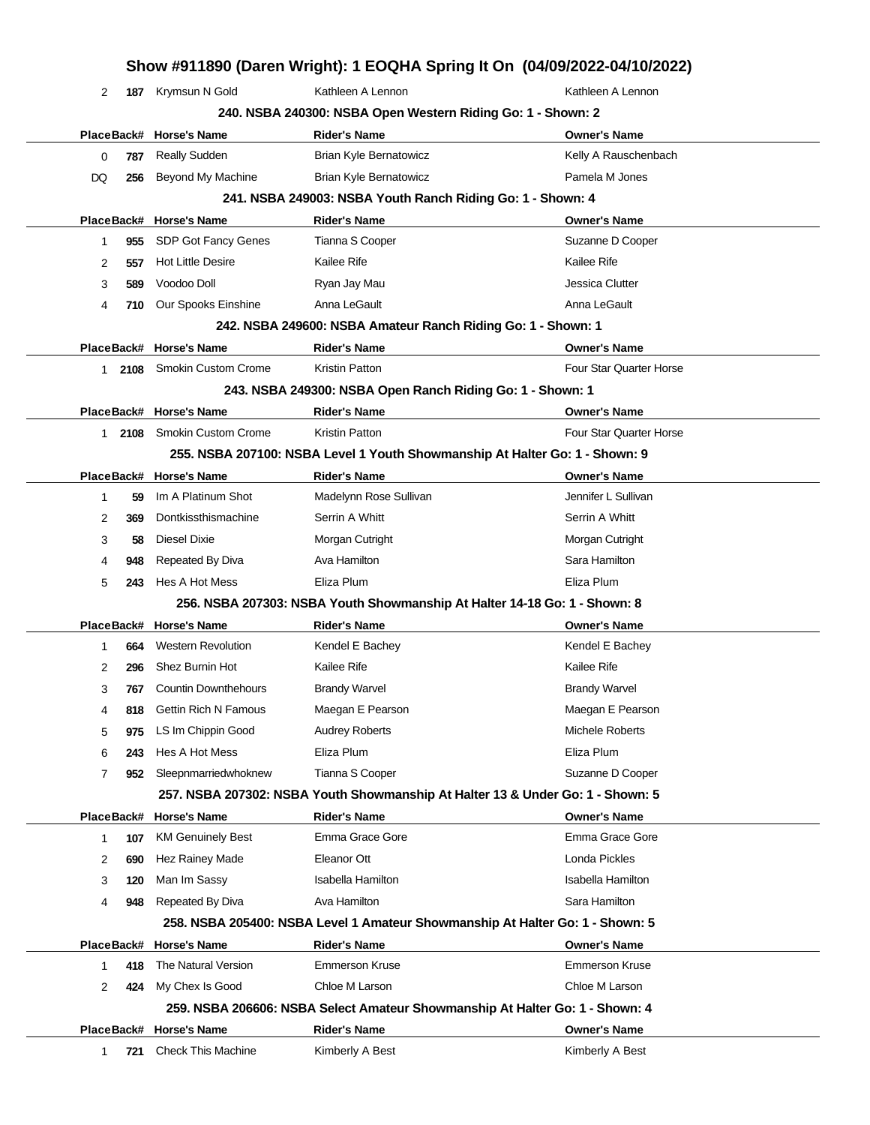|                |            |                             | Show #911890 (Daren Wright): 1 EOQHA Spring It On (04/09/2022-04/10/2022)      |                                |
|----------------|------------|-----------------------------|--------------------------------------------------------------------------------|--------------------------------|
| 2              | 187        | Krymsun N Gold              | Kathleen A Lennon                                                              | Kathleen A Lennon              |
|                |            |                             | 240. NSBA 240300: NSBA Open Western Riding Go: 1 - Shown: 2                    |                                |
|                |            | PlaceBack# Horse's Name     | <b>Rider's Name</b>                                                            | <b>Owner's Name</b>            |
| 0              | 787        | <b>Really Sudden</b>        | Brian Kyle Bernatowicz                                                         | Kelly A Rauschenbach           |
| DQ             | 256        | Beyond My Machine           | <b>Brian Kyle Bernatowicz</b>                                                  | Pamela M Jones                 |
|                |            |                             | 241. NSBA 249003: NSBA Youth Ranch Riding Go: 1 - Shown: 4                     |                                |
|                |            | PlaceBack# Horse's Name     | <b>Rider's Name</b>                                                            | <b>Owner's Name</b>            |
| 1              | 955        | SDP Got Fancy Genes         | Tianna S Cooper                                                                | Suzanne D Cooper               |
| 2              | 557        | <b>Hot Little Desire</b>    | Kailee Rife                                                                    | Kailee Rife                    |
| 3              | 589        | Voodoo Doll                 | Ryan Jay Mau                                                                   | Jessica Clutter                |
| 4              | 710        | Our Spooks Einshine         | Anna LeGault                                                                   | Anna LeGault                   |
|                |            |                             | 242. NSBA 249600: NSBA Amateur Ranch Riding Go: 1 - Shown: 1                   |                                |
|                |            | PlaceBack# Horse's Name     | <b>Rider's Name</b>                                                            | <b>Owner's Name</b>            |
| 1              | 2108       | Smokin Custom Crome         | <b>Kristin Patton</b>                                                          | Four Star Quarter Horse        |
|                |            |                             | 243. NSBA 249300: NSBA Open Ranch Riding Go: 1 - Shown: 1                      |                                |
|                |            | PlaceBack# Horse's Name     | <b>Rider's Name</b>                                                            | <b>Owner's Name</b>            |
| 1.             | 2108       | Smokin Custom Crome         | Kristin Patton                                                                 | <b>Four Star Quarter Horse</b> |
|                |            |                             | 255. NSBA 207100: NSBA Level 1 Youth Showmanship At Halter Go: 1 - Shown: 9    |                                |
|                |            | PlaceBack# Horse's Name     | <b>Rider's Name</b>                                                            | <b>Owner's Name</b>            |
| 1              | 59         | Im A Platinum Shot          | Madelynn Rose Sullivan                                                         | Jennifer L Sullivan            |
| 2              | 369        | Dontkissthismachine         | Serrin A Whitt                                                                 | Serrin A Whitt                 |
| 3              | 58         | Diesel Dixie                | Morgan Cutright                                                                | Morgan Cutright                |
| 4              | 948        | Repeated By Diva            | Ava Hamilton                                                                   | Sara Hamilton                  |
| 5              | 243        | Hes A Hot Mess              | Eliza Plum                                                                     | Eliza Plum                     |
|                |            |                             | 256. NSBA 207303: NSBA Youth Showmanship At Halter 14-18 Go: 1 - Shown: 8      |                                |
|                |            | PlaceBack# Horse's Name     | <b>Rider's Name</b>                                                            | <b>Owner's Name</b>            |
| 1              | 664        | <b>Western Revolution</b>   | Kendel E Bachey                                                                | Kendel E Bachey                |
| 2              | 296        | Shez Burnin Hot             | Kailee Rife                                                                    | Kailee Rife                    |
| 3              |            | 767 Countin Downthehours    | <b>Brandy Warvel</b>                                                           | <b>Brandy Warvel</b>           |
| 4              | 818        | <b>Gettin Rich N Famous</b> | Maegan E Pearson                                                               | Maegan E Pearson               |
| 5              | 975        | LS Im Chippin Good          | <b>Audrey Roberts</b>                                                          | Michele Roberts                |
| 6              | 243        | Hes A Hot Mess              | Eliza Plum                                                                     | Eliza Plum                     |
| $\overline{7}$ | 952        | Sleepnmarriedwhoknew        | Tianna S Cooper                                                                | Suzanne D Cooper               |
|                |            |                             | 257. NSBA 207302: NSBA Youth Showmanship At Halter 13 & Under Go: 1 - Shown: 5 |                                |
|                | PlaceBack# | <b>Horse's Name</b>         | <b>Rider's Name</b>                                                            | <b>Owner's Name</b>            |
| 1              | 107        | <b>KM Genuinely Best</b>    | Emma Grace Gore                                                                | Emma Grace Gore                |
| 2              | 690        | Hez Rainey Made             | Eleanor Ott                                                                    | Londa Pickles                  |
| 3              | 120        | Man Im Sassy                | Isabella Hamilton                                                              | <b>Isabella Hamilton</b>       |
| 4              | 948        | Repeated By Diva            | Ava Hamilton                                                                   | Sara Hamilton                  |
|                |            |                             | 258. NSBA 205400: NSBA Level 1 Amateur Showmanship At Halter Go: 1 - Shown: 5  |                                |
|                |            | PlaceBack# Horse's Name     | <b>Rider's Name</b>                                                            | <b>Owner's Name</b>            |
| 1              | 418        | The Natural Version         | <b>Emmerson Kruse</b>                                                          | <b>Emmerson Kruse</b>          |
| 2              | 424        | My Chex Is Good             | Chloe M Larson                                                                 | Chloe M Larson                 |
|                |            |                             | 259. NSBA 206606: NSBA Select Amateur Showmanship At Halter Go: 1 - Shown: 4   |                                |
|                |            | PlaceBack# Horse's Name     | <b>Rider's Name</b>                                                            | <b>Owner's Name</b>            |
| 1              | 721        | <b>Check This Machine</b>   | Kimberly A Best                                                                | Kimberly A Best                |
|                |            |                             |                                                                                |                                |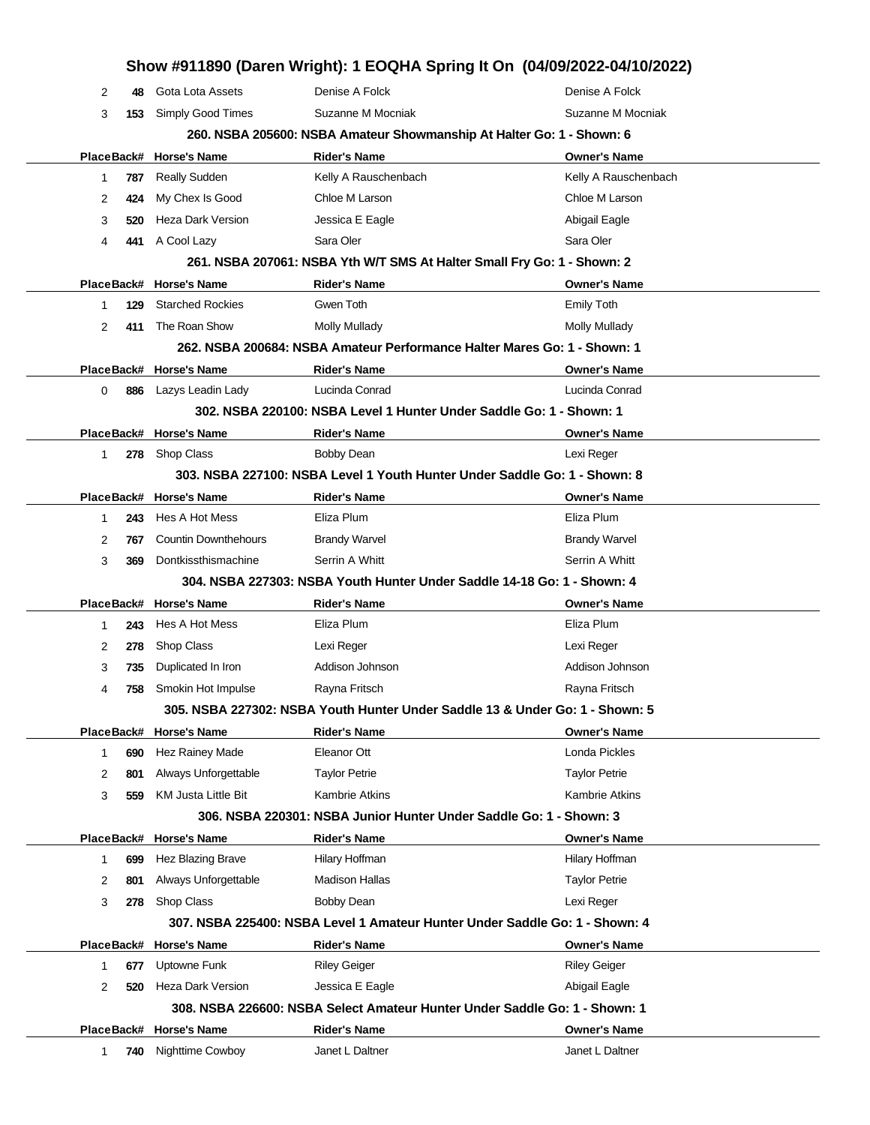| Show #911890 (Daren Wright): 1 EOQHA Spring It On (04/09/2022-04/10/2022) |                                    |                                                                     |                                                                                           |  |  |
|---------------------------------------------------------------------------|------------------------------------|---------------------------------------------------------------------|-------------------------------------------------------------------------------------------|--|--|
| 2<br>48                                                                   | Gota Lota Assets                   | Denise A Folck                                                      | Denise A Folck                                                                            |  |  |
| 3<br>153                                                                  | Simply Good Times                  | Suzanne M Mocniak                                                   | Suzanne M Mocniak                                                                         |  |  |
|                                                                           |                                    |                                                                     | 260. NSBA 205600: NSBA Amateur Showmanship At Halter Go: 1 - Shown: 6                     |  |  |
| PlaceBack#                                                                | <b>Horse's Name</b>                | <b>Rider's Name</b>                                                 | <b>Owner's Name</b>                                                                       |  |  |
| 787<br>1                                                                  | <b>Really Sudden</b>               | Kelly A Rauschenbach                                                | Kelly A Rauschenbach                                                                      |  |  |
| 2<br>424                                                                  | My Chex Is Good                    | Chloe M Larson                                                      | Chloe M Larson                                                                            |  |  |
| 3<br>520                                                                  | <b>Heza Dark Version</b>           | Jessica E Eagle                                                     | Abigail Eagle                                                                             |  |  |
| 4<br>441                                                                  | A Cool Lazy                        | Sara Oler                                                           | Sara Oler                                                                                 |  |  |
|                                                                           |                                    |                                                                     | 261. NSBA 207061: NSBA Yth W/T SMS At Halter Small Fry Go: 1 - Shown: 2                   |  |  |
|                                                                           | PlaceBack# Horse's Name            | <b>Rider's Name</b>                                                 | <b>Owner's Name</b>                                                                       |  |  |
| 129<br>1                                                                  | <b>Starched Rockies</b>            | Gwen Toth                                                           | <b>Emily Toth</b>                                                                         |  |  |
| 2<br>411                                                                  | The Roan Show                      | <b>Molly Mullady</b>                                                | Molly Mullady                                                                             |  |  |
|                                                                           |                                    |                                                                     | 262. NSBA 200684: NSBA Amateur Performance Halter Mares Go: 1 - Shown: 1                  |  |  |
|                                                                           | PlaceBack# Horse's Name            | <b>Rider's Name</b>                                                 | <b>Owner's Name</b>                                                                       |  |  |
| 886<br>0                                                                  | Lazys Leadin Lady                  | Lucinda Conrad                                                      | Lucinda Conrad                                                                            |  |  |
|                                                                           |                                    | 302. NSBA 220100: NSBA Level 1 Hunter Under Saddle Go: 1 - Shown: 1 |                                                                                           |  |  |
| PlaceBack#                                                                | <b>Horse's Name</b>                | <b>Rider's Name</b>                                                 | <b>Owner's Name</b>                                                                       |  |  |
| $\mathbf 1$<br>278                                                        | <b>Shop Class</b>                  | <b>Bobby Dean</b>                                                   | Lexi Reger                                                                                |  |  |
|                                                                           |                                    |                                                                     | 303. NSBA 227100: NSBA Level 1 Youth Hunter Under Saddle Go: 1 - Shown: 8                 |  |  |
| PlaceBack#                                                                | <b>Horse's Name</b>                | <b>Rider's Name</b>                                                 | <b>Owner's Name</b>                                                                       |  |  |
| 243<br>1                                                                  | Hes A Hot Mess                     | Eliza Plum                                                          | Eliza Plum                                                                                |  |  |
| 2<br>767                                                                  | <b>Countin Downthehours</b>        | <b>Brandy Warvel</b>                                                | <b>Brandy Warvel</b>                                                                      |  |  |
| 3<br>369                                                                  | Dontkissthismachine                | Serrin A Whitt                                                      | Serrin A Whitt                                                                            |  |  |
|                                                                           |                                    |                                                                     | 304, NSBA 227303: NSBA Youth Hunter Under Saddle 14-18 Go: 1 - Shown: 4                   |  |  |
| PlaceBack#                                                                | <b>Horse's Name</b>                | <b>Rider's Name</b>                                                 | <b>Owner's Name</b>                                                                       |  |  |
| 243<br>1                                                                  | Hes A Hot Mess                     | Eliza Plum                                                          | Eliza Plum                                                                                |  |  |
| 2<br>278                                                                  | Shop Class                         | Lexi Reger                                                          | Lexi Reger                                                                                |  |  |
| 3<br>735                                                                  | Duplicated In Iron                 | Addison Johnson                                                     | Addison Johnson                                                                           |  |  |
| 4<br>758                                                                  | Smokin Hot Impulse                 | Rayna Fritsch                                                       | Rayna Fritsch                                                                             |  |  |
|                                                                           |                                    |                                                                     | 305. NSBA 227302: NSBA Youth Hunter Under Saddle 13 & Under Go: 1 - Shown: 5              |  |  |
| PlaceBack#                                                                | <b>Horse's Name</b>                | <b>Rider's Name</b>                                                 | <b>Owner's Name</b>                                                                       |  |  |
| 690<br>1                                                                  | Hez Rainey Made                    | Eleanor Ott                                                         | Londa Pickles                                                                             |  |  |
| 2<br>801                                                                  | Always Unforgettable               | <b>Taylor Petrie</b>                                                | <b>Taylor Petrie</b>                                                                      |  |  |
| 3<br>559                                                                  | <b>KM Justa Little Bit</b>         | <b>Kambrie Atkins</b>                                               | <b>Kambrie Atkins</b>                                                                     |  |  |
|                                                                           |                                    | 306. NSBA 220301: NSBA Junior Hunter Under Saddle Go: 1 - Shown: 3  |                                                                                           |  |  |
|                                                                           | PlaceBack# Horse's Name            | <b>Rider's Name</b>                                                 | <b>Owner's Name</b>                                                                       |  |  |
| 699<br>1                                                                  | Hez Blazing Brave                  | Hilary Hoffman<br><b>Madison Hallas</b>                             | Hilary Hoffman                                                                            |  |  |
| 801<br>2                                                                  | Always Unforgettable<br>Shop Class |                                                                     | <b>Taylor Petrie</b>                                                                      |  |  |
| 3<br>278                                                                  |                                    | <b>Bobby Dean</b>                                                   | Lexi Reger<br>307. NSBA 225400: NSBA Level 1 Amateur Hunter Under Saddle Go: 1 - Shown: 4 |  |  |
|                                                                           | <b>Horse's Name</b>                |                                                                     | <b>Owner's Name</b>                                                                       |  |  |
| PlaceBack#                                                                | Uptowne Funk                       | <b>Rider's Name</b>                                                 | <b>Riley Geiger</b>                                                                       |  |  |
| $\mathbf 1$<br>677<br>2<br>520                                            | <b>Heza Dark Version</b>           | <b>Riley Geiger</b><br>Jessica E Eagle                              | Abigail Eagle                                                                             |  |  |
|                                                                           |                                    |                                                                     | 308. NSBA 226600: NSBA Select Amateur Hunter Under Saddle Go: 1 - Shown: 1                |  |  |
|                                                                           |                                    |                                                                     | <b>Owner's Name</b>                                                                       |  |  |
| PlaceBack#                                                                | <b>Horse's Name</b>                | <b>Rider's Name</b><br>Janet L Daltner                              | Janet L Daltner                                                                           |  |  |
| 740<br>1                                                                  | Nighttime Cowboy                   |                                                                     |                                                                                           |  |  |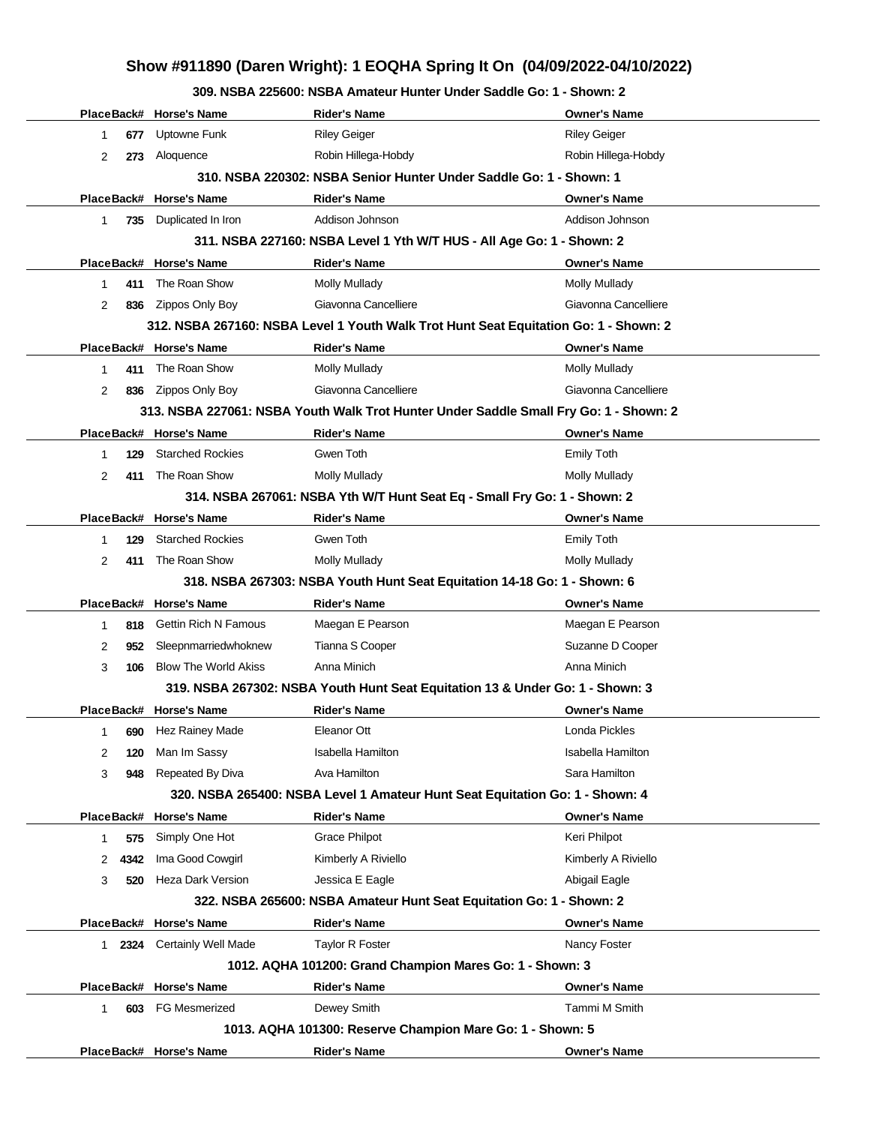## **Show #911890 (Daren Wright): 1 EOQHA Spring It On (04/09/2022-04/10/2022)**

**309. NSBA 225600: NSBA Amateur Hunter Under Saddle Go: 1 - Shown: 2**

|        |      | PlaceBack# Horse's Name     | <b>Rider's Name</b>                                                                   | <b>Owner's Name</b>  |
|--------|------|-----------------------------|---------------------------------------------------------------------------------------|----------------------|
| 1      | 677  | Uptowne Funk                | <b>Riley Geiger</b>                                                                   | <b>Riley Geiger</b>  |
| 2      | 273  | Aloquence                   | Robin Hillega-Hobdy                                                                   | Robin Hillega-Hobdy  |
|        |      |                             | 310. NSBA 220302: NSBA Senior Hunter Under Saddle Go: 1 - Shown: 1                    |                      |
|        |      | PlaceBack# Horse's Name     | <b>Rider's Name</b>                                                                   | <b>Owner's Name</b>  |
| 1.     | 735  | Duplicated In Iron          | Addison Johnson                                                                       | Addison Johnson      |
|        |      |                             | 311. NSBA 227160: NSBA Level 1 Yth W/T HUS - All Age Go: 1 - Shown: 2                 |                      |
|        |      | PlaceBack# Horse's Name     | <b>Rider's Name</b>                                                                   | <b>Owner's Name</b>  |
| 1      | 411  | The Roan Show               | <b>Molly Mullady</b>                                                                  | <b>Molly Mullady</b> |
| 2      | 836  | Zippos Only Boy             | Giavonna Cancelliere                                                                  | Giavonna Cancelliere |
|        |      |                             | 312. NSBA 267160: NSBA Level 1 Youth Walk Trot Hunt Seat Equitation Go: 1 - Shown: 2  |                      |
|        |      | PlaceBack# Horse's Name     | <b>Rider's Name</b>                                                                   | <b>Owner's Name</b>  |
| 1      | 411  | The Roan Show               | <b>Molly Mullady</b>                                                                  | <b>Molly Mullady</b> |
| 2      | 836  | Zippos Only Boy             | Giavonna Cancelliere                                                                  | Giavonna Cancelliere |
|        |      |                             | 313. NSBA 227061: NSBA Youth Walk Trot Hunter Under Saddle Small Fry Go: 1 - Shown: 2 |                      |
|        |      | PlaceBack# Horse's Name     | <b>Rider's Name</b>                                                                   | <b>Owner's Name</b>  |
| 1      | 129  | <b>Starched Rockies</b>     | Gwen Toth                                                                             | <b>Emily Toth</b>    |
| 2      | 411  | The Roan Show               | <b>Molly Mullady</b>                                                                  | <b>Molly Mullady</b> |
|        |      |                             | 314. NSBA 267061: NSBA Yth W/T Hunt Seat Eq - Small Fry Go: 1 - Shown: 2              |                      |
|        |      | PlaceBack# Horse's Name     | <b>Rider's Name</b>                                                                   | <b>Owner's Name</b>  |
| 1      | 129  | <b>Starched Rockies</b>     | Gwen Toth                                                                             | <b>Emily Toth</b>    |
| 2      | 411  | The Roan Show               | <b>Molly Mullady</b>                                                                  | <b>Molly Mullady</b> |
|        |      |                             | 318. NSBA 267303: NSBA Youth Hunt Seat Equitation 14-18 Go: 1 - Shown: 6              |                      |
|        |      | PlaceBack# Horse's Name     | <b>Rider's Name</b>                                                                   | <b>Owner's Name</b>  |
| 1      | 818  | <b>Gettin Rich N Famous</b> | Maegan E Pearson                                                                      | Maegan E Pearson     |
| 2      | 952  | Sleepnmarriedwhoknew        | Tianna S Cooper                                                                       | Suzanne D Cooper     |
| 3      | 106  | <b>Blow The World Akiss</b> | Anna Minich                                                                           | Anna Minich          |
|        |      |                             | 319. NSBA 267302: NSBA Youth Hunt Seat Equitation 13 & Under Go: 1 - Shown: 3         |                      |
|        |      | PlaceBack# Horse's Name     | <b>Rider's Name</b>                                                                   | <b>Owner's Name</b>  |
| 1      | 690  | Hez Rainey Made             | Eleanor Ott                                                                           | Londa Pickles        |
| 2      | 120  | Man Im Sassy                | Isabella Hamilton                                                                     | Isabella Hamilton    |
| 3      | 948  | Repeated By Diva            | Ava Hamilton                                                                          | Sara Hamilton        |
|        |      |                             | 320. NSBA 265400: NSBA Level 1 Amateur Hunt Seat Equitation Go: 1 - Shown: 4          |                      |
|        |      | PlaceBack# Horse's Name     | <b>Rider's Name</b>                                                                   | <b>Owner's Name</b>  |
| 1      | 575  | Simply One Hot              | <b>Grace Philpot</b>                                                                  | Keri Philpot         |
| 2      | 4342 | Ima Good Cowgirl            | Kimberly A Riviello                                                                   | Kimberly A Riviello  |
| 3      | 520  | <b>Heza Dark Version</b>    | Jessica E Eagle                                                                       | Abigail Eagle        |
|        |      |                             | 322. NSBA 265600: NSBA Amateur Hunt Seat Equitation Go: 1 - Shown: 2                  |                      |
|        |      | PlaceBack# Horse's Name     | <b>Rider's Name</b>                                                                   | Owner's Name         |
| 1 2324 |      | <b>Certainly Well Made</b>  | <b>Taylor R Foster</b>                                                                | Nancy Foster         |
|        |      |                             | 1012. AQHA 101200: Grand Champion Mares Go: 1 - Shown: 3                              |                      |
|        |      | PlaceBack# Horse's Name     | <b>Rider's Name</b>                                                                   | <b>Owner's Name</b>  |
| 1      | 603  | <b>FG Mesmerized</b>        | Dewey Smith                                                                           | Tammi M Smith        |
|        |      |                             | 1013. AQHA 101300: Reserve Champion Mare Go: 1 - Shown: 5                             |                      |
|        |      | PlaceBack# Horse's Name     | <b>Rider's Name</b>                                                                   | <b>Owner's Name</b>  |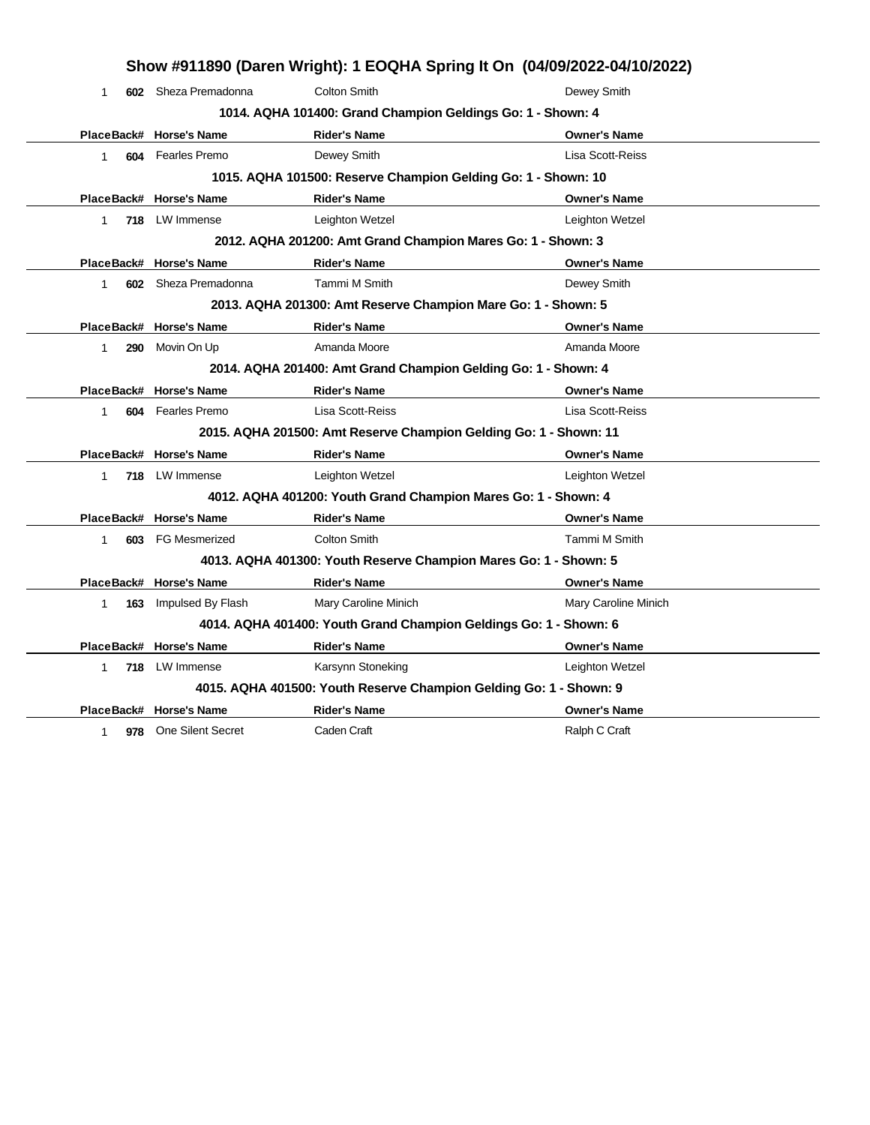|                     | Show #911890 (Daren Wright): 1 EOQHA Spring It On (04/09/2022-04/10/2022) |                                                                    |                      |  |  |
|---------------------|---------------------------------------------------------------------------|--------------------------------------------------------------------|----------------------|--|--|
| 1                   | 602 Sheza Premadonna                                                      | Colton Smith                                                       | Dewey Smith          |  |  |
|                     |                                                                           | 1014. AQHA 101400: Grand Champion Geldings Go: 1 - Shown: 4        |                      |  |  |
|                     | PlaceBack# Horse's Name                                                   | <b>Rider's Name</b>                                                | <b>Owner's Name</b>  |  |  |
| 1                   | 604 Fearles Premo                                                         | Dewey Smith                                                        | Lisa Scott-Reiss     |  |  |
|                     |                                                                           | 1015. AQHA 101500: Reserve Champion Gelding Go: 1 - Shown: 10      |                      |  |  |
|                     | PlaceBack# Horse's Name                                                   | <b>Rider's Name</b>                                                | <b>Owner's Name</b>  |  |  |
| 1                   | 718 LW Immense                                                            | Leighton Wetzel                                                    | Leighton Wetzel      |  |  |
|                     |                                                                           | 2012. AQHA 201200: Amt Grand Champion Mares Go: 1 - Shown: 3       |                      |  |  |
|                     | PlaceBack# Horse's Name                                                   | <b>Rider's Name</b>                                                | <b>Owner's Name</b>  |  |  |
| 1.                  | 602 Sheza Premadonna                                                      | Tammi M Smith                                                      | Dewey Smith          |  |  |
|                     |                                                                           | 2013. AQHA 201300: Amt Reserve Champion Mare Go: 1 - Shown: 5      |                      |  |  |
|                     | PlaceBack# Horse's Name                                                   | <b>Rider's Name</b>                                                | <b>Owner's Name</b>  |  |  |
| 290<br>$\mathbf{1}$ | Movin On Up                                                               | Amanda Moore                                                       | Amanda Moore         |  |  |
|                     | 2014. AQHA 201400: Amt Grand Champion Gelding Go: 1 - Shown: 4            |                                                                    |                      |  |  |
|                     | PlaceBack# Horse's Name                                                   | <b>Rider's Name</b>                                                | <b>Owner's Name</b>  |  |  |
| 604<br>1            | Fearles Premo                                                             | Lisa Scott-Reiss                                                   | Lisa Scott-Reiss     |  |  |
|                     |                                                                           | 2015. AQHA 201500: Amt Reserve Champion Gelding Go: 1 - Shown: 11  |                      |  |  |
|                     | PlaceBack# Horse's Name                                                   | <b>Rider's Name</b>                                                | <b>Owner's Name</b>  |  |  |
| 718<br>1            | LW Immense                                                                | Leighton Wetzel                                                    | Leighton Wetzel      |  |  |
|                     |                                                                           | 4012. AQHA 401200: Youth Grand Champion Mares Go: 1 - Shown: 4     |                      |  |  |
|                     | PlaceBack# Horse's Name                                                   | <b>Rider's Name</b>                                                | <b>Owner's Name</b>  |  |  |
| 603<br>$\mathbf{1}$ | <b>FG Mesmerized</b>                                                      | <b>Colton Smith</b>                                                | Tammi M Smith        |  |  |
|                     |                                                                           | 4013. AQHA 401300: Youth Reserve Champion Mares Go: 1 - Shown: 5   |                      |  |  |
|                     | PlaceBack# Horse's Name                                                   | <b>Rider's Name</b>                                                | <b>Owner's Name</b>  |  |  |
| 163<br>$\mathbf{1}$ | Impulsed By Flash                                                         | Mary Caroline Minich                                               | Mary Caroline Minich |  |  |
|                     |                                                                           | 4014. AQHA 401400: Youth Grand Champion Geldings Go: 1 - Shown: 6  |                      |  |  |
|                     | PlaceBack# Horse's Name                                                   | <b>Rider's Name</b>                                                | <b>Owner's Name</b>  |  |  |
| 1                   | 718 LW Immense                                                            | Karsynn Stoneking                                                  | Leighton Wetzel      |  |  |
|                     |                                                                           | 4015. AQHA 401500: Youth Reserve Champion Gelding Go: 1 - Shown: 9 |                      |  |  |
|                     | PlaceBack# Horse's Name                                                   | <b>Rider's Name</b>                                                | <b>Owner's Name</b>  |  |  |
| 1                   | 978 One Silent Secret                                                     | Caden Craft                                                        | Ralph C Craft        |  |  |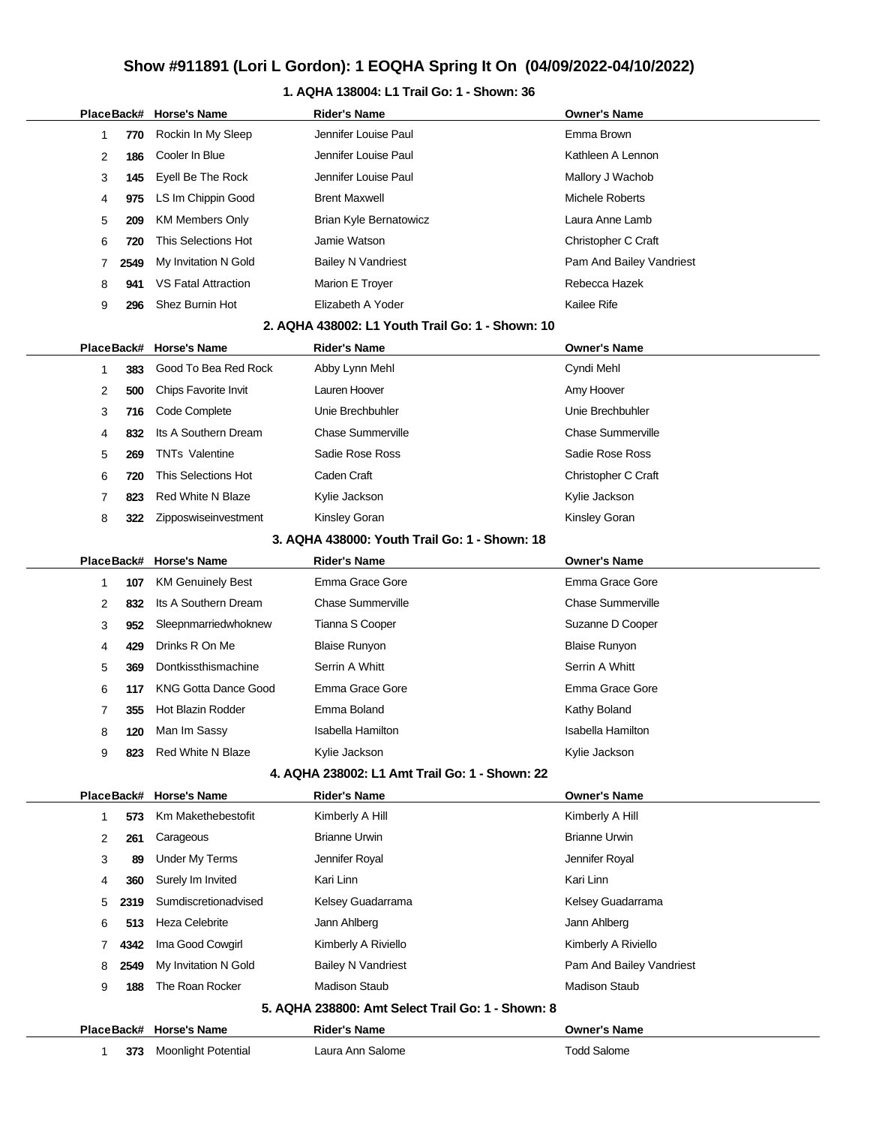### **1. AQHA 138004: L1 Trail Go: 1 - Shown: 36**

|             |                   | PlaceBack# Horse's Name                           | <b>Rider's Name</b>                               | Owner's Name                              |
|-------------|-------------------|---------------------------------------------------|---------------------------------------------------|-------------------------------------------|
| 1           | 770               | Rockin In My Sleep                                | Jennifer Louise Paul                              | Emma Brown                                |
| 2           | 186               | Cooler In Blue                                    | Jennifer Louise Paul                              | Kathleen A Lennon                         |
| 3           | 145               | Eyell Be The Rock                                 | Jennifer Louise Paul                              | Mallory J Wachob                          |
| 4           | 975               | LS Im Chippin Good                                | <b>Brent Maxwell</b>                              | Michele Roberts                           |
| 5           | 209               | <b>KM Members Only</b>                            | <b>Brian Kyle Bernatowicz</b>                     | Laura Anne Lamb                           |
| 6           | 720               | This Selections Hot                               | Jamie Watson                                      | Christopher C Craft                       |
| 7           | 2549              | My Invitation N Gold                              | <b>Bailey N Vandriest</b>                         | Pam And Bailey Vandriest                  |
| 8           | 941               | <b>VS Fatal Attraction</b>                        | Marion E Troyer                                   | Rebecca Hazek                             |
| 9           | 296               | Shez Burnin Hot                                   | Elizabeth A Yoder                                 | Kailee Rife                               |
|             |                   |                                                   | 2. AQHA 438002: L1 Youth Trail Go: 1 - Shown: 10  |                                           |
|             | PlaceBack#        | <b>Horse's Name</b>                               | <b>Rider's Name</b>                               | <b>Owner's Name</b>                       |
| 1           | 383               | Good To Bea Red Rock                              | Abby Lynn Mehl                                    | Cyndi Mehl                                |
| 2           | 500               | Chips Favorite Invit                              | Lauren Hoover                                     | Amy Hoover                                |
| 3           | 716               | Code Complete                                     | Unie Brechbuhler                                  | Unie Brechbuhler                          |
| 4           | 832               | Its A Southern Dream                              | <b>Chase Summerville</b>                          | <b>Chase Summerville</b>                  |
| 5           | 269               | <b>TNTs Valentine</b>                             | Sadie Rose Ross                                   | Sadie Rose Ross                           |
| 6           | 720               | This Selections Hot                               | Caden Craft                                       | Christopher C Craft                       |
| 7           | 823               | <b>Red White N Blaze</b>                          | Kylie Jackson                                     | Kylie Jackson                             |
| 8           | 322               | Zipposwiseinvestment                              | Kinsley Goran                                     | Kinsley Goran                             |
|             |                   |                                                   | 3. AQHA 438000: Youth Trail Go: 1 - Shown: 18     |                                           |
|             | PlaceBack#        | <b>Horse's Name</b>                               | <b>Rider's Name</b>                               | <b>Owner's Name</b>                       |
| $\mathbf 1$ | 107               | <b>KM Genuinely Best</b>                          | Emma Grace Gore                                   | Emma Grace Gore                           |
| 2           | 832               | Its A Southern Dream                              | <b>Chase Summerville</b>                          | <b>Chase Summerville</b>                  |
|             |                   |                                                   | Tianna S Cooper                                   | Suzanne D Cooper                          |
| 3           | 952               | Sleepnmarriedwhoknew                              |                                                   |                                           |
| 4           | 429               | Drinks R On Me                                    | <b>Blaise Runyon</b>                              | <b>Blaise Runyon</b>                      |
| 5           | 369               | Dontkissthismachine                               | Serrin A Whitt                                    | Serrin A Whitt                            |
| 6           | 117               | <b>KNG Gotta Dance Good</b>                       | Emma Grace Gore                                   | Emma Grace Gore                           |
| 7           | 355               | <b>Hot Blazin Rodder</b>                          | Emma Boland                                       | Kathy Boland                              |
| 8           | 120               | Man Im Sassy                                      | <b>Isabella Hamilton</b>                          | Isabella Hamilton                         |
| 9           | 823               | <b>Red White N Blaze</b>                          | Kylie Jackson                                     | Kylie Jackson                             |
|             |                   |                                                   | 4. AQHA 238002: L1 Amt Trail Go: 1 - Shown: 22    |                                           |
|             | PlaceBack#        | <b>Horse's Name</b>                               | <b>Rider's Name</b>                               | <b>Owner's Name</b>                       |
| 1           | 573               | Km Makethebestofit                                | Kimberly A Hill                                   | Kimberly A Hill                           |
| 2           | 261               | Carageous                                         | <b>Brianne Urwin</b>                              | <b>Brianne Urwin</b>                      |
| 3           | 89                | <b>Under My Terms</b>                             | Jennifer Royal                                    | Jennifer Royal                            |
| 4           | 360               | Surely Im Invited                                 | Kari Linn                                         | Kari Linn                                 |
| 5           | 2319              | Sumdiscretionadvised                              | Kelsey Guadarrama                                 | Kelsey Guadarrama                         |
| 6           | 513               | <b>Heza Celebrite</b>                             | Jann Ahlberg                                      | Jann Ahlberg                              |
| 7           | 4342              | Ima Good Cowgirl                                  | Kimberly A Riviello                               | Kimberly A Riviello                       |
| 8           | 2549              | My Invitation N Gold                              | <b>Bailey N Vandriest</b>                         | Pam And Bailey Vandriest                  |
| 9           | 188               | The Roan Rocker                                   | <b>Madison Staub</b>                              | <b>Madison Staub</b>                      |
|             |                   |                                                   | 5. AQHA 238800: Amt Select Trail Go: 1 - Shown: 8 |                                           |
| 1           | PlaceBack#<br>373 | <b>Horse's Name</b><br><b>Moonlight Potential</b> | Rider's Name<br>Laura Ann Salome                  | <b>Owner's Name</b><br><b>Todd Salome</b> |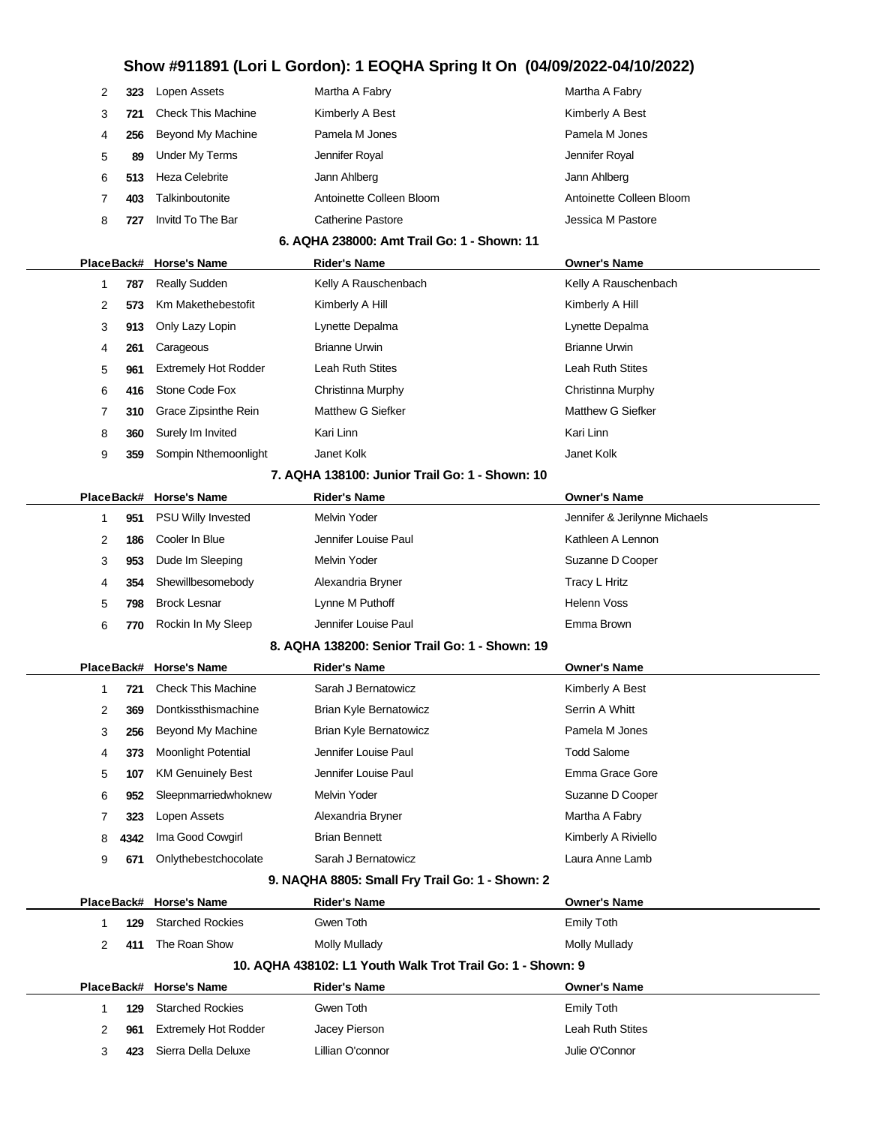| 323 | Lopen Assets              | Martha A Fabry           | Martha A Fabry           |
|-----|---------------------------|--------------------------|--------------------------|
| 721 | <b>Check This Machine</b> | Kimberly A Best          | Kimberly A Best          |
| 256 | Beyond My Machine         | Pamela M Jones           | Pamela M Jones           |
| 89  | Under My Terms            | Jennifer Royal           | Jennifer Royal           |
| 513 | Heza Celebrite            | Jann Ahlberg             | Jann Ahlberg             |
| 403 | Talkinboutonite           | Antoinette Colleen Bloom | Antoinette Colleen Bloom |
| 727 | Invitd To The Bar         | Catherine Pastore        | Jessica M Pastore        |
|     |                           |                          |                          |

#### **6. AQHA 238000: Amt Trail Go: 1 - Shown: 11**

| PlaceBack# |     | <b>Horse's Name</b>                              | <b>Rider's Name</b>     | <b>Owner's Name</b>     |  |
|------------|-----|--------------------------------------------------|-------------------------|-------------------------|--|
|            | 787 | <b>Really Sudden</b>                             | Kelly A Rauschenbach    | Kelly A Rauschenbach    |  |
| 2          | 573 | Km Makethebestofit                               | Kimberly A Hill         | Kimberly A Hill         |  |
| 3          | 913 | Only Lazy Lopin                                  | Lynette Depalma         | Lynette Depalma         |  |
| 4          | 261 | Carageous                                        | <b>Brianne Urwin</b>    | <b>Brianne Urwin</b>    |  |
| 5          | 961 | <b>Extremely Hot Rodder</b>                      | <b>Leah Ruth Stites</b> | <b>Leah Ruth Stites</b> |  |
| 6          | 416 | Stone Code Fox                                   | Christinna Murphy       | Christinna Murphy       |  |
|            | 310 | Grace Zipsinthe Rein                             | Matthew G Siefker       | Matthew G Siefker       |  |
| 8          | 360 | Surely Im Invited                                | Kari Linn               | Kari Linn               |  |
| 9          | 359 | Sompin Nthemoonlight                             | Janet Kolk              | Janet Kolk              |  |
|            |     | 7. A GUA 499499. Loster Trett Orald Discover 49. |                         |                         |  |

#### **7. AQHA 138100: Junior Trail Go: 1 - Shown: 10**

|   |     | PlaceBack# Horse's Name | <b>Rider's Name</b>  | <b>Owner's Name</b>           |  |
|---|-----|-------------------------|----------------------|-------------------------------|--|
|   | 951 | PSU Willy Invested      | Melvin Yoder         | Jennifer & Jerilynne Michaels |  |
| 2 | 186 | Cooler In Blue          | Jennifer Louise Paul | Kathleen A Lennon             |  |
| 3 | 953 | Dude Im Sleeping        | Melvin Yoder         | Suzanne D Cooper              |  |
| 4 | 354 | Shewillbesomebody       | Alexandria Bryner    | Tracy L Hritz                 |  |
| 5 | 798 | <b>Brock Lesnar</b>     | Lynne M Puthoff      | <b>Helenn Voss</b>            |  |
| 6 | 770 | Rockin In My Sleep      | Jennifer Louise Paul | Emma Brown                    |  |

#### **8. AQHA 138200: Senior Trail Go: 1 - Shown: 19**

|   |      | PlaceBack# Horse's Name    | <b>Rider's Name</b>           | <b>Owner's Name</b> |  |
|---|------|----------------------------|-------------------------------|---------------------|--|
|   | 721  | <b>Check This Machine</b>  | Sarah J Bernatowicz           | Kimberly A Best     |  |
| 2 | 369  | Dontkissthismachine        | <b>Brian Kyle Bernatowicz</b> | Serrin A Whitt      |  |
| 3 | 256  | <b>Beyond My Machine</b>   | <b>Brian Kyle Bernatowicz</b> | Pamela M Jones      |  |
| 4 | 373  | <b>Moonlight Potential</b> | Jennifer Louise Paul          | <b>Todd Salome</b>  |  |
| 5 | 107  | <b>KM Genuinely Best</b>   | Jennifer Louise Paul          | Emma Grace Gore     |  |
| 6 | 952  | Sleepnmarriedwhoknew       | Melvin Yoder                  | Suzanne D Cooper    |  |
|   | 323  | Lopen Assets               | Alexandria Bryner             | Martha A Fabry      |  |
| 8 | 4342 | Ima Good Cowgirl           | <b>Brian Bennett</b>          | Kimberly A Riviello |  |
| 9 | 671  | Onlythebestchocolate       | Sarah J Bernatowicz           | Laura Anne Lamb     |  |

#### **9. NAQHA 8805: Small Fry Trail Go: 1 - Shown: 2**

|               |     | PlaceBack# Horse's Name     | <b>Rider's Name</b>                                        | <b>Owner's Name</b> |
|---------------|-----|-----------------------------|------------------------------------------------------------|---------------------|
|               | 129 | <b>Starched Rockies</b>     | Gwen Toth                                                  | Emily Toth          |
| $\mathcal{P}$ | 411 | The Roan Show               | Molly Mullady                                              | Molly Mullady       |
|               |     |                             | 10. AQHA 438102: L1 Youth Walk Trot Trail Go: 1 - Shown: 9 |                     |
| PlaceBack#    |     |                             |                                                            |                     |
|               |     | <b>Horse's Name</b>         | <b>Rider's Name</b>                                        | <b>Owner's Name</b> |
|               | 129 | <b>Starched Rockies</b>     | Gwen Toth                                                  | Emily Toth          |
| 2             | 961 | <b>Extremely Hot Rodder</b> | Jacey Pierson                                              | Leah Ruth Stites    |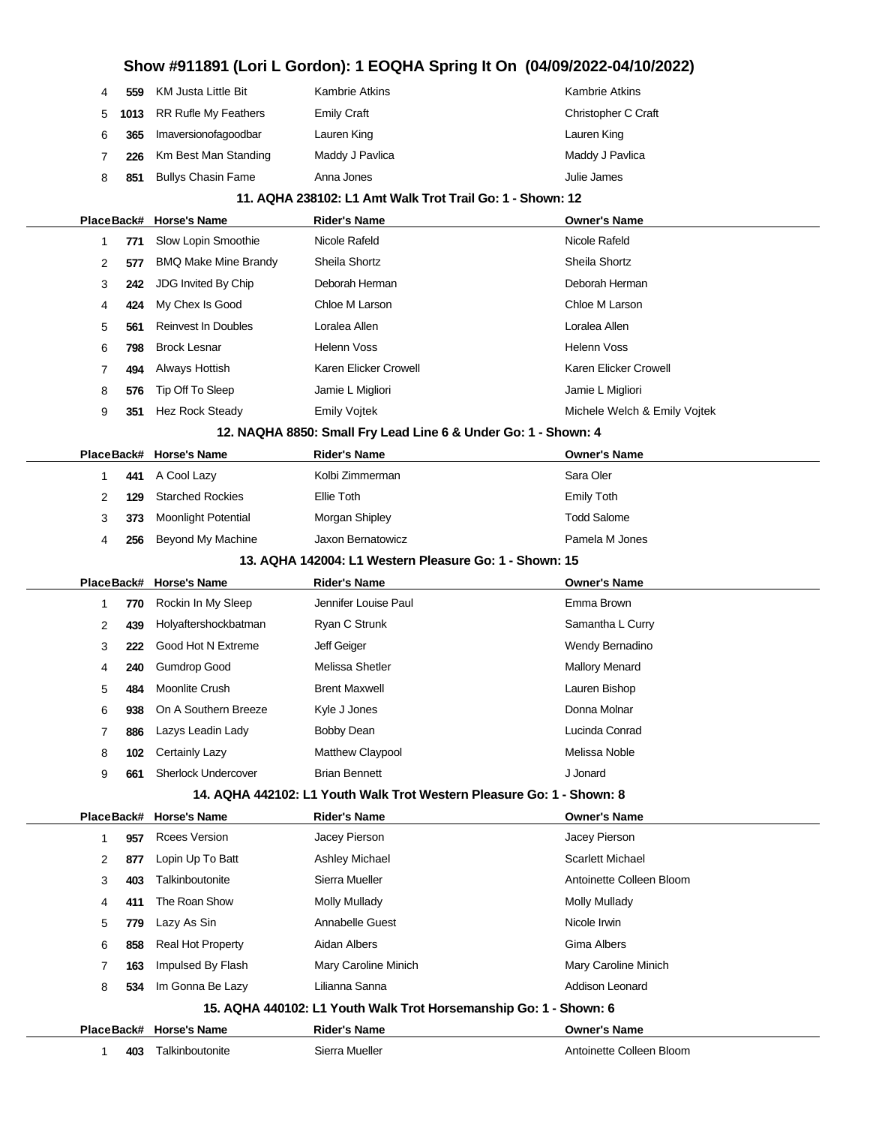## **Show #911891 (Lori L Gordon): 1 EOQHA Spring It On (04/09/2022-04/10/2022) 559** KM Justa Little Bit Kambrie Atkins **Kambrie Atkins** Kambrie Atkins **1013** RR Rufle My Feathers Emily Craft Christopher C Craft Christopher C Craft **365** Imaversionofagoodbar Lauren King Lauren King **226** Km Best Man Standing Maddy J Pavlica Maddy J Pavlica 8 851 Bullys Chasin Fame Anna Jones **Anna Hart Communist Channes** Julie James **11. AQHA 238102: L1 Amt Walk Trot Trail Go: 1 - Shown: 12 PlaceBack# Horse's Name Rider's Name Owner's Name 771** Slow Lopin Smoothie Nicole Rafeld Nicole Rafeld Nicole Rafeld **577** BMQ Make Mine Brandy Sheila Shortz Shella Shortz Sheila Shortz **242** JDG Invited By Chip Deborah Herman Deborah Herman **424** My Chex Is Good Chloe M Larson Chloe M Larson **561** Reinvest In Doubles Loralea Allen Loralea Allen **798** Brock Lesnar Helenn Voss Helenn Voss **494** Always Hottish Karen Elicker Crowell Karen Elicker Crowell Karen Elicker Crowell **576** Tip Off To Sleep Jamie L Migliori Jamie L Migliori Jamie L Migliori Jamie L Migliori **351** Hez Rock Steady **Emily Vojtek Michele Welch & Emily Vojtek** Michele Welch & Emily Vojtek **12. NAQHA 8850: Small Fry Lead Line 6 & Under Go: 1 - Shown: 4 PlaceBack# Horse's Name Rider's Name Owner's Name 441** A Cool Lazy **Kolbi Zimmerman** Sara Oler **129** Starched Rockies Ellie Toth Emily Toth **373** Moonlight Potential Morgan Shipley Morgan Shipley Morgan Shipley Todd Salome **256** Beyond My Machine Jaxon Bernatowicz Pamela M Jones **13. AQHA 142004: L1 Western Pleasure Go: 1 - Shown: 15 PlaceBack# Horse's Name Rider's Name Owner's Name 770** Rockin In My Sleep Jennifer Louise Paul **Franch Constant Constant Constant Constant** Emma Brown **439** Holyaftershockbatman Ryan C Strunk **National Samantha L Curry 222** Good Hot N Extreme **Same Set A Left Geiger** Wendy Bernadino **240** Gumdrop Good Melissa Shetler Menard Mallory Menard **484** Moonlite Crush Brent Maxwell **Brent Maxwell** Cauren Bishop **938** On A Southern Breeze Kyle J Jones **Donna Molnar** Donna Molnar **886** Lazys Leadin Lady **Bobby Dean** Bobby Dean Lucinda Conrad **102** Certainly Lazy **Matthew Claypool** Method Melissa Noble **661** Sherlock Undercover Brian Bennett J Jonard **14. AQHA 442102: L1 Youth Walk Trot Western Pleasure Go: 1 - Shown: 8 PlaceBack# Horse's Name Rider's Name Owner's Name 957** Rcees Version **1** Jacey Pierson **Jacey Pierson** Jacey Pierson 2 877 Lopin Up To Batt Ashley Michael Ashley Michael Scarlett Michael **403** Talkinboutonite Sierra Mueller **Antoinette Colleen Bloom 411** The Roan Show Molly Mullady **Molly Mullady** Molly Mullady Mullady **779** Lazy As Sin **Annabelle Guest** Annabelly Current Micole Irwin 6 858 Real Hot Property **Aidan Albers Gima Albers** Gima Albers **163** Impulsed By Flash Mary Caroline Minich Mary Caroline Minich **534** Im Gonna Be Lazy Lilianna Sanna **Addison Leonard** Addison Leonard **15. AQHA 440102: L1 Youth Walk Trot Horsemanship Go: 1 - Shown: 6 PlaceBack# Horse's Name Rider's Name Owner's Name 403** Talkinboutonite Sierra Mueller **Antoinette Colleen Bloom** Antoinette Colleen Bloom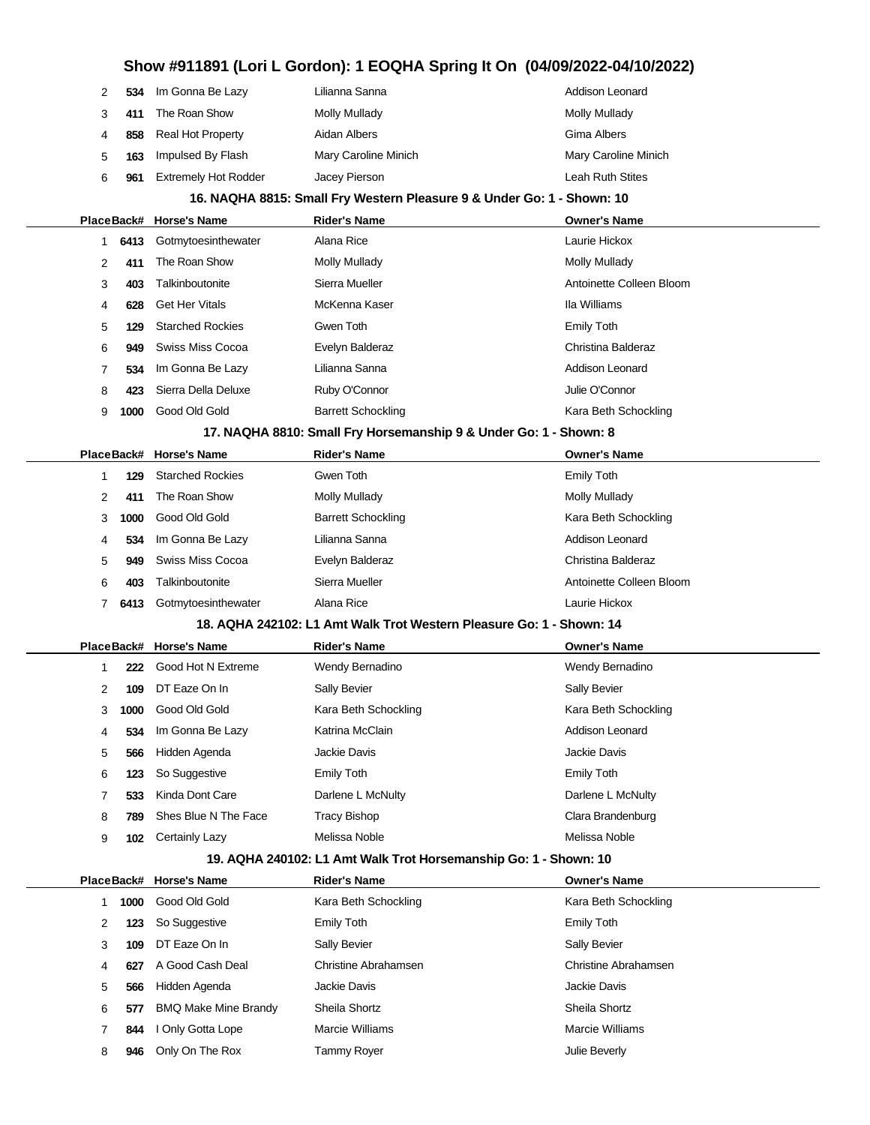| 2          | 534  | Im Gonna Be Lazy            | Lilianna Sanna                                                         | Addison Leonard          |
|------------|------|-----------------------------|------------------------------------------------------------------------|--------------------------|
| 3          | 411  | The Roan Show               | <b>Molly Mullady</b>                                                   | <b>Molly Mullady</b>     |
| 4          | 858  | Real Hot Property           | Aidan Albers                                                           | Gima Albers              |
| 5          | 163  | Impulsed By Flash           | Mary Caroline Minich                                                   | Mary Caroline Minich     |
| 6          | 961  | <b>Extremely Hot Rodder</b> | Jacey Pierson                                                          | Leah Ruth Stites         |
|            |      |                             | 16. NAQHA 8815: Small Fry Western Pleasure 9 & Under Go: 1 - Shown: 10 |                          |
|            |      | PlaceBack# Horse's Name     | <b>Rider's Name</b>                                                    | <b>Owner's Name</b>      |
| 1          | 6413 | Gotmytoesinthewater         | Alana Rice                                                             | Laurie Hickox            |
| 2          | 411  | The Roan Show               | <b>Molly Mullady</b>                                                   | <b>Molly Mullady</b>     |
| 3          | 403  | Talkinboutonite             | Sierra Mueller                                                         | Antoinette Colleen Bloom |
| 4          | 628  | <b>Get Her Vitals</b>       | McKenna Kaser                                                          | Ila Williams             |
| 5          | 129  | <b>Starched Rockies</b>     | Gwen Toth                                                              | <b>Emily Toth</b>        |
| 6          | 949  | <b>Swiss Miss Cocoa</b>     | Evelyn Balderaz                                                        | Christina Balderaz       |
| 7          | 534  | Im Gonna Be Lazy            | Lilianna Sanna                                                         | <b>Addison Leonard</b>   |
| 8          | 423  | Sierra Della Deluxe         | Ruby O'Connor                                                          | Julie O'Connor           |
| 9          | 1000 | Good Old Gold               | <b>Barrett Schockling</b>                                              | Kara Beth Schockling     |
|            |      |                             | 17. NAQHA 8810: Small Fry Horsemanship 9 & Under Go: 1 - Shown: 8      |                          |
| PlaceBack# |      | <b>Horse's Name</b>         | <b>Rider's Name</b>                                                    | <b>Owner's Name</b>      |
| 1          | 129  | <b>Starched Rockies</b>     | Gwen Toth                                                              | <b>Emily Toth</b>        |
| 2          | 411  | The Roan Show               | <b>Molly Mullady</b>                                                   | <b>Molly Mullady</b>     |
| 3          | 1000 | Good Old Gold               | <b>Barrett Schockling</b>                                              | Kara Beth Schockling     |
| 4          | 534  | Im Gonna Be Lazy            | Lilianna Sanna                                                         | <b>Addison Leonard</b>   |
| 5          | 949  | <b>Swiss Miss Cocoa</b>     | Evelyn Balderaz                                                        | Christina Balderaz       |
| 6          | 403  | Talkinboutonite             | Sierra Mueller                                                         | Antoinette Colleen Bloom |
| 7          | 6413 | Gotmytoesinthewater         | Alana Rice                                                             | Laurie Hickox            |
|            |      |                             | 18. AQHA 242102: L1 Amt Walk Trot Western Pleasure Go: 1 - Shown: 14   |                          |
| PlaceBack# |      | <b>Horse's Name</b>         | <b>Rider's Name</b>                                                    | <b>Owner's Name</b>      |
| 1          | 222  | Good Hot N Extreme          | Wendy Bernadino                                                        | Wendy Bernadino          |
| 2          | 109  | DT Eaze On In               | Sally Bevier                                                           | Sally Bevier             |
| 3          | 1000 | Good Old Gold               | Kara Beth Schockling                                                   | Kara Beth Schockling     |
| 4          | 534  | Im Gonna Be Lazy            | Katrina McClain                                                        | Addison Leonard          |
| 5          | 566  | Hidden Agenda               | Jackie Davis                                                           | Jackie Davis             |
| 6          | 123  | So Suggestive               | <b>Emily Toth</b>                                                      | <b>Emily Toth</b>        |
| 7          | 533  | Kinda Dont Care             | Darlene L McNulty                                                      | Darlene L McNulty        |
| 8          | 789  | Shes Blue N The Face        | <b>Tracy Bishop</b>                                                    | Clara Brandenburg        |
| 9          | 102  | <b>Certainly Lazy</b>       | Melissa Noble                                                          | Melissa Noble            |
|            |      |                             | 19. AQHA 240102: L1 Amt Walk Trot Horsemanship Go: 1 - Shown: 10       |                          |
|            |      | PlaceBack# Horse's Name     | <b>Rider's Name</b>                                                    | <b>Owner's Name</b>      |
| 1          | 1000 | Good Old Gold               | Kara Beth Schockling                                                   | Kara Beth Schockling     |
| 2          | 123  | So Suggestive               | <b>Emily Toth</b>                                                      | <b>Emily Toth</b>        |
| 3          | 109  | DT Eaze On In               | Sally Bevier                                                           | Sally Bevier             |
| 4          | 627  | A Good Cash Deal            | <b>Christine Abrahamsen</b>                                            | Christine Abrahamsen     |
| 5          | 566  | Hidden Agenda               | Jackie Davis                                                           | Jackie Davis             |
| 6          | 577  | <b>BMQ Make Mine Brandy</b> | Sheila Shortz                                                          | Sheila Shortz            |
| 7          | 844  | I Only Gotta Lope           | Marcie Williams                                                        | Marcie Williams          |
| 8          | 946  | Only On The Rox             | Tammy Royer                                                            | Julie Beverly            |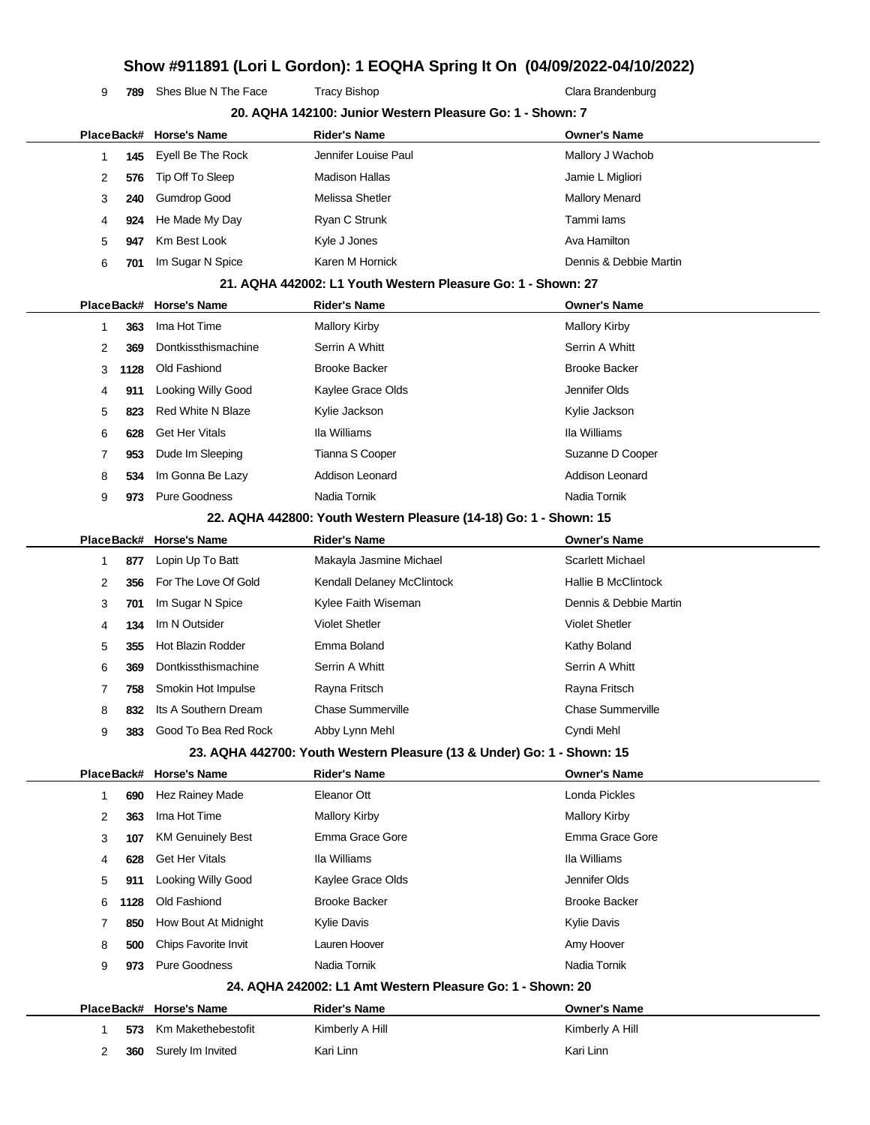**789** Shes Blue N The Face Tracy Bishop Tracy Assume Tracy Bishop Clara Brandenburg

|              | 20. AQHA 142100: Junior Western Pleasure Go: 1 - Shown: 7 |                          |                                                                        |                         |
|--------------|-----------------------------------------------------------|--------------------------|------------------------------------------------------------------------|-------------------------|
|              |                                                           | PlaceBack# Horse's Name  | <b>Rider's Name</b>                                                    | Owner's Name            |
| 1            | 145                                                       | Eyell Be The Rock        | Jennifer Louise Paul                                                   | Mallory J Wachob        |
| 2            | 576                                                       | Tip Off To Sleep         | <b>Madison Hallas</b>                                                  | Jamie L Migliori        |
| 3            | 240                                                       | <b>Gumdrop Good</b>      | Melissa Shetler                                                        | <b>Mallory Menard</b>   |
| 4            | 924                                                       | He Made My Day           | Ryan C Strunk                                                          | Tammi lams              |
| 5            | 947                                                       | Km Best Look             | Kyle J Jones                                                           | Ava Hamilton            |
| 6            | 701                                                       | Im Sugar N Spice         | Karen M Hornick                                                        | Dennis & Debbie Martin  |
|              |                                                           |                          | 21. AQHA 442002: L1 Youth Western Pleasure Go: 1 - Shown: 27           |                         |
|              | PlaceBack#                                                | <b>Horse's Name</b>      | <b>Rider's Name</b>                                                    | Owner's Name            |
| 1            | 363                                                       | Ima Hot Time             | <b>Mallory Kirby</b>                                                   | <b>Mallory Kirby</b>    |
| 2            | 369                                                       | Dontkissthismachine      | Serrin A Whitt                                                         | Serrin A Whitt          |
| 3            | 1128                                                      | Old Fashiond             | <b>Brooke Backer</b>                                                   | <b>Brooke Backer</b>    |
| 4            | 911                                                       | Looking Willy Good       | Kaylee Grace Olds                                                      | Jennifer Olds           |
| 5            | 823                                                       | <b>Red White N Blaze</b> | Kylie Jackson                                                          | Kylie Jackson           |
| 6            | 628                                                       | <b>Get Her Vitals</b>    | Ila Williams                                                           | Ila Williams            |
| 7            | 953                                                       | Dude Im Sleeping         | Tianna S Cooper                                                        | Suzanne D Cooper        |
| 8            | 534                                                       | Im Gonna Be Lazy         | Addison Leonard                                                        | <b>Addison Leonard</b>  |
| 9            | 973                                                       | <b>Pure Goodness</b>     | Nadia Tornik                                                           | Nadia Tornik            |
|              |                                                           |                          | 22. AQHA 442800: Youth Western Pleasure (14-18) Go: 1 - Shown: 15      |                         |
|              | PlaceBack#                                                | <b>Horse's Name</b>      | <b>Rider's Name</b>                                                    | <b>Owner's Name</b>     |
| 1            | 877                                                       | Lopin Up To Batt         | Makayla Jasmine Michael                                                | <b>Scarlett Michael</b> |
| 2            | 356                                                       | For The Love Of Gold     | Kendall Delaney McClintock                                             | Hallie B McClintock     |
| 3            | 701                                                       | Im Sugar N Spice         | Kylee Faith Wiseman                                                    | Dennis & Debbie Martin  |
| 4            | 134                                                       | Im N Outsider            | <b>Violet Shetler</b>                                                  | <b>Violet Shetler</b>   |
| 5            | 355                                                       | <b>Hot Blazin Rodder</b> | Emma Boland                                                            | Kathy Boland            |
| 6            | 369                                                       | Dontkissthismachine      | Serrin A Whitt                                                         | Serrin A Whitt          |
| 7            | 758                                                       | Smokin Hot Impulse       | Rayna Fritsch                                                          | Rayna Fritsch           |
| 8            | 832                                                       | Its A Southern Dream     | Chase Summerville                                                      | Chase Summerville       |
| 9            | 383                                                       | Good To Bea Red Rock     | Abby Lynn Mehl                                                         | Cyndi Mehl              |
|              |                                                           |                          | 23. AQHA 442700: Youth Western Pleasure (13 & Under) Go: 1 - Shown: 15 |                         |
|              |                                                           | PlaceBack# Horse's Name  | <b>Rider's Name</b>                                                    | <b>Owner's Name</b>     |
| $\mathbf{1}$ | 690                                                       | Hez Rainey Made          | Eleanor Ott                                                            | Londa Pickles           |
| 2            | 363                                                       | Ima Hot Time             | <b>Mallory Kirby</b>                                                   | <b>Mallory Kirby</b>    |
| 3            | 107                                                       | <b>KM Genuinely Best</b> | Emma Grace Gore                                                        | Emma Grace Gore         |
| 4            | 628                                                       | <b>Get Her Vitals</b>    | Ila Williams                                                           | Ila Williams            |
| 5            | 911                                                       | Looking Willy Good       | Kaylee Grace Olds                                                      | Jennifer Olds           |
| 6            | 1128                                                      | Old Fashiond             | <b>Brooke Backer</b>                                                   | <b>Brooke Backer</b>    |
| 7            | 850                                                       | How Bout At Midnight     | <b>Kylie Davis</b>                                                     | <b>Kylie Davis</b>      |
| 8            | 500                                                       | Chips Favorite Invit     | Lauren Hoover                                                          | Amy Hoover              |
| 9            | 973                                                       | <b>Pure Goodness</b>     | Nadia Tornik                                                           | Nadia Tornik            |
|              |                                                           |                          | 24. AQHA 242002: L1 Amt Western Pleasure Go: 1 - Shown: 20             |                         |
|              | PlaceBack#                                                | Horse's Name             | <b>Rider's Name</b>                                                    | <b>Owner's Name</b>     |
| 1            | 573                                                       | Km Makethebestofit       | Kimberly A Hill                                                        | Kimberly A Hill         |
| 2            | 360                                                       | Surely Im Invited        | Kari Linn                                                              | Kari Linn               |
|              |                                                           |                          |                                                                        |                         |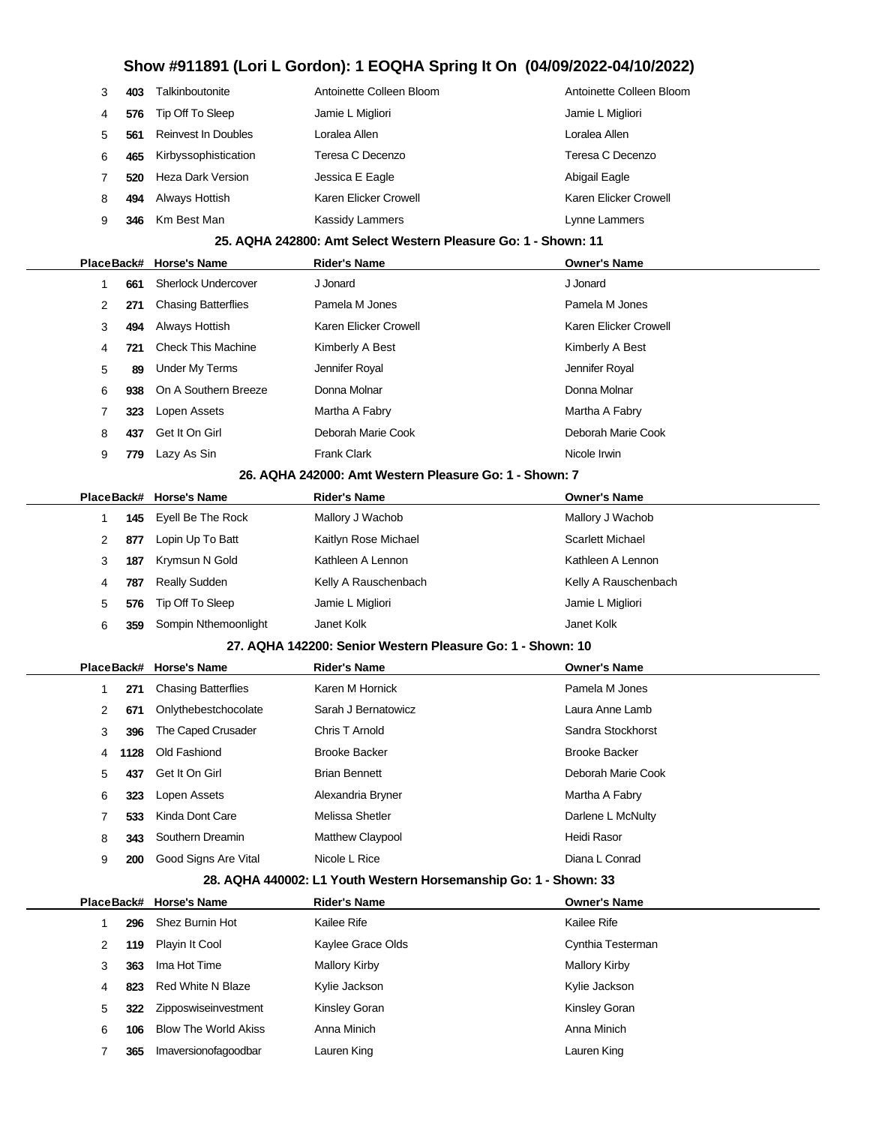|   | 403 | Talkinboutonite            | Antoinette Colleen Bloom | Antoinette Colleen Bloom |
|---|-----|----------------------------|--------------------------|--------------------------|
|   | 576 | Tip Off To Sleep           | Jamie L Migliori         | Jamie L Migliori         |
|   | 561 | <b>Reinvest In Doubles</b> | Loralea Allen            | Loralea Allen            |
| 6 | 465 | Kirbyssophistication       | Teresa C Decenzo         | Teresa C Decenzo         |
|   | 520 | Heza Dark Version          | Jessica E Eagle          | Abigail Eagle            |
| 8 | 494 | Always Hottish             | Karen Elicker Crowell    | Karen Elicker Crowell    |
| 9 | 346 | Km Best Man                | Kassidy Lammers          | Lynne Lammers            |

#### **25. AQHA 242800: Amt Select Western Pleasure Go: 1 - Shown: 11**

|   |     | PlaceBack# Horse's Name    | <b>Rider's Name</b>   | <b>Owner's Name</b>   |
|---|-----|----------------------------|-----------------------|-----------------------|
|   | 661 | <b>Sherlock Undercover</b> | J Jonard              | J Jonard              |
| 2 | 271 | <b>Chasing Batterflies</b> | Pamela M Jones        | Pamela M Jones        |
| 3 | 494 | Always Hottish             | Karen Elicker Crowell | Karen Elicker Crowell |
| 4 | 721 | <b>Check This Machine</b>  | Kimberly A Best       | Kimberly A Best       |
| 5 | 89  | <b>Under My Terms</b>      | Jennifer Royal        | Jennifer Royal        |
| 6 | 938 | On A Southern Breeze       | Donna Molnar          | Donna Molnar          |
| 7 | 323 | Lopen Assets               | Martha A Fabry        | Martha A Fabry        |
| 8 | 437 | Get It On Girl             | Deborah Marie Cook    | Deborah Marie Cook    |
| 9 | 779 | Lazy As Sin                | <b>Frank Clark</b>    | Nicole Irwin          |
|   |     |                            | --<br>- - -           |                       |

#### **26. AQHA 242000: Amt Western Pleasure Go: 1 - Shown: 7**

#### **27. AQHA 142200: Senior Western Pleasure Go: 1 - Shown: 10**

|    |            | PlaceBack# Horse's Name    | <b>Rider's Name</b>     | <b>Owner's Name</b>  |
|----|------------|----------------------------|-------------------------|----------------------|
|    | 271        | <b>Chasing Batterflies</b> | Karen M Hornick         | Pamela M Jones       |
| 2  | 671        | Onlythebestchocolate       | Sarah J Bernatowicz     | Laura Anne Lamb      |
| 3  | 396        | The Caped Crusader         | Chris T Arnold          | Sandra Stockhorst    |
| 4  | 1128       | Old Fashiond               | <b>Brooke Backer</b>    | <b>Brooke Backer</b> |
| 5. | 437        | Get It On Girl             | <b>Brian Bennett</b>    | Deborah Marie Cook   |
| 6  | 323        | Lopen Assets               | Alexandria Bryner       | Martha A Fabry       |
|    | 533        | Kinda Dont Care            | Melissa Shetler         | Darlene L McNulty    |
| 8  | 343        | Southern Dreamin           | <b>Matthew Claypool</b> | Heidi Rasor          |
| 9  | <b>200</b> | Good Signs Are Vital       | Nicole L Rice           | Diana L Conrad       |

#### **28. AQHA 440002: L1 Youth Western Horsemanship Go: 1 - Shown: 33**

|   |     | PlaceBack# Horse's Name     | <b>Rider's Name</b>  | <b>Owner's Name</b>  |
|---|-----|-----------------------------|----------------------|----------------------|
|   | 296 | Shez Burnin Hot             | Kailee Rife          | Kailee Rife          |
| 2 | 119 | Playin It Cool              | Kaylee Grace Olds    | Cynthia Testerman    |
| 3 | 363 | Ima Hot Time                | <b>Mallory Kirby</b> | <b>Mallory Kirby</b> |
| 4 | 823 | Red White N Blaze           | Kylie Jackson        | Kylie Jackson        |
| 5 | 322 | Zipposwiseinvestment        | Kinsley Goran        | Kinsley Goran        |
| 6 | 106 | <b>Blow The World Akiss</b> | Anna Minich          | Anna Minich          |
|   | 365 | Imaversionofagoodbar        | Lauren King          | Lauren King          |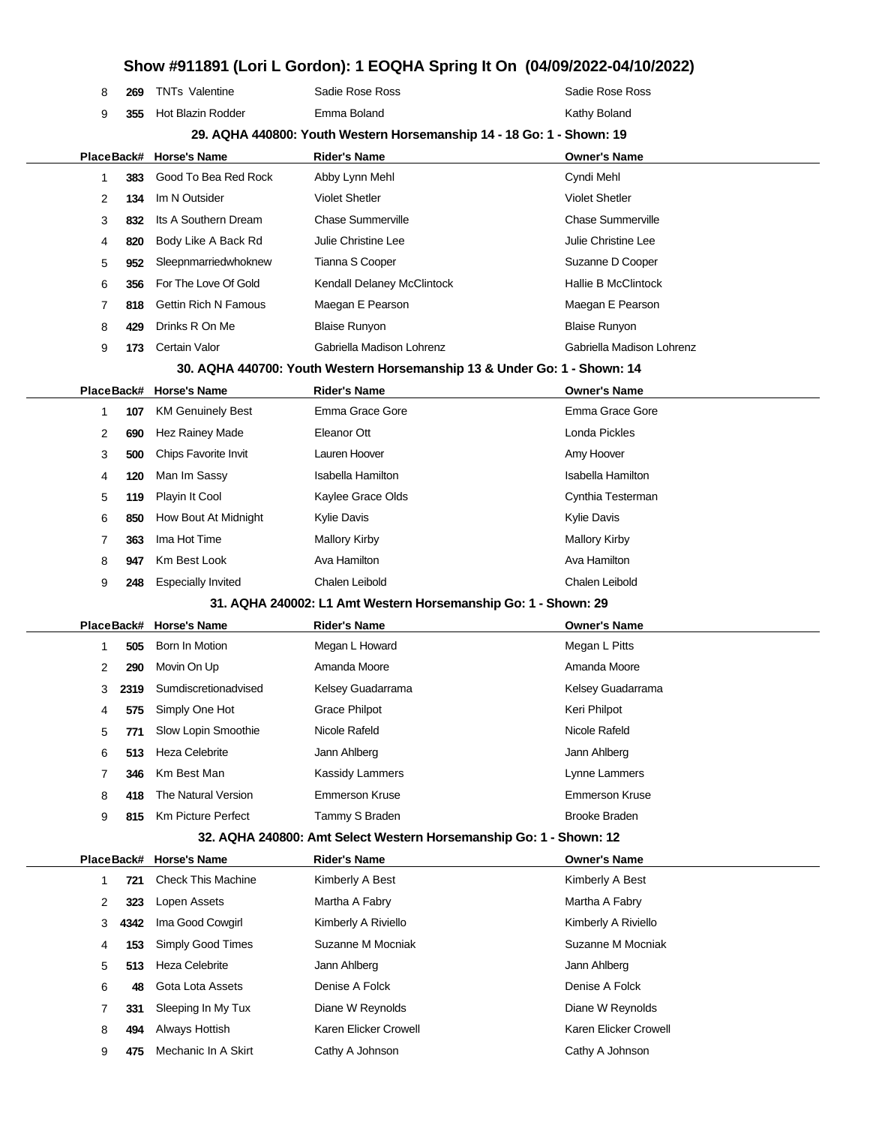| 8          | 269                                                                      | <b>TNTs Valentine</b>       | Sadie Rose Ross            | Sadie Rose Ross            |  |  |  |  |
|------------|--------------------------------------------------------------------------|-----------------------------|----------------------------|----------------------------|--|--|--|--|
| 9          | 355                                                                      | <b>Hot Blazin Rodder</b>    | Emma Boland                | Kathy Boland               |  |  |  |  |
|            | 29. AQHA 440800: Youth Western Horsemanship 14 - 18 Go: 1 - Shown: 19    |                             |                            |                            |  |  |  |  |
| PlaceBack# |                                                                          | <b>Horse's Name</b>         | <b>Rider's Name</b>        | <b>Owner's Name</b>        |  |  |  |  |
|            | 383                                                                      | Good To Bea Red Rock        | Abby Lynn Mehl             | Cyndi Mehl                 |  |  |  |  |
| 2          | 134                                                                      | Im N Outsider               | <b>Violet Shetler</b>      | <b>Violet Shetler</b>      |  |  |  |  |
| 3          | 832                                                                      | Its A Southern Dream        | <b>Chase Summerville</b>   | <b>Chase Summerville</b>   |  |  |  |  |
| 4          | 820                                                                      | Body Like A Back Rd         | Julie Christine Lee        | Julie Christine Lee        |  |  |  |  |
| 5          | 952                                                                      | Sleepnmarriedwhoknew        | Tianna S Cooper            | Suzanne D Cooper           |  |  |  |  |
| 6          | 356                                                                      | For The Love Of Gold        | Kendall Delaney McClintock | <b>Hallie B McClintock</b> |  |  |  |  |
| 7          | 818                                                                      | <b>Gettin Rich N Famous</b> | Maegan E Pearson           | Maegan E Pearson           |  |  |  |  |
| 8          | 429                                                                      | Drinks R On Me              | <b>Blaise Runyon</b>       | <b>Blaise Runyon</b>       |  |  |  |  |
| 9          | 173                                                                      | Certain Valor               | Gabriella Madison Lohrenz  | Gabriella Madison Lohrenz  |  |  |  |  |
|            | 30. AQHA 440700: Youth Western Horsemanship 13 & Under Go: 1 - Shown: 14 |                             |                            |                            |  |  |  |  |
| PlaceBack# |                                                                          | <b>Horse's Name</b>         | <b>Rider's Name</b>        | <b>Owner's Name</b>        |  |  |  |  |

|   | 107 | <b>KM Genuinely Best</b>  | Emma Grace Gore    | Emma Grace Gore      |
|---|-----|---------------------------|--------------------|----------------------|
| 2 | 690 | Hez Rainey Made           | Eleanor Ott        | Londa Pickles        |
| 3 | 500 | Chips Favorite Invit      | Lauren Hoover      | Amy Hoover           |
| 4 | 120 | Man Im Sassy              | Isabella Hamilton  | Isabella Hamilton    |
| 5 | 119 | Playin It Cool            | Kaylee Grace Olds  | Cynthia Testerman    |
| 6 | 850 | How Bout At Midnight      | <b>Kylie Davis</b> | <b>Kylie Davis</b>   |
|   | 363 | Ima Hot Time              | Mallory Kirby      | <b>Mallory Kirby</b> |
| 8 | 947 | Km Best Look              | Ava Hamilton       | Ava Hamilton         |
| 9 | 248 | <b>Especially Invited</b> | Chalen Leibold     | Chalen Leibold       |
|   |     |                           |                    |                      |

#### **31. AQHA 240002: L1 Amt Western Horsemanship Go: 1 - Shown: 29**

|  |   |      | PlaceBack# Horse's Name | <b>Rider's Name</b>  | <b>Owner's Name</b>   |
|--|---|------|-------------------------|----------------------|-----------------------|
|  |   | 505  | Born In Motion          | Megan L Howard       | Megan L Pitts         |
|  | 2 | 290  | Movin On Up             | Amanda Moore         | Amanda Moore          |
|  | 3 | 2319 | Sumdiscretionadvised    | Kelsey Guadarrama    | Kelsey Guadarrama     |
|  | 4 | 575  | Simply One Hot          | <b>Grace Philpot</b> | Keri Philpot          |
|  | 5 | 771  | Slow Lopin Smoothie     | Nicole Rafeld        | Nicole Rafeld         |
|  | 6 | 513  | Heza Celebrite          | Jann Ahlberg         | Jann Ahlberg          |
|  |   | 346  | Km Best Man             | Kassidy Lammers      | Lynne Lammers         |
|  | 8 | 418  | The Natural Version     | Emmerson Kruse       | <b>Emmerson Kruse</b> |
|  | 9 | 815  | Km Picture Perfect      | Tammy S Braden       | Brooke Braden         |
|  |   |      |                         |                      |                       |

#### **32. AQHA 240800: Amt Select Western Horsemanship Go: 1 - Shown: 12**

|   |      | PlaceBack# Horse's Name   | <b>Rider's Name</b>   | <b>Owner's Name</b>   |
|---|------|---------------------------|-----------------------|-----------------------|
|   | 721  | <b>Check This Machine</b> | Kimberly A Best       | Kimberly A Best       |
| 2 | 323  | Lopen Assets              | Martha A Fabry        | Martha A Fabry        |
| 3 | 4342 | Ima Good Cowgirl          | Kimberly A Riviello   | Kimberly A Riviello   |
| 4 | 153  | Simply Good Times         | Suzanne M Mocniak     | Suzanne M Mocniak     |
| 5 | 513  | <b>Heza Celebrite</b>     | Jann Ahlberg          | Jann Ahlberg          |
| 6 | 48   | Gota Lota Assets          | Denise A Folck        | Denise A Folck        |
| 7 | 331  | Sleeping In My Tux        | Diane W Reynolds      | Diane W Reynolds      |
| 8 | 494  | Always Hottish            | Karen Elicker Crowell | Karen Elicker Crowell |
| 9 | 475  | Mechanic In A Skirt       | Cathy A Johnson       | Cathy A Johnson       |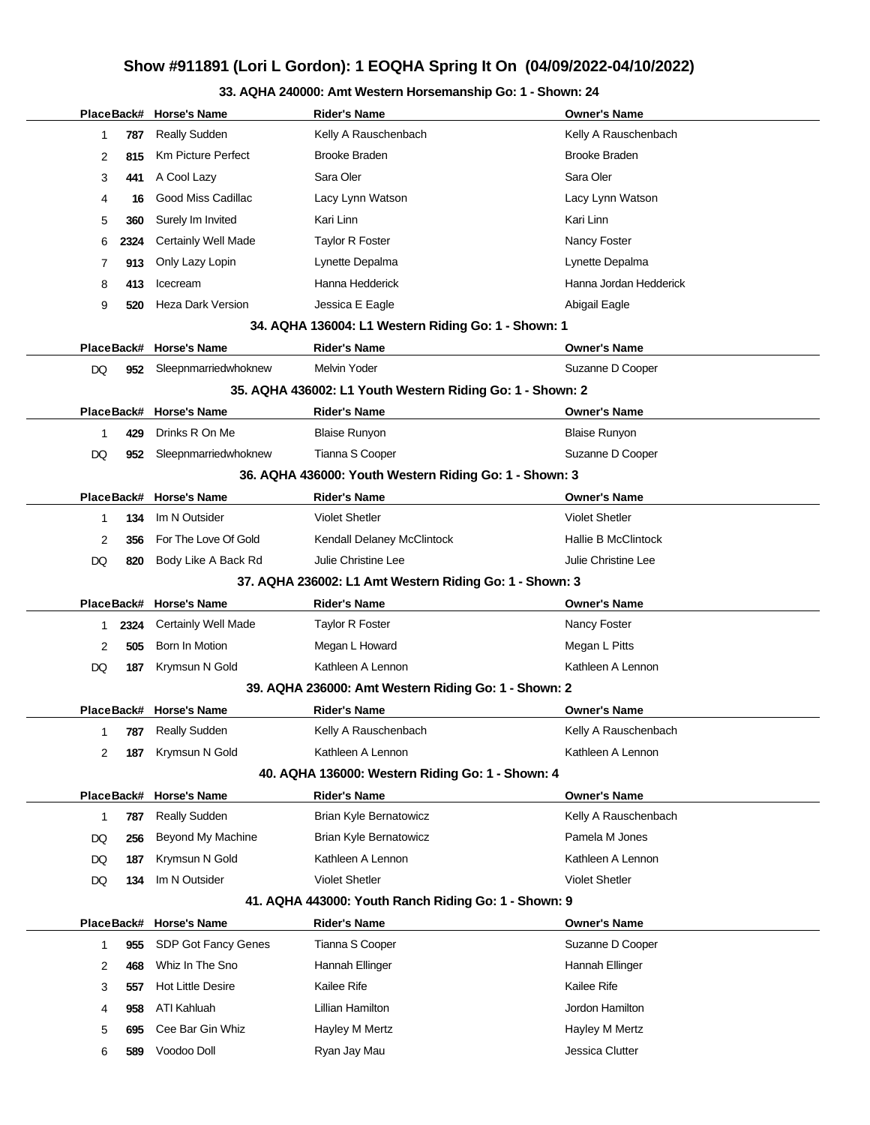### **33. AQHA 240000: Amt Western Horsemanship Go: 1 - Shown: 24**

|                                                                |      | PlaceBack# Horse's Name    | <b>Rider's Name</b>                                       | <b>Owner's Name</b>        |  |  |  |
|----------------------------------------------------------------|------|----------------------------|-----------------------------------------------------------|----------------------------|--|--|--|
| 1                                                              | 787  | <b>Really Sudden</b>       | Kelly A Rauschenbach                                      | Kelly A Rauschenbach       |  |  |  |
| 2                                                              | 815  | <b>Km Picture Perfect</b>  | <b>Brooke Braden</b>                                      | <b>Brooke Braden</b>       |  |  |  |
| 3                                                              | 441  | A Cool Lazy                | Sara Oler                                                 | Sara Oler                  |  |  |  |
| 4                                                              | 16   | Good Miss Cadillac         | Lacy Lynn Watson                                          | Lacy Lynn Watson           |  |  |  |
| 5                                                              | 360  | Surely Im Invited          | Kari Linn                                                 | Kari Linn                  |  |  |  |
| 6                                                              | 2324 | <b>Certainly Well Made</b> | <b>Taylor R Foster</b>                                    | Nancy Foster               |  |  |  |
| 7                                                              | 913  | Only Lazy Lopin            | Lynette Depalma                                           | Lynette Depalma            |  |  |  |
| 8                                                              | 413  | Icecream                   | Hanna Hedderick                                           | Hanna Jordan Hedderick     |  |  |  |
| 9                                                              | 520  | <b>Heza Dark Version</b>   | Jessica E Eagle                                           | Abigail Eagle              |  |  |  |
|                                                                |      |                            | 34. AQHA 136004: L1 Western Riding Go: 1 - Shown: 1       |                            |  |  |  |
|                                                                |      | PlaceBack# Horse's Name    | <b>Rider's Name</b>                                       | <b>Owner's Name</b>        |  |  |  |
| DQ                                                             | 952  | Sleepnmarriedwhoknew       | Melvin Yoder                                              | Suzanne D Cooper           |  |  |  |
|                                                                |      |                            | 35. AQHA 436002: L1 Youth Western Riding Go: 1 - Shown: 2 |                            |  |  |  |
|                                                                |      | PlaceBack# Horse's Name    | <b>Rider's Name</b>                                       | <b>Owner's Name</b>        |  |  |  |
| 1                                                              | 429  | Drinks R On Me             | <b>Blaise Runyon</b>                                      | <b>Blaise Runyon</b>       |  |  |  |
| DQ                                                             | 952  | Sleepnmarriedwhoknew       | Tianna S Cooper                                           | Suzanne D Cooper           |  |  |  |
|                                                                |      |                            | 36. AQHA 436000: Youth Western Riding Go: 1 - Shown: 3    |                            |  |  |  |
|                                                                |      | PlaceBack# Horse's Name    | <b>Rider's Name</b>                                       | <b>Owner's Name</b>        |  |  |  |
| 1                                                              | 134  | Im N Outsider              | <b>Violet Shetler</b>                                     | <b>Violet Shetler</b>      |  |  |  |
| 2                                                              | 356  | For The Love Of Gold       | Kendall Delaney McClintock                                | <b>Hallie B McClintock</b> |  |  |  |
| DQ                                                             | 820  | Body Like A Back Rd        | Julie Christine Lee                                       | Julie Christine Lee        |  |  |  |
|                                                                |      |                            | 37. AQHA 236002: L1 Amt Western Riding Go: 1 - Shown: 3   |                            |  |  |  |
|                                                                |      | PlaceBack# Horse's Name    | <b>Rider's Name</b>                                       | <b>Owner's Name</b>        |  |  |  |
| 1.                                                             | 2324 | <b>Certainly Well Made</b> | Taylor R Foster                                           | Nancy Foster               |  |  |  |
| 2                                                              | 505  | Born In Motion             | Megan L Howard                                            | Megan L Pitts              |  |  |  |
| DQ                                                             | 187  | Krymsun N Gold             | Kathleen A Lennon                                         | Kathleen A Lennon          |  |  |  |
|                                                                |      |                            | 39. AQHA 236000: Amt Western Riding Go: 1 - Shown: 2      |                            |  |  |  |
| PlaceBack# Horse's Name<br>Rider's Name<br><b>Owner's Name</b> |      |                            |                                                           |                            |  |  |  |
|                                                                |      |                            |                                                           |                            |  |  |  |
| 1                                                              | 787  | <b>Really Sudden</b>       | Kelly A Rauschenbach                                      | Kelly A Rauschenbach       |  |  |  |
| 2                                                              | 187  | Krymsun N Gold             | Kathleen A Lennon                                         | Kathleen A Lennon          |  |  |  |
|                                                                |      |                            | 40. AQHA 136000: Western Riding Go: 1 - Shown: 4          |                            |  |  |  |
| PlaceBack#                                                     |      | Horse's Name               | <b>Rider's Name</b>                                       | <b>Owner's Name</b>        |  |  |  |
| 1                                                              | 787  | <b>Really Sudden</b>       | Brian Kyle Bernatowicz                                    | Kelly A Rauschenbach       |  |  |  |
| DQ                                                             | 256  | <b>Beyond My Machine</b>   | Brian Kyle Bernatowicz                                    | Pamela M Jones             |  |  |  |
| DQ                                                             | 187  | Krymsun N Gold             | Kathleen A Lennon                                         | Kathleen A Lennon          |  |  |  |
| DQ                                                             | 134  | Im N Outsider              | <b>Violet Shetler</b>                                     | <b>Violet Shetler</b>      |  |  |  |
|                                                                |      |                            | 41. AQHA 443000: Youth Ranch Riding Go: 1 - Shown: 9      |                            |  |  |  |
|                                                                |      | PlaceBack# Horse's Name    | <b>Rider's Name</b>                                       | <b>Owner's Name</b>        |  |  |  |
| 1                                                              | 955  | SDP Got Fancy Genes        | Tianna S Cooper                                           | Suzanne D Cooper           |  |  |  |
| 2                                                              | 468  | Whiz In The Sno            | Hannah Ellinger                                           | Hannah Ellinger            |  |  |  |
| 3                                                              | 557  | <b>Hot Little Desire</b>   | Kailee Rife                                               | Kailee Rife                |  |  |  |
| 4                                                              | 958  | ATI Kahluah                | Lillian Hamilton                                          | Jordon Hamilton            |  |  |  |
| 5                                                              | 695  | Cee Bar Gin Whiz           | Hayley M Mertz                                            | Hayley M Mertz             |  |  |  |
| 6                                                              | 589  | Voodoo Doll                | Ryan Jay Mau                                              | Jessica Clutter            |  |  |  |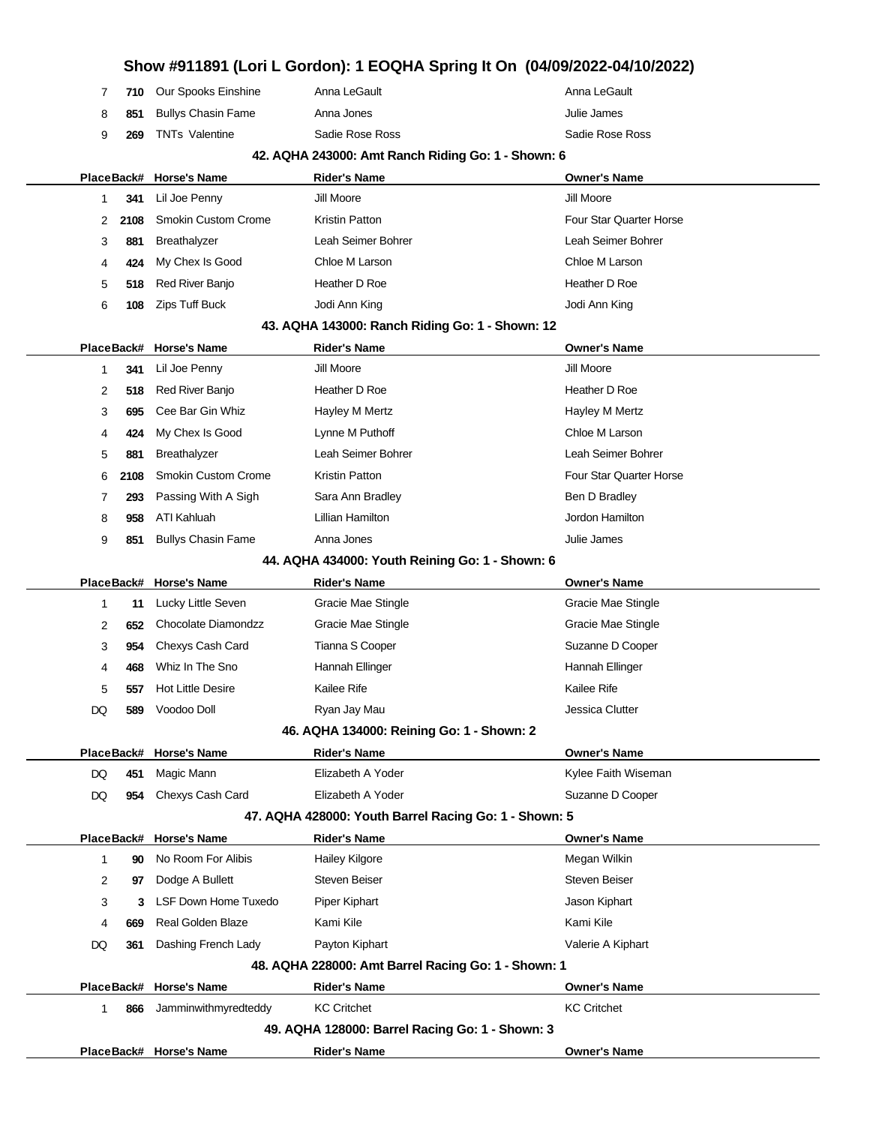|    |      |                             |                                                       | Show #911891 (Lori L Gordon): 1 EOQHA Spring It On (04/09/2022-04/10/2022) |
|----|------|-----------------------------|-------------------------------------------------------|----------------------------------------------------------------------------|
| 7  | 710  | Our Spooks Einshine         | Anna LeGault                                          | Anna LeGault                                                               |
| 8  | 851  | <b>Bullys Chasin Fame</b>   | Anna Jones                                            | Julie James                                                                |
| 9  | 269  | <b>TNTs Valentine</b>       | Sadie Rose Ross                                       | Sadie Rose Ross                                                            |
|    |      |                             | 42. AQHA 243000: Amt Ranch Riding Go: 1 - Shown: 6    |                                                                            |
|    |      | PlaceBack# Horse's Name     | <b>Rider's Name</b>                                   | <b>Owner's Name</b>                                                        |
| 1  | 341  | Lil Joe Penny               | Jill Moore                                            | Jill Moore                                                                 |
| 2  | 2108 | <b>Smokin Custom Crome</b>  | Kristin Patton                                        | Four Star Quarter Horse                                                    |
| 3  | 881  | Breathalyzer                | Leah Seimer Bohrer                                    | Leah Seimer Bohrer                                                         |
| 4  | 424  | My Chex Is Good             | Chloe M Larson                                        | Chloe M Larson                                                             |
| 5  | 518  | Red River Banjo             | Heather D Roe                                         | Heather D Roe                                                              |
| 6  | 108  | Zips Tuff Buck              | Jodi Ann King                                         | Jodi Ann King                                                              |
|    |      |                             | 43. AQHA 143000: Ranch Riding Go: 1 - Shown: 12       |                                                                            |
|    |      | PlaceBack# Horse's Name     | <b>Rider's Name</b>                                   | <b>Owner's Name</b>                                                        |
| 1  | 341  | Lil Joe Penny               | Jill Moore                                            | Jill Moore                                                                 |
| 2  | 518  | Red River Banjo             | Heather D Roe                                         | Heather D Roe                                                              |
| 3  | 695  | Cee Bar Gin Whiz            | Hayley M Mertz                                        | Hayley M Mertz                                                             |
| 4  | 424  | My Chex Is Good             | Lynne M Puthoff                                       | Chloe M Larson                                                             |
| 5  | 881  | <b>Breathalyzer</b>         | Leah Seimer Bohrer                                    | Leah Seimer Bohrer                                                         |
| 6  | 2108 | <b>Smokin Custom Crome</b>  | Kristin Patton                                        | Four Star Quarter Horse                                                    |
| 7  | 293  | Passing With A Sigh         | Sara Ann Bradley                                      | Ben D Bradley                                                              |
| 8  | 958  | ATI Kahluah                 | Lillian Hamilton                                      | Jordon Hamilton                                                            |
| 9  | 851  | <b>Bullys Chasin Fame</b>   | Anna Jones                                            | Julie James                                                                |
|    |      |                             | 44. AQHA 434000: Youth Reining Go: 1 - Shown: 6       |                                                                            |
|    |      | PlaceBack# Horse's Name     | <b>Rider's Name</b>                                   | <b>Owner's Name</b>                                                        |
| 1  | 11   | Lucky Little Seven          | Gracie Mae Stingle                                    | Gracie Mae Stingle                                                         |
| 2  | 652  | Chocolate Diamondzz         | Gracie Mae Stingle                                    | Gracie Mae Stingle                                                         |
| 3  | 954  | Chexys Cash Card            | Tianna S Cooper                                       | Suzanne D Cooper                                                           |
| 4  | 468  | Whiz In The Sno             | Hannah Ellinger                                       | Hannah Ellinger                                                            |
| 5  | 557  | <b>Hot Little Desire</b>    | Kailee Rife                                           | Kailee Rife                                                                |
| DQ |      | 589 Voodoo Doll             | Ryan Jay Mau                                          | Jessica Clutter                                                            |
|    |      |                             | 46. AQHA 134000: Reining Go: 1 - Shown: 2             |                                                                            |
|    |      | PlaceBack# Horse's Name     | <b>Rider's Name</b>                                   | <b>Owner's Name</b>                                                        |
| DQ | 451  | Magic Mann                  | Elizabeth A Yoder                                     | Kylee Faith Wiseman                                                        |
| DQ | 954  | Chexys Cash Card            | Elizabeth A Yoder                                     | Suzanne D Cooper                                                           |
|    |      |                             | 47. AQHA 428000: Youth Barrel Racing Go: 1 - Shown: 5 |                                                                            |
|    |      | PlaceBack# Horse's Name     | <b>Rider's Name</b>                                   | <b>Owner's Name</b>                                                        |
| 1  | 90   | No Room For Alibis          | Hailey Kilgore                                        | Megan Wilkin                                                               |
| 2  | 97   | Dodge A Bullett             | <b>Steven Beiser</b>                                  | <b>Steven Beiser</b>                                                       |
| 3  | 3    | <b>LSF Down Home Tuxedo</b> | Piper Kiphart                                         | Jason Kiphart                                                              |
| 4  | 669  | <b>Real Golden Blaze</b>    | Kami Kile                                             | Kami Kile                                                                  |
| DQ | 361  | Dashing French Lady         | Payton Kiphart                                        | Valerie A Kiphart                                                          |
|    |      |                             | 48. AQHA 228000: Amt Barrel Racing Go: 1 - Shown: 1   |                                                                            |
|    |      | PlaceBack# Horse's Name     | <b>Rider's Name</b>                                   | <b>Owner's Name</b>                                                        |
| 1  | 866  | Jamminwithmyredteddy        | <b>KC Critchet</b>                                    | <b>KC Critchet</b>                                                         |
|    |      |                             | 49. AQHA 128000: Barrel Racing Go: 1 - Shown: 3       |                                                                            |
|    |      |                             |                                                       |                                                                            |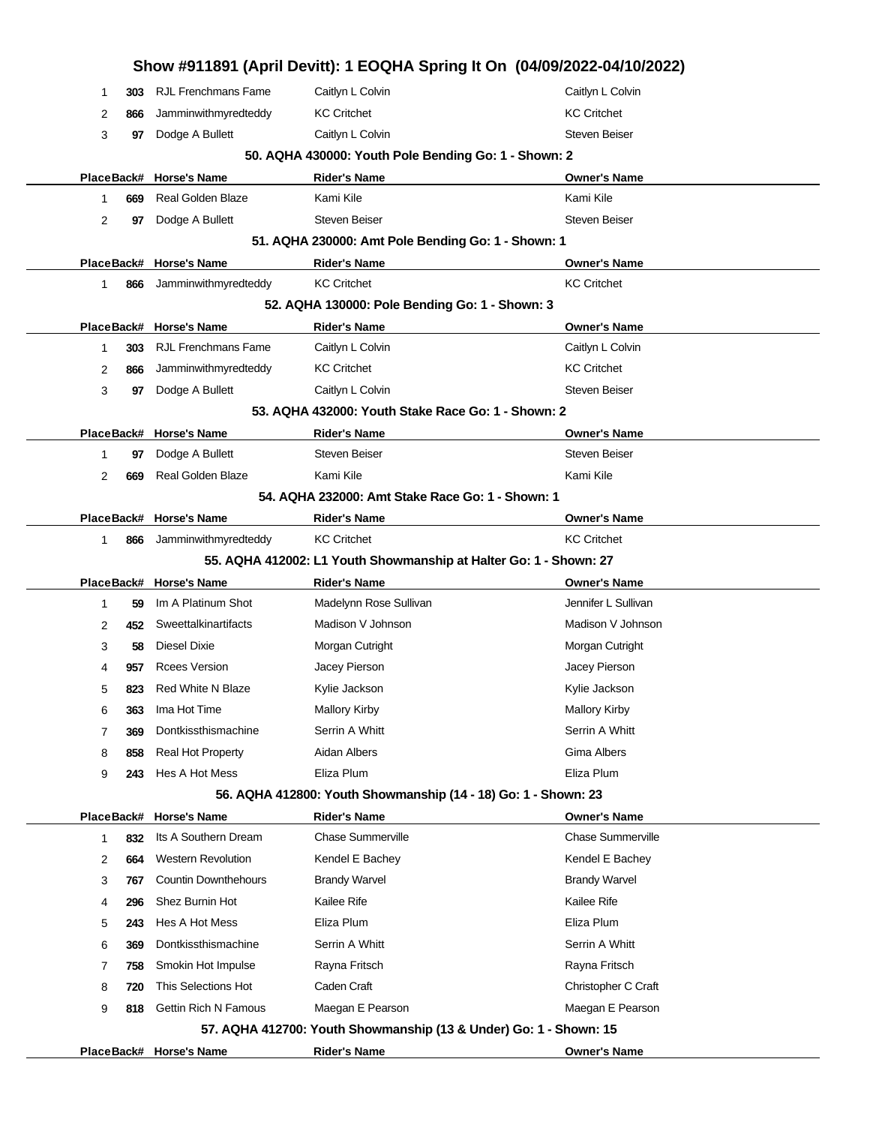|                    |                             |                                                                   | Show #911891 (April Devitt): 1 EOQHA Spring It On (04/09/2022-04/10/2022) |
|--------------------|-----------------------------|-------------------------------------------------------------------|---------------------------------------------------------------------------|
| 303<br>1           | <b>RJL Frenchmans Fame</b>  | Caitlyn L Colvin                                                  | Caitlyn L Colvin                                                          |
| 2<br>866           | Jamminwithmyredteddy        | <b>KC Critchet</b>                                                | <b>KC Critchet</b>                                                        |
| 3<br>97            | Dodge A Bullett             | Caitlyn L Colvin                                                  | <b>Steven Beiser</b>                                                      |
|                    |                             | 50. AQHA 430000: Youth Pole Bending Go: 1 - Shown: 2              |                                                                           |
|                    | PlaceBack# Horse's Name     | <b>Rider's Name</b>                                               | <b>Owner's Name</b>                                                       |
| 669<br>1           | <b>Real Golden Blaze</b>    | Kami Kile                                                         | Kami Kile                                                                 |
| 2<br>97            | Dodge A Bullett             | <b>Steven Beiser</b>                                              | <b>Steven Beiser</b>                                                      |
|                    |                             | 51. AQHA 230000: Amt Pole Bending Go: 1 - Shown: 1                |                                                                           |
|                    | PlaceBack# Horse's Name     | <b>Rider's Name</b>                                               | <b>Owner's Name</b>                                                       |
| 1<br>866           | Jamminwithmyredteddy        | <b>KC Critchet</b>                                                | <b>KC Critchet</b>                                                        |
|                    |                             | 52. AQHA 130000: Pole Bending Go: 1 - Shown: 3                    |                                                                           |
|                    | PlaceBack# Horse's Name     | <b>Rider's Name</b>                                               | <b>Owner's Name</b>                                                       |
| 303<br>1           | <b>RJL Frenchmans Fame</b>  | Caitlyn L Colvin                                                  | Caitlyn L Colvin                                                          |
| 2<br>866           | Jamminwithmyredteddy        | <b>KC Critchet</b>                                                | <b>KC Critchet</b>                                                        |
| 3<br>97            | Dodge A Bullett             | Caitlyn L Colvin                                                  | <b>Steven Beiser</b>                                                      |
|                    |                             | 53. AQHA 432000: Youth Stake Race Go: 1 - Shown: 2                |                                                                           |
|                    | PlaceBack# Horse's Name     | <b>Rider's Name</b>                                               | <b>Owner's Name</b>                                                       |
| 1<br>97            | Dodge A Bullett             | <b>Steven Beiser</b>                                              | <b>Steven Beiser</b>                                                      |
| 2<br>669           | Real Golden Blaze           | Kami Kile                                                         | Kami Kile                                                                 |
|                    |                             | 54. AQHA 232000: Amt Stake Race Go: 1 - Shown: 1                  |                                                                           |
|                    | PlaceBack# Horse's Name     | <b>Rider's Name</b>                                               | <b>Owner's Name</b>                                                       |
| 1<br>866           | Jamminwithmyredteddy        | <b>KC Critchet</b>                                                | <b>KC Critchet</b>                                                        |
|                    |                             | 55. AQHA 412002: L1 Youth Showmanship at Halter Go: 1 - Shown: 27 |                                                                           |
|                    | PlaceBack# Horse's Name     | <b>Rider's Name</b>                                               | <b>Owner's Name</b>                                                       |
| 59<br>1            | Im A Platinum Shot          | Madelynn Rose Sullivan                                            | Jennifer L Sullivan                                                       |
| 2<br>452           | Sweettalkinartifacts        | Madison V Johnson                                                 | Madison V Johnson                                                         |
| 3<br>58            | Diesel Dixie                | Morgan Cutright                                                   | Morgan Cutright                                                           |
| 4<br>957           | <b>Rcees Version</b>        | Jacey Pierson                                                     | Jacey Pierson                                                             |
| 5<br>823           | <b>Red White N Blaze</b>    | Kylie Jackson                                                     | Kylie Jackson                                                             |
| 363<br>6           | Ima Hot Time                | <b>Mallory Kirby</b>                                              | <b>Mallory Kirby</b>                                                      |
| 369<br>7           | Dontkissthismachine         | Serrin A Whitt                                                    | Serrin A Whitt                                                            |
| 8<br>858           | Real Hot Property           | Aidan Albers                                                      | Gima Albers                                                               |
| 9<br>243           | Hes A Hot Mess              | Eliza Plum                                                        | Eliza Plum                                                                |
|                    |                             | 56. AQHA 412800: Youth Showmanship (14 - 18) Go: 1 - Shown: 23    |                                                                           |
|                    | PlaceBack# Horse's Name     | <b>Rider's Name</b>                                               | <b>Owner's Name</b>                                                       |
| $\mathbf 1$<br>832 | Its A Southern Dream        | <b>Chase Summerville</b>                                          | <b>Chase Summerville</b>                                                  |
| 2<br>664           | <b>Western Revolution</b>   | Kendel E Bachey                                                   | Kendel E Bachey                                                           |
| 3<br>767           | <b>Countin Downthehours</b> | <b>Brandy Warvel</b>                                              | <b>Brandy Warvel</b>                                                      |
| 296<br>4           | Shez Burnin Hot             | Kailee Rife                                                       | Kailee Rife                                                               |
| 5<br>243           | Hes A Hot Mess              | Eliza Plum                                                        | Eliza Plum                                                                |
| 369<br>6           | Dontkissthismachine         | Serrin A Whitt                                                    | Serrin A Whitt                                                            |
| 758<br>7           | Smokin Hot Impulse          | Rayna Fritsch                                                     | Rayna Fritsch                                                             |
| 8<br>720           | This Selections Hot         | Caden Craft                                                       | Christopher C Craft                                                       |
| 9<br>818           | <b>Gettin Rich N Famous</b> | Maegan E Pearson                                                  | Maegan E Pearson                                                          |
|                    |                             | 57. AQHA 412700: Youth Showmanship (13 & Under) Go: 1 - Shown: 15 |                                                                           |
|                    | PlaceBack# Horse's Name     | <b>Rider's Name</b>                                               | <b>Owner's Name</b>                                                       |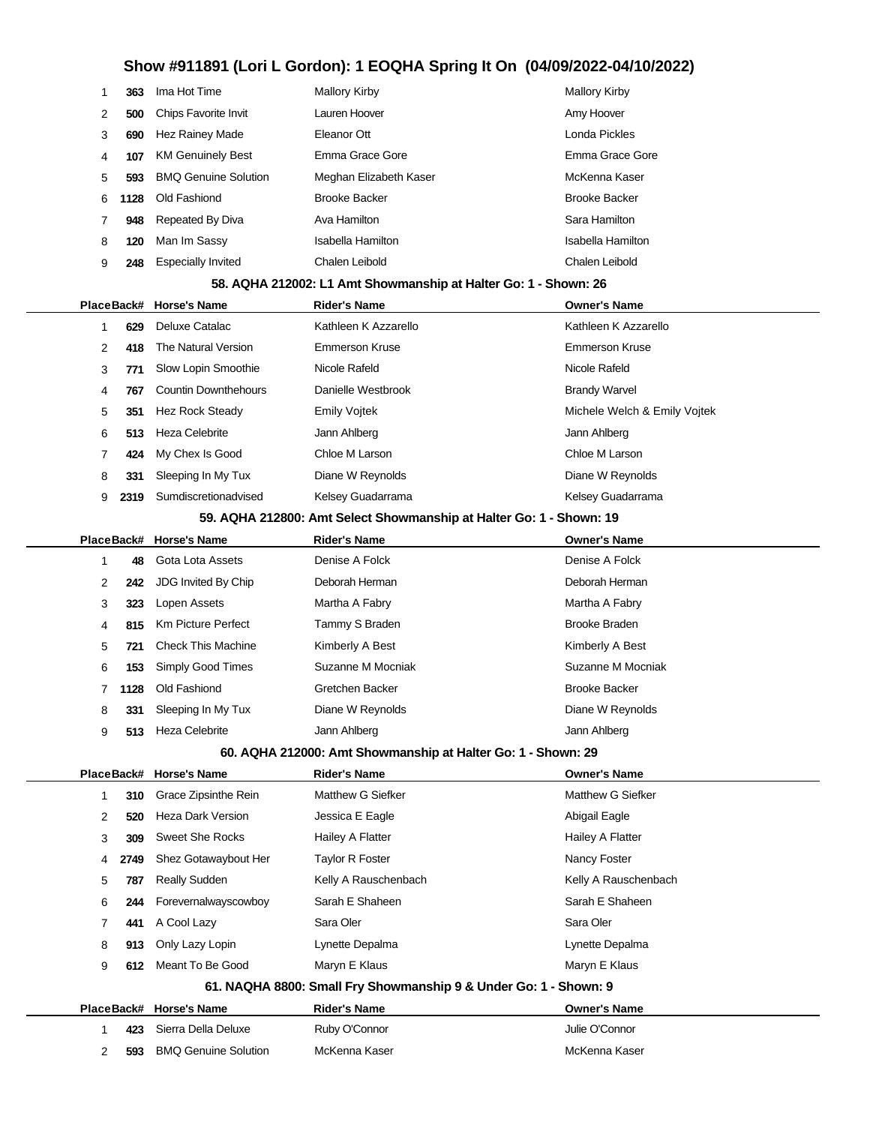| 1 | 363        | Ima Hot Time                | <b>Mallory Kirby</b>                                                | <b>Mallory Kirby</b>         |
|---|------------|-----------------------------|---------------------------------------------------------------------|------------------------------|
| 2 | 500        | Chips Favorite Invit        | Lauren Hoover                                                       | Amy Hoover                   |
| 3 | 690        | Hez Rainey Made             | Eleanor Ott                                                         | Londa Pickles                |
| 4 | 107        | <b>KM Genuinely Best</b>    | Emma Grace Gore                                                     | Emma Grace Gore              |
| 5 | 593        | <b>BMQ Genuine Solution</b> | Meghan Elizabeth Kaser                                              | McKenna Kaser                |
| 6 | 1128       | Old Fashiond                | <b>Brooke Backer</b>                                                | <b>Brooke Backer</b>         |
| 7 | 948        | Repeated By Diva            | Ava Hamilton                                                        | Sara Hamilton                |
| 8 | 120        | Man Im Sassy                | <b>Isabella Hamilton</b>                                            | Isabella Hamilton            |
| 9 | 248        | <b>Especially Invited</b>   | Chalen Leibold                                                      | Chalen Leibold               |
|   |            |                             | 58. AQHA 212002: L1 Amt Showmanship at Halter Go: 1 - Shown: 26     |                              |
|   | PlaceBack# | <b>Horse's Name</b>         | <b>Rider's Name</b>                                                 | <b>Owner's Name</b>          |
| 1 | 629        | Deluxe Catalac              | Kathleen K Azzarello                                                | Kathleen K Azzarello         |
| 2 | 418        | The Natural Version         | <b>Emmerson Kruse</b>                                               | <b>Emmerson Kruse</b>        |
| 3 | 771        | Slow Lopin Smoothie         | Nicole Rafeld                                                       | Nicole Rafeld                |
| 4 | 767        | <b>Countin Downthehours</b> | Danielle Westbrook                                                  | <b>Brandy Warvel</b>         |
| 5 | 351        | <b>Hez Rock Steady</b>      | <b>Emily Vojtek</b>                                                 | Michele Welch & Emily Vojtek |
| 6 | 513        | <b>Heza Celebrite</b>       | Jann Ahlberg                                                        | Jann Ahlberg                 |
| 7 | 424        | My Chex Is Good             | Chloe M Larson                                                      | Chloe M Larson               |
| 8 | 331        | Sleeping In My Tux          | Diane W Reynolds                                                    | Diane W Reynolds             |
| 9 | 2319       | Sumdiscretionadvised        | Kelsey Guadarrama                                                   | Kelsey Guadarrama            |
|   |            |                             | 59. AQHA 212800: Amt Select Showmanship at Halter Go: 1 - Shown: 19 |                              |
|   | PlaceBack# | <b>Horse's Name</b>         | <b>Rider's Name</b>                                                 | <b>Owner's Name</b>          |
| 1 | 48         | Gota Lota Assets            | Denise A Folck                                                      | Denise A Folck               |
| 2 | 242        | JDG Invited By Chip         | Deborah Herman                                                      | Deborah Herman               |
| 3 | 323        | Lopen Assets                | Martha A Fabry                                                      | Martha A Fabry               |
| 4 | 815        | <b>Km Picture Perfect</b>   | Tammy S Braden                                                      | <b>Brooke Braden</b>         |
| 5 | 721        | <b>Check This Machine</b>   | Kimberly A Best                                                     | Kimberly A Best              |
| 6 | 153        | Simply Good Times           | Suzanne M Mocniak                                                   | Suzanne M Mocniak            |
| 7 | 1128       | Old Fashiond                | Gretchen Backer                                                     | <b>Brooke Backer</b>         |
| 8 | 331        | Sleeping In My Tux          | Diane W Reynolds                                                    | Diane W Reynolds             |
| 9 |            | 513 Heza Celebrite          | Jann Ahlberg                                                        | Jann Ahlberg                 |
|   |            |                             | 60. AQHA 212000: Amt Showmanship at Halter Go: 1 - Shown: 29        |                              |
|   |            | PlaceBack# Horse's Name     | <b>Rider's Name</b>                                                 | <b>Owner's Name</b>          |
| 1 | 310        | Grace Zipsinthe Rein        | Matthew G Siefker                                                   | Matthew G Siefker            |
| 2 | 520        | Heza Dark Version           | Jessica E Eagle                                                     | Abigail Eagle                |
| 3 | 309        | <b>Sweet She Rocks</b>      | Hailey A Flatter                                                    | Hailey A Flatter             |
| 4 | 2749       | Shez Gotawaybout Her        | <b>Taylor R Foster</b>                                              | Nancy Foster                 |
| 5 | 787        | Really Sudden               | Kelly A Rauschenbach                                                | Kelly A Rauschenbach         |
| 6 | 244        | Forevernalwayscowboy        | Sarah E Shaheen                                                     | Sarah E Shaheen              |
| 7 | 441        | A Cool Lazy                 | Sara Oler                                                           | Sara Oler                    |
| 8 | 913        | Only Lazy Lopin             | Lynette Depalma                                                     | Lynette Depalma              |
| 9 | 612        | Meant To Be Good            | Maryn E Klaus                                                       | Maryn E Klaus                |
|   |            |                             | 61. NAQHA 8800: Small Fry Showmanship 9 & Under Go: 1 - Shown: 9    |                              |
|   |            | PlaceBack# Horse's Name     | <b>Rider's Name</b>                                                 | <b>Owner's Name</b>          |
|   | 423        | Sierra Della Deluxe         | Ruby O'Connor                                                       | Julie O'Connor               |
| 2 | 593        | <b>BMQ Genuine Solution</b> | McKenna Kaser                                                       | McKenna Kaser                |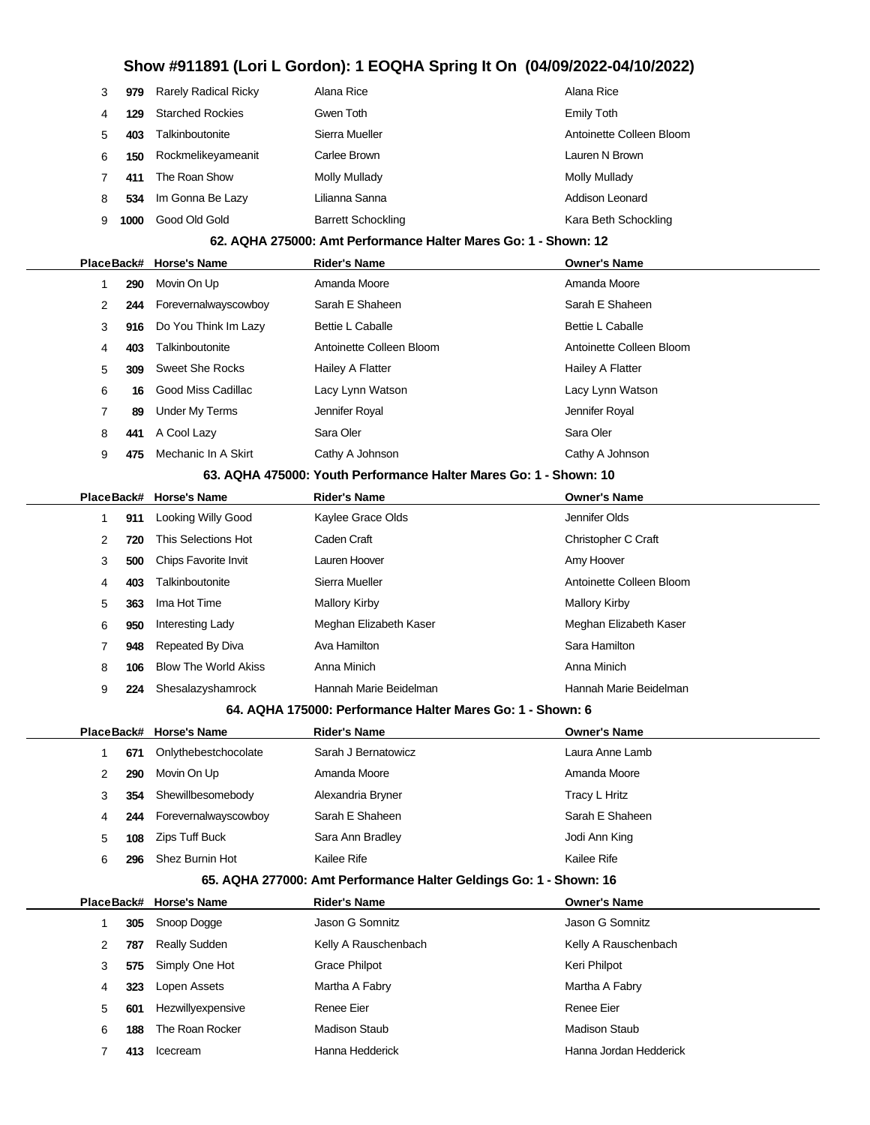| 979  |                         | Alana Rice                  | Alana Rice               |
|------|-------------------------|-----------------------------|--------------------------|
| 129  | <b>Starched Rockies</b> | Gwen Toth                   | Emily Toth               |
| 403  | Talkinboutonite         | Sierra Mueller              | Antoinette Colleen Bloom |
| 150  | Rockmelikeyameanit      | Carlee Brown                | Lauren N Brown           |
| 411  | The Roan Show           | Molly Mullady               | Molly Mullady            |
| 534  | Im Gonna Be Lazy        | Lilianna Sanna              | Addison Leonard          |
| 1000 | Good Old Gold           | <b>Barrett Schockling</b>   | Kara Beth Schockling     |
|      |                         | <b>Rarely Radical Ricky</b> |                          |

#### **62. AQHA 275000: Amt Performance Halter Mares Go: 1 - Shown: 12**

|   |     | PlaceBack# Horse's Name | <b>Rider's Name</b>      | <b>Owner's Name</b>      |
|---|-----|-------------------------|--------------------------|--------------------------|
|   | 290 | Movin On Up             | Amanda Moore             | Amanda Moore             |
| 2 | 244 | Forevernalwayscowboy    | Sarah E Shaheen          | Sarah E Shaheen          |
| 3 | 916 | Do You Think Im Lazy    | <b>Bettie L Caballe</b>  | <b>Bettie L Caballe</b>  |
| 4 | 403 | Talkinboutonite         | Antoinette Colleen Bloom | Antoinette Colleen Bloom |
| 5 | 309 | Sweet She Rocks         | Hailey A Flatter         | Hailey A Flatter         |
| 6 | 16  | Good Miss Cadillac      | Lacy Lynn Watson         | Lacy Lynn Watson         |
|   | 89  | Under My Terms          | Jennifer Royal           | Jennifer Royal           |
| 8 | 441 | A Cool Lazy             | Sara Oler                | Sara Oler                |
| 9 | 475 | Mechanic In A Skirt     | Cathy A Johnson          | Cathy A Johnson          |
|   |     |                         |                          |                          |

#### **63. AQHA 475000: Youth Performance Halter Mares Go: 1 - Shown: 10**

|    |     | PlaceBack# Horse's Name     | <b>Rider's Name</b>    | <b>Owner's Name</b>      |
|----|-----|-----------------------------|------------------------|--------------------------|
|    | 911 | Looking Willy Good          | Kaylee Grace Olds      | Jennifer Olds            |
| 2  | 720 | This Selections Hot         | Caden Craft            | Christopher C Craft      |
| 3  | 500 | <b>Chips Favorite Invit</b> | Lauren Hoover          | Amy Hoover               |
| 4  | 403 | Talkinboutonite             | Sierra Mueller         | Antoinette Colleen Bloom |
| 5. | 363 | Ima Hot Time                | <b>Mallory Kirby</b>   | <b>Mallory Kirby</b>     |
| 6  | 950 | Interesting Lady            | Meghan Elizabeth Kaser | Meghan Elizabeth Kaser   |
|    | 948 | Repeated By Diva            | Ava Hamilton           | Sara Hamilton            |
| 8  | 106 | <b>Blow The World Akiss</b> | Anna Minich            | Anna Minich              |
| 9  | 224 | Shesalazyshamrock           | Hannah Marie Beidelman | Hannah Marie Beidelman   |

#### **64. AQHA 175000: Performance Halter Mares Go: 1 - Shown: 6**

|    |     | PlaceBack# Horse's Name | <b>Rider's Name</b> | <b>Owner's Name</b> |
|----|-----|-------------------------|---------------------|---------------------|
|    | 671 | Onlythebestchocolate    | Sarah J Bernatowicz | Laura Anne Lamb     |
|    | 290 | Movin On Up             | Amanda Moore        | Amanda Moore        |
| 3. | 354 | Shewillbesomebody       | Alexandria Bryner   | Tracy L Hritz       |
| 4  | 244 | Forevernalwayscowboy    | Sarah E Shaheen     | Sarah E Shaheen     |
| 5  | 108 | Zips Tuff Buck          | Sara Ann Bradley    | Jodi Ann King       |
| 6  | 296 | Shez Burnin Hot         | Kailee Rife         | Kailee Rife         |

#### **65. AQHA 277000: Amt Performance Halter Geldings Go: 1 - Shown: 16**

|   |     | PlaceBack# Horse's Name | <b>Rider's Name</b>  | <b>Owner's Name</b>    |
|---|-----|-------------------------|----------------------|------------------------|
|   | 305 | Snoop Dogge             | Jason G Somnitz      | Jason G Somnitz        |
| 2 | 787 | <b>Really Sudden</b>    | Kelly A Rauschenbach | Kelly A Rauschenbach   |
| 3 | 575 | Simply One Hot          | Grace Philpot        | Keri Philpot           |
| 4 | 323 | Lopen Assets            | Martha A Fabry       | Martha A Fabry         |
| 5 | 601 | Hezwillyexpensive       | Renee Eier           | Renee Eier             |
| 6 | 188 | The Roan Rocker         | Madison Staub        | Madison Staub          |
|   | 413 | Icecream                | Hanna Hedderick      | Hanna Jordan Hedderick |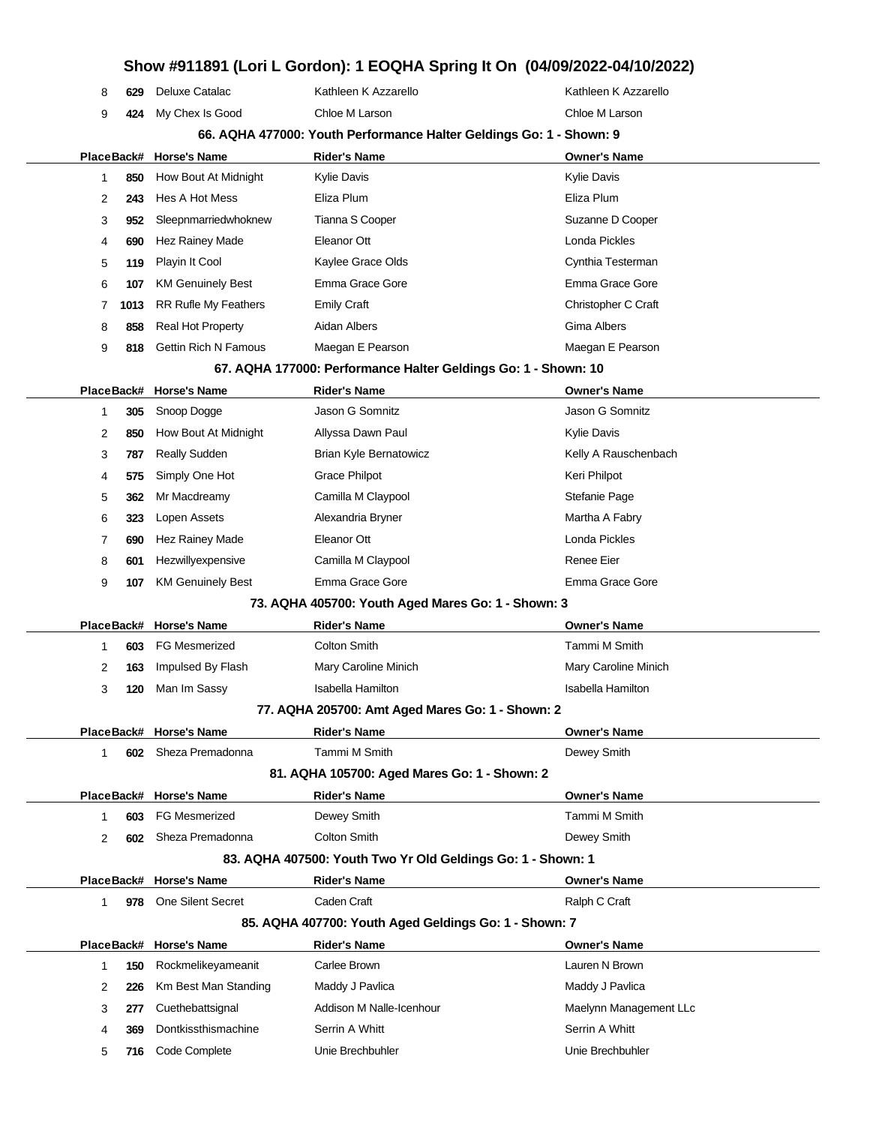|              |            |                             |                                                                     | ווטש איטוופ שטומטון. ו בטענות סטוווק וג טוו (שאטשובעבב-טאַ וטבע און בטו ד |
|--------------|------------|-----------------------------|---------------------------------------------------------------------|---------------------------------------------------------------------------|
| 8            | 629        | Deluxe Catalac              | Kathleen K Azzarello                                                | Kathleen K Azzarello                                                      |
| 9            | 424        | My Chex Is Good             | Chloe M Larson                                                      | Chloe M Larson                                                            |
|              |            |                             | 66. AQHA 477000: Youth Performance Halter Geldings Go: 1 - Shown: 9 |                                                                           |
|              | PlaceBack# | <b>Horse's Name</b>         | <b>Rider's Name</b>                                                 | <b>Owner's Name</b>                                                       |
| 1            | 850        | How Bout At Midnight        | <b>Kylie Davis</b>                                                  | <b>Kylie Davis</b>                                                        |
| 2            | 243        | Hes A Hot Mess              | Eliza Plum                                                          | Eliza Plum                                                                |
| 3            | 952        | Sleepnmarriedwhoknew        | Tianna S Cooper                                                     | Suzanne D Cooper                                                          |
| 4            | 690        | Hez Rainey Made             | Eleanor Ott                                                         | Londa Pickles                                                             |
| 5            | 119        | Playin It Cool              | Kaylee Grace Olds                                                   | Cynthia Testerman                                                         |
| 6            | 107        | <b>KM Genuinely Best</b>    | Emma Grace Gore                                                     | Emma Grace Gore                                                           |
| 7            | 1013       | <b>RR Rufle My Feathers</b> | <b>Emily Craft</b>                                                  | Christopher C Craft                                                       |
| 8            | 858        | Real Hot Property           | Aidan Albers                                                        | Gima Albers                                                               |
| 9            | 818        | <b>Gettin Rich N Famous</b> | Maegan E Pearson                                                    | Maegan E Pearson                                                          |
|              |            |                             | 67. AQHA 177000: Performance Halter Geldings Go: 1 - Shown: 10      |                                                                           |
|              |            | PlaceBack# Horse's Name     | <b>Rider's Name</b>                                                 | <b>Owner's Name</b>                                                       |
| 1            | 305        | Snoop Dogge                 | Jason G Somnitz                                                     | Jason G Somnitz                                                           |
| 2            | 850        | How Bout At Midnight        | Allyssa Dawn Paul                                                   | <b>Kylie Davis</b>                                                        |
| 3            | 787        | <b>Really Sudden</b>        | <b>Brian Kyle Bernatowicz</b>                                       | Kelly A Rauschenbach                                                      |
| 4            | 575        | Simply One Hot              | <b>Grace Philpot</b>                                                | Keri Philpot                                                              |
| 5            | 362        | Mr Macdreamy                | Camilla M Claypool                                                  | Stefanie Page                                                             |
| 6            | 323        | Lopen Assets                | Alexandria Bryner                                                   | Martha A Fabry                                                            |
| 7            | 690        | Hez Rainey Made             | Eleanor Ott                                                         | Londa Pickles                                                             |
| 8            | 601        | Hezwillyexpensive           | Camilla M Claypool                                                  | <b>Renee Eier</b>                                                         |
| 9            | 107        | <b>KM Genuinely Best</b>    | Emma Grace Gore                                                     | Emma Grace Gore                                                           |
|              |            |                             | 73. AQHA 405700: Youth Aged Mares Go: 1 - Shown: 3                  |                                                                           |
| PlaceBack#   |            | <b>Horse's Name</b>         | <b>Rider's Name</b>                                                 | <b>Owner's Name</b>                                                       |
| 1            | 603        | <b>FG Mesmerized</b>        | <b>Colton Smith</b>                                                 | Tammi M Smith                                                             |
| 2            | 163        | Impulsed By Flash           | Mary Caroline Minich                                                | Mary Caroline Minich                                                      |
| 3            | 120        | Man Im Sassy                | Isabella Hamilton                                                   | Isabella Hamilton                                                         |
|              |            |                             | 77. AQHA 205700: Amt Aged Mares Go: 1 - Shown: 2                    |                                                                           |
|              |            | PlaceBack# Horse's Name     | <b>Rider's Name</b>                                                 | <b>Owner's Name</b>                                                       |
| 1            | 602        | Sheza Premadonna            | Tammi M Smith                                                       | Dewey Smith                                                               |
|              |            |                             | 81. AQHA 105700: Aged Mares Go: 1 - Shown: 2                        |                                                                           |
|              |            | PlaceBack# Horse's Name     | <b>Rider's Name</b>                                                 | <b>Owner's Name</b>                                                       |
| 1            | 603        | <b>FG Mesmerized</b>        | Dewey Smith                                                         | Tammi M Smith                                                             |
| 2            | 602        | Sheza Premadonna            | <b>Colton Smith</b>                                                 | Dewey Smith                                                               |
|              |            |                             | 83. AQHA 407500: Youth Two Yr Old Geldings Go: 1 - Shown: 1         |                                                                           |
|              |            | PlaceBack# Horse's Name     | <b>Rider's Name</b>                                                 | <b>Owner's Name</b>                                                       |
| $\mathbf{1}$ |            | 978 One Silent Secret       | Caden Craft                                                         | Ralph C Craft                                                             |
|              |            |                             | 85. AQHA 407700: Youth Aged Geldings Go: 1 - Shown: 7               |                                                                           |
|              |            | PlaceBack# Horse's Name     | <b>Rider's Name</b>                                                 | Owner's Name                                                              |
| 1            | 150        | Rockmelikeyameanit          | Carlee Brown                                                        | Lauren N Brown                                                            |
| 2            | 226        | Km Best Man Standing        | Maddy J Pavlica                                                     | Maddy J Pavlica                                                           |
| 3            | 277        | Cuethebattsignal            | Addison M Nalle-Icenhour                                            | Maelynn Management LLc                                                    |
| 4            | 369        | Dontkissthismachine         | Serrin A Whitt                                                      | Serrin A Whitt                                                            |
| 5            | 716        | Code Complete               | Unie Brechbuhler                                                    | Unie Brechbuhler                                                          |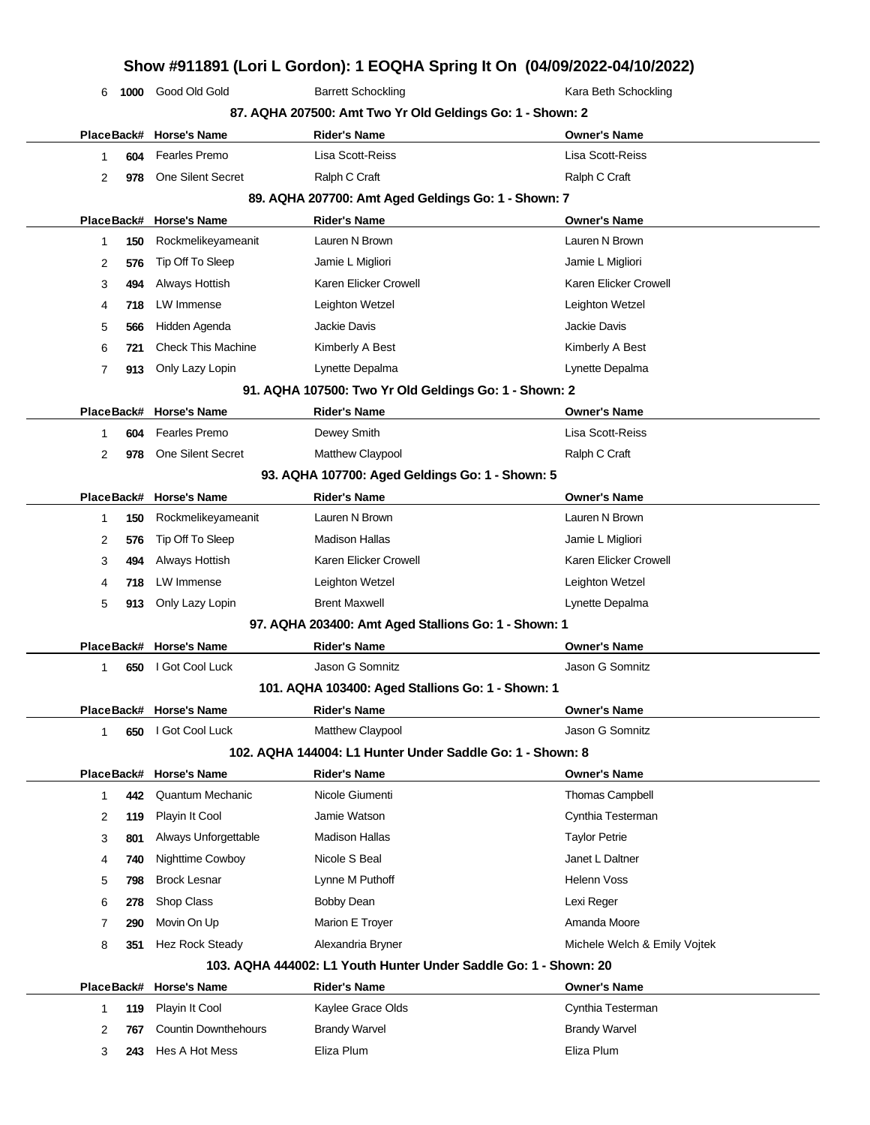| 6              | 1000 | Good Old Gold             | <b>Barrett Schockling</b>                                 | Kara Beth Schockling  |  |
|----------------|------|---------------------------|-----------------------------------------------------------|-----------------------|--|
|                |      |                           | 87. AQHA 207500: Amt Two Yr Old Geldings Go: 1 - Shown: 2 |                       |  |
|                |      | PlaceBack# Horse's Name   | <b>Rider's Name</b>                                       | <b>Owner's Name</b>   |  |
| 1              | 604  | <b>Fearles Premo</b>      | Lisa Scott-Reiss                                          | Lisa Scott-Reiss      |  |
| 2              | 978  | <b>One Silent Secret</b>  | Ralph C Craft                                             | Ralph C Craft         |  |
|                |      |                           | 89. AQHA 207700: Amt Aged Geldings Go: 1 - Shown: 7       |                       |  |
|                |      | PlaceBack# Horse's Name   | <b>Rider's Name</b>                                       | <b>Owner's Name</b>   |  |
| $\mathbf 1$    | 150  | Rockmelikeyameanit        | Lauren N Brown                                            | Lauren N Brown        |  |
| 2              | 576  | Tip Off To Sleep          | Jamie L Migliori                                          | Jamie L Migliori      |  |
| 3              | 494  | Always Hottish            | Karen Elicker Crowell                                     | Karen Elicker Crowell |  |
| 4              | 718  | LW Immense                | Leighton Wetzel                                           | Leighton Wetzel       |  |
| 5              | 566  | Hidden Agenda             | <b>Jackie Davis</b>                                       | Jackie Davis          |  |
| 6              | 721  | <b>Check This Machine</b> | Kimberly A Best                                           | Kimberly A Best       |  |
| $\overline{7}$ | 913  | Only Lazy Lopin           | Lynette Depalma                                           | Lynette Depalma       |  |
|                |      |                           | 91. AQHA 107500: Two Yr Old Geldings Go: 1 - Shown: 2     |                       |  |
|                |      | PlaceBack# Horse's Name   | <b>Rider's Name</b>                                       | <b>Owner's Name</b>   |  |
| $\mathbf{1}$   | 604  | Fearles Premo             | Dewey Smith                                               | Lisa Scott-Reiss      |  |
| $\overline{2}$ | 978  | <b>One Silent Secret</b>  | <b>Matthew Claypool</b>                                   | Ralph C Craft         |  |
|                |      |                           | 93. AQHA 107700: Aged Geldings Go: 1 - Shown: 5           |                       |  |
|                |      | PlaceBack# Horse's Name   | <b>Rider's Name</b>                                       | <b>Owner's Name</b>   |  |
| 1              | 150  | Rockmelikeyameanit        | Lauren N Brown                                            | Lauren N Brown        |  |
| 2              | 576  | Tip Off To Sleep          | <b>Madison Hallas</b>                                     | Jamie L Migliori      |  |
| 3              | 494  | Always Hottish            | Karen Elicker Crowell                                     | Karen Elicker Crowell |  |
| 4              | 718  | LW Immense                | Leighton Wetzel                                           | Leighton Wetzel       |  |
| 5              | 913  | Only Lazy Lopin           | <b>Brent Maxwell</b>                                      | Lynette Depalma       |  |
|                |      |                           | 97. AQHA 203400: Amt Aged Stallions Go: 1 - Shown: 1      |                       |  |
|                |      | PlaceBack# Horse's Name   | <b>Rider's Name</b>                                       | <b>Owner's Name</b>   |  |
| $\mathbf{1}$   | 650  | I Got Cool Luck           | Jason G Somnitz                                           | Jason G Somnitz       |  |
|                |      |                           | 101. AQHA 103400: Aged Stallions Go: 1 - Shown: 1         |                       |  |
|                |      | PlaceBack# Horse's Name   | <b>Rider's Name</b>                                       | <b>Owner's Name</b>   |  |

**102. AQHA 144004: L1 Hunter Under Saddle Go: 1 - Shown: 8**

**650** I Got Cool Luck Matthew Claypool **Matthew Claypool** Jason G Somnitz

|                                                                  |     | PlaceBack# Horse's Name | <b>Rider's Name</b> | <b>Owner's Name</b>          |  |  |
|------------------------------------------------------------------|-----|-------------------------|---------------------|------------------------------|--|--|
|                                                                  | 442 | Quantum Mechanic        | Nicole Giumenti     | <b>Thomas Campbell</b>       |  |  |
| 2                                                                | 119 | Playin It Cool          | Jamie Watson        | Cynthia Testerman            |  |  |
| 3                                                                | 801 | Always Unforgettable    | Madison Hallas      | <b>Taylor Petrie</b>         |  |  |
| 4                                                                | 740 | Nighttime Cowboy        | Nicole S Beal       | Janet L Daltner              |  |  |
| 5                                                                | 798 | <b>Brock Lesnar</b>     | Lynne M Puthoff     | Helenn Voss                  |  |  |
| 6                                                                | 278 | Shop Class              | Bobby Dean          | Lexi Reger                   |  |  |
|                                                                  | 290 | Movin On Up             | Marion E Troyer     | Amanda Moore                 |  |  |
| 8                                                                | 351 | <b>Hez Rock Steady</b>  | Alexandria Bryner   | Michele Welch & Emily Voitek |  |  |
| 103. AQHA 444002: L1 Youth Hunter Under Saddle Go: 1 - Shown: 20 |     |                         |                     |                              |  |  |

|  | PlaceBack# Horse's Name         | Rider's Name         | <b>Owner's Name</b>  |
|--|---------------------------------|----------------------|----------------------|
|  | 119 Playin It Cool              | Kaylee Grace Olds    | Cynthia Testerman    |
|  | <b>767</b> Countin Downthehours | <b>Brandy Warvel</b> | <b>Brandy Warvel</b> |
|  | 243 Hes A Hot Mess              | Eliza Plum           | Eliza Plum           |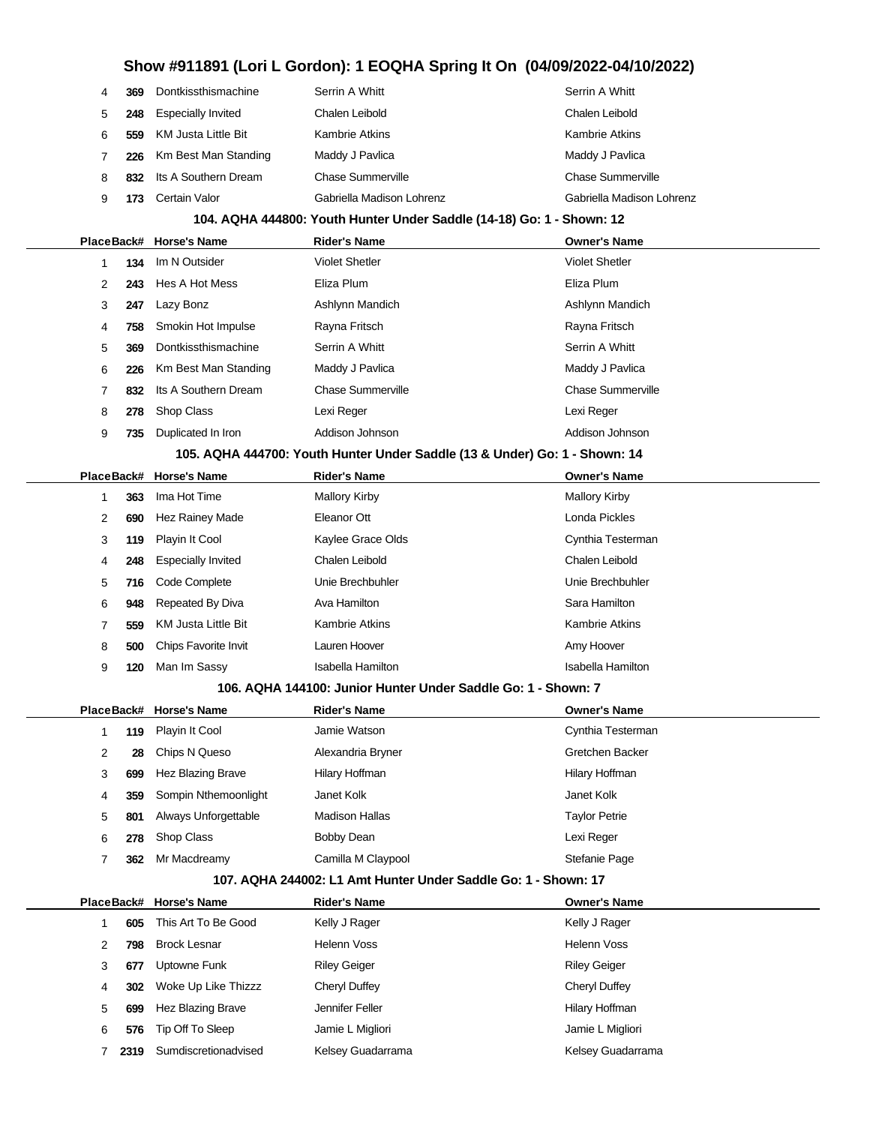| 4 | 369                                                                        | Dontkissthismachine        | Serrin A Whitt                                                        | Serrin A Whitt            |
|---|----------------------------------------------------------------------------|----------------------------|-----------------------------------------------------------------------|---------------------------|
| 5 | 248                                                                        | <b>Especially Invited</b>  | Chalen Leibold                                                        | Chalen Leibold            |
| 6 | 559                                                                        | <b>KM Justa Little Bit</b> | <b>Kambrie Atkins</b>                                                 | <b>Kambrie Atkins</b>     |
| 7 | 226                                                                        | Km Best Man Standing       | Maddy J Pavlica                                                       | Maddy J Pavlica           |
| 8 | 832                                                                        | Its A Southern Dream       | <b>Chase Summerville</b>                                              | <b>Chase Summerville</b>  |
| 9 | 173                                                                        | Certain Valor              | Gabriella Madison Lohrenz                                             | Gabriella Madison Lohrenz |
|   |                                                                            |                            | 104. AQHA 444800: Youth Hunter Under Saddle (14-18) Go: 1 - Shown: 12 |                           |
|   |                                                                            | PlaceBack# Horse's Name    | <b>Rider's Name</b>                                                   | <b>Owner's Name</b>       |
| 1 | 134                                                                        | Im N Outsider              | <b>Violet Shetler</b>                                                 | <b>Violet Shetler</b>     |
| 2 | 243                                                                        | Hes A Hot Mess             | Eliza Plum                                                            | Eliza Plum                |
| 3 | 247                                                                        | Lazy Bonz                  | Ashlynn Mandich                                                       | Ashlynn Mandich           |
| 4 | 758                                                                        | Smokin Hot Impulse         | Rayna Fritsch                                                         | Rayna Fritsch             |
| 5 | 369                                                                        | Dontkissthismachine        | Serrin A Whitt                                                        | Serrin A Whitt            |
| 6 | 226                                                                        | Km Best Man Standing       | Maddy J Pavlica                                                       | Maddy J Pavlica           |
| 7 | 832                                                                        | Its A Southern Dream       | <b>Chase Summerville</b>                                              | <b>Chase Summerville</b>  |
| 8 | 278                                                                        | Shop Class                 | Lexi Reger                                                            | Lexi Reger                |
| 9 | 735                                                                        | Duplicated In Iron         | Addison Johnson                                                       | Addison Johnson           |
|   | 105. AQHA 444700: Youth Hunter Under Saddle (13 & Under) Go: 1 - Shown: 14 |                            |                                                                       |                           |
|   |                                                                            | PlaceBack# Horse's Name    | <b>Rider's Name</b>                                                   | <b>Owner's Name</b>       |
| 1 | 363                                                                        | Ima Hot Time               | <b>Mallory Kirby</b>                                                  | <b>Mallory Kirby</b>      |
| 2 | 690                                                                        | <b>Hez Rainey Made</b>     | Eleanor Ott                                                           | Londa Pickles             |
| 3 | 119                                                                        | Playin It Cool             | Kaylee Grace Olds                                                     | Cynthia Testerman         |
| 4 | 248                                                                        | <b>Especially Invited</b>  | Chalen Leibold                                                        | Chalen Leibold            |
| 5 | 716                                                                        | Code Complete              | Unie Brechbuhler                                                      | Unie Brechbuhler          |
| 6 | 948                                                                        | Repeated By Diva           | Ava Hamilton                                                          | Sara Hamilton             |
| 7 | 559                                                                        | <b>KM Justa Little Bit</b> | <b>Kambrie Atkins</b>                                                 | <b>Kambrie Atkins</b>     |
| 8 | 500                                                                        | Chips Favorite Invit       | Lauren Hoover                                                         | Amy Hoover                |
| 9 | 120                                                                        | Man Im Sassy               | <b>Isabella Hamilton</b>                                              | <b>Isabella Hamilton</b>  |

#### **106. AQHA 144100: Junior Hunter Under Saddle Go: 1 - Shown: 7**

|   |     | PlaceBack# Horse's Name | <b>Rider's Name</b>   | <b>Owner's Name</b>  |
|---|-----|-------------------------|-----------------------|----------------------|
|   | 119 | Playin It Cool          | Jamie Watson          | Cynthia Testerman    |
| 2 | 28  | Chips N Queso           | Alexandria Bryner     | Gretchen Backer      |
| 3 | 699 | Hez Blazing Brave       | Hilary Hoffman        | Hilary Hoffman       |
| 4 | 359 | Sompin Nthemoonlight    | Janet Kolk            | Janet Kolk           |
| 5 | 801 | Always Unforgettable    | <b>Madison Hallas</b> | <b>Taylor Petrie</b> |
| 6 | 278 | Shop Class              | Bobby Dean            | Lexi Reger           |
|   | 362 | Mr Macdreamy            | Camilla M Claypool    | Stefanie Page        |

#### **107. AQHA 244002: L1 Amt Hunter Under Saddle Go: 1 - Shown: 17**

|   |      | PlaceBack# Horse's Name | <b>Rider's Name</b> | <b>Owner's Name</b> |
|---|------|-------------------------|---------------------|---------------------|
|   | 605  | This Art To Be Good     | Kelly J Rager       | Kelly J Rager       |
| 2 | 798  | <b>Brock Lesnar</b>     | Helenn Voss         | <b>Helenn Voss</b>  |
| 3 | 677  | Uptowne Funk            | <b>Riley Geiger</b> | <b>Riley Geiger</b> |
| 4 | 302  | Woke Up Like Thizzz     | Cheryl Duffey       | Cheryl Duffey       |
| 5 | 699  | Hez Blazing Brave       | Jennifer Feller     | Hilary Hoffman      |
| 6 | 576  | Tip Off To Sleep        | Jamie L Migliori    | Jamie L Migliori    |
|   | 2319 | Sumdiscretionadvised    | Kelsey Guadarrama   | Kelsey Guadarrama   |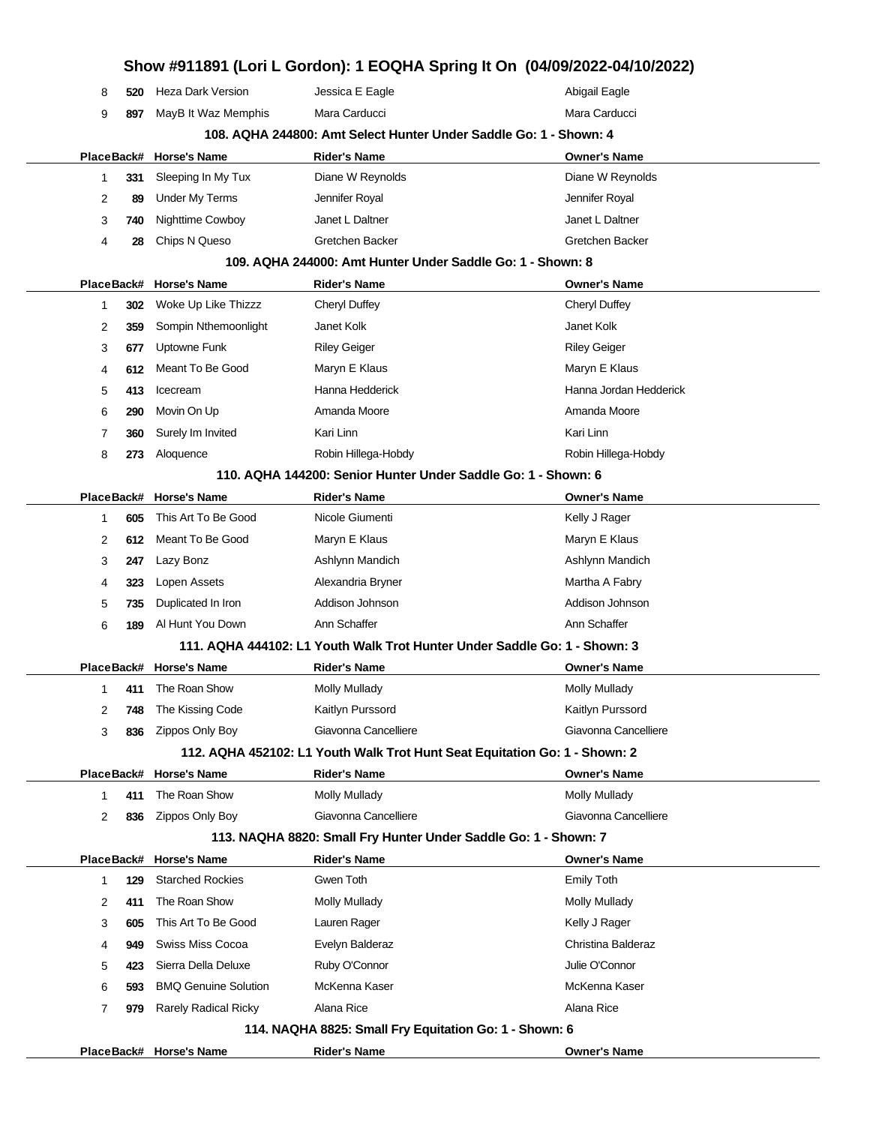| Show #911891 (Lori L Gordon): 1 EOQHA Spring It On (04/09/2022-04/10/2022) |            |     |                             |                                                                            |                        |
|----------------------------------------------------------------------------|------------|-----|-----------------------------|----------------------------------------------------------------------------|------------------------|
|                                                                            | 8          | 520 | <b>Heza Dark Version</b>    | Jessica E Eagle                                                            | Abigail Eagle          |
|                                                                            | 9          | 897 | MayB It Waz Memphis         | Mara Carducci                                                              | Mara Carducci          |
|                                                                            |            |     |                             | 108. AQHA 244800: Amt Select Hunter Under Saddle Go: 1 - Shown: 4          |                        |
|                                                                            | PlaceBack# |     | <b>Horse's Name</b>         | <b>Rider's Name</b>                                                        | <b>Owner's Name</b>    |
|                                                                            | 1          | 331 | Sleeping In My Tux          | Diane W Reynolds                                                           | Diane W Reynolds       |
|                                                                            | 2          | 89  | <b>Under My Terms</b>       | Jennifer Royal                                                             | Jennifer Royal         |
|                                                                            | 3          | 740 | Nighttime Cowboy            | Janet L Daltner                                                            | Janet L Daltner        |
|                                                                            | 4          | 28  | Chips N Queso               | Gretchen Backer                                                            | Gretchen Backer        |
|                                                                            |            |     |                             | 109. AQHA 244000: Amt Hunter Under Saddle Go: 1 - Shown: 8                 |                        |
|                                                                            | PlaceBack# |     | <b>Horse's Name</b>         | <b>Rider's Name</b>                                                        | <b>Owner's Name</b>    |
|                                                                            | 1          | 302 | Woke Up Like Thizzz         | Cheryl Duffey                                                              | Cheryl Duffey          |
|                                                                            | 2          | 359 | Sompin Nthemoonlight        | Janet Kolk                                                                 | Janet Kolk             |
|                                                                            | 3          | 677 | Uptowne Funk                | <b>Riley Geiger</b>                                                        | <b>Riley Geiger</b>    |
|                                                                            | 4          | 612 | Meant To Be Good            | Maryn E Klaus                                                              | Maryn E Klaus          |
|                                                                            | 5          | 413 | Icecream                    | Hanna Hedderick                                                            | Hanna Jordan Hedderick |
|                                                                            | 6          | 290 | Movin On Up                 | Amanda Moore                                                               | Amanda Moore           |
|                                                                            | 7          | 360 | Surely Im Invited           | Kari Linn                                                                  | Kari Linn              |
|                                                                            | 8          | 273 | Aloquence                   | Robin Hillega-Hobdy                                                        | Robin Hillega-Hobdy    |
|                                                                            |            |     |                             | 110. AQHA 144200: Senior Hunter Under Saddle Go: 1 - Shown: 6              |                        |
|                                                                            |            |     | PlaceBack# Horse's Name     | <b>Rider's Name</b>                                                        | <b>Owner's Name</b>    |
|                                                                            | 1          | 605 | This Art To Be Good         | Nicole Giumenti                                                            | Kelly J Rager          |
|                                                                            | 2          | 612 | Meant To Be Good            | Maryn E Klaus                                                              | Maryn E Klaus          |
|                                                                            | 3          | 247 | Lazy Bonz                   | Ashlynn Mandich                                                            | Ashlynn Mandich        |
|                                                                            | 4          | 323 | Lopen Assets                | Alexandria Bryner                                                          | Martha A Fabry         |
|                                                                            | 5          | 735 | Duplicated In Iron          | Addison Johnson                                                            | Addison Johnson        |
|                                                                            | 6          | 189 | Al Hunt You Down            | Ann Schaffer                                                               | Ann Schaffer           |
|                                                                            |            |     |                             | 111. AQHA 444102: L1 Youth Walk Trot Hunter Under Saddle Go: 1 - Shown: 3  |                        |
|                                                                            |            |     | PlaceBack# Horse's Name     | Rider's Name                                                               | <b>Owner's Name</b>    |
|                                                                            | 1.         |     | 411 The Roan Show           | Molly Mullady                                                              | Molly Mullady          |
|                                                                            | 2          | 748 | The Kissing Code            | Kaitlyn Purssord                                                           | Kaitlyn Purssord       |
|                                                                            | 3          | 836 | Zippos Only Boy             | Giavonna Cancelliere                                                       | Giavonna Cancelliere   |
|                                                                            |            |     |                             | 112. AQHA 452102: L1 Youth Walk Trot Hunt Seat Equitation Go: 1 - Shown: 2 |                        |
|                                                                            |            |     | PlaceBack# Horse's Name     | <b>Rider's Name</b>                                                        | <b>Owner's Name</b>    |
|                                                                            | 1          | 411 | The Roan Show               | Molly Mullady                                                              | Molly Mullady          |
|                                                                            | 2          | 836 | Zippos Only Boy             | Giavonna Cancelliere                                                       | Giavonna Cancelliere   |
|                                                                            |            |     |                             | 113. NAQHA 8820: Small Fry Hunter Under Saddle Go: 1 - Shown: 7            |                        |
|                                                                            |            |     | PlaceBack# Horse's Name     | <b>Rider's Name</b>                                                        | <b>Owner's Name</b>    |
|                                                                            | 1          | 129 | <b>Starched Rockies</b>     | Gwen Toth                                                                  | <b>Emily Toth</b>      |
|                                                                            | 2          | 411 | The Roan Show               | <b>Molly Mullady</b>                                                       | <b>Molly Mullady</b>   |
|                                                                            | 3          | 605 | This Art To Be Good         | Lauren Rager                                                               | Kelly J Rager          |
|                                                                            | 4          | 949 | Swiss Miss Cocoa            | Evelyn Balderaz                                                            | Christina Balderaz     |
|                                                                            | 5          | 423 | Sierra Della Deluxe         | Ruby O'Connor                                                              | Julie O'Connor         |
|                                                                            | 6          | 593 | <b>BMQ Genuine Solution</b> | McKenna Kaser                                                              | McKenna Kaser          |
|                                                                            | 7          | 979 | <b>Rarely Radical Ricky</b> | Alana Rice                                                                 | Alana Rice             |
|                                                                            |            |     |                             | 114. NAQHA 8825: Small Fry Equitation Go: 1 - Shown: 6                     |                        |
|                                                                            |            |     | PlaceBack# Horse's Name     | <b>Rider's Name</b>                                                        | <b>Owner's Name</b>    |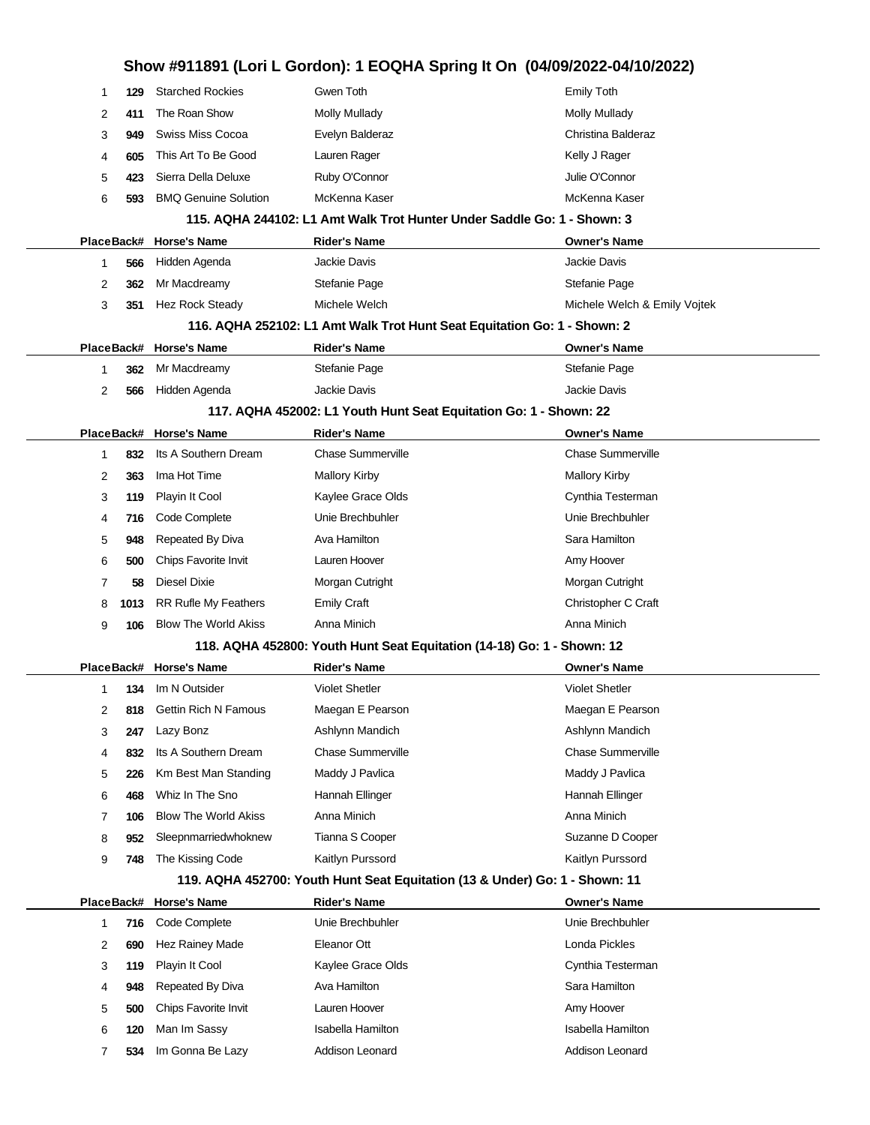|            |                             | Show #911891 (Lori L Gordon): 1 EOQHA Spring It On (04/09/2022-04/10/2022)  |                              |
|------------|-----------------------------|-----------------------------------------------------------------------------|------------------------------|
| 129<br>1   | <b>Starched Rockies</b>     | Gwen Toth                                                                   | Emily Toth                   |
| 411<br>2   | The Roan Show               | <b>Molly Mullady</b>                                                        | <b>Molly Mullady</b>         |
| 3<br>949   | Swiss Miss Cocoa            | Evelyn Balderaz                                                             | Christina Balderaz           |
| 605<br>4   | This Art To Be Good         | Lauren Rager                                                                | Kelly J Rager                |
| 5<br>423   | Sierra Della Deluxe         | Ruby O'Connor                                                               | Julie O'Connor               |
| 6<br>593   | <b>BMQ Genuine Solution</b> | McKenna Kaser                                                               | McKenna Kaser                |
|            |                             | 115. AQHA 244102: L1 Amt Walk Trot Hunter Under Saddle Go: 1 - Shown: 3     |                              |
| PlaceBack# | <b>Horse's Name</b>         | <b>Rider's Name</b>                                                         | <b>Owner's Name</b>          |
| 1<br>566   | Hidden Agenda               | <b>Jackie Davis</b>                                                         | Jackie Davis                 |
| 2<br>362   | Mr Macdreamy                | Stefanie Page                                                               | Stefanie Page                |
| 3<br>351   | Hez Rock Steady             | Michele Welch                                                               | Michele Welch & Emily Vojtek |
|            |                             | 116. AQHA 252102: L1 Amt Walk Trot Hunt Seat Equitation Go: 1 - Shown: 2    |                              |
|            | PlaceBack# Horse's Name     | <b>Rider's Name</b>                                                         | <b>Owner's Name</b>          |
| 1<br>362   | Mr Macdreamy                | Stefanie Page                                                               | Stefanie Page                |
| 2<br>566   | Hidden Agenda               | Jackie Davis                                                                | Jackie Davis                 |
|            |                             | 117. AQHA 452002: L1 Youth Hunt Seat Equitation Go: 1 - Shown: 22           |                              |
|            | PlaceBack# Horse's Name     | <b>Rider's Name</b>                                                         | <b>Owner's Name</b>          |
| 1<br>832   | Its A Southern Dream        | <b>Chase Summerville</b>                                                    | <b>Chase Summerville</b>     |
| 2<br>363   | Ima Hot Time                | <b>Mallory Kirby</b>                                                        | <b>Mallory Kirby</b>         |
| 3<br>119   | Playin It Cool              | Kaylee Grace Olds                                                           | Cynthia Testerman            |
| 716<br>4   | Code Complete               | Unie Brechbuhler                                                            | Unie Brechbuhler             |
| 5<br>948   | Repeated By Diva            | Ava Hamilton                                                                | Sara Hamilton                |
| 6<br>500   | Chips Favorite Invit        | Lauren Hoover                                                               | Amy Hoover                   |
| 58<br>7    | Diesel Dixie                | Morgan Cutright                                                             | Morgan Cutright              |
| 8<br>1013  | RR Rufle My Feathers        | <b>Emily Craft</b>                                                          | Christopher C Craft          |
| 9<br>106   | <b>Blow The World Akiss</b> | Anna Minich                                                                 | Anna Minich                  |
|            |                             | 118. AQHA 452800: Youth Hunt Seat Equitation (14-18) Go: 1 - Shown: 12      |                              |
|            | PlaceBack# Horse's Name     | <b>Rider's Name</b>                                                         | <b>Owner's Name</b>          |
| 1<br>134   | Im N Outsider               | <b>Violet Shetler</b>                                                       | <b>Violet Shetler</b>        |
| 2<br>818   | Gettin Rich N Famous        | Maegan E Pearson                                                            | Maegan E Pearson             |
| 3<br>247   | Lazy Bonz                   | Ashlynn Mandich                                                             | Ashlynn Mandich              |
| 4<br>832   | Its A Southern Dream        | <b>Chase Summerville</b>                                                    | <b>Chase Summerville</b>     |
| 5<br>226   | Km Best Man Standing        | Maddy J Pavlica                                                             | Maddy J Pavlica              |
| 6<br>468   | Whiz In The Sno             | Hannah Ellinger                                                             | Hannah Ellinger              |
| 7<br>106   | <b>Blow The World Akiss</b> | Anna Minich                                                                 | Anna Minich                  |
| 8<br>952   | Sleepnmarriedwhoknew        | Tianna S Cooper                                                             | Suzanne D Cooper             |
| 9<br>748   | The Kissing Code            | Kaitlyn Purssord                                                            | Kaitlyn Purssord             |
|            |                             | 119. AQHA 452700: Youth Hunt Seat Equitation (13 & Under) Go: 1 - Shown: 11 |                              |
| PlaceBack# | <b>Horse's Name</b>         | <b>Rider's Name</b>                                                         | <b>Owner's Name</b>          |
| 1<br>716   | Code Complete               | Unie Brechbuhler                                                            | Unie Brechbuhler             |
| 2<br>690   | Hez Rainey Made             | Eleanor Ott                                                                 | Londa Pickles                |
| 3<br>119   | Playin It Cool              | Kaylee Grace Olds                                                           | Cynthia Testerman            |
| 948<br>4   | Repeated By Diva            | Ava Hamilton                                                                | Sara Hamilton                |
| 5<br>500   | Chips Favorite Invit        | Lauren Hoover                                                               | Amy Hoover                   |
| 6<br>120   | Man Im Sassy                | <b>Isabella Hamilton</b>                                                    | <b>Isabella Hamilton</b>     |
| 7<br>534   | Im Gonna Be Lazy            | Addison Leonard                                                             | Addison Leonard              |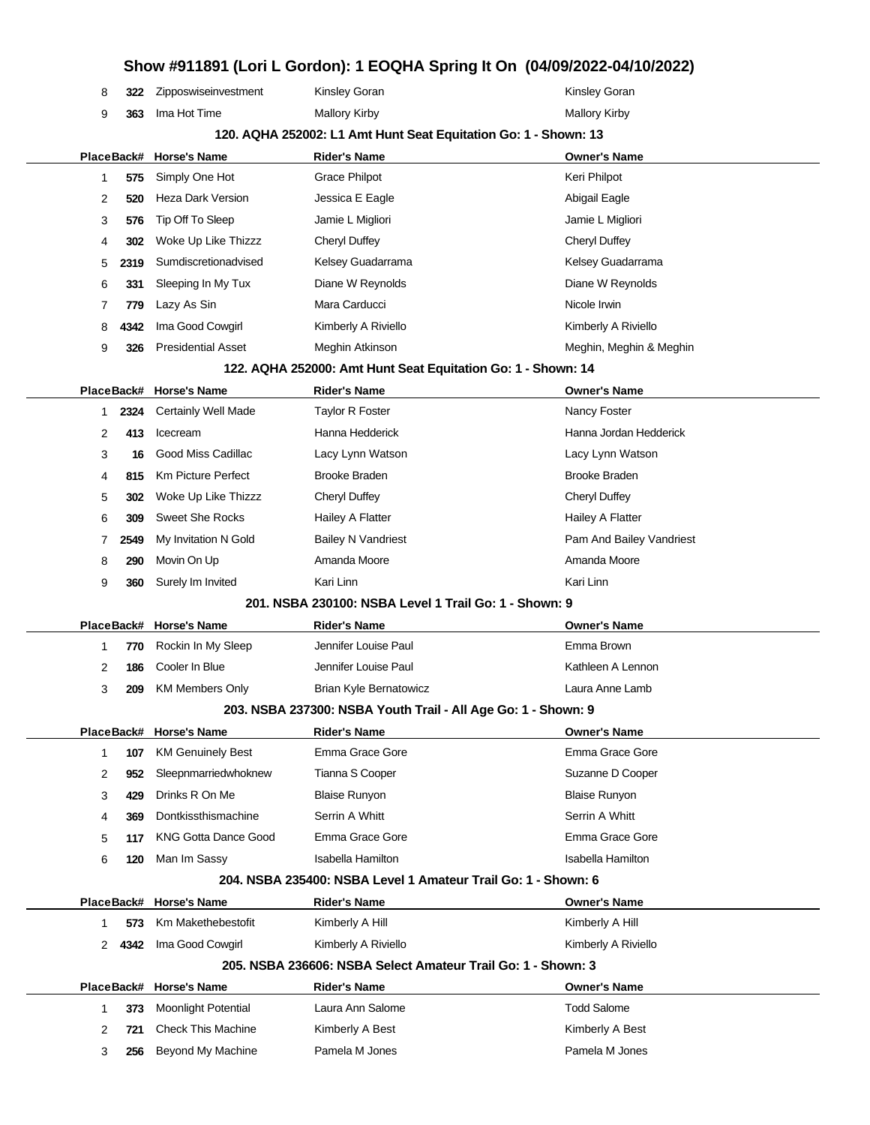|  | 322 Zipposwiseinvestment | Kinsley Goran | <b>Kinsley Goran</b> |
|--|--------------------------|---------------|----------------------|
|  | 363 Ima Hot Time         | Mallory Kirby | Mallory Kirby        |

#### **120. AQHA 252002: L1 Amt Hunt Seat Equitation Go: 1 - Shown: 13**

|   |      | PlaceBack# Horse's Name   | <b>Rider's Name</b> | <b>Owner's Name</b>     |
|---|------|---------------------------|---------------------|-------------------------|
|   | 575  | Simply One Hot            | Grace Philpot       | Keri Philpot            |
| 2 | 520  | Heza Dark Version         | Jessica E Eagle     | Abigail Eagle           |
| 3 | 576  | Tip Off To Sleep          | Jamie L Migliori    | Jamie L Migliori        |
| 4 | 302  | Woke Up Like Thizzz       | Cheryl Duffey       | Cheryl Duffey           |
| 5 | 2319 | Sumdiscretionadvised      | Kelsey Guadarrama   | Kelsey Guadarrama       |
| 6 | 331  | Sleeping In My Tux        | Diane W Reynolds    | Diane W Reynolds        |
|   | 779  | Lazy As Sin               | Mara Carducci       | Nicole Irwin            |
| 8 | 4342 | Ima Good Cowgirl          | Kimberly A Riviello | Kimberly A Riviello     |
| 9 | 326  | <b>Presidential Asset</b> | Meghin Atkinson     | Meghin, Meghin & Meghin |

#### **122. AQHA 252000: Amt Hunt Seat Equitation Go: 1 - Shown: 14**

|  |   |      | PlaceBack# Horse's Name  | <b>Rider's Name</b>       | <b>Owner's Name</b>      |
|--|---|------|--------------------------|---------------------------|--------------------------|
|  |   |      | 2324 Certainly Well Made | <b>Taylor R Foster</b>    | Nancy Foster             |
|  | 2 | 413  | Icecream                 | Hanna Hedderick           | Hanna Jordan Hedderick   |
|  | 3 | 16   | Good Miss Cadillac       | Lacy Lynn Watson          | Lacy Lynn Watson         |
|  | 4 | 815  | Km Picture Perfect       | <b>Brooke Braden</b>      | <b>Brooke Braden</b>     |
|  | 5 | 302  | Woke Up Like Thizzz      | Cheryl Duffey             | Cheryl Duffey            |
|  | 6 | 309  | Sweet She Rocks          | Hailey A Flatter          | Hailey A Flatter         |
|  |   | 2549 | My Invitation N Gold     | <b>Bailey N Vandriest</b> | Pam And Bailey Vandriest |
|  | 8 | 290  | Movin On Up              | Amanda Moore              | Amanda Moore             |
|  | 9 | 360  | Surely Im Invited        | Kari Linn                 | Kari Linn                |
|  |   |      |                          |                           |                          |

#### **201. NSBA 230100: NSBA Level 1 Trail Go: 1 - Shown: 9**

|   |     | PlaceBack# Horse's Name | <b>Rider's Name</b>    | <b>Owner's Name</b> |
|---|-----|-------------------------|------------------------|---------------------|
|   |     | 770 Rockin In My Sleep  | Jennifer Louise Paul   | Emma Brown          |
|   | 186 | Cooler In Blue          | Jennifer Louise Paul   | Kathleen A Lennon   |
| 3 | 209 | KM Members Only         | Brian Kyle Bernatowicz | Laura Anne Lamb     |
|   |     |                         |                        |                     |

#### **203. NSBA 237300: NSBA Youth Trail - All Age Go: 1 - Shown: 9**

|   |     | PlaceBack# Horse's Name  | <b>Rider's Name</b>  | <b>Owner's Name</b>  |
|---|-----|--------------------------|----------------------|----------------------|
|   | 107 | <b>KM Genuinely Best</b> | Emma Grace Gore      | Emma Grace Gore      |
| 2 | 952 | Sleepnmarriedwhoknew     | Tianna S Cooper      | Suzanne D Cooper     |
| 3 | 429 | Drinks R On Me           | <b>Blaise Runyon</b> | <b>Blaise Runyon</b> |
| 4 | 369 | Dontkissthismachine      | Serrin A Whitt       | Serrin A Whitt       |
| 5 | 117 | KNG Gotta Dance Good     | Emma Grace Gore      | Emma Grace Gore      |
| 6 | 120 | Man Im Sassy             | Isabella Hamilton    | Isabella Hamilton    |
|   |     |                          |                      |                      |

#### **204. NSBA 235400: NSBA Level 1 Amateur Trail Go: 1 - Shown: 6**

|   |      | PlaceBack# Horse's Name    | <b>Rider's Name</b>                                          | <b>Owner's Name</b> |
|---|------|----------------------------|--------------------------------------------------------------|---------------------|
|   | 573  | Km Makethebestofit         | Kimberly A Hill                                              | Kimberly A Hill     |
|   | 4342 | Ima Good Cowgirl           | Kimberly A Riviello                                          | Kimberly A Riviello |
|   |      |                            | 205, NSBA 236606: NSBA Select Amateur Trail Go: 1 - Shown: 3 |                     |
|   |      | PlaceBack# Horse's Name    | <b>Rider's Name</b>                                          | <b>Owner's Name</b> |
|   | 373  | <b>Moonlight Potential</b> | Laura Ann Salome                                             | <b>Todd Salome</b>  |
| 2 | 721  | <b>Check This Machine</b>  | Kimberly A Best                                              | Kimberly A Best     |
| 3 | 256  | Beyond My Machine          | Pamela M Jones                                               | Pamela M Jones      |
|   |      |                            |                                                              |                     |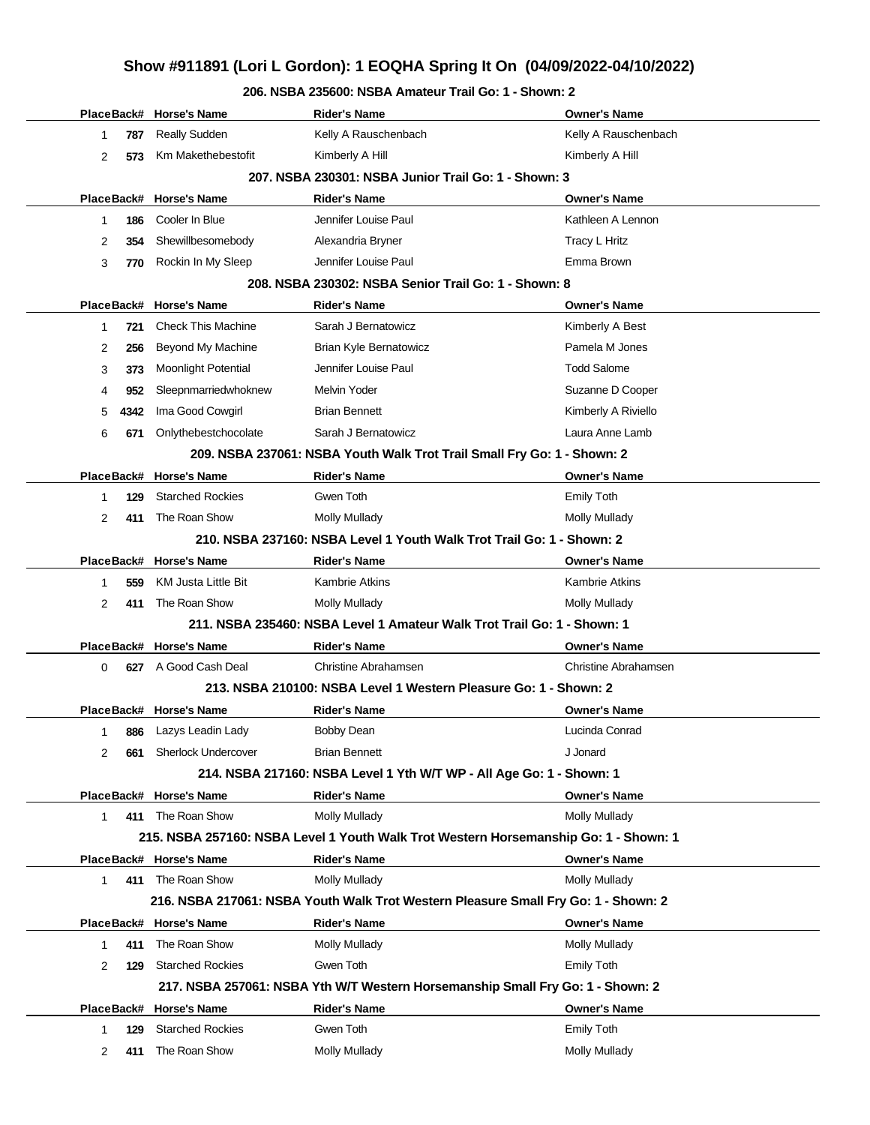### **206. NSBA 235600: NSBA Amateur Trail Go: 1 - Shown: 2**

|              |      | PlaceBack# Horse's Name    | <b>Rider's Name</b>                                                                  | <b>Owner's Name</b>         |
|--------------|------|----------------------------|--------------------------------------------------------------------------------------|-----------------------------|
| 1            | 787  | Really Sudden              | Kelly A Rauschenbach                                                                 | Kelly A Rauschenbach        |
| 2            | 573  | Km Makethebestofit         | Kimberly A Hill                                                                      | Kimberly A Hill             |
|              |      |                            | 207. NSBA 230301: NSBA Junior Trail Go: 1 - Shown: 3                                 |                             |
|              |      | PlaceBack# Horse's Name    | <b>Rider's Name</b>                                                                  | <b>Owner's Name</b>         |
| 1            | 186  | Cooler In Blue             | Jennifer Louise Paul                                                                 | Kathleen A Lennon           |
| 2            | 354  | Shewillbesomebody          | Alexandria Bryner                                                                    | Tracy L Hritz               |
| 3            | 770  | Rockin In My Sleep         | Jennifer Louise Paul                                                                 | Emma Brown                  |
|              |      |                            | 208. NSBA 230302: NSBA Senior Trail Go: 1 - Shown: 8                                 |                             |
| PlaceBack#   |      | <b>Horse's Name</b>        | <b>Rider's Name</b>                                                                  | <b>Owner's Name</b>         |
| $\mathbf{1}$ | 721  | Check This Machine         | Sarah J Bernatowicz                                                                  | Kimberly A Best             |
| 2            | 256  | Beyond My Machine          | Brian Kyle Bernatowicz                                                               | Pamela M Jones              |
| 3            | 373  | <b>Moonlight Potential</b> | Jennifer Louise Paul                                                                 | <b>Todd Salome</b>          |
| 4            | 952  | Sleepnmarriedwhoknew       | Melvin Yoder                                                                         | Suzanne D Cooper            |
| 5            | 4342 | Ima Good Cowgirl           | <b>Brian Bennett</b>                                                                 | Kimberly A Riviello         |
| 6            | 671  | Onlythebestchocolate       | Sarah J Bernatowicz                                                                  | Laura Anne Lamb             |
|              |      |                            | 209. NSBA 237061: NSBA Youth Walk Trot Trail Small Fry Go: 1 - Shown: 2              |                             |
|              |      | PlaceBack# Horse's Name    | <b>Rider's Name</b>                                                                  | <b>Owner's Name</b>         |
| 1            | 129  | <b>Starched Rockies</b>    | Gwen Toth                                                                            | <b>Emily Toth</b>           |
| 2            | 411  | The Roan Show              | <b>Molly Mullady</b>                                                                 | Molly Mullady               |
|              |      |                            | 210. NSBA 237160: NSBA Level 1 Youth Walk Trot Trail Go: 1 - Shown: 2                |                             |
|              |      | PlaceBack# Horse's Name    | <b>Rider's Name</b>                                                                  | <b>Owner's Name</b>         |
| 1            | 559  | <b>KM Justa Little Bit</b> | <b>Kambrie Atkins</b>                                                                | <b>Kambrie Atkins</b>       |
| 2            | 411  | The Roan Show              | <b>Molly Mullady</b>                                                                 | <b>Molly Mullady</b>        |
|              |      |                            | 211. NSBA 235460: NSBA Level 1 Amateur Walk Trot Trail Go: 1 - Shown: 1              |                             |
|              |      | PlaceBack# Horse's Name    | <b>Rider's Name</b>                                                                  | <b>Owner's Name</b>         |
| 0            | 627  | A Good Cash Deal           | <b>Christine Abrahamsen</b>                                                          | <b>Christine Abrahamsen</b> |
|              |      |                            | 213. NSBA 210100: NSBA Level 1 Western Pleasure Go: 1 - Shown: 2                     |                             |
|              |      | PlaceBack# Horse's Name    | <b>Rider's Name</b>                                                                  | <b>Owner's Name</b>         |
| 1            | 886  | Lazys Leadin Lady          | <b>Bobby Dean</b>                                                                    | Lucinda Conrad              |
| 2            | 661  | <b>Sherlock Undercover</b> | <b>Brian Bennett</b>                                                                 | J Jonard                    |
|              |      |                            | 214. NSBA 217160: NSBA Level 1 Yth W/T WP - All Age Go: 1 - Shown: 1                 |                             |
|              |      | PlaceBack# Horse's Name    | <b>Rider's Name</b>                                                                  | <b>Owner's Name</b>         |
| $\mathbf 1$  |      | 411 The Roan Show          | Molly Mullady                                                                        | Molly Mullady               |
|              |      |                            | 215. NSBA 257160: NSBA Level 1 Youth Walk Trot Western Horsemanship Go: 1 - Shown: 1 |                             |
|              |      | PlaceBack# Horse's Name    | <b>Rider's Name</b>                                                                  | <b>Owner's Name</b>         |
| $\mathbf{1}$ |      | 411 The Roan Show          | <b>Molly Mullady</b>                                                                 | <b>Molly Mullady</b>        |
|              |      |                            | 216. NSBA 217061: NSBA Youth Walk Trot Western Pleasure Small Fry Go: 1 - Shown: 2   |                             |
|              |      | PlaceBack# Horse's Name    | <b>Rider's Name</b>                                                                  | <b>Owner's Name</b>         |
| 1            | 411  | The Roan Show              | <b>Molly Mullady</b>                                                                 | <b>Molly Mullady</b>        |
| 2            | 129  | <b>Starched Rockies</b>    | Gwen Toth                                                                            | <b>Emily Toth</b>           |
|              |      |                            | 217. NSBA 257061: NSBA Yth W/T Western Horsemanship Small Fry Go: 1 - Shown: 2       |                             |
|              |      | PlaceBack# Horse's Name    | <b>Rider's Name</b>                                                                  | <b>Owner's Name</b>         |
| 1            | 129  | <b>Starched Rockies</b>    | Gwen Toth                                                                            | <b>Emily Toth</b>           |
| 2            | 411  | The Roan Show              | <b>Molly Mullady</b>                                                                 | <b>Molly Mullady</b>        |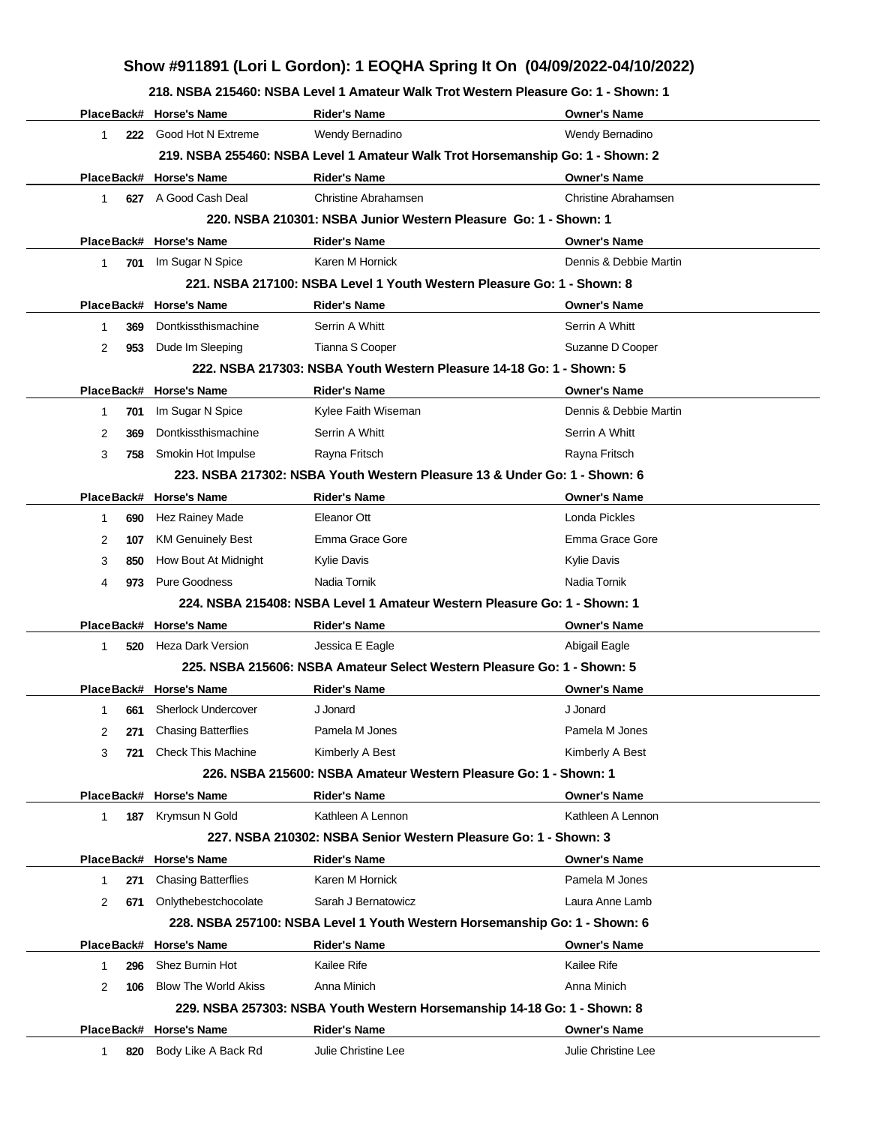**218. NSBA 215460: NSBA Level 1 Amateur Walk Trot Western Pleasure Go: 1 - Shown: 1**

|                       | PlaceBack# Horse's Name                         | <b>Rider's Name</b>                                                            | <b>Owner's Name</b>                           |
|-----------------------|-------------------------------------------------|--------------------------------------------------------------------------------|-----------------------------------------------|
| $\mathbf 1$           | 222 Good Hot N Extreme                          | Wendy Bernadino                                                                | Wendy Bernadino                               |
|                       |                                                 | 219. NSBA 255460: NSBA Level 1 Amateur Walk Trot Horsemanship Go: 1 - Shown: 2 |                                               |
|                       | PlaceBack# Horse's Name                         | <b>Rider's Name</b>                                                            | <b>Owner's Name</b>                           |
| 1                     | 627 A Good Cash Deal                            | Christine Abrahamsen                                                           | <b>Christine Abrahamsen</b>                   |
|                       |                                                 | 220. NSBA 210301: NSBA Junior Western Pleasure Go: 1 - Shown: 1                |                                               |
|                       |                                                 |                                                                                |                                               |
|                       | PlaceBack# Horse's Name<br>701 Im Sugar N Spice | <b>Rider's Name</b><br>Karen M Hornick                                         | <b>Owner's Name</b><br>Dennis & Debbie Martin |
| $\mathbf{1}$          |                                                 | 221, NSBA 217100: NSBA Level 1 Youth Western Pleasure Go: 1 - Shown: 8         |                                               |
|                       |                                                 |                                                                                |                                               |
|                       | PlaceBack# Horse's Name                         | <b>Rider's Name</b>                                                            | <b>Owner's Name</b>                           |
| 369<br>1              | Dontkissthismachine                             | Serrin A Whitt                                                                 | Serrin A Whitt                                |
| 2<br>953              | Dude Im Sleeping                                | Tianna S Cooper                                                                | Suzanne D Cooper                              |
|                       |                                                 | 222, NSBA 217303: NSBA Youth Western Pleasure 14-18 Go: 1 - Shown: 5           |                                               |
|                       | PlaceBack# Horse's Name                         | <b>Rider's Name</b>                                                            | <b>Owner's Name</b>                           |
| 701<br>1              | Im Sugar N Spice                                | Kylee Faith Wiseman                                                            | Dennis & Debbie Martin                        |
| $\overline{2}$<br>369 | Dontkissthismachine                             | Serrin A Whitt                                                                 | Serrin A Whitt                                |
| 3<br>758              | Smokin Hot Impulse                              | Rayna Fritsch                                                                  | Rayna Fritsch                                 |
|                       |                                                 | 223. NSBA 217302: NSBA Youth Western Pleasure 13 & Under Go: 1 - Shown: 6      |                                               |
|                       | PlaceBack# Horse's Name                         | <b>Rider's Name</b>                                                            | <b>Owner's Name</b>                           |
| $\mathbf{1}$<br>690   | Hez Rainey Made                                 | Eleanor Ott                                                                    | Londa Pickles                                 |
| 2<br>107              | <b>KM Genuinely Best</b>                        | Emma Grace Gore                                                                | Emma Grace Gore                               |
| 3<br>850              | How Bout At Midnight                            | <b>Kylie Davis</b>                                                             | <b>Kylie Davis</b>                            |
| 4<br>973              | Pure Goodness                                   | Nadia Tornik                                                                   | Nadia Tornik                                  |
|                       |                                                 | 224, NSBA 215408: NSBA Level 1 Amateur Western Pleasure Go: 1 - Shown: 1       |                                               |
|                       | PlaceBack# Horse's Name                         | <b>Rider's Name</b>                                                            | <b>Owner's Name</b>                           |
| $\mathbf{1}$<br>520   | Heza Dark Version                               | Jessica E Eagle                                                                | Abigail Eagle                                 |
|                       |                                                 | 225. NSBA 215606: NSBA Amateur Select Western Pleasure Go: 1 - Shown: 5        |                                               |
|                       | PlaceBack# Horse's Name                         | <b>Rider's Name</b>                                                            | <b>Owner's Name</b>                           |
| 661<br>1              | <b>Sherlock Undercover</b>                      | J Jonard                                                                       | J Jonard                                      |
| $\overline{2}$        | 271 Chasing Batterflies                         | Pamela M Jones                                                                 | Pamela M Jones                                |
| 3<br>721              | <b>Check This Machine</b>                       | Kimberly A Best                                                                | Kimberly A Best                               |
|                       |                                                 | 226. NSBA 215600: NSBA Amateur Western Pleasure Go: 1 - Shown: 1               |                                               |
|                       | PlaceBack# Horse's Name                         | <b>Rider's Name</b>                                                            | <b>Owner's Name</b>                           |
| $\mathbf{1}$<br>187   | Krymsun N Gold                                  | Kathleen A Lennon                                                              | Kathleen A Lennon                             |
|                       |                                                 | 227, NSBA 210302: NSBA Senior Western Pleasure Go: 1 - Shown: 3                |                                               |
|                       | PlaceBack# Horse's Name                         | <b>Rider's Name</b>                                                            | <b>Owner's Name</b>                           |
| 271<br>1              | <b>Chasing Batterflies</b>                      | Karen M Hornick                                                                | Pamela M Jones                                |
| $\overline{2}$<br>671 | Onlythebestchocolate                            | Sarah J Bernatowicz                                                            | Laura Anne Lamb                               |
|                       |                                                 | 228. NSBA 257100: NSBA Level 1 Youth Western Horsemanship Go: 1 - Shown: 6     |                                               |
|                       | PlaceBack# Horse's Name                         | <b>Rider's Name</b>                                                            | <b>Owner's Name</b>                           |
| 1<br>296              | Shez Burnin Hot                                 | Kailee Rife                                                                    | Kailee Rife                                   |
| 2<br>106              | <b>Blow The World Akiss</b>                     | Anna Minich                                                                    | Anna Minich                                   |
|                       |                                                 | 229. NSBA 257303: NSBA Youth Western Horsemanship 14-18 Go: 1 - Shown: 8       |                                               |
|                       | PlaceBack# Horse's Name                         | <b>Rider's Name</b>                                                            | <b>Owner's Name</b>                           |
| 820<br>1              | Body Like A Back Rd                             | Julie Christine Lee                                                            | Julie Christine Lee                           |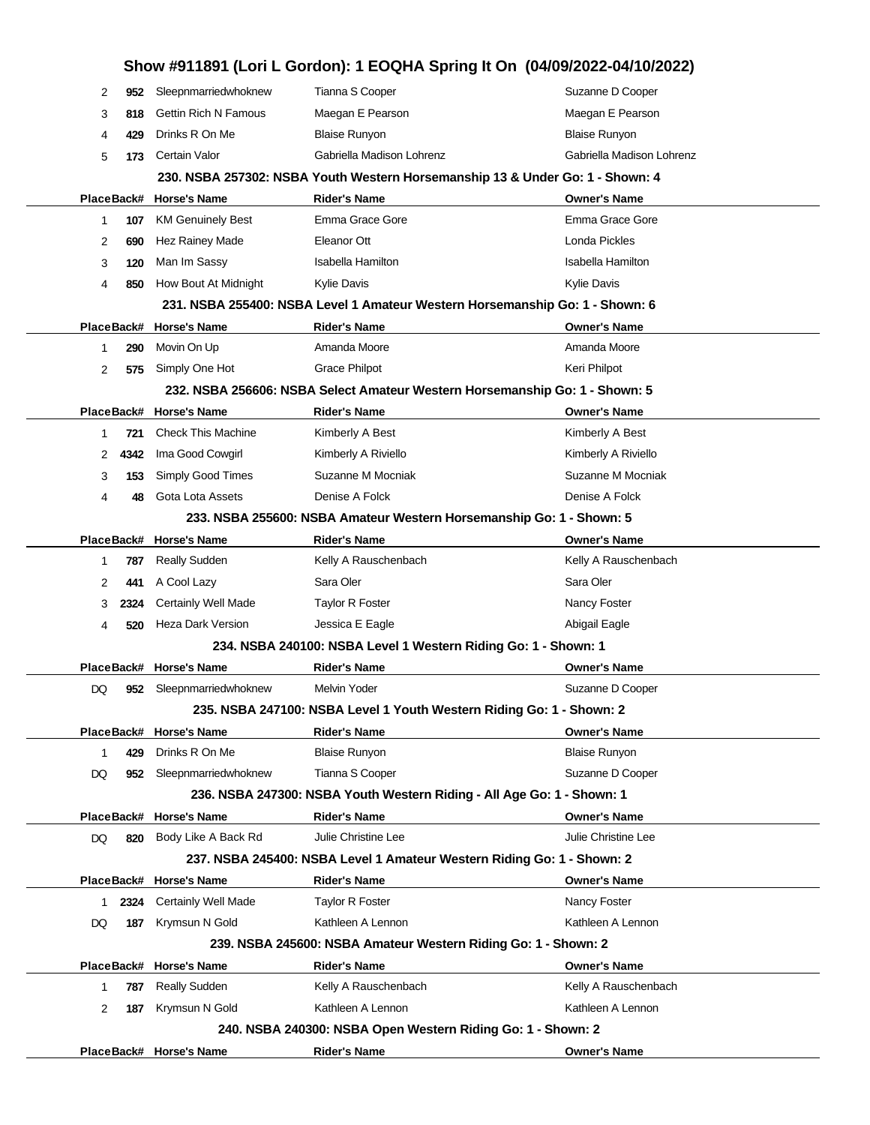|    |            |                             |                                                                               | Show #911891 (Lori L Gordon): 1 EOQHA Spring It On (04/09/2022-04/10/2022) |
|----|------------|-----------------------------|-------------------------------------------------------------------------------|----------------------------------------------------------------------------|
| 2  | 952        | Sleepnmarriedwhoknew        | Tianna S Cooper                                                               | Suzanne D Cooper                                                           |
| 3  | 818        | <b>Gettin Rich N Famous</b> | Maegan E Pearson                                                              | Maegan E Pearson                                                           |
| 4  | 429        | Drinks R On Me              | <b>Blaise Runyon</b>                                                          | <b>Blaise Runyon</b>                                                       |
| 5  | 173        | Certain Valor               | Gabriella Madison Lohrenz                                                     | Gabriella Madison Lohrenz                                                  |
|    |            |                             | 230. NSBA 257302: NSBA Youth Western Horsemanship 13 & Under Go: 1 - Shown: 4 |                                                                            |
|    |            | PlaceBack# Horse's Name     | <b>Rider's Name</b>                                                           | <b>Owner's Name</b>                                                        |
| 1  | 107        | <b>KM Genuinely Best</b>    | Emma Grace Gore                                                               | Emma Grace Gore                                                            |
| 2  | 690        | Hez Rainey Made             | Eleanor Ott                                                                   | Londa Pickles                                                              |
| 3  | 120        | Man Im Sassy                | Isabella Hamilton                                                             | <b>Isabella Hamilton</b>                                                   |
| 4  | 850        | How Bout At Midnight        | <b>Kylie Davis</b>                                                            | <b>Kylie Davis</b>                                                         |
|    |            |                             | 231. NSBA 255400: NSBA Level 1 Amateur Western Horsemanship Go: 1 - Shown: 6  |                                                                            |
|    |            | PlaceBack# Horse's Name     | <b>Rider's Name</b>                                                           | <b>Owner's Name</b>                                                        |
| 1  | 290        | Movin On Up                 | Amanda Moore                                                                  | Amanda Moore                                                               |
| 2  | 575        | Simply One Hot              | <b>Grace Philpot</b>                                                          | Keri Philpot                                                               |
|    |            |                             | 232. NSBA 256606: NSBA Select Amateur Western Horsemanship Go: 1 - Shown: 5   |                                                                            |
|    |            | PlaceBack# Horse's Name     | <b>Rider's Name</b>                                                           | <b>Owner's Name</b>                                                        |
| 1  | 721        | <b>Check This Machine</b>   | Kimberly A Best                                                               | Kimberly A Best                                                            |
| 2  | 4342       | Ima Good Cowgirl            | Kimberly A Riviello                                                           | Kimberly A Riviello                                                        |
| 3  | 153        | Simply Good Times           | Suzanne M Mocniak                                                             | Suzanne M Mocniak                                                          |
| 4  | 48         | Gota Lota Assets            | Denise A Folck                                                                | Denise A Folck                                                             |
|    |            |                             | 233. NSBA 255600: NSBA Amateur Western Horsemanship Go: 1 - Shown: 5          |                                                                            |
|    |            | PlaceBack# Horse's Name     | <b>Rider's Name</b>                                                           | <b>Owner's Name</b>                                                        |
| 1  | 787        | <b>Really Sudden</b>        | Kelly A Rauschenbach                                                          | Kelly A Rauschenbach                                                       |
| 2  | 441        | A Cool Lazy                 | Sara Oler                                                                     | Sara Oler                                                                  |
| 3  | 2324       | <b>Certainly Well Made</b>  | <b>Taylor R Foster</b>                                                        | Nancy Foster                                                               |
| 4  | 520        | Heza Dark Version           | Jessica E Eagle                                                               | Abigail Eagle                                                              |
|    |            |                             | 234. NSBA 240100: NSBA Level 1 Western Riding Go: 1 - Shown: 1                |                                                                            |
|    |            | PlaceBack# Horse's Name     | Rider's Name                                                                  | <b>Owner's Name</b>                                                        |
| DQ |            | 952 Sleepnmarriedwhoknew    | Melvin Yoder                                                                  | Suzanne D Cooper                                                           |
|    |            |                             | 235. NSBA 247100: NSBA Level 1 Youth Western Riding Go: 1 - Shown: 2          |                                                                            |
|    |            | PlaceBack# Horse's Name     | Rider's Name                                                                  | <b>Owner's Name</b>                                                        |
| 1  | 429        | Drinks R On Me              | <b>Blaise Runyon</b>                                                          | <b>Blaise Runyon</b>                                                       |
| DQ | 952        | Sleepnmarriedwhoknew        | Tianna S Cooper                                                               | Suzanne D Cooper                                                           |
|    |            |                             | 236. NSBA 247300: NSBA Youth Western Riding - All Age Go: 1 - Shown: 1        |                                                                            |
|    | PlaceBack# | <b>Horse's Name</b>         | Rider's Name                                                                  | <b>Owner's Name</b>                                                        |
| DQ | 820        | Body Like A Back Rd         | Julie Christine Lee                                                           | Julie Christine Lee                                                        |
|    |            |                             | 237. NSBA 245400: NSBA Level 1 Amateur Western Riding Go: 1 - Shown: 2        |                                                                            |
|    |            | PlaceBack# Horse's Name     | <b>Rider's Name</b>                                                           | <b>Owner's Name</b>                                                        |
| 1  | 2324       | <b>Certainly Well Made</b>  | <b>Taylor R Foster</b>                                                        | Nancy Foster                                                               |
| DQ | 187        | Krymsun N Gold              | Kathleen A Lennon                                                             | Kathleen A Lennon                                                          |
|    |            |                             | 239. NSBA 245600: NSBA Amateur Western Riding Go: 1 - Shown: 2                |                                                                            |
|    |            | PlaceBack# Horse's Name     | Rider's Name                                                                  | <b>Owner's Name</b>                                                        |
| 1  | 787        | Really Sudden               | Kelly A Rauschenbach                                                          | Kelly A Rauschenbach                                                       |
| 2  | 187        | Krymsun N Gold              | Kathleen A Lennon                                                             | Kathleen A Lennon                                                          |
|    |            |                             | 240. NSBA 240300: NSBA Open Western Riding Go: 1 - Shown: 2                   |                                                                            |
|    |            | PlaceBack# Horse's Name     | Rider's Name                                                                  | <b>Owner's Name</b>                                                        |
|    |            |                             |                                                                               |                                                                            |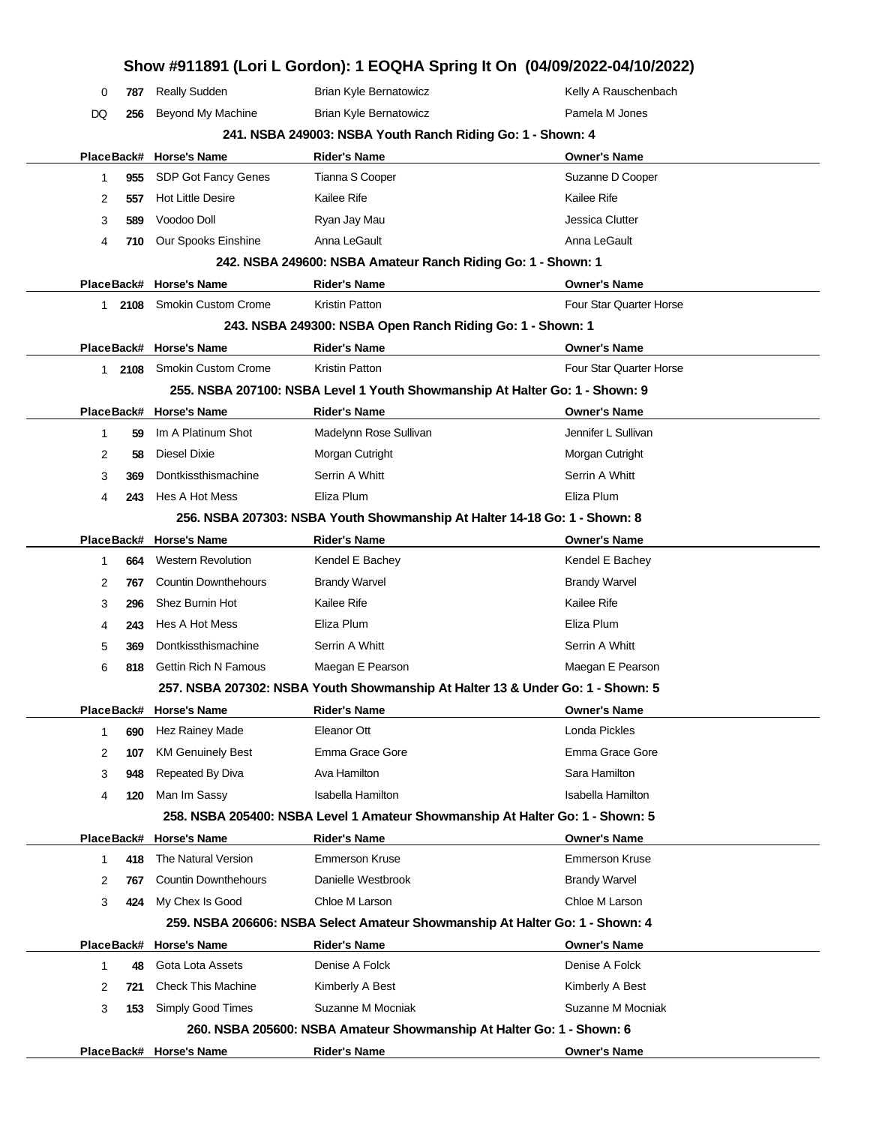|              |      |                             | Show #911891 (Lori L Gordon): 1 EOQHA Spring It On (04/09/2022-04/10/2022)     |                                |
|--------------|------|-----------------------------|--------------------------------------------------------------------------------|--------------------------------|
| 0            | 787  | <b>Really Sudden</b>        | <b>Brian Kyle Bernatowicz</b>                                                  | Kelly A Rauschenbach           |
| DQ           | 256  | Beyond My Machine           | <b>Brian Kyle Bernatowicz</b>                                                  | Pamela M Jones                 |
|              |      |                             | 241. NSBA 249003: NSBA Youth Ranch Riding Go: 1 - Shown: 4                     |                                |
|              |      | PlaceBack# Horse's Name     | <b>Rider's Name</b>                                                            | <b>Owner's Name</b>            |
| 1            | 955  | <b>SDP Got Fancy Genes</b>  | Tianna S Cooper                                                                | Suzanne D Cooper               |
| 2            | 557  | <b>Hot Little Desire</b>    | Kailee Rife                                                                    | <b>Kailee Rife</b>             |
| 3            | 589  | Voodoo Doll                 | Ryan Jay Mau                                                                   | Jessica Clutter                |
| 4            | 710  | Our Spooks Einshine         | Anna LeGault                                                                   | Anna LeGault                   |
|              |      |                             | 242. NSBA 249600: NSBA Amateur Ranch Riding Go: 1 - Shown: 1                   |                                |
|              |      | PlaceBack# Horse's Name     | <b>Rider's Name</b>                                                            | <b>Owner's Name</b>            |
| 1.           | 2108 | <b>Smokin Custom Crome</b>  | Kristin Patton                                                                 | Four Star Quarter Horse        |
|              |      |                             | 243. NSBA 249300: NSBA Open Ranch Riding Go: 1 - Shown: 1                      |                                |
|              |      | PlaceBack# Horse's Name     | <b>Rider's Name</b>                                                            | <b>Owner's Name</b>            |
| $\mathbf{1}$ | 2108 | <b>Smokin Custom Crome</b>  | Kristin Patton                                                                 | <b>Four Star Quarter Horse</b> |
|              |      |                             | 255. NSBA 207100: NSBA Level 1 Youth Showmanship At Halter Go: 1 - Shown: 9    |                                |
|              |      | PlaceBack# Horse's Name     | <b>Rider's Name</b>                                                            | <b>Owner's Name</b>            |
| 1            | 59   | Im A Platinum Shot          | Madelynn Rose Sullivan                                                         | Jennifer L Sullivan            |
| 2            | 58   | <b>Diesel Dixie</b>         | Morgan Cutright                                                                | Morgan Cutright                |
| 3            | 369  | Dontkissthismachine         | Serrin A Whitt                                                                 | Serrin A Whitt                 |
| 4            | 243  | Hes A Hot Mess              | Eliza Plum                                                                     | Eliza Plum                     |
|              |      |                             | 256. NSBA 207303: NSBA Youth Showmanship At Halter 14-18 Go: 1 - Shown: 8      |                                |
|              |      | PlaceBack# Horse's Name     | <b>Rider's Name</b>                                                            | <b>Owner's Name</b>            |
| 1            | 664  | <b>Western Revolution</b>   | Kendel E Bachey                                                                | Kendel E Bachey                |
| 2            | 767  | <b>Countin Downthehours</b> | <b>Brandy Warvel</b>                                                           | <b>Brandy Warvel</b>           |
| 3            | 296  | Shez Burnin Hot             | Kailee Rife                                                                    | <b>Kailee Rife</b>             |
| 4            | 243  | Hes A Hot Mess              | Eliza Plum                                                                     | Eliza Plum                     |
| 5            | 369  | Dontkissthismachine         | Serrin A Whitt                                                                 | Serrin A Whitt                 |
| 6            | 818  | <b>Gettin Rich N Famous</b> | Maegan E Pearson                                                               | Maegan E Pearson               |
|              |      |                             | 257. NSBA 207302: NSBA Youth Showmanship At Halter 13 & Under Go: 1 - Shown: 5 |                                |
|              |      | PlaceBack# Horse's Name     | <b>Rider's Name</b>                                                            | <b>Owner's Name</b>            |
| 1            | 690  | Hez Rainey Made             | Eleanor Ott                                                                    | Londa Pickles                  |
| 2            | 107  | <b>KM Genuinely Best</b>    | Emma Grace Gore                                                                | Emma Grace Gore                |
| 3            | 948  | Repeated By Diva            | Ava Hamilton                                                                   | Sara Hamilton                  |
| 4            | 120  | Man Im Sassy                | <b>Isabella Hamilton</b>                                                       | Isabella Hamilton              |
|              |      |                             | 258. NSBA 205400: NSBA Level 1 Amateur Showmanship At Halter Go: 1 - Shown: 5  |                                |
|              |      | PlaceBack# Horse's Name     | <b>Rider's Name</b>                                                            | <b>Owner's Name</b>            |
| 1            | 418  | The Natural Version         | <b>Emmerson Kruse</b>                                                          | <b>Emmerson Kruse</b>          |
| 2            | 767  | <b>Countin Downthehours</b> | Danielle Westbrook                                                             | <b>Brandy Warvel</b>           |
| 3            | 424  | My Chex Is Good             | Chloe M Larson                                                                 | Chloe M Larson                 |
|              |      |                             | 259. NSBA 206606: NSBA Select Amateur Showmanship At Halter Go: 1 - Shown: 4   |                                |
|              |      | PlaceBack# Horse's Name     | <b>Rider's Name</b>                                                            | <b>Owner's Name</b>            |
| 1            | 48   | Gota Lota Assets            | Denise A Folck                                                                 | Denise A Folck                 |
| 2            | 721  | <b>Check This Machine</b>   | Kimberly A Best                                                                | Kimberly A Best                |
| 3            | 153  | Simply Good Times           | Suzanne M Mocniak                                                              | Suzanne M Mocniak              |
|              |      |                             | 260. NSBA 205600: NSBA Amateur Showmanship At Halter Go: 1 - Shown: 6          |                                |
|              |      | PlaceBack# Horse's Name     | <b>Rider's Name</b>                                                            | <b>Owner's Name</b>            |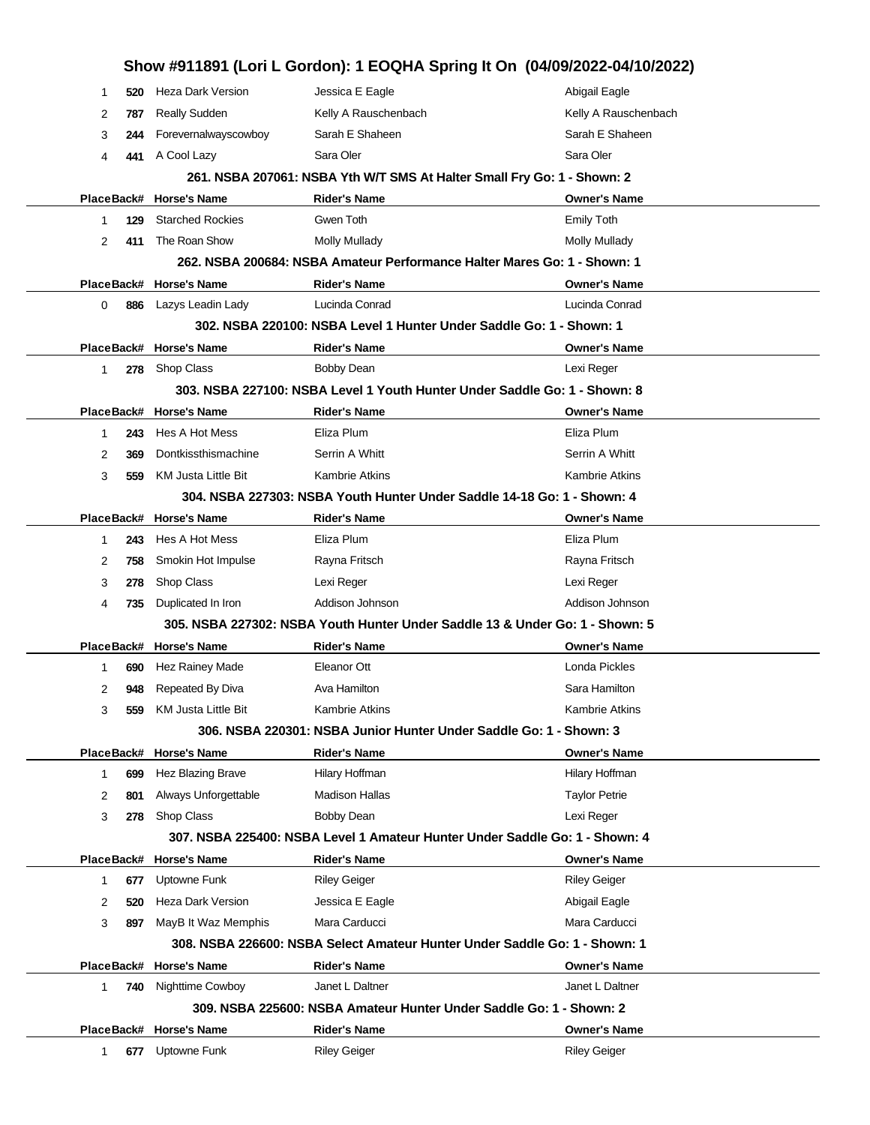|            |                          |                                                                         | Show #911891 (Lori L Gordon): 1 EOQHA Spring It On (04/09/2022-04/10/2022)   |
|------------|--------------------------|-------------------------------------------------------------------------|------------------------------------------------------------------------------|
| 520<br>1   | Heza Dark Version        | Jessica E Eagle                                                         | Abigail Eagle                                                                |
| 2<br>787   | Really Sudden            | Kelly A Rauschenbach                                                    | Kelly A Rauschenbach                                                         |
| 3<br>244   | Forevernalwayscowboy     | Sarah E Shaheen                                                         | Sarah E Shaheen                                                              |
| 4<br>441   | A Cool Lazy              | Sara Oler                                                               | Sara Oler                                                                    |
|            |                          | 261. NSBA 207061: NSBA Yth W/T SMS At Halter Small Fry Go: 1 - Shown: 2 |                                                                              |
| PlaceBack# | <b>Horse's Name</b>      | <b>Rider's Name</b>                                                     | <b>Owner's Name</b>                                                          |
| 129<br>1   | <b>Starched Rockies</b>  | Gwen Toth                                                               | <b>Emily Toth</b>                                                            |
| 2<br>411   | The Roan Show            | <b>Molly Mullady</b>                                                    | Molly Mullady                                                                |
|            |                          |                                                                         | 262. NSBA 200684: NSBA Amateur Performance Halter Mares Go: 1 - Shown: 1     |
| PlaceBack# | <b>Horse's Name</b>      | <b>Rider's Name</b>                                                     | <b>Owner's Name</b>                                                          |
| 0<br>886   | Lazys Leadin Lady        | Lucinda Conrad                                                          | Lucinda Conrad                                                               |
|            |                          | 302. NSBA 220100: NSBA Level 1 Hunter Under Saddle Go: 1 - Shown: 1     |                                                                              |
| PlaceBack# | <b>Horse's Name</b>      | <b>Rider's Name</b>                                                     | <b>Owner's Name</b>                                                          |
| 1<br>278   | Shop Class               | <b>Bobby Dean</b>                                                       | Lexi Reger                                                                   |
|            |                          |                                                                         | 303. NSBA 227100: NSBA Level 1 Youth Hunter Under Saddle Go: 1 - Shown: 8    |
| PlaceBack# | <b>Horse's Name</b>      | <b>Rider's Name</b>                                                     | <b>Owner's Name</b>                                                          |
| 243<br>1   | Hes A Hot Mess           | Eliza Plum                                                              | Eliza Plum                                                                   |
| 2<br>369   | Dontkissthismachine      | Serrin A Whitt                                                          | Serrin A Whitt                                                               |
| 3<br>559   | KM Justa Little Bit      | <b>Kambrie Atkins</b>                                                   | Kambrie Atkins                                                               |
|            |                          | 304. NSBA 227303: NSBA Youth Hunter Under Saddle 14-18 Go: 1 - Shown: 4 |                                                                              |
| PlaceBack# | <b>Horse's Name</b>      | <b>Rider's Name</b>                                                     | <b>Owner's Name</b>                                                          |
| 243<br>1   | Hes A Hot Mess           | Eliza Plum                                                              | Eliza Plum                                                                   |
| 2<br>758   | Smokin Hot Impulse       | Rayna Fritsch                                                           | Rayna Fritsch                                                                |
| 3<br>278   | Shop Class               | Lexi Reger                                                              | Lexi Reger                                                                   |
| 4<br>735   | Duplicated In Iron       | Addison Johnson                                                         | Addison Johnson                                                              |
|            |                          |                                                                         | 305. NSBA 227302: NSBA Youth Hunter Under Saddle 13 & Under Go: 1 - Shown: 5 |
|            | PlaceBack# Horse's Name  | Rider's Name                                                            | <b>Owner's Name</b>                                                          |
| 690<br>1   | Hez Rainey Made          | Eleanor Ott                                                             | Londa Pickles                                                                |
| 2<br>948   | Repeated By Diva         | Ava Hamilton                                                            | Sara Hamilton                                                                |
| 3<br>559   | KM Justa Little Bit      | <b>Kambrie Atkins</b>                                                   | <b>Kambrie Atkins</b>                                                        |
|            |                          | 306. NSBA 220301: NSBA Junior Hunter Under Saddle Go: 1 - Shown: 3      |                                                                              |
|            | PlaceBack# Horse's Name  | <b>Rider's Name</b>                                                     | <b>Owner's Name</b>                                                          |
| 1<br>699   | Hez Blazing Brave        | Hilary Hoffman                                                          | Hilary Hoffman                                                               |
| 2<br>801   | Always Unforgettable     | <b>Madison Hallas</b>                                                   | <b>Taylor Petrie</b>                                                         |
| 3<br>278   | Shop Class               | <b>Bobby Dean</b>                                                       | Lexi Reger                                                                   |
|            |                          |                                                                         | 307. NSBA 225400: NSBA Level 1 Amateur Hunter Under Saddle Go: 1 - Shown: 4  |
|            | PlaceBack# Horse's Name  | <b>Rider's Name</b>                                                     | <b>Owner's Name</b>                                                          |
| 677<br>1   | Uptowne Funk             | <b>Riley Geiger</b>                                                     | <b>Riley Geiger</b>                                                          |
| 2<br>520   | <b>Heza Dark Version</b> | Jessica E Eagle                                                         | Abigail Eagle                                                                |
| 3<br>897   | MayB It Waz Memphis      | Mara Carducci                                                           | Mara Carducci                                                                |
|            |                          |                                                                         | 308. NSBA 226600: NSBA Select Amateur Hunter Under Saddle Go: 1 - Shown: 1   |
| PlaceBack# | <b>Horse's Name</b>      | <b>Rider's Name</b>                                                     | <b>Owner's Name</b>                                                          |
| 1<br>740   | Nighttime Cowboy         | Janet L Daltner                                                         | Janet L Daltner                                                              |
|            |                          | 309. NSBA 225600: NSBA Amateur Hunter Under Saddle Go: 1 - Shown: 2     |                                                                              |
| PlaceBack# | <b>Horse's Name</b>      | <b>Rider's Name</b>                                                     | <b>Owner's Name</b>                                                          |
| 1<br>677   | Uptowne Funk             | <b>Riley Geiger</b>                                                     | <b>Riley Geiger</b>                                                          |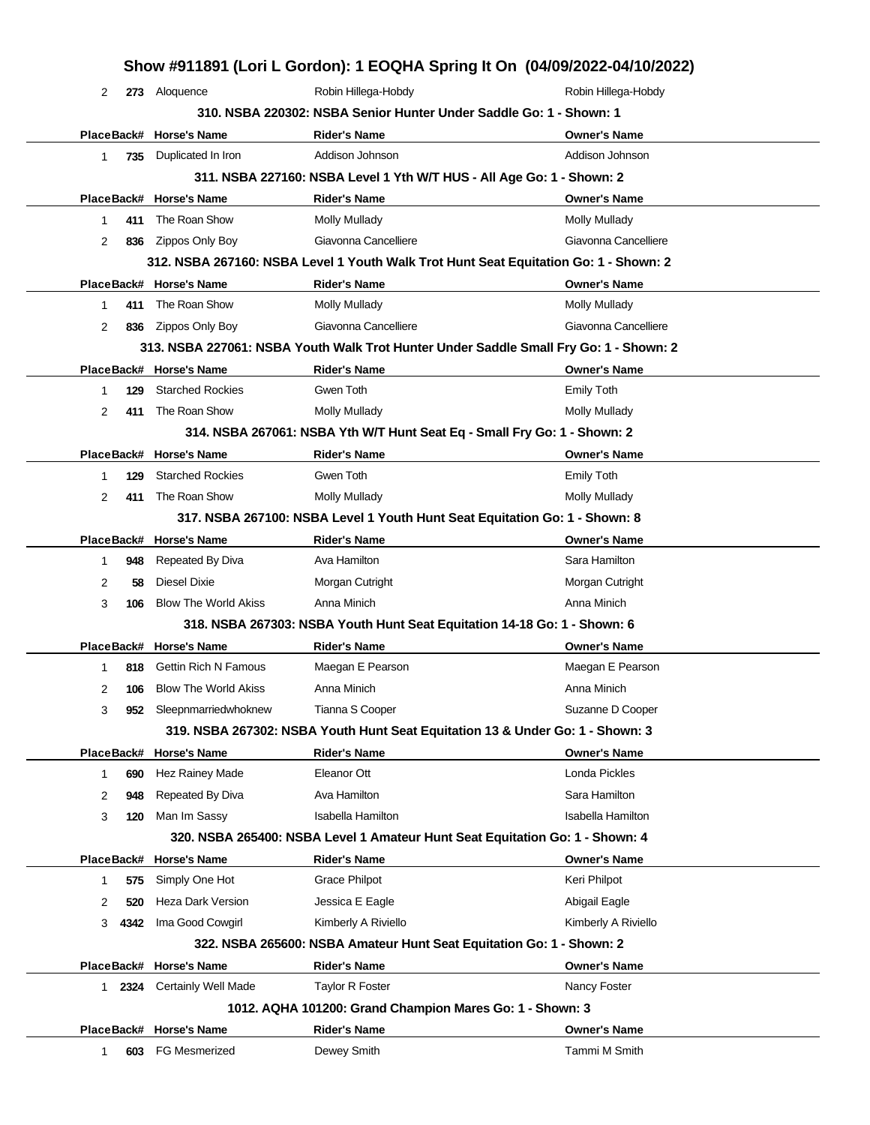|   |        |                             |                                                          | Show #911891 (Lori L Gordon): 1 EOQHA Spring It On (04/09/2022-04/10/2022)            |
|---|--------|-----------------------------|----------------------------------------------------------|---------------------------------------------------------------------------------------|
| 2 |        | 273 Aloquence               | Robin Hillega-Hobdy                                      | Robin Hillega-Hobdy                                                                   |
|   |        |                             |                                                          | 310. NSBA 220302: NSBA Senior Hunter Under Saddle Go: 1 - Shown: 1                    |
|   |        | PlaceBack# Horse's Name     | <b>Rider's Name</b>                                      | <b>Owner's Name</b>                                                                   |
| 1 | 735    | Duplicated In Iron          | Addison Johnson                                          | Addison Johnson                                                                       |
|   |        |                             |                                                          | 311. NSBA 227160: NSBA Level 1 Yth W/T HUS - All Age Go: 1 - Shown: 2                 |
|   |        | PlaceBack# Horse's Name     | <b>Rider's Name</b>                                      | <b>Owner's Name</b>                                                                   |
| 1 | 411    | The Roan Show               | <b>Molly Mullady</b>                                     | Molly Mullady                                                                         |
| 2 | 836    | Zippos Only Boy             | Giavonna Cancelliere                                     | Giavonna Cancelliere                                                                  |
|   |        |                             |                                                          | 312. NSBA 267160: NSBA Level 1 Youth Walk Trot Hunt Seat Equitation Go: 1 - Shown: 2  |
|   |        | PlaceBack# Horse's Name     | <b>Rider's Name</b>                                      | <b>Owner's Name</b>                                                                   |
| 1 | 411    | The Roan Show               | Molly Mullady                                            | Molly Mullady                                                                         |
| 2 | 836    | Zippos Only Boy             | Giavonna Cancelliere                                     | Giavonna Cancelliere                                                                  |
|   |        |                             |                                                          | 313. NSBA 227061: NSBA Youth Walk Trot Hunter Under Saddle Small Fry Go: 1 - Shown: 2 |
|   |        | PlaceBack# Horse's Name     | <b>Rider's Name</b>                                      | <b>Owner's Name</b>                                                                   |
| 1 | 129    | <b>Starched Rockies</b>     | Gwen Toth                                                | <b>Emily Toth</b>                                                                     |
| 2 | 411    | The Roan Show               | <b>Molly Mullady</b>                                     | Molly Mullady                                                                         |
|   |        |                             |                                                          | 314. NSBA 267061: NSBA Yth W/T Hunt Seat Eq - Small Fry Go: 1 - Shown: 2              |
|   |        | PlaceBack# Horse's Name     | <b>Rider's Name</b>                                      | <b>Owner's Name</b>                                                                   |
| 1 | 129    | <b>Starched Rockies</b>     | Gwen Toth                                                | <b>Emily Toth</b>                                                                     |
| 2 | 411    | The Roan Show               | <b>Molly Mullady</b>                                     | Molly Mullady                                                                         |
|   |        |                             |                                                          | 317. NSBA 267100: NSBA Level 1 Youth Hunt Seat Equitation Go: 1 - Shown: 8            |
|   |        | PlaceBack# Horse's Name     | <b>Rider's Name</b>                                      | <b>Owner's Name</b>                                                                   |
| 1 | 948    | Repeated By Diva            | Ava Hamilton                                             | Sara Hamilton                                                                         |
| 2 | 58     | Diesel Dixie                | Morgan Cutright                                          | Morgan Cutright                                                                       |
| 3 | 106    | <b>Blow The World Akiss</b> | Anna Minich                                              | Anna Minich                                                                           |
|   |        |                             |                                                          | 318. NSBA 267303: NSBA Youth Hunt Seat Equitation 14-18 Go: 1 - Shown: 6              |
|   |        | PlaceBack# Horse's Name     | <b>Rider's Name</b>                                      | <b>Owner's Name</b>                                                                   |
| 1 | 818    | <b>Gettin Rich N Famous</b> | Maegan E Pearson                                         | Maegan E Pearson                                                                      |
| 2 | 106    | <b>Blow The World Akiss</b> | Anna Minich                                              | Anna Minich                                                                           |
| 3 | 952    | Sleepnmarriedwhoknew        | Tianna S Cooper                                          | Suzanne D Cooper                                                                      |
|   |        |                             |                                                          | 319. NSBA 267302: NSBA Youth Hunt Seat Equitation 13 & Under Go: 1 - Shown: 3         |
|   |        | PlaceBack# Horse's Name     | <b>Rider's Name</b>                                      | <b>Owner's Name</b>                                                                   |
| 1 | 690    | Hez Rainey Made             | Eleanor Ott                                              | Londa Pickles                                                                         |
| 2 | 948    | Repeated By Diva            | Ava Hamilton                                             | Sara Hamilton                                                                         |
| 3 | 120    | Man Im Sassy                | <b>Isabella Hamilton</b>                                 | <b>Isabella Hamilton</b>                                                              |
|   |        |                             |                                                          | 320. NSBA 265400: NSBA Level 1 Amateur Hunt Seat Equitation Go: 1 - Shown: 4          |
|   |        | PlaceBack# Horse's Name     | <b>Rider's Name</b>                                      | <b>Owner's Name</b>                                                                   |
| 1 | 575    | Simply One Hot              | Grace Philpot                                            | Keri Philpot                                                                          |
| 2 | 520    | Heza Dark Version           | Jessica E Eagle                                          | Abigail Eagle                                                                         |
| 3 | 4342   | Ima Good Cowgirl            | Kimberly A Riviello                                      | Kimberly A Riviello                                                                   |
|   |        |                             |                                                          | 322. NSBA 265600: NSBA Amateur Hunt Seat Equitation Go: 1 - Shown: 2                  |
|   |        | PlaceBack# Horse's Name     | <b>Rider's Name</b>                                      | <b>Owner's Name</b>                                                                   |
|   | 1 2324 | <b>Certainly Well Made</b>  | <b>Taylor R Foster</b>                                   | Nancy Foster                                                                          |
|   |        |                             | 1012. AQHA 101200: Grand Champion Mares Go: 1 - Shown: 3 |                                                                                       |
|   |        | PlaceBack# Horse's Name     | <b>Rider's Name</b>                                      | <b>Owner's Name</b>                                                                   |
| 1 | 603    | <b>FG Mesmerized</b>        | Dewey Smith                                              | Tammi M Smith                                                                         |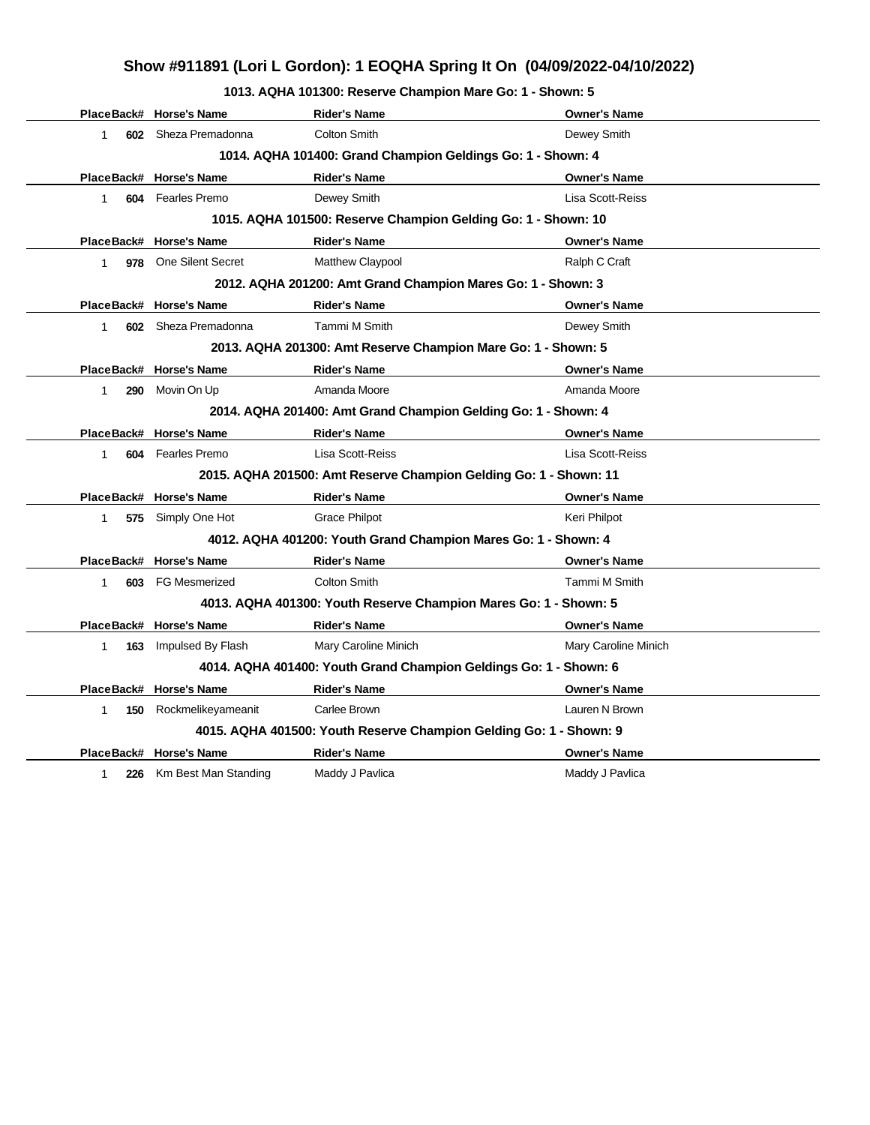**1013. AQHA 101300: Reserve Champion Mare Go: 1 - Shown: 5**

|            | PlaceBack# Horse's Name  | <b>Rider's Name</b>                                                | <b>Owner's Name</b>  |
|------------|--------------------------|--------------------------------------------------------------------|----------------------|
| 1          | 602 Sheza Premadonna     | <b>Colton Smith</b>                                                | Dewey Smith          |
|            |                          | 1014. AQHA 101400: Grand Champion Geldings Go: 1 - Shown: 4        |                      |
| PlaceBack# | <b>Horse's Name</b>      | <b>Rider's Name</b>                                                | <b>Owner's Name</b>  |
| 1          | 604 Fearles Premo        | Dewey Smith                                                        | Lisa Scott-Reiss     |
|            |                          | 1015. AQHA 101500: Reserve Champion Gelding Go: 1 - Shown: 10      |                      |
|            | PlaceBack# Horse's Name  | <b>Rider's Name</b>                                                | <b>Owner's Name</b>  |
| 1          | 978 One Silent Secret    | <b>Matthew Claypool</b>                                            | Ralph C Craft        |
|            |                          | 2012. AQHA 201200: Amt Grand Champion Mares Go: 1 - Shown: 3       |                      |
|            | PlaceBack# Horse's Name  | <b>Rider's Name</b>                                                | <b>Owner's Name</b>  |
| 1          | 602 Sheza Premadonna     | Tammi M Smith                                                      | Dewey Smith          |
|            |                          | 2013. AQHA 201300: Amt Reserve Champion Mare Go: 1 - Shown: 5      |                      |
|            | PlaceBack# Horse's Name  | <b>Rider's Name</b>                                                | <b>Owner's Name</b>  |
| 1<br>290   | Movin On Up              | Amanda Moore                                                       | Amanda Moore         |
|            |                          | 2014. AQHA 201400: Amt Grand Champion Gelding Go: 1 - Shown: 4     |                      |
| PlaceBack# | <b>Horse's Name</b>      | <b>Rider's Name</b>                                                | <b>Owner's Name</b>  |
| 1          | 604 Fearles Premo        | Lisa Scott-Reiss                                                   | Lisa Scott-Reiss     |
|            |                          | 2015. AQHA 201500: Amt Reserve Champion Gelding Go: 1 - Shown: 11  |                      |
|            | PlaceBack# Horse's Name  | <b>Rider's Name</b>                                                | <b>Owner's Name</b>  |
| 1          | 575 Simply One Hot       | <b>Grace Philpot</b>                                               | Keri Philpot         |
|            |                          | 4012. AQHA 401200: Youth Grand Champion Mares Go: 1 - Shown: 4     |                      |
|            | PlaceBack# Horse's Name  | <b>Rider's Name</b>                                                | <b>Owner's Name</b>  |
| 603<br>1   | <b>FG Mesmerized</b>     | <b>Colton Smith</b>                                                | Tammi M Smith        |
|            |                          | 4013. AQHA 401300: Youth Reserve Champion Mares Go: 1 - Shown: 5   |                      |
|            | PlaceBack# Horse's Name  | <b>Rider's Name</b>                                                | <b>Owner's Name</b>  |
| 163<br>1   | Impulsed By Flash        | Mary Caroline Minich                                               | Mary Caroline Minich |
|            |                          | 4014. AQHA 401400: Youth Grand Champion Geldings Go: 1 - Shown: 6  |                      |
|            | PlaceBack# Horse's Name  | <b>Rider's Name</b>                                                | <b>Owner's Name</b>  |
| 1<br>150   | Rockmelikeyameanit       | Carlee Brown                                                       | Lauren N Brown       |
|            |                          | 4015. AQHA 401500: Youth Reserve Champion Gelding Go: 1 - Shown: 9 |                      |
|            | PlaceBack# Horse's Name  | <b>Rider's Name</b>                                                | <b>Owner's Name</b>  |
| 1          | 226 Km Best Man Standing | Maddy J Pavlica                                                    | Maddy J Pavlica      |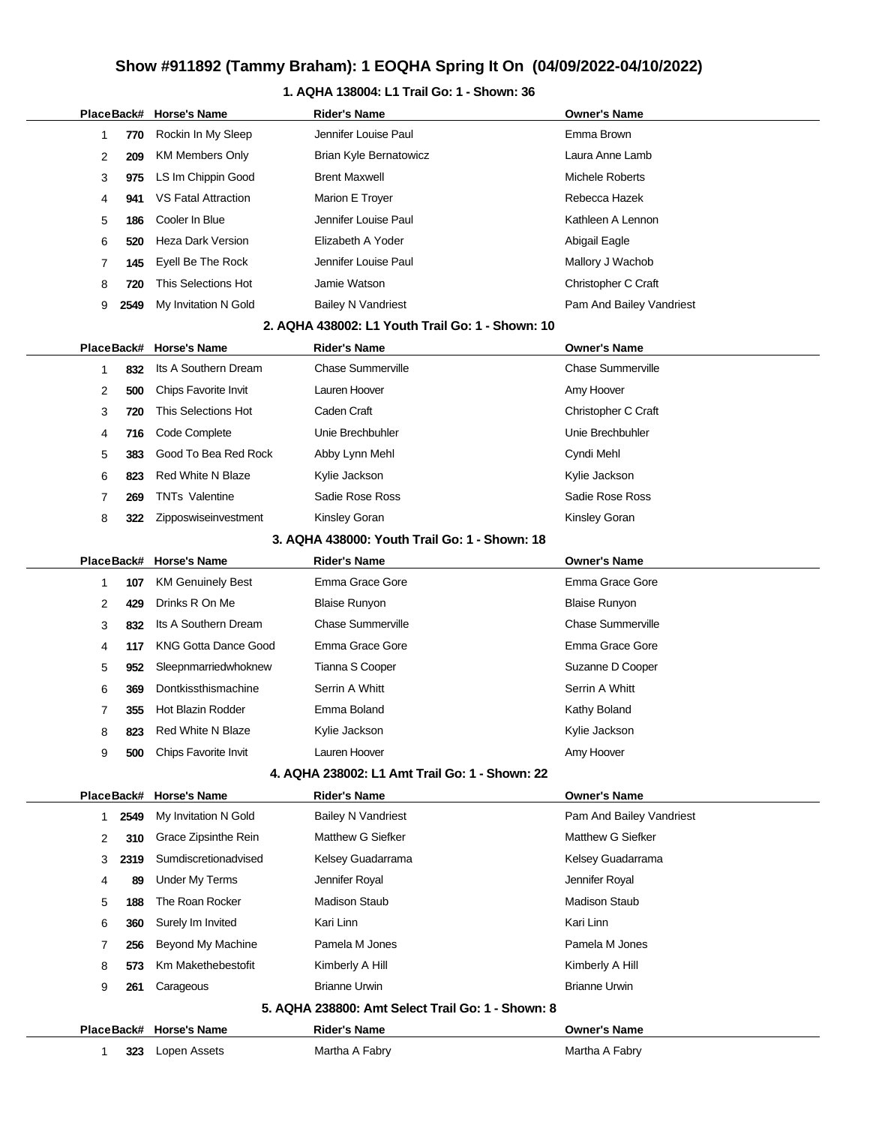# **Show #911892 (Tammy Braham): 1 EOQHA Spring It On (04/09/2022-04/10/2022)**

### **1. AQHA 138004: L1 Trail Go: 1 - Shown: 36**

|    |            | PlaceBack# Horse's Name     | <b>Rider's Name</b>                               | <b>Owner's Name</b>      |
|----|------------|-----------------------------|---------------------------------------------------|--------------------------|
| 1  | 770        | Rockin In My Sleep          | Jennifer Louise Paul                              | Emma Brown               |
| 2  | 209        | <b>KM Members Only</b>      | Brian Kyle Bernatowicz                            | Laura Anne Lamb          |
| 3  | 975        | LS Im Chippin Good          | <b>Brent Maxwell</b>                              | Michele Roberts          |
| 4  | 941        | <b>VS Fatal Attraction</b>  | Marion E Troyer                                   | Rebecca Hazek            |
| 5  | 186        | Cooler In Blue              | Jennifer Louise Paul                              | Kathleen A Lennon        |
| 6  | 520        | Heza Dark Version           | Elizabeth A Yoder                                 | Abigail Eagle            |
| 7  | 145        | Eyell Be The Rock           | Jennifer Louise Paul                              | Mallory J Wachob         |
| 8  | 720        | This Selections Hot         | Jamie Watson                                      | Christopher C Craft      |
| 9  | 2549       | My Invitation N Gold        | <b>Bailey N Vandriest</b>                         | Pam And Bailey Vandriest |
|    |            |                             | 2. AQHA 438002: L1 Youth Trail Go: 1 - Shown: 10  |                          |
|    | PlaceBack# | <b>Horse's Name</b>         | <b>Rider's Name</b>                               | <b>Owner's Name</b>      |
| 1  | 832        | Its A Southern Dream        | <b>Chase Summerville</b>                          | <b>Chase Summerville</b> |
| 2  | 500        | Chips Favorite Invit        | Lauren Hoover                                     | Amy Hoover               |
| 3  | 720        | This Selections Hot         | Caden Craft                                       | Christopher C Craft      |
| 4  | 716        | Code Complete               | Unie Brechbuhler                                  | Unie Brechbuhler         |
| 5  | 383        | Good To Bea Red Rock        | Abby Lynn Mehl                                    | Cyndi Mehl               |
| 6  | 823        | <b>Red White N Blaze</b>    | Kylie Jackson                                     | Kylie Jackson            |
| 7  | 269        | <b>TNTs Valentine</b>       | Sadie Rose Ross                                   | Sadie Rose Ross          |
| 8  | 322        | Zipposwiseinvestment        | Kinsley Goran                                     | Kinsley Goran            |
|    |            |                             | 3. AQHA 438000: Youth Trail Go: 1 - Shown: 18     |                          |
|    | PlaceBack# | <b>Horse's Name</b>         | <b>Rider's Name</b>                               | <b>Owner's Name</b>      |
| 1  | 107        | <b>KM Genuinely Best</b>    | Emma Grace Gore                                   | Emma Grace Gore          |
| 2  | 429        | Drinks R On Me              | <b>Blaise Runyon</b>                              | <b>Blaise Runyon</b>     |
| 3  | 832        | Its A Southern Dream        | <b>Chase Summerville</b>                          | <b>Chase Summerville</b> |
| 4  | 117        | <b>KNG Gotta Dance Good</b> | Emma Grace Gore                                   | Emma Grace Gore          |
| 5  | 952        | Sleepnmarriedwhoknew        | Tianna S Cooper                                   | Suzanne D Cooper         |
| 6  | 369        | Dontkissthismachine         | Serrin A Whitt                                    | Serrin A Whitt           |
| 7  | 355        | Hot Blazin Rodder           | Emma Boland                                       | Kathy Boland             |
| 8  | 823        | <b>Red White N Blaze</b>    | Kylie Jackson                                     | Kylie Jackson            |
| 9  | 500        | Chips Favorite Invit        | Lauren Hoover                                     | Amy Hoover               |
|    |            |                             | 4. AQHA 238002: L1 Amt Trail Go: 1 - Shown: 22    |                          |
|    | PlaceBack# | <b>Horse's Name</b>         | <b>Rider's Name</b>                               | <b>Owner's Name</b>      |
| 1. | 2549       | My Invitation N Gold        | <b>Bailey N Vandriest</b>                         | Pam And Bailey Vandriest |
| 2  | 310        | Grace Zipsinthe Rein        | Matthew G Siefker                                 | Matthew G Siefker        |
| 3  | 2319       | Sumdiscretionadvised        | Kelsey Guadarrama                                 | Kelsey Guadarrama        |
| 4  | 89         | <b>Under My Terms</b>       | Jennifer Royal                                    | Jennifer Royal           |
| 5  | 188        | The Roan Rocker             | <b>Madison Staub</b>                              | <b>Madison Staub</b>     |
| 6  | 360        | Surely Im Invited           | Kari Linn                                         | Kari Linn                |
| 7  | 256        | Beyond My Machine           | Pamela M Jones                                    | Pamela M Jones           |
| 8  | 573        | Km Makethebestofit          | Kimberly A Hill                                   | Kimberly A Hill          |
| 9  | 261        | Carageous                   | <b>Brianne Urwin</b>                              | <b>Brianne Urwin</b>     |
|    |            |                             | 5. AQHA 238800: Amt Select Trail Go: 1 - Shown: 8 |                          |
|    | PlaceBack# | <b>Horse's Name</b>         | <b>Rider's Name</b>                               | <b>Owner's Name</b>      |
| 1  | 323        | Lopen Assets                | Martha A Fabry                                    | Martha A Fabry           |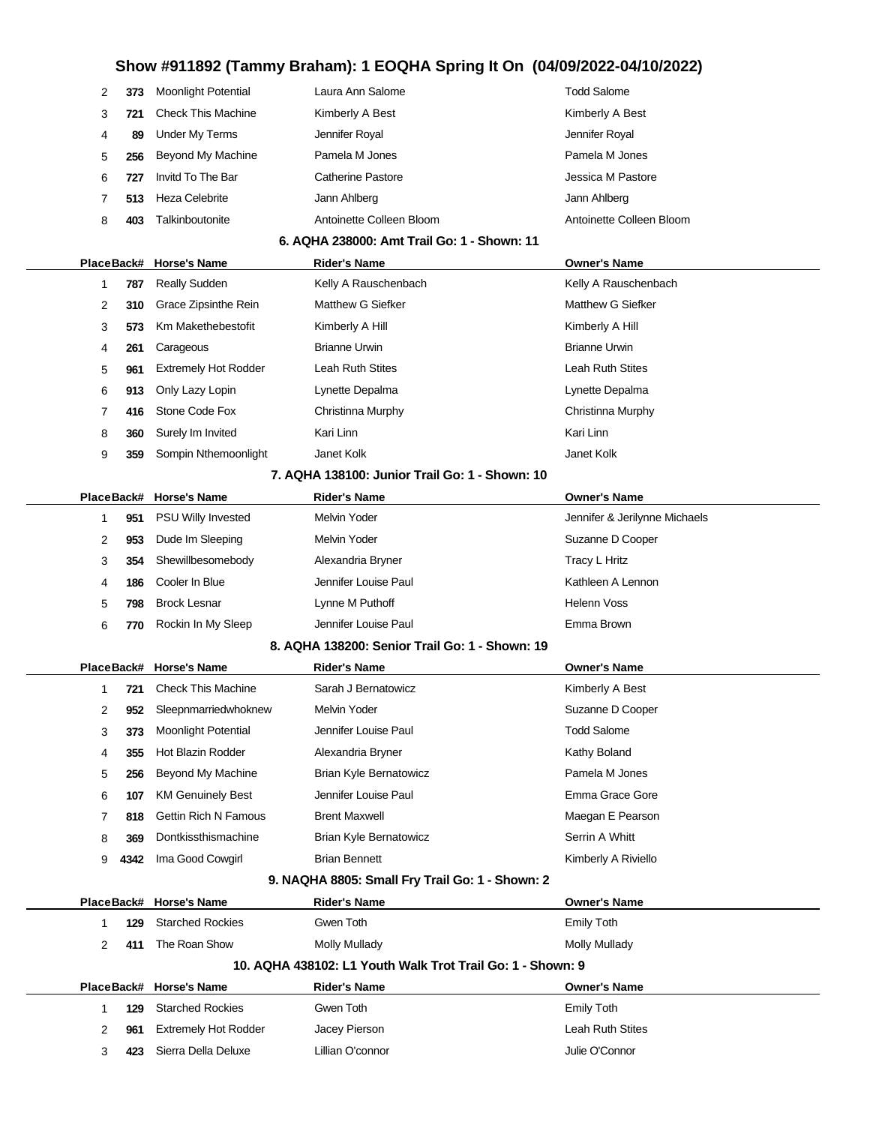## **Show #911892 (Tammy Braham): 1 EOQHA Spring It On (04/09/2022-04/10/2022)**

|             |      |                             | ollow #911692 (Tallilliy Branalli). TEOQHA Spring it On (04/09/2022-04/10/2022) |                               |
|-------------|------|-----------------------------|---------------------------------------------------------------------------------|-------------------------------|
| 2           | 373  | <b>Moonlight Potential</b>  | Laura Ann Salome                                                                | <b>Todd Salome</b>            |
| 3           | 721  | <b>Check This Machine</b>   | Kimberly A Best                                                                 | Kimberly A Best               |
| 4           | 89   | <b>Under My Terms</b>       | Jennifer Royal                                                                  | Jennifer Royal                |
| 5           | 256  | Beyond My Machine           | Pamela M Jones                                                                  | Pamela M Jones                |
| 6           | 727  | Invitd To The Bar           | <b>Catherine Pastore</b>                                                        | Jessica M Pastore             |
| 7           | 513  | <b>Heza Celebrite</b>       | Jann Ahlberg                                                                    | Jann Ahlberg                  |
| 8           | 403  | Talkinboutonite             | Antoinette Colleen Bloom                                                        | Antoinette Colleen Bloom      |
|             |      |                             | 6. AQHA 238000: Amt Trail Go: 1 - Shown: 11                                     |                               |
|             |      | PlaceBack# Horse's Name     | <b>Rider's Name</b>                                                             | <b>Owner's Name</b>           |
| 1           | 787  | <b>Really Sudden</b>        | Kelly A Rauschenbach                                                            | Kelly A Rauschenbach          |
| 2           | 310  | Grace Zipsinthe Rein        | Matthew G Siefker                                                               | Matthew G Siefker             |
| 3           | 573  | Km Makethebestofit          | Kimberly A Hill                                                                 | Kimberly A Hill               |
| 4           | 261  | Carageous                   | <b>Brianne Urwin</b>                                                            | <b>Brianne Urwin</b>          |
| 5           | 961  | <b>Extremely Hot Rodder</b> | <b>Leah Ruth Stites</b>                                                         | Leah Ruth Stites              |
| 6           | 913  | Only Lazy Lopin             | Lynette Depalma                                                                 | Lynette Depalma               |
| 7           | 416  | Stone Code Fox              | Christinna Murphy                                                               | Christinna Murphy             |
| 8           | 360  | Surely Im Invited           | Kari Linn                                                                       | Kari Linn                     |
| 9           | 359  | Sompin Nthemoonlight        | Janet Kolk                                                                      | Janet Kolk                    |
|             |      |                             | 7. AQHA 138100: Junior Trail Go: 1 - Shown: 10                                  |                               |
|             |      | PlaceBack# Horse's Name     | <b>Rider's Name</b>                                                             | <b>Owner's Name</b>           |
| $\mathbf 1$ | 951  | PSU Willy Invested          | Melvin Yoder                                                                    | Jennifer & Jerilynne Michaels |
| 2           | 953  | Dude Im Sleeping            | Melvin Yoder                                                                    | Suzanne D Cooper              |
| 3           | 354  | Shewillbesomebody           | Alexandria Bryner                                                               | Tracy L Hritz                 |
| 4           | 186  | Cooler In Blue              | Jennifer Louise Paul                                                            | Kathleen A Lennon             |
| 5           | 798  | <b>Brock Lesnar</b>         | Lynne M Puthoff                                                                 | <b>Helenn Voss</b>            |
| 6           | 770  | Rockin In My Sleep          | Jennifer Louise Paul                                                            | Emma Brown                    |
|             |      |                             | 8. AQHA 138200: Senior Trail Go: 1 - Shown: 19                                  |                               |
|             |      | PlaceBack# Horse's Name     | <b>Rider's Name</b>                                                             | <b>Owner's Name</b>           |
| 1           | 721  | <b>Check This Machine</b>   | Sarah J Bernatowicz                                                             | Kimberly A Best               |
| 2           | 952  | Sleepnmarriedwhoknew        | Melvin Yoder                                                                    | Suzanne D Cooper              |
| 3           | 373  | <b>Moonlight Potential</b>  | Jennifer Louise Paul                                                            | <b>Todd Salome</b>            |
| 4           | 355  | <b>Hot Blazin Rodder</b>    | Alexandria Bryner                                                               | Kathy Boland                  |
| 5           | 256  | Beyond My Machine           | Brian Kyle Bernatowicz                                                          | Pamela M Jones                |
| 6           | 107  | <b>KM Genuinely Best</b>    | Jennifer Louise Paul                                                            | Emma Grace Gore               |
| 7           | 818  | <b>Gettin Rich N Famous</b> | <b>Brent Maxwell</b>                                                            | Maegan E Pearson              |
| 8           | 369  | Dontkissthismachine         | <b>Brian Kyle Bernatowicz</b>                                                   | Serrin A Whitt                |
| 9           | 4342 | Ima Good Cowgirl            | <b>Brian Bennett</b>                                                            | Kimberly A Riviello           |
|             |      |                             | 9. NAQHA 8805: Small Fry Trail Go: 1 - Shown: 2                                 |                               |
|             |      | PlaceBack# Horse's Name     | <b>Rider's Name</b>                                                             | <b>Owner's Name</b>           |
| 1           | 129  | <b>Starched Rockies</b>     | Gwen Toth                                                                       | <b>Emily Toth</b>             |
| 2           | 411  | The Roan Show               | <b>Molly Mullady</b>                                                            | Molly Mullady                 |
|             |      |                             | 10. AQHA 438102: L1 Youth Walk Trot Trail Go: 1 - Shown: 9                      |                               |
|             |      | PlaceBack# Horse's Name     | <b>Rider's Name</b>                                                             | <b>Owner's Name</b>           |
| 1           | 129  | <b>Starched Rockies</b>     | Gwen Toth                                                                       | <b>Emily Toth</b>             |

**961** Extremely Hot Rodder Jacey Pierson **Disk Constructs** Leah Ruth Stites **423** Sierra Della Deluxe Lillian O'connor Lillian O'connor Julie O'Connor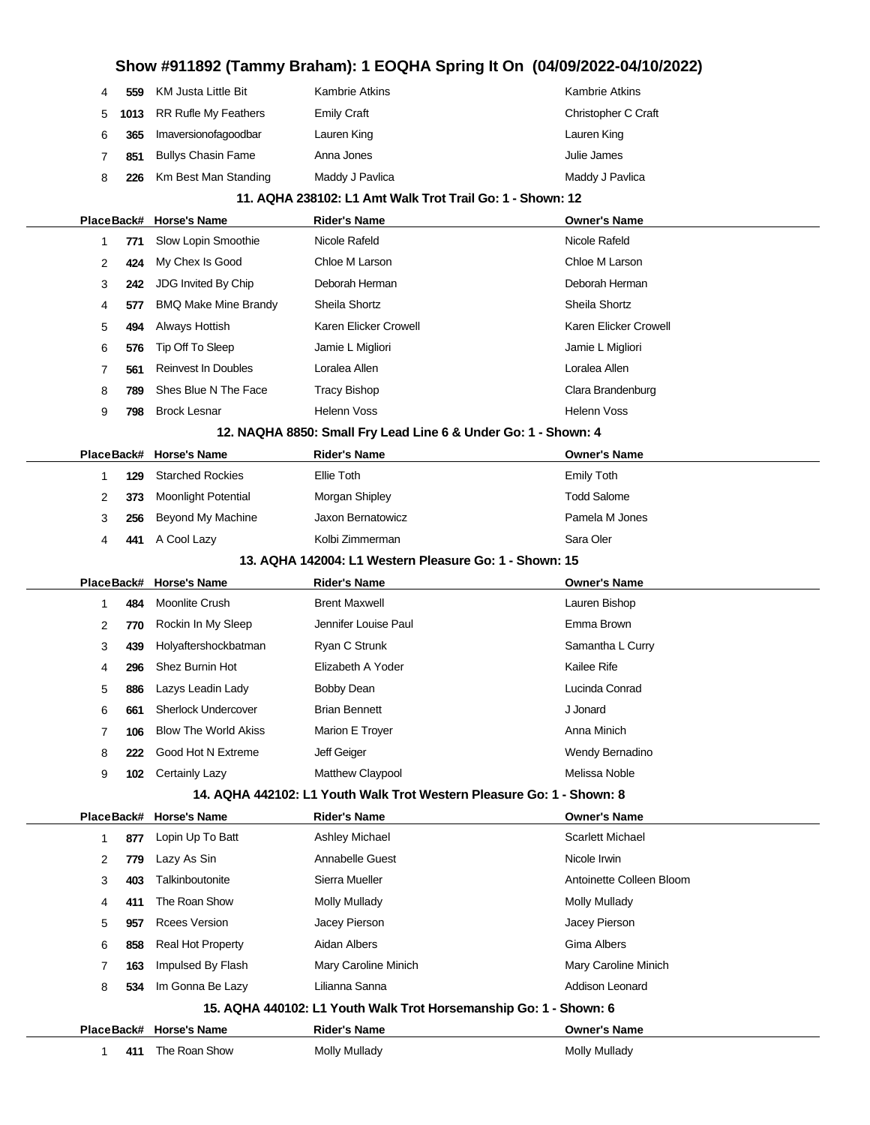# **Show #911892 (Tammy Braham): 1 EOQHA Spring It On (04/09/2022-04/10/2022)**

| PlaceBack# |     | <b>Horse's Name</b>         | <b>Rider's Name</b>                                                   | <b>Owner's Name</b>      |
|------------|-----|-----------------------------|-----------------------------------------------------------------------|--------------------------|
| 1          | 771 | Slow Lopin Smoothie         | Nicole Rafeld                                                         | Nicole Rafeld            |
| 2          | 424 | My Chex Is Good             | Chloe M Larson                                                        | Chloe M Larson           |
| 3          | 242 | JDG Invited By Chip         | Deborah Herman                                                        | Deborah Herman           |
| 4          | 577 | <b>BMQ Make Mine Brandy</b> | Sheila Shortz                                                         | Sheila Shortz            |
| 5          | 494 | Always Hottish              | Karen Elicker Crowell                                                 | Karen Elicker Crowell    |
| 6          | 576 | Tip Off To Sleep            | Jamie L Migliori                                                      | Jamie L Migliori         |
| 7          | 561 | <b>Reinvest In Doubles</b>  | Loralea Allen                                                         | Loralea Allen            |
| 8          | 789 | Shes Blue N The Face        | <b>Tracy Bishop</b>                                                   | Clara Brandenburg        |
| 9          | 798 | <b>Brock Lesnar</b>         | <b>Helenn Voss</b>                                                    | <b>Helenn Voss</b>       |
|            |     |                             | 12. NAQHA 8850: Small Fry Lead Line 6 & Under Go: 1 - Shown: 4        |                          |
| PlaceBack# |     | <b>Horse's Name</b>         | <b>Rider's Name</b>                                                   | <b>Owner's Name</b>      |
| 1          | 129 | <b>Starched Rockies</b>     | Ellie Toth                                                            | <b>Emily Toth</b>        |
| 2          | 373 | <b>Moonlight Potential</b>  | Morgan Shipley                                                        | <b>Todd Salome</b>       |
| 3          | 256 | Beyond My Machine           | Jaxon Bernatowicz                                                     | Pamela M Jones           |
| 4          | 441 | A Cool Lazy                 | Kolbi Zimmerman                                                       | Sara Oler                |
|            |     |                             | 13. AQHA 142004: L1 Western Pleasure Go: 1 - Shown: 15                |                          |
|            |     |                             |                                                                       |                          |
| PlaceBack# |     | <b>Horse's Name</b>         | <b>Rider's Name</b>                                                   | <b>Owner's Name</b>      |
| 1          | 484 | Moonlite Crush              | <b>Brent Maxwell</b>                                                  | Lauren Bishop            |
| 2          | 770 | Rockin In My Sleep          | Jennifer Louise Paul                                                  | Emma Brown               |
| 3          | 439 | Holyaftershockbatman        | Ryan C Strunk                                                         | Samantha L Curry         |
| 4          | 296 | Shez Burnin Hot             | Elizabeth A Yoder                                                     | Kailee Rife              |
| 5          | 886 | Lazys Leadin Lady           | Bobby Dean                                                            | Lucinda Conrad           |
| 6          | 661 | Sherlock Undercover         | <b>Brian Bennett</b>                                                  | J Jonard                 |
| 7          | 106 | <b>Blow The World Akiss</b> | Marion E Troyer                                                       | Anna Minich              |
| 8          | 222 | Good Hot N Extreme          | Jeff Geiger                                                           | Wendy Bernadino          |
| 9          |     | 102 Certainly Lazy          | Matthew Claypool                                                      | Melissa Noble            |
|            |     |                             | 14. AQHA 442102: L1 Youth Walk Trot Western Pleasure Go: 1 - Shown: 8 |                          |
| PlaceBack# |     | <b>Horse's Name</b>         | <b>Rider's Name</b>                                                   | <b>Owner's Name</b>      |
| 1          | 877 | Lopin Up To Batt            | Ashley Michael                                                        | <b>Scarlett Michael</b>  |
| 2          | 779 | Lazy As Sin                 | Annabelle Guest                                                       | Nicole Irwin             |
| 3          | 403 | Talkinboutonite             | Sierra Mueller                                                        | Antoinette Colleen Bloom |
| 4          | 411 | The Roan Show               | <b>Molly Mullady</b>                                                  | Molly Mullady            |
| 5          | 957 | <b>Rcees Version</b>        | Jacey Pierson                                                         | Jacey Pierson            |
| 6          | 858 | Real Hot Property           | Aidan Albers                                                          | Gima Albers              |
| 7          | 163 | Impulsed By Flash           | Mary Caroline Minich                                                  | Mary Caroline Minich     |
| 8          | 534 | Im Gonna Be Lazy            | Lilianna Sanna                                                        | Addison Leonard          |
|            |     |                             | 15. AQHA 440102: L1 Youth Walk Trot Horsemanship Go: 1 - Shown: 6     |                          |
| PlaceBack# |     | <b>Horse's Name</b>         | <b>Rider's Name</b>                                                   | <b>Owner's Name</b>      |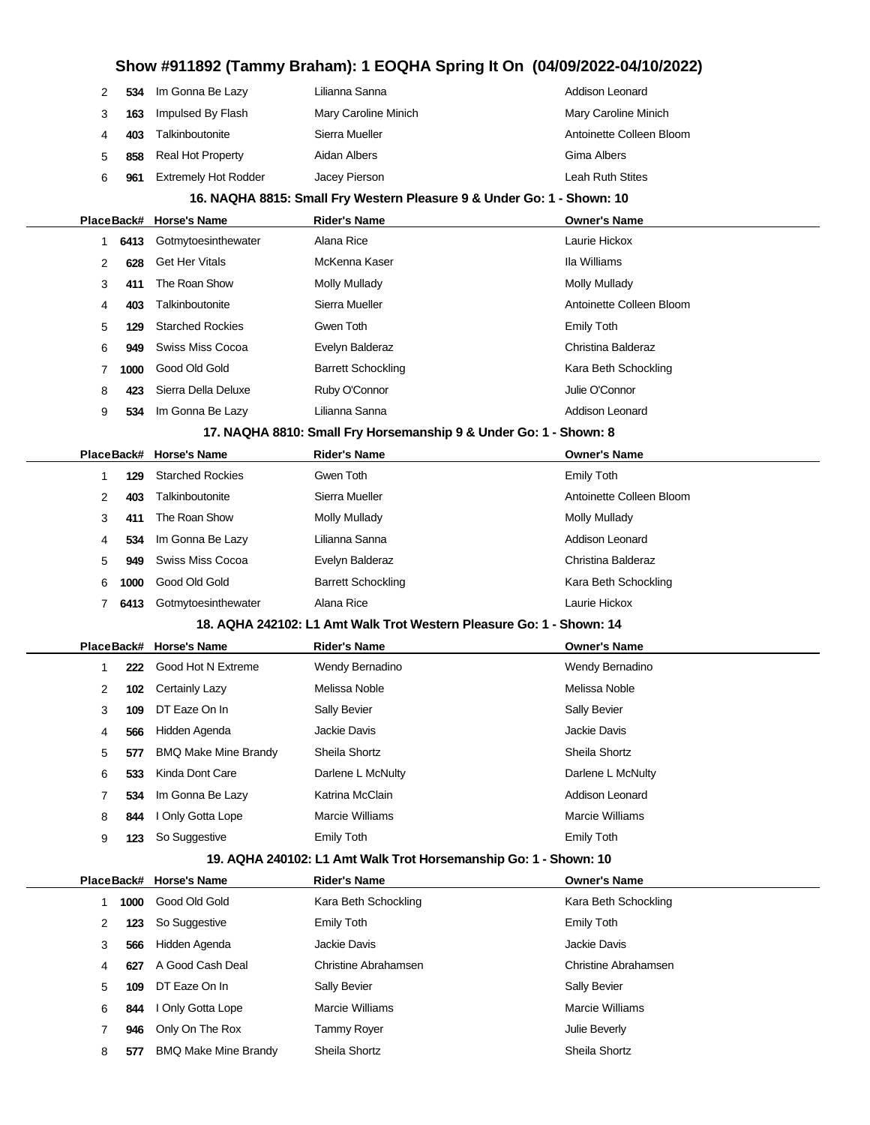| 2<br>534  | Im Gonna Be Lazy            | Lilianna Sanna                                                         | Addison Leonard          |
|-----------|-----------------------------|------------------------------------------------------------------------|--------------------------|
| 3<br>163  | Impulsed By Flash           | Mary Caroline Minich                                                   | Mary Caroline Minich     |
| 4<br>403  | Talkinboutonite             | Sierra Mueller                                                         | Antoinette Colleen Bloom |
| 5<br>858  | <b>Real Hot Property</b>    | Aidan Albers                                                           | Gima Albers              |
| 6<br>961  | <b>Extremely Hot Rodder</b> | Jacey Pierson                                                          | Leah Ruth Stites         |
|           |                             | 16. NAQHA 8815: Small Fry Western Pleasure 9 & Under Go: 1 - Shown: 10 |                          |
|           | PlaceBack# Horse's Name     | <b>Rider's Name</b>                                                    | <b>Owner's Name</b>      |
| 6413<br>1 | Gotmytoesinthewater         | Alana Rice                                                             | Laurie Hickox            |
| 2<br>628  | <b>Get Her Vitals</b>       | McKenna Kaser                                                          | Ila Williams             |
| 3<br>411  | The Roan Show               | <b>Molly Mullady</b>                                                   | <b>Molly Mullady</b>     |
| 403<br>4  | Talkinboutonite             | Sierra Mueller                                                         | Antoinette Colleen Bloom |
| 5<br>129  | <b>Starched Rockies</b>     | Gwen Toth                                                              | Emily Toth               |
| 6<br>949  | Swiss Miss Cocoa            | Evelyn Balderaz                                                        | Christina Balderaz       |
| 7<br>1000 | Good Old Gold               | <b>Barrett Schockling</b>                                              | Kara Beth Schockling     |
| 8<br>423  | Sierra Della Deluxe         | Ruby O'Connor                                                          | Julie O'Connor           |
| 9<br>534  | Im Gonna Be Lazy            | Lilianna Sanna                                                         | <b>Addison Leonard</b>   |
|           |                             | 17. NAQHA 8810: Small Fry Horsemanship 9 & Under Go: 1 - Shown: 8      |                          |
|           | PlaceBack# Horse's Name     | <b>Rider's Name</b>                                                    | <b>Owner's Name</b>      |
| 1<br>129  | <b>Starched Rockies</b>     | Gwen Toth                                                              | Emily Toth               |
| 2<br>403  | Talkinboutonite             | Sierra Mueller                                                         | Antoinette Colleen Bloom |
| 3<br>411  | The Roan Show               | <b>Molly Mullady</b>                                                   | <b>Molly Mullady</b>     |
| 4<br>534  | Im Gonna Be Lazy            | Lilianna Sanna                                                         | Addison Leonard          |
| 5<br>949  | <b>Swiss Miss Cocoa</b>     | Evelyn Balderaz                                                        | Christina Balderaz       |
| 1000<br>6 | Good Old Gold               | <b>Barrett Schockling</b>                                              | Kara Beth Schockling     |
| 7<br>6413 | Gotmytoesinthewater         | Alana Rice                                                             | Laurie Hickox            |
|           |                             | 18. AQHA 242102: L1 Amt Walk Trot Western Pleasure Go: 1 - Shown: 14   |                          |
|           | PlaceBack# Horse's Name     | <b>Rider's Name</b>                                                    | <b>Owner's Name</b>      |
| 1<br>222  | Good Hot N Extreme          | Wendy Bernadino                                                        | Wendy Bernadino          |
| 2<br>102  | <b>Certainly Lazy</b>       | Melissa Noble                                                          | Melissa Noble            |
| 3<br>109  | DT Eaze On In               | Sally Bevier                                                           | Sally Bevier             |
| 4<br>566  | Hidden Agenda               | Jackie Davis                                                           | Jackie Davis             |
| 5<br>577  | <b>BMQ Make Mine Brandy</b> | Sheila Shortz                                                          | Sheila Shortz            |
| 6<br>533  | Kinda Dont Care             | Darlene L McNulty                                                      | Darlene L McNulty        |
| 7<br>534  | Im Gonna Be Lazy            | Katrina McClain                                                        | Addison Leonard          |
| 8<br>844  | I Only Gotta Lope           | Marcie Williams                                                        | Marcie Williams          |
| 9<br>123  | So Suggestive               | <b>Emily Toth</b>                                                      | <b>Emily Toth</b>        |
|           |                             | 19. AQHA 240102: L1 Amt Walk Trot Horsemanship Go: 1 - Shown: 10       |                          |
|           | PlaceBack# Horse's Name     | <b>Rider's Name</b>                                                    | <b>Owner's Name</b>      |
| 1000<br>1 | Good Old Gold               | Kara Beth Schockling                                                   | Kara Beth Schockling     |
| 2<br>123  | So Suggestive               | <b>Emily Toth</b>                                                      | <b>Emily Toth</b>        |
| 3<br>566  | Hidden Agenda               | Jackie Davis                                                           | Jackie Davis             |
| 627<br>4  | A Good Cash Deal            | Christine Abrahamsen                                                   | Christine Abrahamsen     |
| 5<br>109  | DT Eaze On In               | Sally Bevier                                                           | Sally Bevier             |
| 6<br>844  | I Only Gotta Lope           | Marcie Williams                                                        | Marcie Williams          |
| 7<br>946  | Only On The Rox             | <b>Tammy Royer</b>                                                     | Julie Beverly            |
| 8<br>577  | <b>BMQ Make Mine Brandy</b> | Sheila Shortz                                                          | Sheila Shortz            |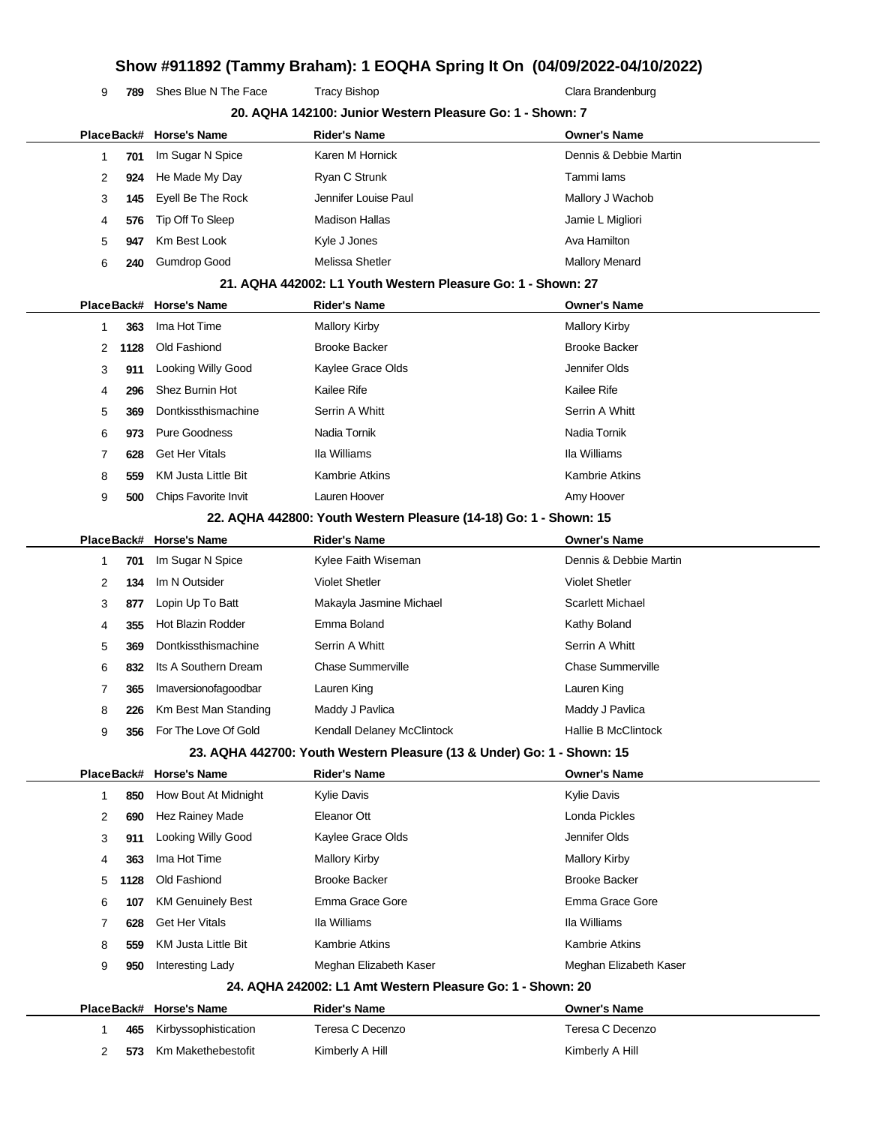**789** Shes Blue N The Face Tracy Bishop Tracter Clara Brandenburg

|   |            | PlaceBack# Horse's Name  | <b>Rider's Name</b>                                                    | <b>Owner's Name</b>        |
|---|------------|--------------------------|------------------------------------------------------------------------|----------------------------|
| 1 | 701        | Im Sugar N Spice         | Karen M Hornick                                                        | Dennis & Debbie Martin     |
| 2 | 924        | He Made My Day           | Ryan C Strunk                                                          | Tammi lams                 |
| 3 | 145        | Eyell Be The Rock        | Jennifer Louise Paul                                                   | Mallory J Wachob           |
| 4 | 576        | Tip Off To Sleep         | <b>Madison Hallas</b>                                                  | Jamie L Migliori           |
| 5 | 947        | Km Best Look             | Kyle J Jones                                                           | Ava Hamilton               |
| 6 | 240        | <b>Gumdrop Good</b>      | Melissa Shetler                                                        | <b>Mallory Menard</b>      |
|   |            |                          | 21. AQHA 442002: L1 Youth Western Pleasure Go: 1 - Shown: 27           |                            |
|   |            | PlaceBack# Horse's Name  | <b>Rider's Name</b>                                                    | <b>Owner's Name</b>        |
| 1 | 363        | Ima Hot Time             | <b>Mallory Kirby</b>                                                   | <b>Mallory Kirby</b>       |
| 2 | 1128       | Old Fashiond             | <b>Brooke Backer</b>                                                   | <b>Brooke Backer</b>       |
| 3 | 911        | Looking Willy Good       | Kaylee Grace Olds                                                      | Jennifer Olds              |
| 4 | 296        | Shez Burnin Hot          | Kailee Rife                                                            | <b>Kailee Rife</b>         |
| 5 | 369        | Dontkissthismachine      | Serrin A Whitt                                                         | Serrin A Whitt             |
| 6 | 973        | <b>Pure Goodness</b>     | Nadia Tornik                                                           | Nadia Tornik               |
| 7 | 628        | <b>Get Her Vitals</b>    | Ila Williams                                                           | Ila Williams               |
| 8 | 559        | KM Justa Little Bit      | <b>Kambrie Atkins</b>                                                  | Kambrie Atkins             |
| 9 | 500        | Chips Favorite Invit     | Lauren Hoover                                                          | Amy Hoover                 |
|   |            |                          | 22. AQHA 442800: Youth Western Pleasure (14-18) Go: 1 - Shown: 15      |                            |
|   | PlaceBack# | <b>Horse's Name</b>      | <b>Rider's Name</b>                                                    | <b>Owner's Name</b>        |
| 1 | 701        | Im Sugar N Spice         | Kylee Faith Wiseman                                                    | Dennis & Debbie Martin     |
| 2 | 134        | Im N Outsider            | <b>Violet Shetler</b>                                                  | <b>Violet Shetler</b>      |
| 3 | 877        | Lopin Up To Batt         | Makayla Jasmine Michael                                                | <b>Scarlett Michael</b>    |
| 4 | 355        | <b>Hot Blazin Rodder</b> | Emma Boland                                                            | Kathy Boland               |
| 5 | 369        | Dontkissthismachine      | Serrin A Whitt                                                         | Serrin A Whitt             |
| 6 | 832        | Its A Southern Dream     | <b>Chase Summerville</b>                                               | Chase Summerville          |
| 7 | 365        | Imaversionofagoodbar     | Lauren King                                                            | Lauren King                |
| 8 | 226        | Km Best Man Standing     | Maddy J Pavlica                                                        | Maddy J Pavlica            |
| 9 | 356        | For The Love Of Gold     | Kendall Delaney McClintock                                             | <b>Hallie B McClintock</b> |
|   |            |                          | 23. AQHA 442700: Youth Western Pleasure (13 & Under) Go: 1 - Shown: 15 |                            |
|   |            | PlaceBack# Horse's Name  | <b>Rider's Name</b>                                                    | <b>Owner's Name</b>        |
| 1 | 850        | How Bout At Midnight     | <b>Kylie Davis</b>                                                     | <b>Kylie Davis</b>         |
| 2 | 690        | Hez Rainey Made          | Eleanor Ott                                                            | Londa Pickles              |
| 3 | 911        | Looking Willy Good       | Kaylee Grace Olds                                                      | Jennifer Olds              |
| 4 | 363        | Ima Hot Time             | <b>Mallory Kirby</b>                                                   | <b>Mallory Kirby</b>       |
| 5 | 1128       | Old Fashiond             | <b>Brooke Backer</b>                                                   | <b>Brooke Backer</b>       |
| 6 | 107        | <b>KM Genuinely Best</b> | Emma Grace Gore                                                        | Emma Grace Gore            |
| 7 | 628        | <b>Get Her Vitals</b>    | Ila Williams                                                           | Ila Williams               |
| 8 | 559        | KM Justa Little Bit      | <b>Kambrie Atkins</b>                                                  | Kambrie Atkins             |
| 9 | 950        | Interesting Lady         | Meghan Elizabeth Kaser                                                 | Meghan Elizabeth Kaser     |
|   |            |                          | 24. AQHA 242002: L1 Amt Western Pleasure Go: 1 - Shown: 20             |                            |
|   | PlaceBack# | <b>Horse's Name</b>      | <b>Rider's Name</b>                                                    | <b>Owner's Name</b>        |
| 1 | 465        | Kirbyssophistication     | Teresa C Decenzo                                                       | Teresa C Decenzo           |
| 2 | 573        | Km Makethebestofit       | Kimberly A Hill                                                        | Kimberly A Hill            |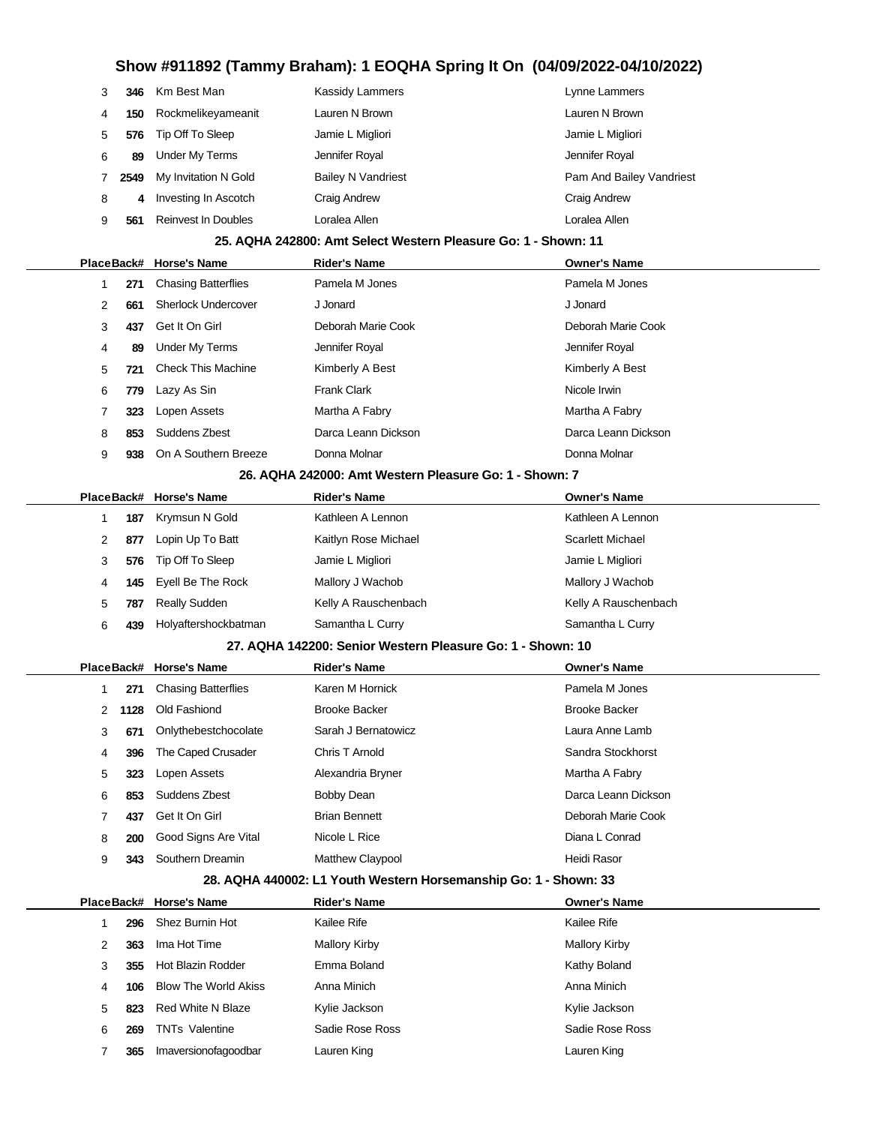|   | 346  | Km Best Man          | Kassidy Lammers           | Lynne Lammers            |
|---|------|----------------------|---------------------------|--------------------------|
| 4 | 150  | Rockmelikeyameanit   | Lauren N Brown            | Lauren N Brown           |
| 5 | 576  | Tip Off To Sleep     | Jamie L Migliori          | Jamie L Migliori         |
| 6 | 89   | Under My Terms       | Jennifer Royal            | Jennifer Royal           |
|   | 2549 | My Invitation N Gold | <b>Bailey N Vandriest</b> | Pam And Bailey Vandriest |
| 8 | 4    | Investing In Ascotch | Craig Andrew              | Craig Andrew             |
| 9 | 561  | Reinvest In Doubles  | Loralea Allen             | Loralea Allen            |

#### **25. AQHA 242800: Amt Select Western Pleasure Go: 1 - Shown: 11**

|    |     | PlaceBack# Horse's Name    | <b>Rider's Name</b>                                                      | <b>Owner's Name</b> |
|----|-----|----------------------------|--------------------------------------------------------------------------|---------------------|
|    | 271 | <b>Chasing Batterflies</b> | Pamela M Jones                                                           | Pamela M Jones      |
| 2  | 661 | <b>Sherlock Undercover</b> | J Jonard                                                                 | J Jonard            |
| 3  | 437 | Get It On Girl             | Deborah Marie Cook                                                       | Deborah Marie Cook  |
| 4  | 89  | Under My Terms             | Jennifer Royal                                                           | Jennifer Royal      |
| 5. | 721 | <b>Check This Machine</b>  | Kimberly A Best                                                          | Kimberly A Best     |
| 6  | 779 | Lazy As Sin                | <b>Frank Clark</b>                                                       | Nicole Irwin        |
|    | 323 | Lopen Assets               | Martha A Fabry                                                           | Martha A Fabry      |
| 8  | 853 | Suddens Zbest              | Darca Leann Dickson                                                      | Darca Leann Dickson |
| 9  | 938 | On A Southern Breeze       | Donna Molnar                                                             | Donna Molnar        |
|    |     |                            | 00 AOUA 040000 Anii 146 - 6 - - - - - - - - - - - - - 4 - 01 - - - - - 7 |                     |

#### **26. AQHA 242000: Amt Western Pleasure Go: 1 - Shown: 7**

|   |     | PlaceBack# Horse's Name | <b>Rider's Name</b>  | <b>Owner's Name</b>     |
|---|-----|-------------------------|----------------------|-------------------------|
|   | 187 | Krymsun N Gold          | Kathleen A Lennon    | Kathleen A Lennon       |
| 2 | 877 | Lopin Up To Batt        | Kaitlyn Rose Michael | <b>Scarlett Michael</b> |
| 3 | 576 | Tip Off To Sleep        | Jamie L Migliori     | Jamie L Migliori        |
| 4 |     | 145 Eyell Be The Rock   | Mallory J Wachob     | Mallory J Wachob        |
| 5 | 787 | <b>Really Sudden</b>    | Kelly A Rauschenbach | Kelly A Rauschenbach    |
| 6 | 439 | Holyaftershockbatman    | Samantha L Curry     | Samantha L Curry        |
|   |     |                         |                      |                         |

#### **27. AQHA 142200: Senior Western Pleasure Go: 1 - Shown: 10**

|               |            | PlaceBack# Horse's Name    | <b>Rider's Name</b>     | <b>Owner's Name</b>  |
|---------------|------------|----------------------------|-------------------------|----------------------|
|               | 271        | <b>Chasing Batterflies</b> | Karen M Hornick         | Pamela M Jones       |
| $\mathcal{P}$ | 1128       | Old Fashiond               | <b>Brooke Backer</b>    | <b>Brooke Backer</b> |
| 3             | 671        | Onlythebestchocolate       | Sarah J Bernatowicz     | Laura Anne Lamb      |
| 4             | 396        | The Caped Crusader         | Chris T Arnold          | Sandra Stockhorst    |
| 5             | 323        | Lopen Assets               | Alexandria Bryner       | Martha A Fabry       |
| 6             | 853        | Suddens Zbest              | Bobby Dean              | Darca Leann Dickson  |
| 7             | 437        | Get It On Girl             | <b>Brian Bennett</b>    | Deborah Marie Cook   |
| 8             | <b>200</b> | Good Signs Are Vital       | Nicole L Rice           | Diana L Conrad       |
| 9             | 343        | Southern Dreamin           | <b>Matthew Claypool</b> | Heidi Rasor          |

#### **28. AQHA 440002: L1 Youth Western Horsemanship Go: 1 - Shown: 33**

|   |     | PlaceBack# Horse's Name     | <b>Rider's Name</b> | <b>Owner's Name</b>  |
|---|-----|-----------------------------|---------------------|----------------------|
|   | 296 | Shez Burnin Hot             | Kailee Rife         | Kailee Rife          |
| 2 | 363 | Ima Hot Time                | Mallory Kirby       | <b>Mallory Kirby</b> |
| 3 | 355 | Hot Blazin Rodder           | Emma Boland         | Kathy Boland         |
| 4 | 106 | <b>Blow The World Akiss</b> | Anna Minich         | Anna Minich          |
| 5 | 823 | Red White N Blaze           | Kylie Jackson       | Kylie Jackson        |
| 6 | 269 | <b>TNTs Valentine</b>       | Sadie Rose Ross     | Sadie Rose Ross      |
|   | 365 | Imaversionofagoodbar        | Lauren King         | Lauren King          |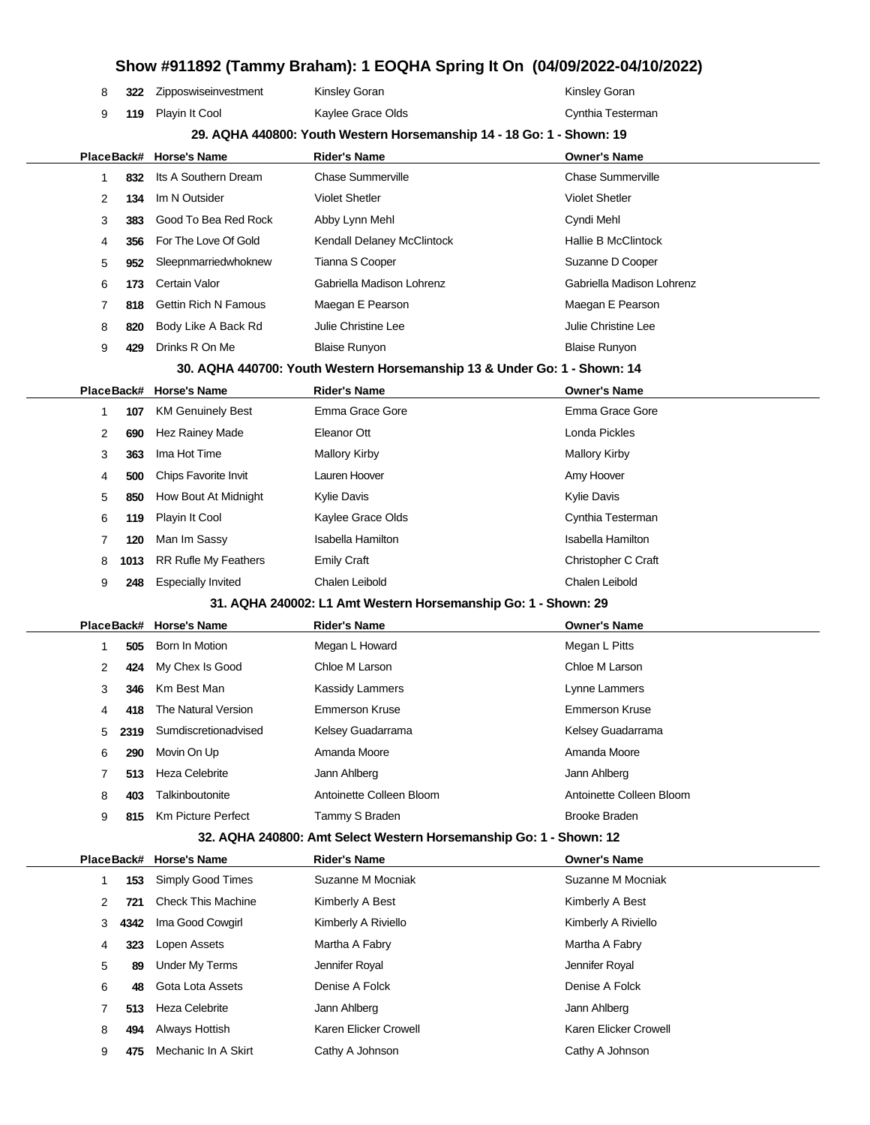|                                                                       |  | PlaceBack# Horse's Name  | <b>Rider's Name</b> | <b>Owner's Name</b> |  |  |
|-----------------------------------------------------------------------|--|--------------------------|---------------------|---------------------|--|--|
| 29. AQHA 440800: Youth Western Horsemanship 14 - 18 Go: 1 - Shown: 19 |  |                          |                     |                     |  |  |
|                                                                       |  | 119 Playin It Cool       | Kaylee Grace Olds   | Cynthia Testerman   |  |  |
|                                                                       |  | 322 Zipposwiseinvestment | Kinsley Goran       | Kinsley Goran       |  |  |
|                                                                       |  |                          |                     |                     |  |  |

|   | 832 | Its A Southern Dream     | <b>Chase Summerville</b>   | <b>Chase Summerville</b>   |
|---|-----|--------------------------|----------------------------|----------------------------|
| 2 | 134 | Im N Outsider            | <b>Violet Shetler</b>      | <b>Violet Shetler</b>      |
| 3 |     | 383 Good To Bea Red Rock | Abby Lynn Mehl             | Cyndi Mehl                 |
| 4 | 356 | For The Love Of Gold     | Kendall Delaney McClintock | <b>Hallie B McClintock</b> |
| 5 | 952 | Sleepnmarriedwhoknew     | Tianna S Cooper            | Suzanne D Cooper           |
| 6 | 173 | Certain Valor            | Gabriella Madison Lohrenz  | Gabriella Madison Lohrenz  |
|   |     | 818 Gettin Rich N Famous | Maegan E Pearson           | Maegan E Pearson           |
| 8 | 820 | Body Like A Back Rd      | Julie Christine Lee        | Julie Christine Lee        |
| 9 | 429 | Drinks R On Me           | <b>Blaise Runyon</b>       | <b>Blaise Runyon</b>       |

**30. AQHA 440700: Youth Western Horsemanship 13 & Under Go: 1 - Shown: 14**

|   |      | PlaceBack# Horse's Name     | <b>Rider's Name</b>      | <b>Owner's Name</b>  |
|---|------|-----------------------------|--------------------------|----------------------|
|   | 107  | <b>KM Genuinely Best</b>    | Emma Grace Gore          | Emma Grace Gore      |
| 2 | 690  | Hez Rainey Made             | Eleanor Ott              | Londa Pickles        |
| 3 | 363  | Ima Hot Time                | Mallory Kirby            | <b>Mallory Kirby</b> |
| 4 | 500  | <b>Chips Favorite Invit</b> | Lauren Hoover            | Amy Hoover           |
| 5 | 850  | How Bout At Midnight        | Kylie Davis              | <b>Kylie Davis</b>   |
| 6 | 119  | Playin It Cool              | Kaylee Grace Olds        | Cynthia Testerman    |
|   | 120  | Man Im Sassy                | <b>Isabella Hamilton</b> | Isabella Hamilton    |
| 8 | 1013 | <b>RR Rufle My Feathers</b> | <b>Emily Craft</b>       | Christopher C Craft  |
| 9 | 248  | <b>Especially Invited</b>   | Chalen Leibold           | Chalen Leibold       |

#### **31. AQHA 240002: L1 Amt Western Horsemanship Go: 1 - Shown: 29**

|   |      | PlaceBack# Horse's Name | <b>Rider's Name</b>      | <b>Owner's Name</b>      |
|---|------|-------------------------|--------------------------|--------------------------|
|   | 505  | Born In Motion          | Megan L Howard           | Megan L Pitts            |
| 2 | 424  | My Chex Is Good         | Chloe M Larson           | Chloe M Larson           |
| 3 | 346  | Km Best Man             | Kassidy Lammers          | Lynne Lammers            |
| 4 | 418  | The Natural Version     | Emmerson Kruse           | <b>Emmerson Kruse</b>    |
| 5 | 2319 | Sumdiscretionadvised    | Kelsey Guadarrama        | Kelsey Guadarrama        |
| 6 | 290  | Movin On Up             | Amanda Moore             | Amanda Moore             |
|   | 513  | Heza Celebrite          | Jann Ahlberg             | Jann Ahlberg             |
| 8 | 403  | Talkinboutonite         | Antoinette Colleen Bloom | Antoinette Colleen Bloom |
| 9 | 815  | Km Picture Perfect      | Tammy S Braden           | Brooke Braden            |
|   |      |                         |                          |                          |

#### **32. AQHA 240800: Amt Select Western Horsemanship Go: 1 - Shown: 12**

|   |      | PlaceBack# Horse's Name   | <b>Rider's Name</b>   | <b>Owner's Name</b>   |  |
|---|------|---------------------------|-----------------------|-----------------------|--|
|   | 153  | <b>Simply Good Times</b>  | Suzanne M Mocniak     | Suzanne M Mocniak     |  |
| 2 | 721  | <b>Check This Machine</b> | Kimberly A Best       | Kimberly A Best       |  |
| 3 | 4342 | Ima Good Cowgirl          | Kimberly A Riviello   | Kimberly A Riviello   |  |
| 4 | 323  | Lopen Assets              | Martha A Fabry        | Martha A Fabry        |  |
| 5 | 89   | <b>Under My Terms</b>     | Jennifer Royal        | Jennifer Royal        |  |
| 6 | 48   | Gota Lota Assets          | Denise A Folck        | Denise A Folck        |  |
|   | 513  | <b>Heza Celebrite</b>     | Jann Ahlberg          | Jann Ahlberg          |  |
| 8 | 494  | Always Hottish            | Karen Elicker Crowell | Karen Elicker Crowell |  |
| 9 | 475  | Mechanic In A Skirt       | Cathy A Johnson       | Cathy A Johnson       |  |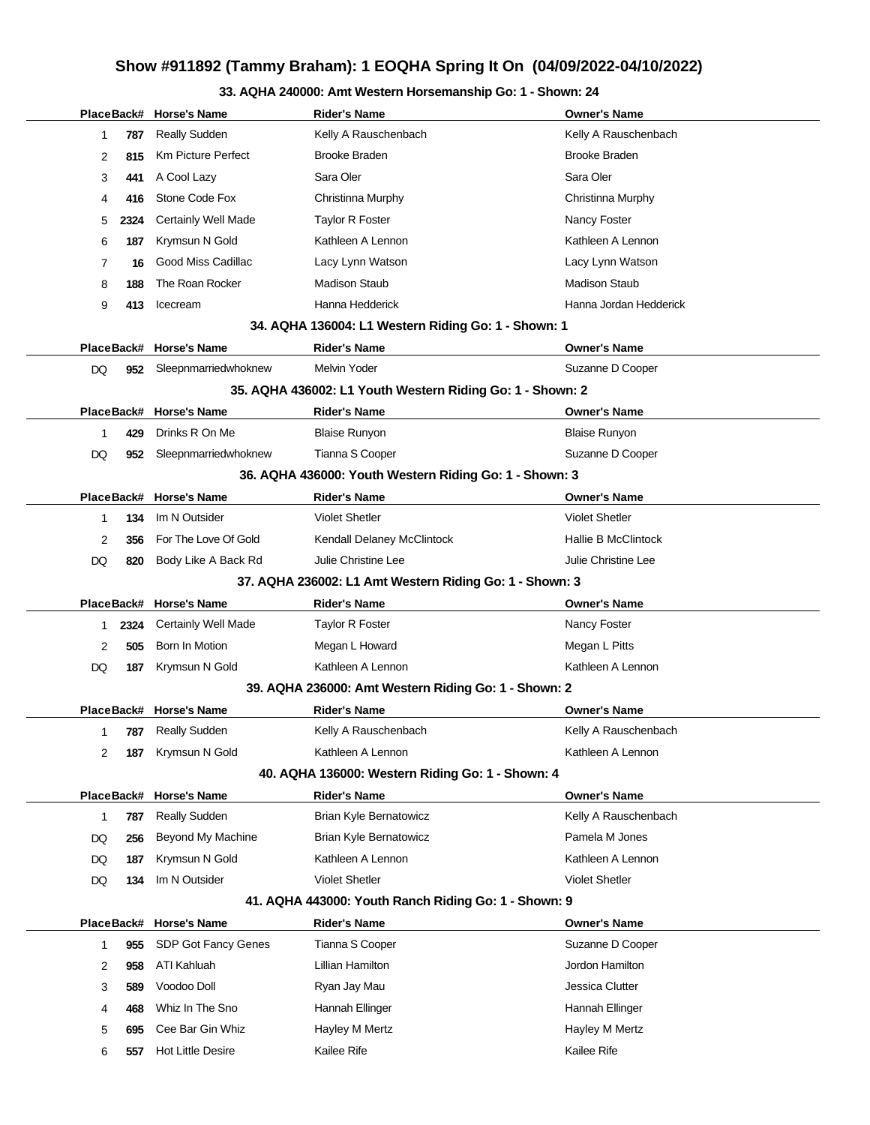### **33. AQHA 240000: Amt Western Horsemanship Go: 1 - Shown: 24**

|    |      | PlaceBack# Horse's Name    | <b>Rider's Name</b>                                       | <b>Owner's Name</b>        |
|----|------|----------------------------|-----------------------------------------------------------|----------------------------|
| 1  | 787  | <b>Really Sudden</b>       | Kelly A Rauschenbach                                      | Kelly A Rauschenbach       |
| 2  | 815  | Km Picture Perfect         | <b>Brooke Braden</b>                                      | Brooke Braden              |
| 3  | 441  | A Cool Lazy                | Sara Oler                                                 | Sara Oler                  |
| 4  | 416  | Stone Code Fox             | Christinna Murphy                                         | Christinna Murphy          |
| 5  | 2324 | Certainly Well Made        | <b>Taylor R Foster</b>                                    | Nancy Foster               |
| 6  | 187  | Krymsun N Gold             | Kathleen A Lennon                                         | Kathleen A Lennon          |
| 7  | 16   | Good Miss Cadillac         | Lacy Lynn Watson                                          | Lacy Lynn Watson           |
| 8  | 188  | The Roan Rocker            | <b>Madison Staub</b>                                      | <b>Madison Staub</b>       |
| 9  | 413  | Icecream                   | Hanna Hedderick                                           | Hanna Jordan Hedderick     |
|    |      |                            | 34. AQHA 136004: L1 Western Riding Go: 1 - Shown: 1       |                            |
|    |      | PlaceBack# Horse's Name    | <b>Rider's Name</b>                                       | <b>Owner's Name</b>        |
| DQ |      | 952 Sleepnmarriedwhoknew   | <b>Melvin Yoder</b>                                       | Suzanne D Cooper           |
|    |      |                            | 35. AQHA 436002: L1 Youth Western Riding Go: 1 - Shown: 2 |                            |
|    |      | PlaceBack# Horse's Name    | <b>Rider's Name</b>                                       | <b>Owner's Name</b>        |
| 1  | 429  | Drinks R On Me             | <b>Blaise Runyon</b>                                      | <b>Blaise Runyon</b>       |
| DQ | 952  | Sleepnmarriedwhoknew       | Tianna S Cooper                                           | Suzanne D Cooper           |
|    |      |                            | 36. AQHA 436000: Youth Western Riding Go: 1 - Shown: 3    |                            |
|    |      | PlaceBack# Horse's Name    | <b>Rider's Name</b>                                       | <b>Owner's Name</b>        |
| 1  | 134  | Im N Outsider              | <b>Violet Shetler</b>                                     | <b>Violet Shetler</b>      |
| 2  | 356  | For The Love Of Gold       | Kendall Delaney McClintock                                | <b>Hallie B McClintock</b> |
| DQ | 820  | Body Like A Back Rd        | Julie Christine Lee                                       | Julie Christine Lee        |
|    |      |                            | 37. AQHA 236002: L1 Amt Western Riding Go: 1 - Shown: 3   |                            |
|    |      | PlaceBack# Horse's Name    | <b>Rider's Name</b>                                       | <b>Owner's Name</b>        |
| 1  | 2324 | <b>Certainly Well Made</b> | Taylor R Foster                                           | Nancy Foster               |
| 2  | 505  | Born In Motion             | Megan L Howard                                            | Megan L Pitts              |
| DQ | 187  | Krymsun N Gold             | Kathleen A Lennon                                         | Kathleen A Lennon          |
|    |      |                            | 39. AQHA 236000: Amt Western Riding Go: 1 - Shown: 2      |                            |
|    |      | PlaceBack# Horse's Name    | <b>Rider's Name</b>                                       | <b>Owner's Name</b>        |
| 1  | 787  | <b>Really Sudden</b>       | Kelly A Rauschenbach                                      | Kelly A Rauschenbach       |
| 2  | 187  | Krymsun N Gold             | Kathleen A Lennon                                         | Kathleen A Lennon          |
|    |      |                            | 40. AQHA 136000: Western Riding Go: 1 - Shown: 4          |                            |
|    |      | PlaceBack# Horse's Name    | <b>Rider's Name</b>                                       | <b>Owner's Name</b>        |
| 1  | 787  | <b>Really Sudden</b>       | Brian Kyle Bernatowicz                                    | Kelly A Rauschenbach       |
| DQ | 256  | Beyond My Machine          | Brian Kyle Bernatowicz                                    | Pamela M Jones             |
| DQ | 187  | Krymsun N Gold             | Kathleen A Lennon                                         | Kathleen A Lennon          |
| DQ | 134  | Im N Outsider              | <b>Violet Shetler</b>                                     | <b>Violet Shetler</b>      |
|    |      |                            | 41. AQHA 443000: Youth Ranch Riding Go: 1 - Shown: 9      |                            |
|    |      | PlaceBack# Horse's Name    | <b>Rider's Name</b>                                       | <b>Owner's Name</b>        |
| 1  | 955  | SDP Got Fancy Genes        | Tianna S Cooper                                           | Suzanne D Cooper           |
| 2  | 958  | ATI Kahluah                | Lillian Hamilton                                          | Jordon Hamilton            |
| 3  | 589  | Voodoo Doll                | Ryan Jay Mau                                              | Jessica Clutter            |
| 4  | 468  | Whiz In The Sno            | Hannah Ellinger                                           | Hannah Ellinger            |
| 5  | 695  | Cee Bar Gin Whiz           | Hayley M Mertz                                            | Hayley M Mertz             |
| 6  | 557  | <b>Hot Little Desire</b>   | Kailee Rife                                               | Kailee Rife                |
|    |      |                            |                                                           |                            |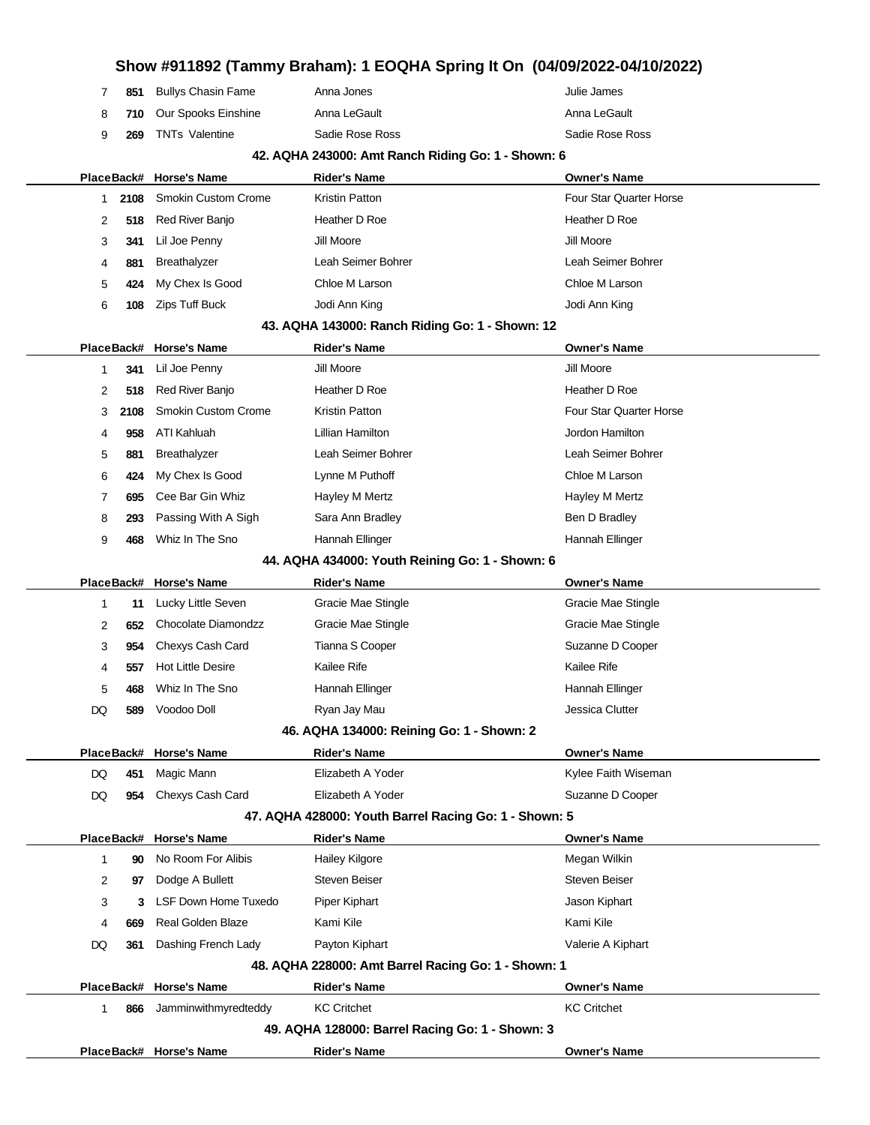|    |      |                             |                                                       | Show #911892 (Tammy Braham): 1 EOQHA Spring It On (04/09/2022-04/10/2022) |
|----|------|-----------------------------|-------------------------------------------------------|---------------------------------------------------------------------------|
| 7  | 851  | <b>Bullys Chasin Fame</b>   | Anna Jones                                            | Julie James                                                               |
| 8  | 710  | Our Spooks Einshine         | Anna LeGault                                          | Anna LeGault                                                              |
| 9  | 269  | <b>TNTs Valentine</b>       | Sadie Rose Ross                                       | Sadie Rose Ross                                                           |
|    |      |                             | 42. AQHA 243000: Amt Ranch Riding Go: 1 - Shown: 6    |                                                                           |
|    |      | PlaceBack# Horse's Name     | <b>Rider's Name</b>                                   | <b>Owner's Name</b>                                                       |
| 1  | 2108 | <b>Smokin Custom Crome</b>  | Kristin Patton                                        | Four Star Quarter Horse                                                   |
| 2  | 518  | Red River Banjo             | Heather D Roe                                         | Heather D Roe                                                             |
| 3  | 341  | Lil Joe Penny               | Jill Moore                                            | Jill Moore                                                                |
| 4  | 881  | Breathalyzer                | Leah Seimer Bohrer                                    | Leah Seimer Bohrer                                                        |
| 5  | 424  | My Chex Is Good             | Chloe M Larson                                        | Chloe M Larson                                                            |
| 6  | 108  | Zips Tuff Buck              | Jodi Ann King                                         | Jodi Ann King                                                             |
|    |      |                             | 43. AQHA 143000: Ranch Riding Go: 1 - Shown: 12       |                                                                           |
|    |      | PlaceBack# Horse's Name     | <b>Rider's Name</b>                                   | <b>Owner's Name</b>                                                       |
| 1  | 341  | Lil Joe Penny               | Jill Moore                                            | Jill Moore                                                                |
| 2  | 518  | Red River Banjo             | Heather D Roe                                         | Heather D Roe                                                             |
| 3  | 2108 | <b>Smokin Custom Crome</b>  | Kristin Patton                                        | Four Star Quarter Horse                                                   |
| 4  | 958  | ATI Kahluah                 | Lillian Hamilton                                      | Jordon Hamilton                                                           |
| 5  | 881  | Breathalyzer                | Leah Seimer Bohrer                                    | Leah Seimer Bohrer                                                        |
| 6  | 424  | My Chex Is Good             | Lynne M Puthoff                                       | Chloe M Larson                                                            |
| 7  | 695  | Cee Bar Gin Whiz            | Hayley M Mertz                                        | Hayley M Mertz                                                            |
| 8  | 293  | Passing With A Sigh         | Sara Ann Bradley                                      | Ben D Bradley                                                             |
| 9  | 468  | Whiz In The Sno             | Hannah Ellinger                                       | Hannah Ellinger                                                           |
|    |      |                             | 44. AQHA 434000: Youth Reining Go: 1 - Shown: 6       |                                                                           |
|    |      | PlaceBack# Horse's Name     | <b>Rider's Name</b>                                   | <b>Owner's Name</b>                                                       |
| 1  | 11   | Lucky Little Seven          | Gracie Mae Stingle                                    | Gracie Mae Stingle                                                        |
| 2  | 652  | Chocolate Diamondzz         | Gracie Mae Stingle                                    | Gracie Mae Stingle                                                        |
| 3  | 954  | Chexys Cash Card            | Tianna S Cooper                                       | Suzanne D Cooper                                                          |
| 4  | 557  | <b>Hot Little Desire</b>    | Kailee Rife                                           | Kailee Rife                                                               |
| 5  | 468  | Whiz In The Sno             | Hannah Ellinger                                       | Hannah Ellinger                                                           |
| DQ | 589  | Voodoo Doll                 | Ryan Jay Mau                                          | Jessica Clutter                                                           |
|    |      |                             | 46. AQHA 134000: Reining Go: 1 - Shown: 2             |                                                                           |
|    |      | PlaceBack# Horse's Name     | <b>Rider's Name</b>                                   | <b>Owner's Name</b>                                                       |
| DQ | 451  | Magic Mann                  | Elizabeth A Yoder                                     | Kylee Faith Wiseman                                                       |
| DQ | 954  | Chexys Cash Card            | Elizabeth A Yoder                                     | Suzanne D Cooper                                                          |
|    |      |                             | 47. AQHA 428000: Youth Barrel Racing Go: 1 - Shown: 5 |                                                                           |
|    |      | PlaceBack# Horse's Name     | <b>Rider's Name</b>                                   | <b>Owner's Name</b>                                                       |
| 1  | 90   | No Room For Alibis          | <b>Hailey Kilgore</b>                                 | Megan Wilkin                                                              |
| 2  | 97   | Dodge A Bullett             | <b>Steven Beiser</b>                                  | <b>Steven Beiser</b>                                                      |
| 3  | 3    | <b>LSF Down Home Tuxedo</b> | Piper Kiphart                                         | Jason Kiphart                                                             |
| 4  | 669  | <b>Real Golden Blaze</b>    | Kami Kile                                             | Kami Kile                                                                 |
| DQ | 361  | Dashing French Lady         | Payton Kiphart                                        | Valerie A Kiphart                                                         |
|    |      |                             | 48. AQHA 228000: Amt Barrel Racing Go: 1 - Shown: 1   |                                                                           |
|    |      | PlaceBack# Horse's Name     | <b>Rider's Name</b>                                   | <b>Owner's Name</b>                                                       |
| 1  | 866  | Jamminwithmyredteddy        | <b>KC Critchet</b>                                    | <b>KC Critchet</b>                                                        |
|    |      |                             | 49. AQHA 128000: Barrel Racing Go: 1 - Shown: 3       |                                                                           |
|    |      | PlaceBack# Horse's Name     | <b>Rider's Name</b>                                   | <b>Owner's Name</b>                                                       |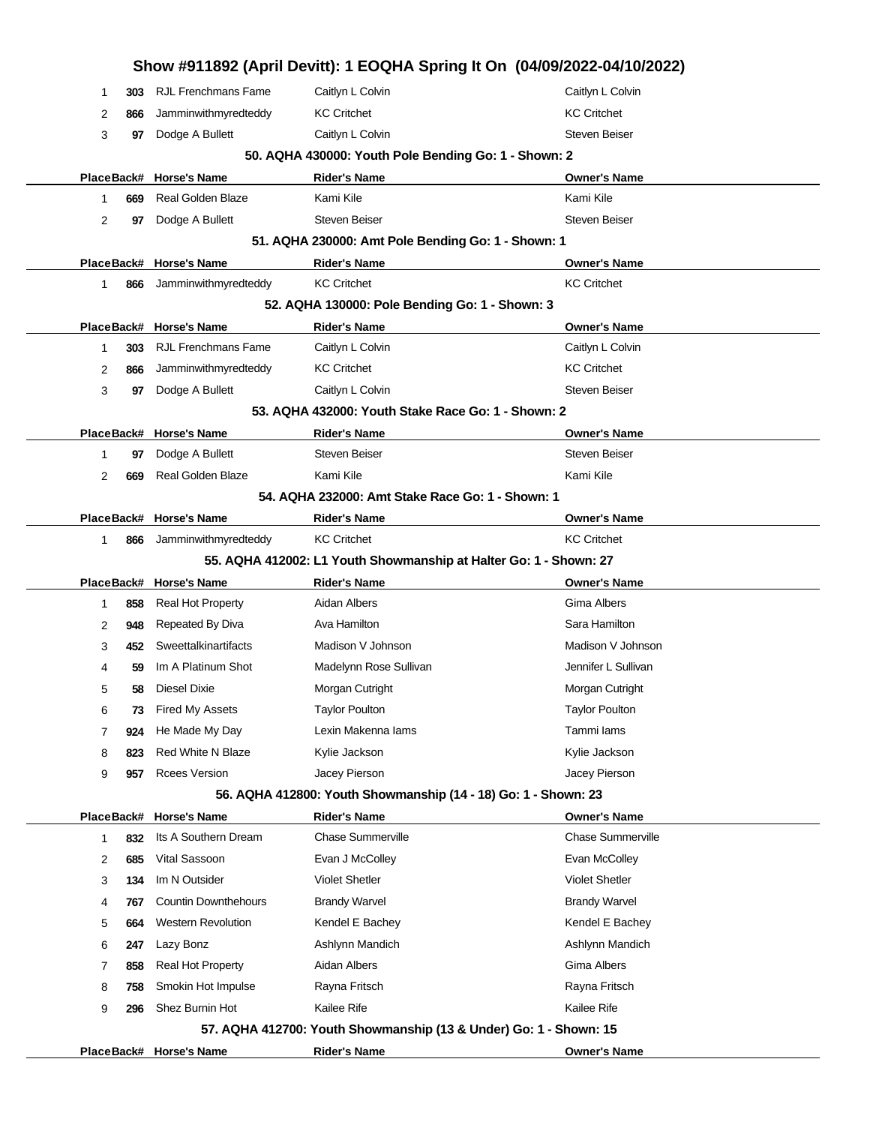|            |     |                             | Show #911892 (April Devitt): 1 EOQHA Spring It On (04/09/2022-04/10/2022) |                          |
|------------|-----|-----------------------------|---------------------------------------------------------------------------|--------------------------|
| 1          | 303 | <b>RJL Frenchmans Fame</b>  | Caitlyn L Colvin                                                          | Caitlyn L Colvin         |
| 2          | 866 | Jamminwithmyredteddy        | <b>KC Critchet</b>                                                        | <b>KC Critchet</b>       |
| 3          | 97  | Dodge A Bullett             | Caitlyn L Colvin                                                          | <b>Steven Beiser</b>     |
|            |     |                             | 50. AQHA 430000: Youth Pole Bending Go: 1 - Shown: 2                      |                          |
|            |     | PlaceBack# Horse's Name     | <b>Rider's Name</b>                                                       | <b>Owner's Name</b>      |
| 1          | 669 | <b>Real Golden Blaze</b>    | Kami Kile                                                                 | Kami Kile                |
| 2          | 97  | Dodge A Bullett             | <b>Steven Beiser</b>                                                      | <b>Steven Beiser</b>     |
|            |     |                             | 51. AQHA 230000: Amt Pole Bending Go: 1 - Shown: 1                        |                          |
|            |     | PlaceBack# Horse's Name     | <b>Rider's Name</b>                                                       | <b>Owner's Name</b>      |
| 1          | 866 | Jamminwithmyredteddy        | <b>KC Critchet</b>                                                        | <b>KC Critchet</b>       |
|            |     |                             | 52. AQHA 130000: Pole Bending Go: 1 - Shown: 3                            |                          |
|            |     | PlaceBack# Horse's Name     | <b>Rider's Name</b>                                                       | <b>Owner's Name</b>      |
| 1          | 303 | <b>RJL Frenchmans Fame</b>  | Caitlyn L Colvin                                                          | Caitlyn L Colvin         |
| 2          | 866 | Jamminwithmyredteddy        | <b>KC Critchet</b>                                                        | <b>KC Critchet</b>       |
| 3          | 97  | Dodge A Bullett             | Caitlyn L Colvin                                                          | <b>Steven Beiser</b>     |
|            |     |                             | 53. AQHA 432000: Youth Stake Race Go: 1 - Shown: 2                        |                          |
|            |     | PlaceBack# Horse's Name     | <b>Rider's Name</b>                                                       | <b>Owner's Name</b>      |
| 1          | 97  | Dodge A Bullett             | Steven Beiser                                                             | <b>Steven Beiser</b>     |
| 2          | 669 | Real Golden Blaze           | Kami Kile                                                                 | Kami Kile                |
|            |     |                             | 54. AQHA 232000: Amt Stake Race Go: 1 - Shown: 1                          |                          |
| PlaceBack# |     | <b>Horse's Name</b>         | <b>Rider's Name</b>                                                       | <b>Owner's Name</b>      |
| 1          | 866 | Jamminwithmyredteddy        | <b>KC Critchet</b>                                                        | <b>KC Critchet</b>       |
|            |     |                             | 55. AQHA 412002: L1 Youth Showmanship at Halter Go: 1 - Shown: 27         |                          |
| PlaceBack# |     | <b>Horse's Name</b>         | <b>Rider's Name</b>                                                       | <b>Owner's Name</b>      |
| 1          | 858 | <b>Real Hot Property</b>    | Aidan Albers                                                              | Gima Albers              |
| 2          | 948 | Repeated By Diva            | Ava Hamilton                                                              | Sara Hamilton            |
| 3          | 452 | Sweettalkinartifacts        | Madison V Johnson                                                         | Madison V Johnson        |
| 4          | 59  | Im A Platinum Shot          | Madelynn Rose Sullivan                                                    | Jennifer L Sullivan      |
| 5          | 58  | Diesel Dixie                | Morgan Cutright                                                           | Morgan Cutright          |
| 6          | 73  | Fired My Assets             | <b>Taylor Poulton</b>                                                     | <b>Taylor Poulton</b>    |
| 7          | 924 | He Made My Day              | Lexin Makenna lams                                                        | Tammi lams               |
| 8          | 823 | <b>Red White N Blaze</b>    | Kylie Jackson                                                             | Kylie Jackson            |
| 9          | 957 | <b>Rcees Version</b>        | Jacey Pierson                                                             | Jacey Pierson            |
|            |     |                             | 56. AQHA 412800: Youth Showmanship (14 - 18) Go: 1 - Shown: 23            |                          |
| PlaceBack# |     | <b>Horse's Name</b>         | <b>Rider's Name</b>                                                       | <b>Owner's Name</b>      |
| 1          | 832 | Its A Southern Dream        | <b>Chase Summerville</b>                                                  | <b>Chase Summerville</b> |
| 2          | 685 | Vital Sassoon               | Evan J McColley                                                           | Evan McColley            |
| 3          | 134 | Im N Outsider               | <b>Violet Shetler</b>                                                     | <b>Violet Shetler</b>    |
| 4          | 767 | <b>Countin Downthehours</b> | <b>Brandy Warvel</b>                                                      | <b>Brandy Warvel</b>     |
| 5          | 664 | <b>Western Revolution</b>   | Kendel E Bachey                                                           | Kendel E Bachey          |
| 6          | 247 | Lazy Bonz                   | Ashlynn Mandich                                                           | Ashlynn Mandich          |
| 7          | 858 | Real Hot Property           | Aidan Albers                                                              | Gima Albers              |
| 8          | 758 | Smokin Hot Impulse          | Rayna Fritsch                                                             | Rayna Fritsch            |
| 9          | 296 | Shez Burnin Hot             | Kailee Rife                                                               | Kailee Rife              |
|            |     |                             | 57. AQHA 412700: Youth Showmanship (13 & Under) Go: 1 - Shown: 15         |                          |
|            |     | PlaceBack# Horse's Name     | <b>Rider's Name</b>                                                       | <b>Owner's Name</b>      |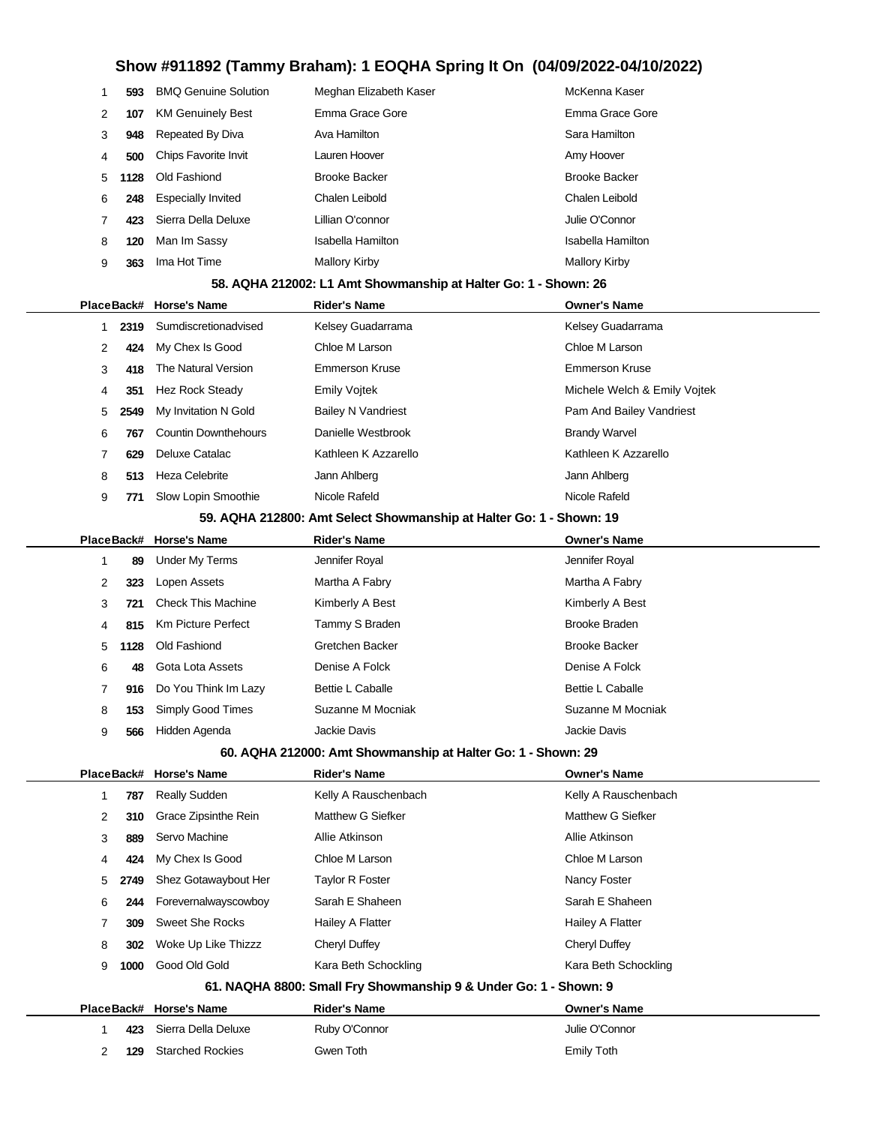| 1 | 593        | <b>BMQ Genuine Solution</b> | Meghan Elizabeth Kaser                                              | McKenna Kaser                |
|---|------------|-----------------------------|---------------------------------------------------------------------|------------------------------|
| 2 | 107        | <b>KM Genuinely Best</b>    | Emma Grace Gore                                                     | Emma Grace Gore              |
| 3 | 948        | Repeated By Diva            | Ava Hamilton                                                        | Sara Hamilton                |
| 4 | 500        | Chips Favorite Invit        | Lauren Hoover                                                       | Amy Hoover                   |
| 5 | 1128       | Old Fashiond                | <b>Brooke Backer</b>                                                | <b>Brooke Backer</b>         |
| 6 | 248        | <b>Especially Invited</b>   | Chalen Leibold                                                      | Chalen Leibold               |
| 7 | 423        | Sierra Della Deluxe         | Lillian O'connor                                                    | Julie O'Connor               |
| 8 | 120        | Man Im Sassy                | <b>Isabella Hamilton</b>                                            | <b>Isabella Hamilton</b>     |
| 9 | 363        | Ima Hot Time                | <b>Mallory Kirby</b>                                                | <b>Mallory Kirby</b>         |
|   |            |                             | 58. AQHA 212002: L1 Amt Showmanship at Halter Go: 1 - Shown: 26     |                              |
|   | PlaceBack# | <b>Horse's Name</b>         | <b>Rider's Name</b>                                                 | <b>Owner's Name</b>          |
| 1 | 2319       | Sumdiscretionadvised        | Kelsey Guadarrama                                                   | Kelsey Guadarrama            |
| 2 | 424        | My Chex Is Good             | Chloe M Larson                                                      | Chloe M Larson               |
| 3 | 418        | The Natural Version         | <b>Emmerson Kruse</b>                                               | <b>Emmerson Kruse</b>        |
| 4 | 351        | <b>Hez Rock Steady</b>      | <b>Emily Vojtek</b>                                                 | Michele Welch & Emily Vojtek |
| 5 | 2549       | My Invitation N Gold        | <b>Bailey N Vandriest</b>                                           | Pam And Bailey Vandriest     |
| 6 | 767        | <b>Countin Downthehours</b> | Danielle Westbrook                                                  | <b>Brandy Warvel</b>         |
| 7 | 629        | Deluxe Catalac              | Kathleen K Azzarello                                                | Kathleen K Azzarello         |
| 8 | 513        | <b>Heza Celebrite</b>       | Jann Ahlberg                                                        | Jann Ahlberg                 |
| 9 | 771        | Slow Lopin Smoothie         | Nicole Rafeld                                                       | Nicole Rafeld                |
|   |            |                             | 59. AQHA 212800: Amt Select Showmanship at Halter Go: 1 - Shown: 19 |                              |
|   |            | PlaceBack# Horse's Name     | <b>Rider's Name</b>                                                 | <b>Owner's Name</b>          |
| 1 | 89         | <b>Under My Terms</b>       | Jennifer Royal                                                      | Jennifer Royal               |
| 2 | 323        | Lopen Assets                | Martha A Fabry                                                      | Martha A Fabry               |
| 3 | 721        | <b>Check This Machine</b>   | Kimberly A Best                                                     | Kimberly A Best              |
| 4 | 815        | <b>Km Picture Perfect</b>   | Tammy S Braden                                                      | <b>Brooke Braden</b>         |
| 5 | 1128       | Old Fashiond                | Gretchen Backer                                                     | <b>Brooke Backer</b>         |
| 6 | 48         | Gota Lota Assets            | Denise A Folck                                                      | Denise A Folck               |
| 7 | 916        | Do You Think Im Lazy        | Bettie L Caballe                                                    | <b>Bettie L Caballe</b>      |
| 8 |            | 153 Simply Good Times       | Suzanne M Mocniak                                                   | Suzanne M Mocniak            |
| 9 | 566        | Hidden Agenda               | Jackie Davis                                                        | Jackie Davis                 |
|   |            |                             | 60. AQHA 212000: Amt Showmanship at Halter Go: 1 - Shown: 29        |                              |
|   |            | PlaceBack# Horse's Name     | <b>Rider's Name</b>                                                 | <b>Owner's Name</b>          |
| 1 | 787        | Really Sudden               | Kelly A Rauschenbach                                                | Kelly A Rauschenbach         |
| 2 | 310        | Grace Zipsinthe Rein        | Matthew G Siefker                                                   | Matthew G Siefker            |
| 3 | 889        | Servo Machine               | Allie Atkinson                                                      | Allie Atkinson               |
| 4 | 424        | My Chex Is Good             | Chloe M Larson                                                      | Chloe M Larson               |
| 5 | 2749       | Shez Gotawaybout Her        | <b>Taylor R Foster</b>                                              | Nancy Foster                 |
| 6 | 244        | Forevernalwayscowboy        | Sarah E Shaheen                                                     | Sarah E Shaheen              |
| 7 | 309        | <b>Sweet She Rocks</b>      | Hailey A Flatter                                                    | <b>Hailey A Flatter</b>      |
| 8 | 302        | Woke Up Like Thizzz         | Cheryl Duffey                                                       | <b>Cheryl Duffey</b>         |
| 9 | 1000       | Good Old Gold               | Kara Beth Schockling                                                | Kara Beth Schockling         |
|   |            |                             | 61. NAQHA 8800: Small Fry Showmanship 9 & Under Go: 1 - Shown: 9    |                              |
|   |            | PlaceBack# Horse's Name     | <b>Rider's Name</b>                                                 | <b>Owner's Name</b>          |
| 1 |            | 423 Sierra Della Deluxe     | Ruby O'Connor                                                       | Julie O'Connor               |

**129** Starched Rockies Gwen Toth Gwen Toth Emily Toth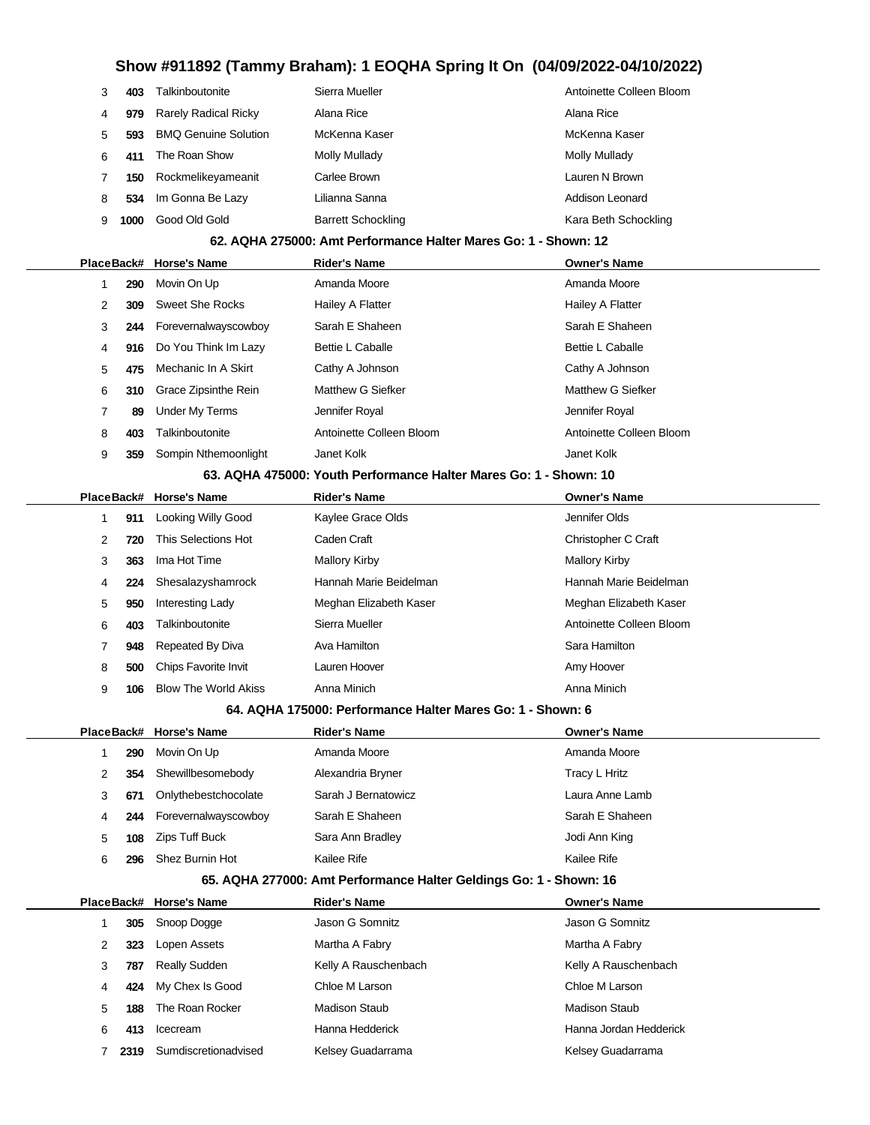| 3 | 403  | Talkinboutonite             | Sierra Mueller            | Antoinette Colleen Bloom |
|---|------|-----------------------------|---------------------------|--------------------------|
| 4 | 979  | <b>Rarely Radical Ricky</b> | Alana Rice                | Alana Rice               |
| 5 | 593  | <b>BMO Genuine Solution</b> | McKenna Kaser             | McKenna Kaser            |
| 6 | 411  | The Roan Show               | Molly Mullady             | Molly Mullady            |
|   | 150  | Rockmelikeyameanit          | Carlee Brown              | Lauren N Brown           |
| 8 | 534  | Im Gonna Be Lazy            | Lilianna Sanna            | Addison Leonard          |
|   | 1000 | Good Old Gold               | <b>Barrett Schockling</b> | Kara Beth Schockling     |

#### **62. AQHA 275000: Amt Performance Halter Mares Go: 1 - Shown: 12**

|   |     | PlaceBack# Horse's Name | <b>Rider's Name</b>                                                      | <b>Owner's Name</b>      |
|---|-----|-------------------------|--------------------------------------------------------------------------|--------------------------|
|   | 290 | Movin On Up             | Amanda Moore                                                             | Amanda Moore             |
| 2 | 309 | Sweet She Rocks         | Hailey A Flatter                                                         | Hailey A Flatter         |
| 3 | 244 | Forevernalwayscowboy    | Sarah E Shaheen                                                          | Sarah E Shaheen          |
| 4 | 916 | Do You Think Im Lazy    | <b>Bettie L Caballe</b>                                                  | <b>Bettie L Caballe</b>  |
| 5 | 475 | Mechanic In A Skirt     | Cathy A Johnson                                                          | Cathy A Johnson          |
| 6 | 310 | Grace Zipsinthe Rein    | Matthew G Siefker                                                        | Matthew G Siefker        |
| 7 | 89  | <b>Under My Terms</b>   | Jennifer Royal                                                           | Jennifer Royal           |
| 8 | 403 | Talkinboutonite         | Antoinette Colleen Bloom                                                 | Antoinette Colleen Bloom |
| 9 | 359 | Sompin Nthemoonlight    | Janet Kolk                                                               | Janet Kolk               |
|   |     |                         | 00 A GUA 175000. Varil. Davis massa a Ualtan Manag. Osa 4 - Olivenia 40. |                          |

#### **63. AQHA 475000: Youth Performance Halter Mares Go: 1 - Shown: 10**

|    |     | PlaceBack# Horse's Name     | <b>Rider's Name</b>    | <b>Owner's Name</b>      |
|----|-----|-----------------------------|------------------------|--------------------------|
|    | 911 | Looking Willy Good          | Kaylee Grace Olds      | Jennifer Olds            |
| 2  | 720 | This Selections Hot         | Caden Craft            | Christopher C Craft      |
| 3  | 363 | Ima Hot Time                | Mallory Kirby          | <b>Mallory Kirby</b>     |
| 4  | 224 | Shesalazyshamrock           | Hannah Marie Beidelman | Hannah Marie Beidelman   |
| 5. | 950 | Interesting Lady            | Meghan Elizabeth Kaser | Meghan Elizabeth Kaser   |
| 6  | 403 | Talkinboutonite             | Sierra Mueller         | Antoinette Colleen Bloom |
|    | 948 | Repeated By Diva            | Ava Hamilton           | Sara Hamilton            |
| 8  | 500 | <b>Chips Favorite Invit</b> | Lauren Hoover          | Amy Hoover               |
| 9  | 106 | <b>Blow The World Akiss</b> | Anna Minich            | Anna Minich              |

#### **64. AQHA 175000: Performance Halter Mares Go: 1 - Shown: 6**

|   |     | PlaceBack# Horse's Name | <b>Rider's Name</b> | <b>Owner's Name</b> |
|---|-----|-------------------------|---------------------|---------------------|
|   | 290 | Movin On Up             | Amanda Moore        | Amanda Moore        |
| 2 | 354 | Shewillbesomebody       | Alexandria Bryner   | Tracy L Hritz       |
| 3 | 671 | Onlythebestchocolate    | Sarah J Bernatowicz | Laura Anne Lamb     |
| 4 | 244 | Forevernalwayscowboy    | Sarah E Shaheen     | Sarah E Shaheen     |
| 5 | 108 | Zips Tuff Buck          | Sara Ann Bradley    | Jodi Ann King       |
| հ | 296 | Shez Burnin Hot         | Kailee Rife         | Kailee Rife         |

#### **65. AQHA 277000: Amt Performance Halter Geldings Go: 1 - Shown: 16**

|   |      | PlaceBack# Horse's Name | <b>Rider's Name</b>  | <b>Owner's Name</b>    |
|---|------|-------------------------|----------------------|------------------------|
|   | 305  | Snoop Dogge             | Jason G Somnitz      | Jason G Somnitz        |
| 2 | 323  | Lopen Assets            | Martha A Fabry       | Martha A Fabry         |
| 3 | 787  | <b>Really Sudden</b>    | Kelly A Rauschenbach | Kelly A Rauschenbach   |
| 4 | 424  | My Chex Is Good         | Chloe M Larson       | Chloe M Larson         |
| 5 | 188  | The Roan Rocker         | <b>Madison Staub</b> | Madison Staub          |
| 6 | 413  | Icecream                | Hanna Hedderick      | Hanna Jordan Hedderick |
|   | 2319 | Sumdiscretionadvised    | Kelsey Guadarrama    | Kelsey Guadarrama      |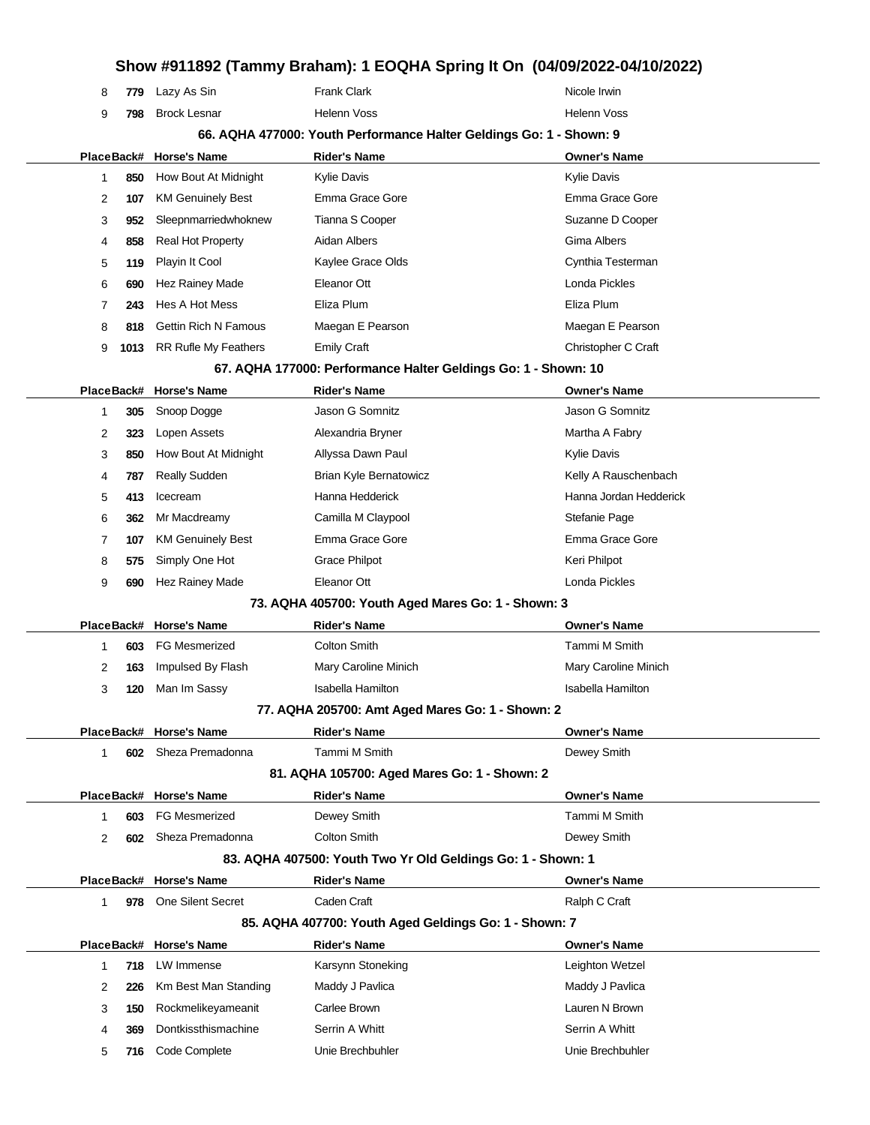|              |      | $\blacksquare$ ,, $\blacksquare$ . | $\sim$ $\sim$                                                       |                          |
|--------------|------|------------------------------------|---------------------------------------------------------------------|--------------------------|
| 8            | 779  | Lazy As Sin                        | <b>Frank Clark</b>                                                  | Nicole Irwin             |
| 9            | 798  | <b>Brock Lesnar</b>                | Helenn Voss                                                         | <b>Helenn Voss</b>       |
|              |      |                                    | 66. AQHA 477000: Youth Performance Halter Geldings Go: 1 - Shown: 9 |                          |
|              |      | PlaceBack# Horse's Name            | <b>Rider's Name</b>                                                 | <b>Owner's Name</b>      |
| $\mathbf{1}$ | 850  | How Bout At Midnight               | Kylie Davis                                                         | <b>Kylie Davis</b>       |
| 2            | 107  | <b>KM Genuinely Best</b>           | Emma Grace Gore                                                     | Emma Grace Gore          |
| 3            | 952  | Sleepnmarriedwhoknew               | Tianna S Cooper                                                     | Suzanne D Cooper         |
| 4            | 858  | <b>Real Hot Property</b>           | Aidan Albers                                                        | Gima Albers              |
| 5            | 119  | Playin It Cool                     | Kaylee Grace Olds                                                   | Cynthia Testerman        |
| 6            | 690  | Hez Rainey Made                    | Eleanor Ott                                                         | Londa Pickles            |
| 7            | 243  | Hes A Hot Mess                     | Eliza Plum                                                          | Eliza Plum               |
| 8            | 818  | <b>Gettin Rich N Famous</b>        | Maegan E Pearson                                                    | Maegan E Pearson         |
| 9            | 1013 | <b>RR Rufle My Feathers</b>        | <b>Emily Craft</b>                                                  | Christopher C Craft      |
|              |      |                                    | 67. AQHA 177000: Performance Halter Geldings Go: 1 - Shown: 10      |                          |
|              |      | PlaceBack# Horse's Name            | <b>Rider's Name</b>                                                 | <b>Owner's Name</b>      |
| -1           | 305  | Snoop Dogge                        | Jason G Somnitz                                                     | Jason G Somnitz          |
| 2            | 323  | Lopen Assets                       | Alexandria Bryner                                                   | Martha A Fabry           |
| 3            | 850  | How Bout At Midnight               | Allyssa Dawn Paul                                                   | <b>Kylie Davis</b>       |
| 4            | 787  | <b>Really Sudden</b>               | Brian Kyle Bernatowicz                                              | Kelly A Rauschenbach     |
| 5            | 413  | Icecream                           | Hanna Hedderick                                                     | Hanna Jordan Hedderick   |
| 6            | 362  | Mr Macdreamy                       | Camilla M Claypool                                                  | Stefanie Page            |
| 7            | 107  | <b>KM Genuinely Best</b>           | Emma Grace Gore                                                     | Emma Grace Gore          |
| 8            | 575  | Simply One Hot                     | <b>Grace Philpot</b>                                                | Keri Philpot             |
| 9            | 690  | Hez Rainey Made                    | Eleanor Ott                                                         | Londa Pickles            |
|              |      |                                    | 73. AQHA 405700: Youth Aged Mares Go: 1 - Shown: 3                  |                          |
|              |      | PlaceBack# Horse's Name            | <b>Rider's Name</b>                                                 | <b>Owner's Name</b>      |
| $\mathbf 1$  | 603  | <b>FG Mesmerized</b>               | <b>Colton Smith</b>                                                 | Tammi M Smith            |
| 2            | 163  | Impulsed By Flash                  | Mary Caroline Minich                                                | Mary Caroline Minich     |
| 3            | 120  | Man Im Sassy                       | <b>Isabella Hamilton</b>                                            | <b>Isabella Hamilton</b> |
|              |      |                                    | 77. AQHA 205700: Amt Aged Mares Go: 1 - Shown: 2                    |                          |
|              |      | PlaceBack# Horse's Name            | <b>Rider's Name</b>                                                 | <b>Owner's Name</b>      |
| 1            |      | 602 Sheza Premadonna               | Tammi M Smith                                                       | Dewey Smith              |
|              |      |                                    | 81. AQHA 105700: Aged Mares Go: 1 - Shown: 2                        |                          |
|              |      | PlaceBack# Horse's Name            | <b>Rider's Name</b>                                                 | <b>Owner's Name</b>      |
| $\mathbf{1}$ | 603  | <b>FG Mesmerized</b>               | Dewey Smith                                                         | Tammi M Smith            |
| 2            | 602  | Sheza Premadonna                   | <b>Colton Smith</b>                                                 | Dewey Smith              |
|              |      |                                    | 83. AQHA 407500: Youth Two Yr Old Geldings Go: 1 - Shown: 1         |                          |
|              |      | PlaceBack# Horse's Name            | <b>Rider's Name</b>                                                 | <b>Owner's Name</b>      |
| $\mathbf{1}$ | 978  | <b>One Silent Secret</b>           | Caden Craft                                                         | Ralph C Craft            |
|              |      |                                    | 85. AQHA 407700: Youth Aged Geldings Go: 1 - Shown: 7               |                          |
|              |      | PlaceBack# Horse's Name            | <b>Rider's Name</b>                                                 | <b>Owner's Name</b>      |
| $\mathbf{1}$ | 718  | LW Immense                         | Karsynn Stoneking                                                   | Leighton Wetzel          |
| 2            | 226  | Km Best Man Standing               | Maddy J Pavlica                                                     | Maddy J Pavlica          |
| 3            | 150  | Rockmelikeyameanit                 | Carlee Brown                                                        | Lauren N Brown           |
| 4            | 369  | Dontkissthismachine                | Serrin A Whitt                                                      | Serrin A Whitt           |
| 5            | 716  | Code Complete                      | Unie Brechbuhler                                                    | Unie Brechbuhler         |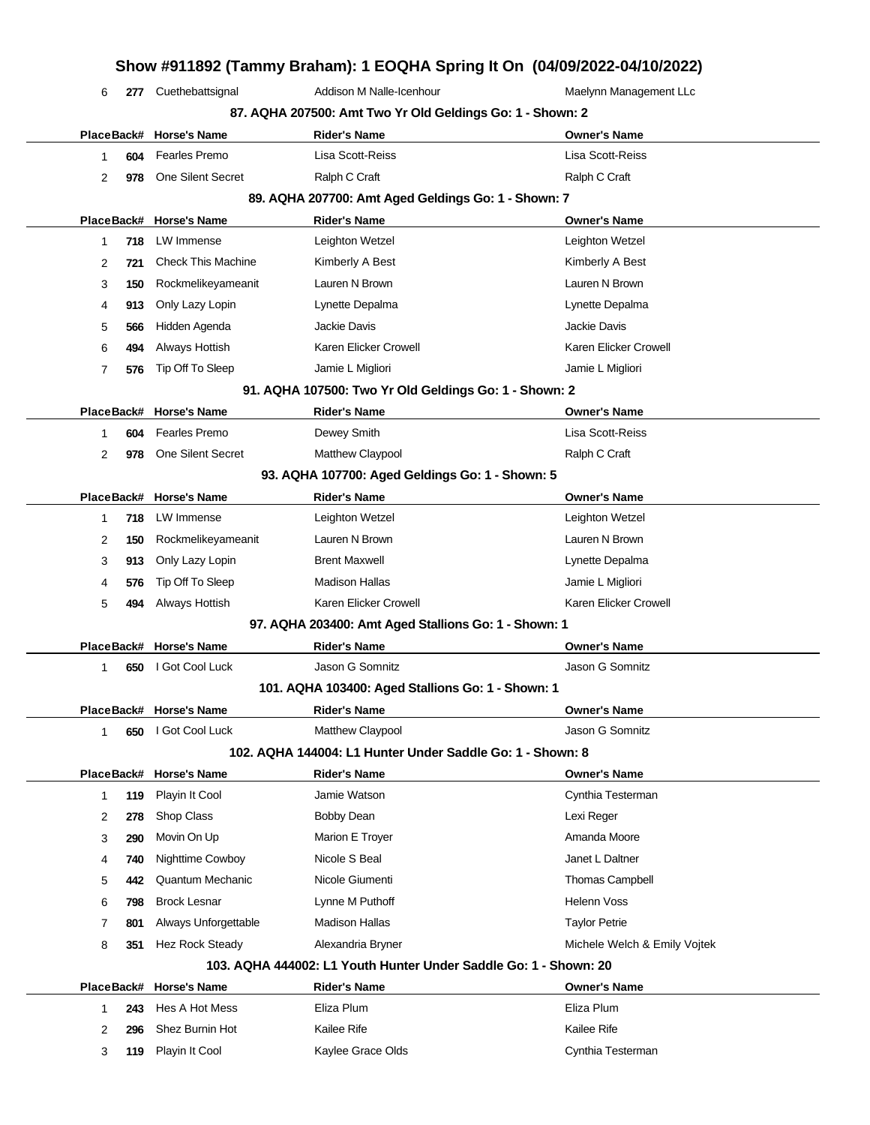| 6 | 277 | Cuethebattsignal          | SHOW #311032 (Tallilliy Draham). TEOQHA Əphily il Oli (04/03/2022-04/10/2022)<br>Addison M Nalle-Icenhour | Maelynn Management LLc |
|---|-----|---------------------------|-----------------------------------------------------------------------------------------------------------|------------------------|
|   |     |                           | 87. AQHA 207500: Amt Two Yr Old Geldings Go: 1 - Shown: 2                                                 |                        |
|   |     | PlaceBack# Horse's Name   | <b>Rider's Name</b>                                                                                       | <b>Owner's Name</b>    |
| 1 | 604 | <b>Fearles Premo</b>      | Lisa Scott-Reiss                                                                                          | Lisa Scott-Reiss       |
| 2 | 978 | <b>One Silent Secret</b>  | Ralph C Craft                                                                                             | Ralph C Craft          |
|   |     |                           |                                                                                                           |                        |
|   |     |                           | 89. AQHA 207700: Amt Aged Geldings Go: 1 - Shown: 7                                                       |                        |
|   |     | PlaceBack# Horse's Name   | <b>Rider's Name</b>                                                                                       | <b>Owner's Name</b>    |
| 1 | 718 | LW Immense                | Leighton Wetzel                                                                                           | Leighton Wetzel        |
| 2 | 721 | <b>Check This Machine</b> | Kimberly A Best                                                                                           | Kimberly A Best        |
| 3 | 150 | Rockmelikeyameanit        | Lauren N Brown                                                                                            | Lauren N Brown         |
| 4 | 913 | Only Lazy Lopin           | Lynette Depalma                                                                                           | Lynette Depalma        |
| 5 | 566 | Hidden Agenda             | Jackie Davis                                                                                              | Jackie Davis           |
| 6 | 494 | Always Hottish            | Karen Elicker Crowell                                                                                     | Karen Elicker Crowell  |
| 7 | 576 | Tip Off To Sleep          | Jamie L Migliori                                                                                          | Jamie L Migliori       |
|   |     |                           | 91. AQHA 107500: Two Yr Old Geldings Go: 1 - Shown: 2                                                     |                        |
|   |     | PlaceBack# Horse's Name   | <b>Rider's Name</b>                                                                                       | <b>Owner's Name</b>    |
| 1 | 604 | <b>Fearles Premo</b>      | Dewey Smith                                                                                               | Lisa Scott-Reiss       |
| 2 | 978 | <b>One Silent Secret</b>  | Matthew Claypool                                                                                          | Ralph C Craft          |
|   |     |                           | 93. AQHA 107700: Aged Geldings Go: 1 - Shown: 5                                                           |                        |
|   |     | PlaceBack# Horse's Name   | <b>Rider's Name</b>                                                                                       | <b>Owner's Name</b>    |

|   |     | 718 LW Immense     | Leighton Wetzel       | Leighton Wetzel       |
|---|-----|--------------------|-----------------------|-----------------------|
|   | 150 | Rockmelikeyameanit | Lauren N Brown        | Lauren N Brown        |
|   | 913 | Only Lazy Lopin    | <b>Brent Maxwell</b>  | Lynette Depalma       |
| 4 | 576 | Tip Off To Sleep   | <b>Madison Hallas</b> | Jamie L Migliori      |
| 5 | 494 | Always Hottish     | Karen Elicker Crowell | Karen Elicker Crowell |
|   |     |                    |                       |                       |

#### **97. AQHA 203400: Amt Aged Stallions Go: 1 - Shown: 1**

|  |     | PlaceBack# Horse's Name | Rider's Name                           | <b>Owner's Name</b> |
|--|-----|-------------------------|----------------------------------------|---------------------|
|  | 650 | I Got Cool Luck         | Jason G Somnitz                        | Jason G Somnitz     |
|  |     |                         | 101 1011 100100 1 101 11 0 101 101 101 |                     |

### **101. AQHA 103400: Aged Stallions Go: 1 - Shown: 1**

 $\overline{\phantom{a}}$ 

|                                                           |     | PlaceBack# Horse's Name | <b>Rider's Name</b> | <b>Owner's Name</b> |  |  |  |
|-----------------------------------------------------------|-----|-------------------------|---------------------|---------------------|--|--|--|
|                                                           | 650 | I Got Cool Luck         | Matthew Claypool    | Jason G Somnitz     |  |  |  |
| 102. AQHA 144004: L1 Hunter Under Saddle Go: 1 - Shown: 8 |     |                         |                     |                     |  |  |  |
|                                                           |     |                         |                     |                     |  |  |  |
|                                                           |     | PlaceBack# Horse's Name | <b>Rider's Name</b> | <b>Owner's Name</b> |  |  |  |
|                                                           |     | 119 Playin It Cool      | Jamie Watson        | Cynthia Testerman   |  |  |  |

| 3 | 290 | Movin On Up             | Marion E Troyer                                                  | Amanda Moore                 |
|---|-----|-------------------------|------------------------------------------------------------------|------------------------------|
| 4 | 740 | Nighttime Cowboy        | Nicole S Beal                                                    | Janet L Daltner              |
| 5 | 442 | Quantum Mechanic        | Nicole Giumenti                                                  | <b>Thomas Campbell</b>       |
| 6 | 798 | <b>Brock Lesnar</b>     | Lynne M Puthoff                                                  | Helenn Voss                  |
|   | 801 | Always Unforgettable    | Madison Hallas                                                   | <b>Taylor Petrie</b>         |
| 8 | 351 | Hez Rock Steady         | Alexandria Bryner                                                | Michele Welch & Emily Voitek |
|   |     |                         | 103. AQHA 444002: L1 Youth Hunter Under Saddle Go: 1 - Shown: 20 |                              |
|   |     | PlaceBack# Horse's Name | <b>Rider's Name</b>                                              | <b>Owner's Name</b>          |
|   | 243 | Hes A Hot Mess          | Eliza Plum                                                       | Eliza Plum                   |
| 2 | 296 | Shez Burnin Hot         | Kailee Rife                                                      | Kailee Rife                  |
| 3 | 119 | Playin It Cool          | Kaylee Grace Olds                                                | Cynthia Testerman            |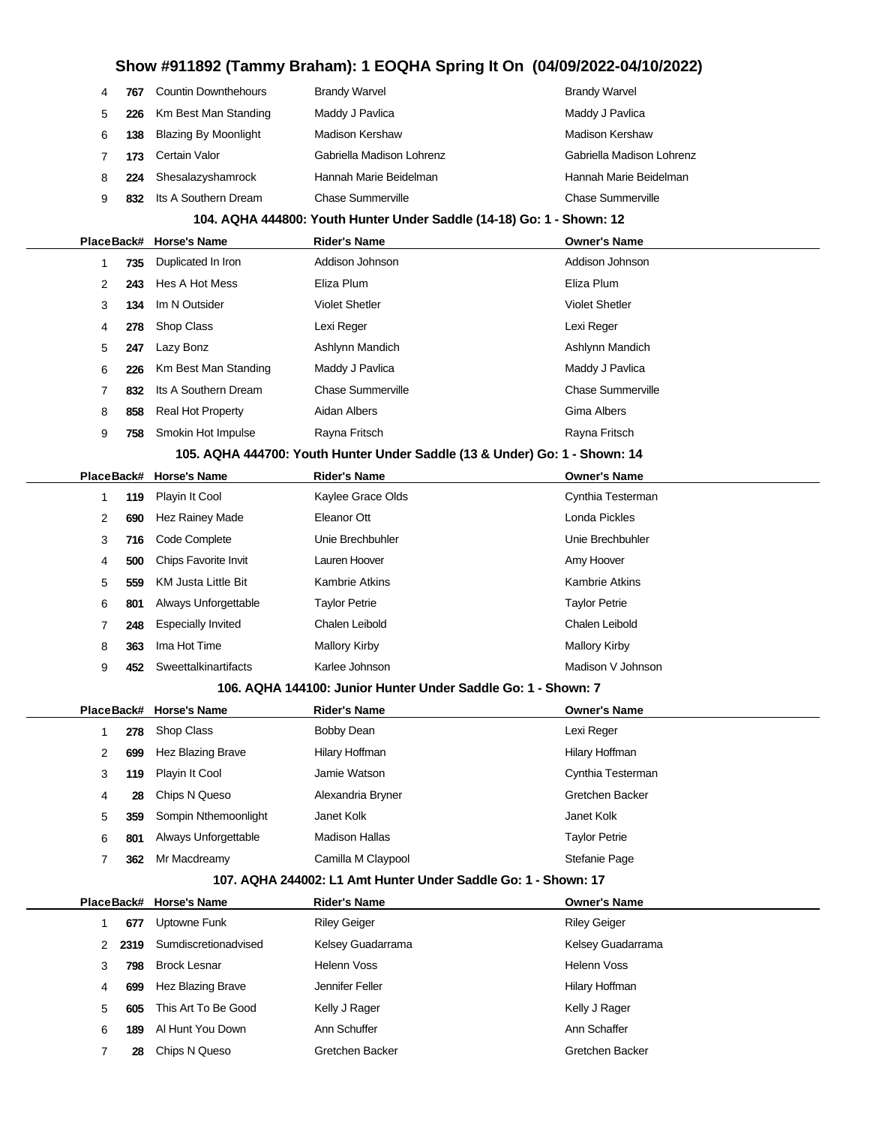|   | 104. AQHA 444800: Youth Hunter Under Saddle (14-18) Go: 1 - Shown: 12 |                             |                           |                           |  |  |  |  |
|---|-----------------------------------------------------------------------|-----------------------------|---------------------------|---------------------------|--|--|--|--|
| 9 | 832                                                                   | Its A Southern Dream        | Chase Summerville         | <b>Chase Summerville</b>  |  |  |  |  |
| 8 | 224                                                                   | Shesalazyshamrock           | Hannah Marie Beidelman    | Hannah Marie Beidelman    |  |  |  |  |
| 7 | 173                                                                   | Certain Valor               | Gabriella Madison Lohrenz | Gabriella Madison Lohrenz |  |  |  |  |
| 6 | 138                                                                   | <b>Blazing By Moonlight</b> | <b>Madison Kershaw</b>    | <b>Madison Kershaw</b>    |  |  |  |  |
| 5 | 226                                                                   | Km Best Man Standing        | Maddy J Pavlica           | Maddy J Pavlica           |  |  |  |  |
| 4 | 767                                                                   | <b>Countin Downthehours</b> | <b>Brandy Warvel</b>      | <b>Brandy Warvel</b>      |  |  |  |  |

|  |   |     | PlaceBack# Horse's Name  | <b>Rider's Name</b>      | <b>Owner's Name</b>      |
|--|---|-----|--------------------------|--------------------------|--------------------------|
|  |   | 735 | Duplicated In Iron       | Addison Johnson          | Addison Johnson          |
|  | 2 | 243 | Hes A Hot Mess           | Eliza Plum               | Eliza Plum               |
|  | 3 | 134 | Im N Outsider            | <b>Violet Shetler</b>    | <b>Violet Shetler</b>    |
|  | 4 | 278 | Shop Class               | Lexi Reger               | Lexi Reger               |
|  | 5 | 247 | Lazy Bonz                | Ashlynn Mandich          | Ashlynn Mandich          |
|  | 6 | 226 | Km Best Man Standing     | Maddy J Pavlica          | Maddy J Pavlica          |
|  | 7 | 832 | Its A Southern Dream     | <b>Chase Summerville</b> | <b>Chase Summerville</b> |
|  | 8 | 858 | <b>Real Hot Property</b> | Aidan Albers             | Gima Albers              |
|  | 9 | 758 | Smokin Hot Impulse       | Rayna Fritsch            | Rayna Fritsch            |

### **105. AQHA 444700: Youth Hunter Under Saddle (13 & Under) Go: 1 - Shown: 14**

|   |     | PlaceBack# Horse's Name   | <b>Rider's Name</b>   | <b>Owner's Name</b>  |
|---|-----|---------------------------|-----------------------|----------------------|
|   | 119 | Playin It Cool            | Kaylee Grace Olds     | Cynthia Testerman    |
| 2 | 690 | Hez Rainey Made           | Eleanor Ott           | Londa Pickles        |
| 3 | 716 | Code Complete             | Unie Brechbuhler      | Unie Brechbuhler     |
| 4 | 500 | Chips Favorite Invit      | Lauren Hoover         | Amy Hoover           |
| 5 | 559 | KM Justa Little Bit       | <b>Kambrie Atkins</b> | Kambrie Atkins       |
| 6 | 801 | Always Unforgettable      | <b>Taylor Petrie</b>  | <b>Taylor Petrie</b> |
| 7 | 248 | <b>Especially Invited</b> | Chalen Leibold        | Chalen Leibold       |
| 8 | 363 | Ima Hot Time              | <b>Mallory Kirby</b>  | <b>Mallory Kirby</b> |
| 9 | 452 | Sweettalkinartifacts      | Karlee Johnson        | Madison V Johnson    |

#### **106. AQHA 144100: Junior Hunter Under Saddle Go: 1 - Shown: 7**

|   |     | PlaceBack# Horse's Name | <b>Rider's Name</b> | <b>Owner's Name</b> |
|---|-----|-------------------------|---------------------|---------------------|
|   | 278 | Shop Class              | Bobby Dean          | Lexi Reger          |
| 2 | 699 | Hez Blazing Brave       | Hilary Hoffman      | Hilary Hoffman      |
| 3 | 119 | Playin It Cool          | Jamie Watson        | Cynthia Testerman   |
| 4 | 28  | Chips N Queso           | Alexandria Bryner   | Gretchen Backer     |
| 5 | 359 | Sompin Nthemoonlight    | Janet Kolk          | Janet Kolk          |
| 6 | 801 | Always Unforgettable    | Madison Hallas      | Taylor Petrie       |
|   | 362 | Mr Macdreamy            | Camilla M Claypool  | Stefanie Page       |

#### **107. AQHA 244002: L1 Amt Hunter Under Saddle Go: 1 - Shown: 17**

|    |      | PlaceBack# Horse's Name | <b>Rider's Name</b> | <b>Owner's Name</b> |
|----|------|-------------------------|---------------------|---------------------|
|    | 677  | Uptowne Funk            | <b>Riley Geiger</b> | <b>Riley Geiger</b> |
| 2  | 2319 | Sumdiscretionadvised    | Kelsey Guadarrama   | Kelsey Guadarrama   |
| 3. | 798  | <b>Brock Lesnar</b>     | Helenn Voss         | <b>Helenn Voss</b>  |
| 4  | 699  | Hez Blazing Brave       | Jennifer Feller     | Hilary Hoffman      |
| 5  | 605  | This Art To Be Good     | Kelly J Rager       | Kelly J Rager       |
| 6  | 189  | Al Hunt You Down        | Ann Schuffer        | Ann Schaffer        |
|    | 28   | Chips N Queso           | Gretchen Backer     | Gretchen Backer     |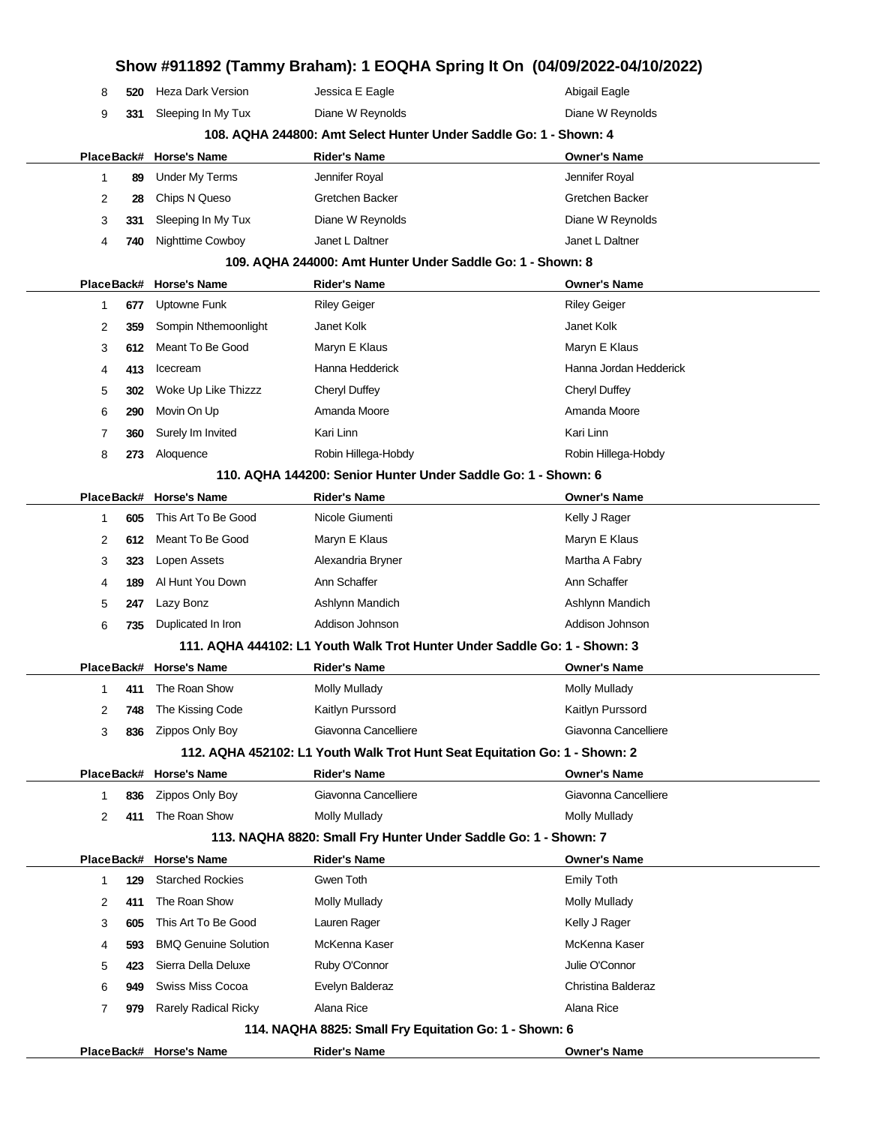|                |            |                                       |                                                            | Show #911892 (Tammy Braham): 1 EOQHA Spring It On (04/09/2022-04/10/2022)  |
|----------------|------------|---------------------------------------|------------------------------------------------------------|----------------------------------------------------------------------------|
| 8              | 520        | <b>Heza Dark Version</b>              | Jessica E Eagle                                            | Abigail Eagle                                                              |
| 9              | 331        | Sleeping In My Tux                    | Diane W Reynolds                                           | Diane W Reynolds                                                           |
|                |            |                                       |                                                            | 108. AQHA 244800: Amt Select Hunter Under Saddle Go: 1 - Shown: 4          |
|                |            | PlaceBack# Horse's Name               | <b>Rider's Name</b>                                        | <b>Owner's Name</b>                                                        |
| $\mathbf{1}$   | 89         | <b>Under My Terms</b>                 | Jennifer Royal                                             | Jennifer Royal                                                             |
| 2              | 28         | Chips N Queso                         | Gretchen Backer                                            | Gretchen Backer                                                            |
| 3              | 331        | Sleeping In My Tux                    | Diane W Reynolds                                           | Diane W Reynolds                                                           |
| 4              | 740        | Nighttime Cowboy                      | Janet L Daltner                                            | Janet L Daltner                                                            |
|                |            |                                       | 109. AQHA 244000: Amt Hunter Under Saddle Go: 1 - Shown: 8 |                                                                            |
|                |            | PlaceBack# Horse's Name               | <b>Rider's Name</b>                                        | <b>Owner's Name</b>                                                        |
| 1              | 677        | Uptowne Funk                          | <b>Riley Geiger</b>                                        | <b>Riley Geiger</b>                                                        |
| 2              | 359        | Sompin Nthemoonlight                  | Janet Kolk                                                 | Janet Kolk                                                                 |
| 3              | 612        | Meant To Be Good                      | Maryn E Klaus                                              | Maryn E Klaus                                                              |
| 4              | 413        | Icecream                              | Hanna Hedderick                                            | Hanna Jordan Hedderick                                                     |
| 5              | 302        | Woke Up Like Thizzz                   | Cheryl Duffey                                              | Cheryl Duffey                                                              |
| 6              | 290        | Movin On Up                           | Amanda Moore                                               | Amanda Moore                                                               |
| 7              | 360        | Surely Im Invited                     | Kari Linn                                                  | Kari Linn                                                                  |
| 8              | 273        | Aloquence                             | Robin Hillega-Hobdy                                        | Robin Hillega-Hobdy                                                        |
|                |            |                                       |                                                            | 110. AQHA 144200: Senior Hunter Under Saddle Go: 1 - Shown: 6              |
|                | PlaceBack# | <b>Horse's Name</b>                   | <b>Rider's Name</b>                                        | <b>Owner's Name</b>                                                        |
| 1              | 605        | This Art To Be Good                   | Nicole Giumenti                                            | Kelly J Rager                                                              |
| 2              | 612        | Meant To Be Good                      | Maryn E Klaus                                              | Maryn E Klaus                                                              |
| 3              | 323        | Lopen Assets                          | Alexandria Bryner                                          | Martha A Fabry                                                             |
| 4              | 189        | Al Hunt You Down                      | Ann Schaffer                                               | Ann Schaffer                                                               |
| 5              | 247        | Lazy Bonz                             | Ashlynn Mandich                                            | Ashlynn Mandich                                                            |
| 6              | 735        | Duplicated In Iron                    | Addison Johnson                                            | Addison Johnson                                                            |
|                |            |                                       |                                                            | 111. AQHA 444102: L1 Youth Walk Trot Hunter Under Saddle Go: 1 - Shown: 3  |
|                |            | PlaceBack# Horse's Name               | Rider's Name                                               | <b>Owner's Name</b>                                                        |
|                |            | 411 The Roan Show<br>The Kissing Code | <b>Molly Mullady</b><br>Kaitlyn Purssord                   | <b>Molly Mullady</b><br>Kaitlyn Purssord                                   |
| 2<br>3         | 748<br>836 | Zippos Only Boy                       | Giavonna Cancelliere                                       | Giavonna Cancelliere                                                       |
|                |            |                                       |                                                            | 112. AQHA 452102: L1 Youth Walk Trot Hunt Seat Equitation Go: 1 - Shown: 2 |
|                |            | PlaceBack# Horse's Name               | <b>Rider's Name</b>                                        | <b>Owner's Name</b>                                                        |
| 1              | 836        | Zippos Only Boy                       | Giavonna Cancelliere                                       | Giavonna Cancelliere                                                       |
| $\overline{2}$ | 411        | The Roan Show                         | <b>Molly Mullady</b>                                       | Molly Mullady                                                              |
|                |            |                                       |                                                            | 113. NAQHA 8820: Small Fry Hunter Under Saddle Go: 1 - Shown: 7            |
|                |            | PlaceBack# Horse's Name               | <b>Rider's Name</b>                                        | <b>Owner's Name</b>                                                        |
| 1              | 129        | <b>Starched Rockies</b>               | Gwen Toth                                                  | <b>Emily Toth</b>                                                          |
| 2              | 411        | The Roan Show                         | <b>Molly Mullady</b>                                       | <b>Molly Mullady</b>                                                       |
| 3              | 605        | This Art To Be Good                   | Lauren Rager                                               | Kelly J Rager                                                              |
| 4              | 593        | <b>BMQ Genuine Solution</b>           | McKenna Kaser                                              | McKenna Kaser                                                              |
| 5              | 423        | Sierra Della Deluxe                   | Ruby O'Connor                                              | Julie O'Connor                                                             |
| 6              | 949        | Swiss Miss Cocoa                      | Evelyn Balderaz                                            | Christina Balderaz                                                         |
| 7              | 979        | <b>Rarely Radical Ricky</b>           | Alana Rice                                                 | Alana Rice                                                                 |
|                |            |                                       | 114. NAQHA 8825: Small Fry Equitation Go: 1 - Shown: 6     |                                                                            |
|                |            | PlaceBack# Horse's Name               | <b>Rider's Name</b>                                        | <b>Owner's Name</b>                                                        |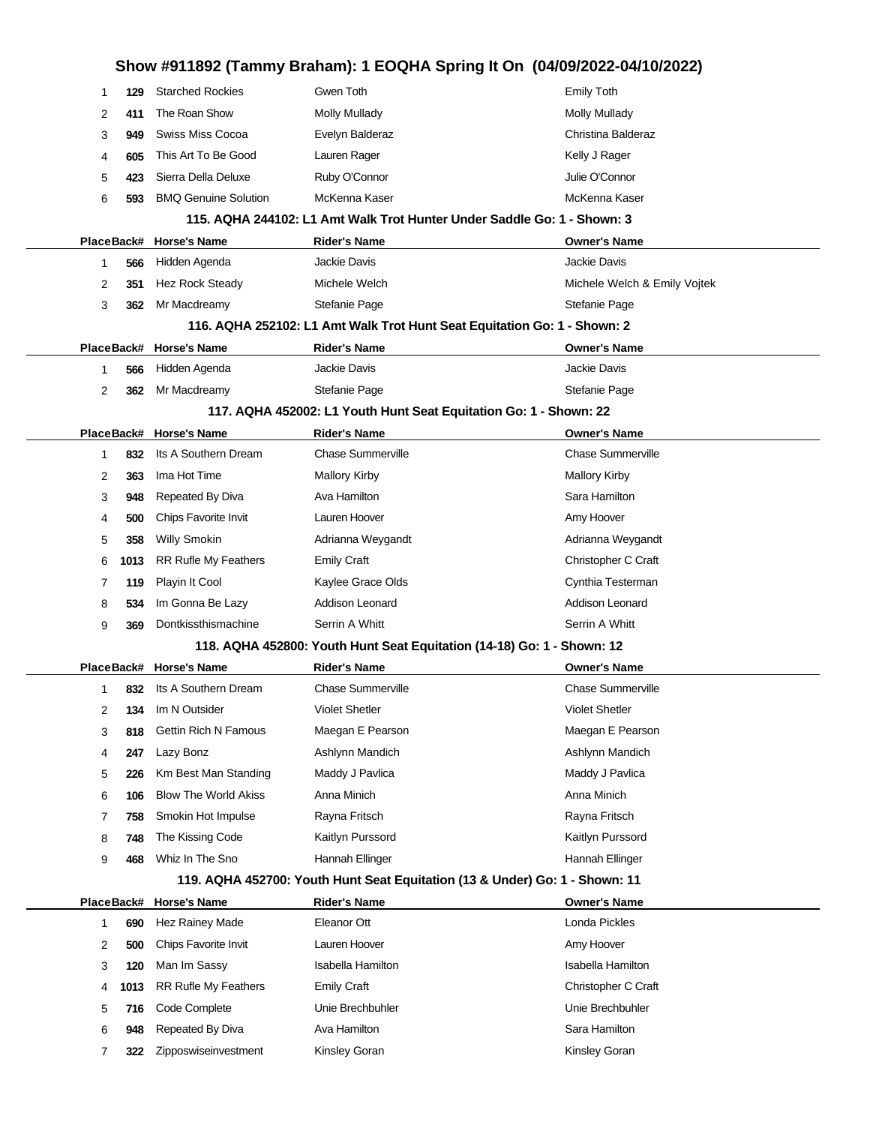|            |                             | Show #911892 (Tammy Braham): 1 EOQHA Spring It On (04/09/2022-04/10/2022)   |                              |
|------------|-----------------------------|-----------------------------------------------------------------------------|------------------------------|
| 129<br>1   | <b>Starched Rockies</b>     | Gwen Toth                                                                   | <b>Emily Toth</b>            |
| 2<br>411   | The Roan Show               | <b>Molly Mullady</b>                                                        | Molly Mullady                |
| 3<br>949   | Swiss Miss Cocoa            | Evelyn Balderaz                                                             | Christina Balderaz           |
| 4<br>605   | This Art To Be Good         | Lauren Rager                                                                | Kelly J Rager                |
| 5<br>423   | Sierra Della Deluxe         | Ruby O'Connor                                                               | Julie O'Connor               |
| 6<br>593   | <b>BMQ Genuine Solution</b> | McKenna Kaser                                                               | McKenna Kaser                |
|            |                             | 115. AQHA 244102: L1 Amt Walk Trot Hunter Under Saddle Go: 1 - Shown: 3     |                              |
|            | PlaceBack# Horse's Name     | <b>Rider's Name</b>                                                         | <b>Owner's Name</b>          |
| 566<br>1   | Hidden Agenda               | <b>Jackie Davis</b>                                                         | Jackie Davis                 |
| 2<br>351   | Hez Rock Steady             | Michele Welch                                                               | Michele Welch & Emily Vojtek |
| 3<br>362   | Mr Macdreamy                | Stefanie Page                                                               | Stefanie Page                |
|            |                             | 116. AQHA 252102: L1 Amt Walk Trot Hunt Seat Equitation Go: 1 - Shown: 2    |                              |
|            | PlaceBack# Horse's Name     | <b>Rider's Name</b>                                                         | <b>Owner's Name</b>          |
| 1<br>566   | Hidden Agenda               | <b>Jackie Davis</b>                                                         | Jackie Davis                 |
| 2<br>362   | Mr Macdreamy                | Stefanie Page                                                               | Stefanie Page                |
|            |                             | 117. AQHA 452002: L1 Youth Hunt Seat Equitation Go: 1 - Shown: 22           |                              |
|            | PlaceBack# Horse's Name     | <b>Rider's Name</b>                                                         | <b>Owner's Name</b>          |
| 832<br>1   | Its A Southern Dream        | <b>Chase Summerville</b>                                                    | <b>Chase Summerville</b>     |
| 2<br>363   | Ima Hot Time                | <b>Mallory Kirby</b>                                                        | <b>Mallory Kirby</b>         |
| 3<br>948   | Repeated By Diva            | Ava Hamilton                                                                | Sara Hamilton                |
| 4<br>500   | Chips Favorite Invit        | Lauren Hoover                                                               | Amy Hoover                   |
| 5<br>358   | <b>Willy Smokin</b>         | Adrianna Weygandt                                                           | Adrianna Weygandt            |
| 6<br>1013  | <b>RR Rufle My Feathers</b> | <b>Emily Craft</b>                                                          | Christopher C Craft          |
| 7<br>119   | Playin It Cool              | Kaylee Grace Olds                                                           | Cynthia Testerman            |
| 8<br>534   | Im Gonna Be Lazy            | Addison Leonard                                                             | Addison Leonard              |
| 9<br>369   | Dontkissthismachine         | Serrin A Whitt                                                              | Serrin A Whitt               |
|            |                             | 118. AQHA 452800: Youth Hunt Seat Equitation (14-18) Go: 1 - Shown: 12      |                              |
|            | PlaceBack# Horse's Name     | <b>Rider's Name</b>                                                         | <b>Owner's Name</b>          |
| 1          | 832 Its A Southern Dream    | <b>Chase Summerville</b>                                                    | <b>Chase Summerville</b>     |
| 2<br>134   | Im N Outsider               | <b>Violet Shetler</b>                                                       | <b>Violet Shetler</b>        |
| 3<br>818   | <b>Gettin Rich N Famous</b> | Maegan E Pearson                                                            | Maegan E Pearson             |
| 247<br>4   | Lazy Bonz                   | Ashlynn Mandich                                                             | Ashlynn Mandich              |
| 5<br>226   | Km Best Man Standing        | Maddy J Pavlica                                                             | Maddy J Pavlica              |
| 6<br>106   | <b>Blow The World Akiss</b> | Anna Minich                                                                 | Anna Minich                  |
| 7<br>758   | Smokin Hot Impulse          | Rayna Fritsch                                                               | Rayna Fritsch                |
| 8<br>748   | The Kissing Code            | Kaitlyn Purssord                                                            | Kaitlyn Purssord             |
| 9<br>468   | Whiz In The Sno             | Hannah Ellinger                                                             | Hannah Ellinger              |
|            |                             | 119. AQHA 452700: Youth Hunt Seat Equitation (13 & Under) Go: 1 - Shown: 11 |                              |
| PlaceBack# | <b>Horse's Name</b>         | Rider's Name                                                                | <b>Owner's Name</b>          |
| 690<br>1   | Hez Rainey Made             | Eleanor Ott                                                                 | Londa Pickles                |
| 2<br>500   | Chips Favorite Invit        | Lauren Hoover                                                               | Amy Hoover                   |
| 3<br>120   | Man Im Sassy                | Isabella Hamilton                                                           | Isabella Hamilton            |
| 4<br>1013  | <b>RR Rufle My Feathers</b> | <b>Emily Craft</b>                                                          | Christopher C Craft          |
| 5<br>716   | Code Complete               | Unie Brechbuhler                                                            | Unie Brechbuhler             |
| 948<br>6   | Repeated By Diva            | Ava Hamilton                                                                | Sara Hamilton                |
| 7<br>322   | Zipposwiseinvestment        | Kinsley Goran                                                               | Kinsley Goran                |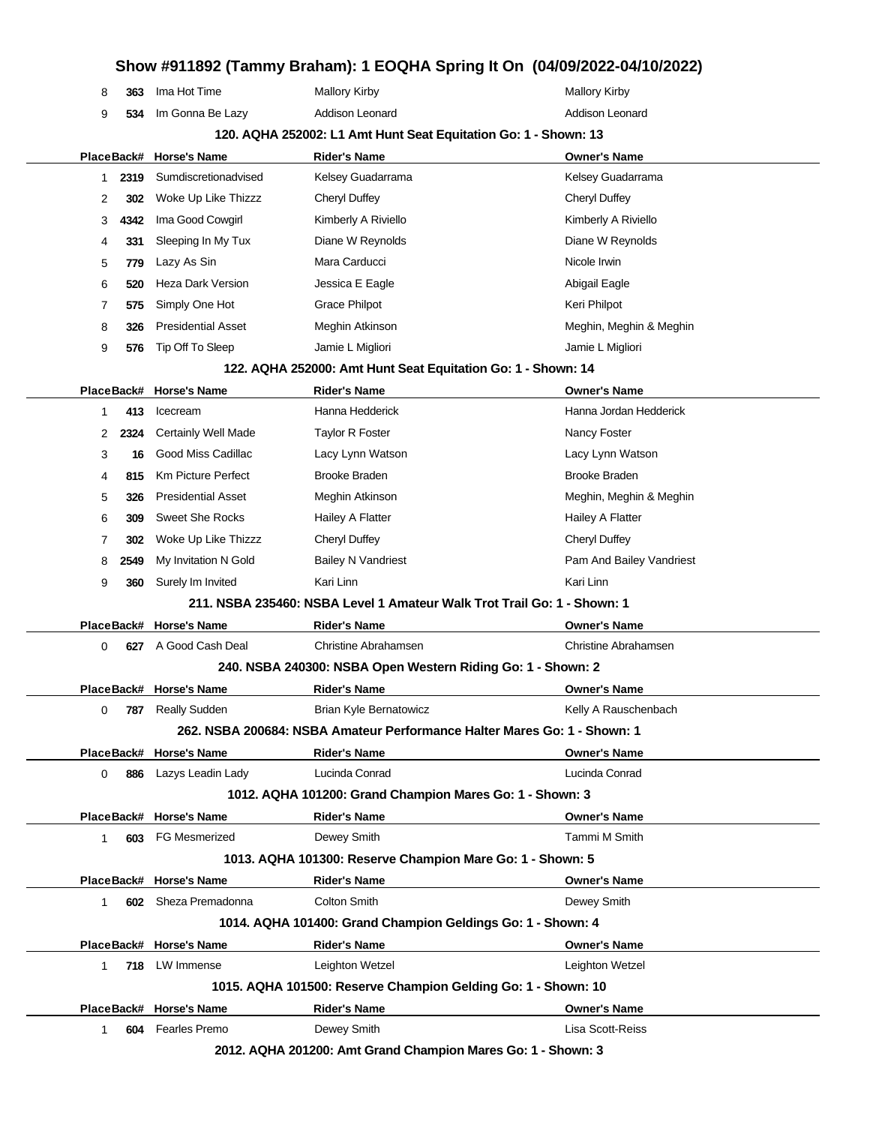|                                                                 | 8            | 363  | Ima Hot Time               | <b>Mallory Kirby</b>                                                     | <b>Mallory Kirby</b>     |  |  |
|-----------------------------------------------------------------|--------------|------|----------------------------|--------------------------------------------------------------------------|--------------------------|--|--|
|                                                                 | 9            | 534  | Im Gonna Be Lazy           | Addison Leonard                                                          | Addison Leonard          |  |  |
| 120. AQHA 252002: L1 Amt Hunt Seat Equitation Go: 1 - Shown: 13 |              |      |                            |                                                                          |                          |  |  |
|                                                                 | PlaceBack#   |      | <b>Horse's Name</b>        | <b>Rider's Name</b>                                                      | <b>Owner's Name</b>      |  |  |
|                                                                 | 1            | 2319 | Sumdiscretionadvised       | Kelsey Guadarrama                                                        | Kelsey Guadarrama        |  |  |
|                                                                 | 2            | 302  | Woke Up Like Thizzz        | <b>Cheryl Duffey</b>                                                     | Cheryl Duffey            |  |  |
|                                                                 | 3            | 4342 | Ima Good Cowgirl           | Kimberly A Riviello                                                      | Kimberly A Riviello      |  |  |
|                                                                 | 4            | 331  | Sleeping In My Tux         | Diane W Reynolds                                                         | Diane W Reynolds         |  |  |
|                                                                 | 5            | 779  | Lazy As Sin                | Mara Carducci                                                            | Nicole Irwin             |  |  |
|                                                                 | 6            | 520  | Heza Dark Version          | Jessica E Eagle                                                          | Abigail Eagle            |  |  |
|                                                                 | 7            | 575  | Simply One Hot             | <b>Grace Philpot</b>                                                     | Keri Philpot             |  |  |
|                                                                 | 8            | 326  | <b>Presidential Asset</b>  | Meghin Atkinson                                                          | Meghin, Meghin & Meghin  |  |  |
|                                                                 | 9            | 576  | Tip Off To Sleep           | Jamie L Migliori                                                         | Jamie L Migliori         |  |  |
|                                                                 |              |      |                            | 122. AQHA 252000: Amt Hunt Seat Equitation Go: 1 - Shown: 14             |                          |  |  |
|                                                                 | PlaceBack#   |      | <b>Horse's Name</b>        | <b>Rider's Name</b>                                                      | <b>Owner's Name</b>      |  |  |
|                                                                 | 1            | 413  | Icecream                   | Hanna Hedderick                                                          | Hanna Jordan Hedderick   |  |  |
|                                                                 | 2            | 2324 | <b>Certainly Well Made</b> | <b>Taylor R Foster</b>                                                   | Nancy Foster             |  |  |
|                                                                 | 3            | 16   | Good Miss Cadillac         | Lacy Lynn Watson                                                         | Lacy Lynn Watson         |  |  |
|                                                                 | 4            | 815  | <b>Km Picture Perfect</b>  | <b>Brooke Braden</b>                                                     | <b>Brooke Braden</b>     |  |  |
|                                                                 | 5            | 326  | <b>Presidential Asset</b>  | Meghin Atkinson                                                          | Meghin, Meghin & Meghin  |  |  |
|                                                                 | 6            | 309  | <b>Sweet She Rocks</b>     | Hailey A Flatter                                                         | Hailey A Flatter         |  |  |
|                                                                 | 7            | 302  | Woke Up Like Thizzz        | Cheryl Duffey                                                            | <b>Cheryl Duffey</b>     |  |  |
|                                                                 | 8            | 2549 | My Invitation N Gold       | <b>Bailey N Vandriest</b>                                                | Pam And Bailey Vandriest |  |  |
|                                                                 | 9            | 360  | Surely Im Invited          | Kari Linn                                                                | Kari Linn                |  |  |
|                                                                 |              |      |                            | 211, NSBA 235460: NSBA Level 1 Amateur Walk Trot Trail Go: 1 - Shown: 1  |                          |  |  |
|                                                                 | PlaceBack#   |      | <b>Horse's Name</b>        | <b>Rider's Name</b>                                                      | <b>Owner's Name</b>      |  |  |
|                                                                 | 0            | 627  | A Good Cash Deal           | <b>Christine Abrahamsen</b>                                              | Christine Abrahamsen     |  |  |
|                                                                 |              |      |                            | 240. NSBA 240300: NSBA Open Western Riding Go: 1 - Shown: 2              |                          |  |  |
|                                                                 |              |      | PlaceBack# Horse's Name    | <b>Rider's Name</b>                                                      | <b>Owner's Name</b>      |  |  |
|                                                                 |              |      | 787 Really Sudden          | <b>Brian Kyle Bernatowicz</b>                                            | Kelly A Rauschenbach     |  |  |
|                                                                 |              |      |                            | 262. NSBA 200684: NSBA Amateur Performance Halter Mares Go: 1 - Shown: 1 |                          |  |  |
|                                                                 |              |      | PlaceBack# Horse's Name    | <b>Rider's Name</b>                                                      | <b>Owner's Name</b>      |  |  |
|                                                                 | 0            | 886  | Lazys Leadin Lady          | Lucinda Conrad                                                           | Lucinda Conrad           |  |  |
|                                                                 |              |      |                            | 1012. AQHA 101200: Grand Champion Mares Go: 1 - Shown: 3                 |                          |  |  |
|                                                                 |              |      | PlaceBack# Horse's Name    | <b>Rider's Name</b>                                                      | <b>Owner's Name</b>      |  |  |
|                                                                 | $\mathbf{1}$ |      | 603 FG Mesmerized          | Dewey Smith                                                              | Tammi M Smith            |  |  |
|                                                                 |              |      |                            | 1013. AQHA 101300: Reserve Champion Mare Go: 1 - Shown: 5                |                          |  |  |
|                                                                 |              |      | PlaceBack# Horse's Name    | <b>Rider's Name</b>                                                      | <b>Owner's Name</b>      |  |  |
|                                                                 | 1.           |      | 602 Sheza Premadonna       | <b>Colton Smith</b>                                                      | Dewey Smith              |  |  |
|                                                                 |              |      |                            | 1014. AQHA 101400: Grand Champion Geldings Go: 1 - Shown: 4              |                          |  |  |
|                                                                 |              |      | PlaceBack# Horse's Name    | <b>Rider's Name</b>                                                      | <b>Owner's Name</b>      |  |  |
|                                                                 | 1.           |      | 718 LW Immense             | Leighton Wetzel                                                          | Leighton Wetzel          |  |  |
|                                                                 |              |      |                            | 1015. AQHA 101500: Reserve Champion Gelding Go: 1 - Shown: 10            |                          |  |  |
|                                                                 |              |      | PlaceBack# Horse's Name    | <b>Rider's Name</b>                                                      | <b>Owner's Name</b>      |  |  |
|                                                                 | 1            |      | 604 Fearles Premo          | Dewey Smith                                                              | Lisa Scott-Reiss         |  |  |
|                                                                 |              |      |                            |                                                                          |                          |  |  |

**2012. AQHA 201200: Amt Grand Champion Mares Go: 1 - Shown: 3**